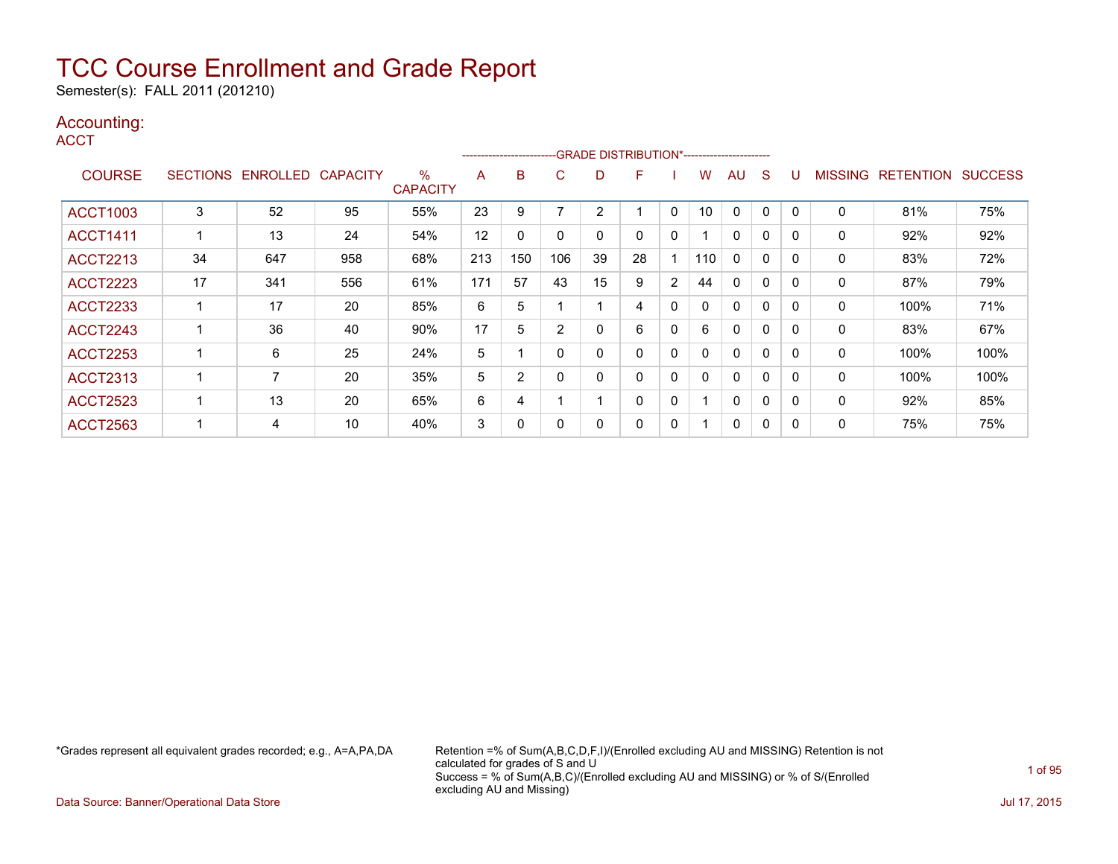Semester(s): FALL 2011 (201210)

### Accounting:

**ACCT** 

|                 |    |                            |     |                      |     | ----------------------- |             |                | -GRADE DISTRIBUTION*----------------------- |              |     |              |              |   |              |                   |                |
|-----------------|----|----------------------------|-----|----------------------|-----|-------------------------|-------------|----------------|---------------------------------------------|--------------|-----|--------------|--------------|---|--------------|-------------------|----------------|
| <b>COURSE</b>   |    | SECTIONS ENROLLED CAPACITY |     | %<br><b>CAPACITY</b> | A   | B                       | C           | D              | F                                           |              | w   | AU           | <sub>S</sub> |   |              | MISSING RETENTION | <b>SUCCESS</b> |
| <b>ACCT1003</b> | 3  | 52                         | 95  | 55%                  | 23  | 9                       |             | $\overline{2}$ |                                             | 0            | 10  | $\Omega$     | 0            |   | $\mathbf 0$  | 81%               | 75%            |
| <b>ACCT1411</b> |    | 13                         | 24  | 54%                  | 12  | $\Omega$                | $\Omega$    | $\mathbf{0}$   | $\Omega$                                    | $\mathbf{0}$ |     | $\Omega$     | 0            | 0 | $\mathbf{0}$ | 92%               | 92%            |
| <b>ACCT2213</b> | 34 | 647                        | 958 | 68%                  | 213 | 150                     | 106         | 39             | 28                                          |              | 110 | $\mathbf{0}$ | 0            | 0 | $\mathbf{0}$ | 83%               | 72%            |
| <b>ACCT2223</b> | 17 | 341                        | 556 | 61%                  | 171 | 57                      | 43          | 15             | 9                                           | 2            | 44  | $\Omega$     | 0            | 0 | 0            | 87%               | 79%            |
| <b>ACCT2233</b> |    | 17                         | 20  | 85%                  | 6   | 5                       |             |                | 4                                           | 0            |     | $\Omega$     | 0            | 0 | 0            | 100%              | 71%            |
| <b>ACCT2243</b> |    | 36                         | 40  | 90%                  | 17  | 5                       | 2           | 0              | 6                                           | 0            | 6   | $\Omega$     | 0            |   | 0            | 83%               | 67%            |
| <b>ACCT2253</b> |    | 6                          | 25  | 24%                  | 5   |                         | $\mathbf 0$ | 0              | 0                                           | 0            |     | $\Omega$     | 0            |   | 0            | 100%              | 100%           |
| <b>ACCT2313</b> |    | 7                          | 20  | 35%                  | 5   | 2                       | $\mathbf 0$ | 0              | 0                                           | 0            |     | $\Omega$     | 0            |   | 0            | 100%              | 100%           |
| <b>ACCT2523</b> |    | 13                         | 20  | 65%                  | 6   | 4                       |             |                | 0                                           | 0            |     | 0            | 0            |   | 0            | 92%               | 85%            |
| <b>ACCT2563</b> |    | 4                          | 10  | 40%                  | 3   | 0                       | 0           | 0              | 0                                           | 0            |     | 0            | 0            |   | 0            | 75%               | 75%            |

\*Grades represent all equivalent grades recorded; e.g., A=A,PA,DA Retention =% of Sum(A,B,C,D,F,I)/(Enrolled excluding AU and MISSING) Retention is not calculated for grades of S and U Success = % of Sum(A,B,C)/(Enrolled excluding AU and MISSING) or % of S/(Enrolled excluding AU and Missing)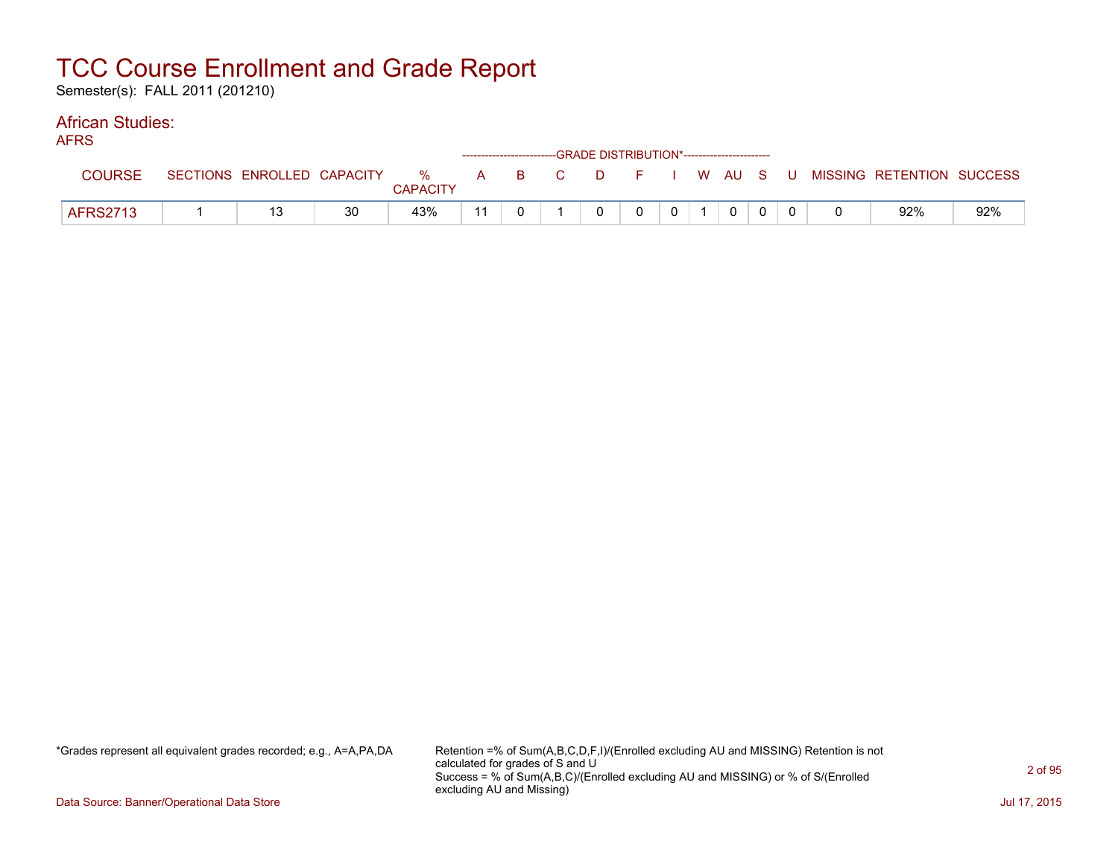Semester(s): FALL 2011 (201210)

#### African Studies: AFRS

| AFNO            |                            |    |                 |    |  | ------------------------GRADE DISTRIBUTION*----------------------- |                |                |  |                                                  |     |
|-----------------|----------------------------|----|-----------------|----|--|--------------------------------------------------------------------|----------------|----------------|--|--------------------------------------------------|-----|
| <b>COURSE</b>   | SECTIONS ENROLLED CAPACITY |    | <b>CAPACITY</b> |    |  |                                                                    |                |                |  | % A B C D F I W AU S U MISSING RETENTION SUCCESS |     |
| <b>AFRS2713</b> |                            | 30 | 43%             | 11 |  | $\Omega$                                                           | 0 <sup>1</sup> | $\overline{0}$ |  | 92%                                              | 92% |

\*Grades represent all equivalent grades recorded; e.g., A=A,PA,DA Retention =% of Sum(A,B,C,D,F,I)/(Enrolled excluding AU and MISSING) Retention is not calculated for grades of S and U Success = % of Sum(A,B,C)/(Enrolled excluding AU and MISSING) or % of S/(Enrolled excluding AU and Missing)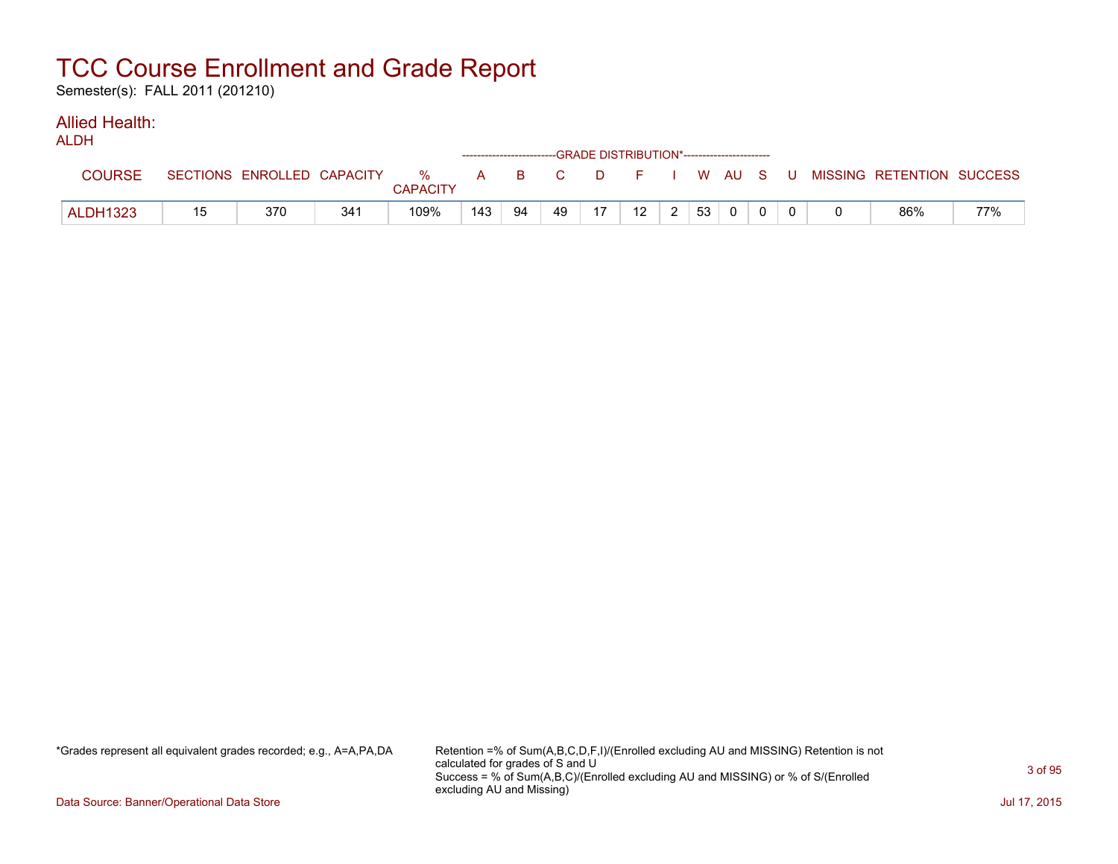Semester(s): FALL 2011 (201210)

#### Allied Health: ALDH<sub>1</sub>

| ALDN            |    |                            |                 |                      | ------------------------GRADE DISTRIBUTION*----------------------- |    |       |        |                 |    |          |  |                           |     |
|-----------------|----|----------------------------|-----------------|----------------------|--------------------------------------------------------------------|----|-------|--------|-----------------|----|----------|--|---------------------------|-----|
| <b>COURSE</b>   |    | SECTIONS ENROLLED CAPACITY |                 | %<br><b>CAPACITY</b> |                                                                    |    | A B C | $\Box$ | F I W AU S U '  |    |          |  | MISSING RETENTION SUCCESS |     |
| <b>ALDH1323</b> | 15 | 370                        | 34 <sup>2</sup> | 109%                 | 143                                                                | 94 | 49    | 17     | 12 <sup>2</sup> | 53 | $\Omega$ |  | 86%                       | 77% |

\*Grades represent all equivalent grades recorded; e.g., A=A,PA,DA Retention =% of Sum(A,B,C,D,F,I)/(Enrolled excluding AU and MISSING) Retention is not calculated for grades of S and U Success = % of Sum(A,B,C)/(Enrolled excluding AU and MISSING) or % of S/(Enrolled excluding AU and Missing)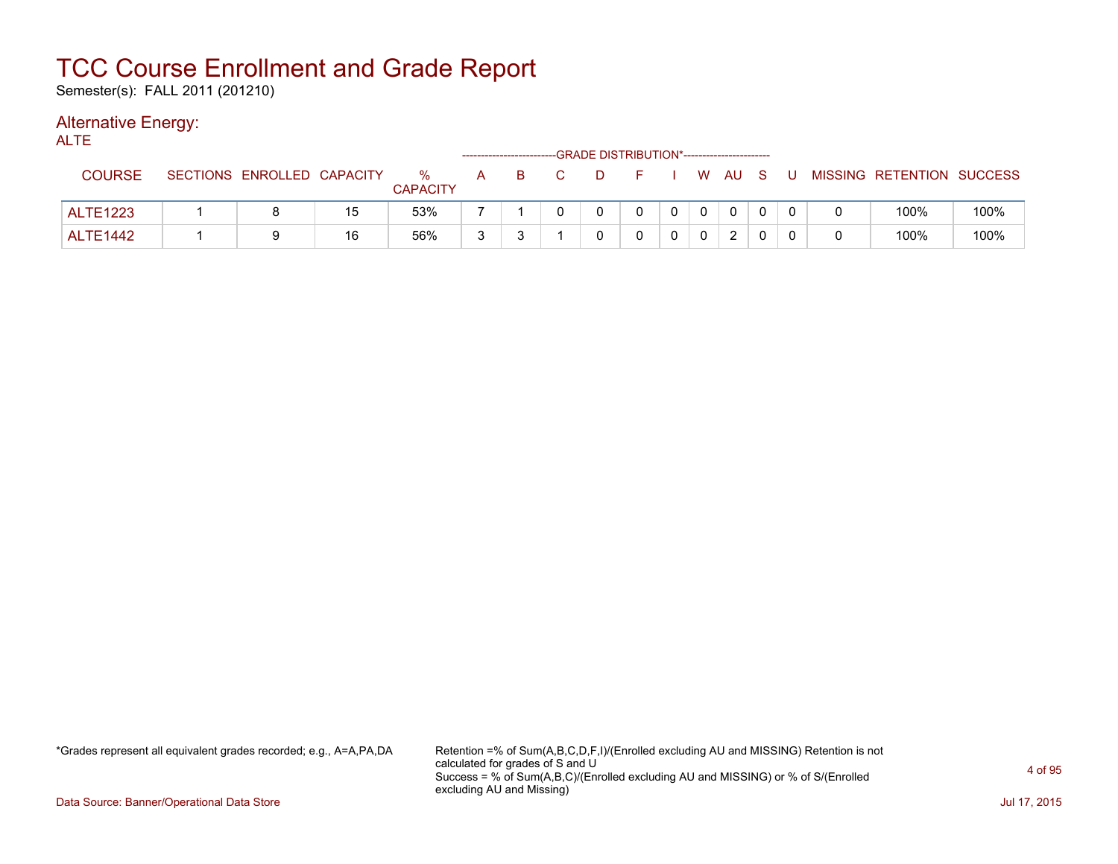Semester(s): FALL 2011 (201210)

### Alternative Energy:

| ALTE            |                            |    |                         |   | ------------------------- |                |        | -GRADE DISTRIBUTION*----------------------- |                |              |                |     |                           |      |
|-----------------|----------------------------|----|-------------------------|---|---------------------------|----------------|--------|---------------------------------------------|----------------|--------------|----------------|-----|---------------------------|------|
| <b>COURSE</b>   | SECTIONS ENROLLED CAPACITY |    | $\%$<br><b>CAPACITY</b> |   | A B                       | $\overline{C}$ | . D. . | F I W AU S                                  |                |              |                | . U | MISSING RETENTION SUCCESS |      |
| <b>ALTE1223</b> |                            | 15 | 53%                     |   |                           |                |        | $\Omega$                                    | $\overline{0}$ | $\mathbf{0}$ | $\overline{0}$ |     | 100%                      | 100% |
| <b>ALTE1442</b> |                            | 16 | 56%                     | ર |                           |                |        |                                             |                |              | 2              |     | 100%                      | 100% |

\*Grades represent all equivalent grades recorded; e.g., A=A,PA,DA Retention =% of Sum(A,B,C,D,F,I)/(Enrolled excluding AU and MISSING) Retention is not calculated for grades of S and U Success = % of Sum(A,B,C)/(Enrolled excluding AU and MISSING) or % of S/(Enrolled excluding AU and Missing)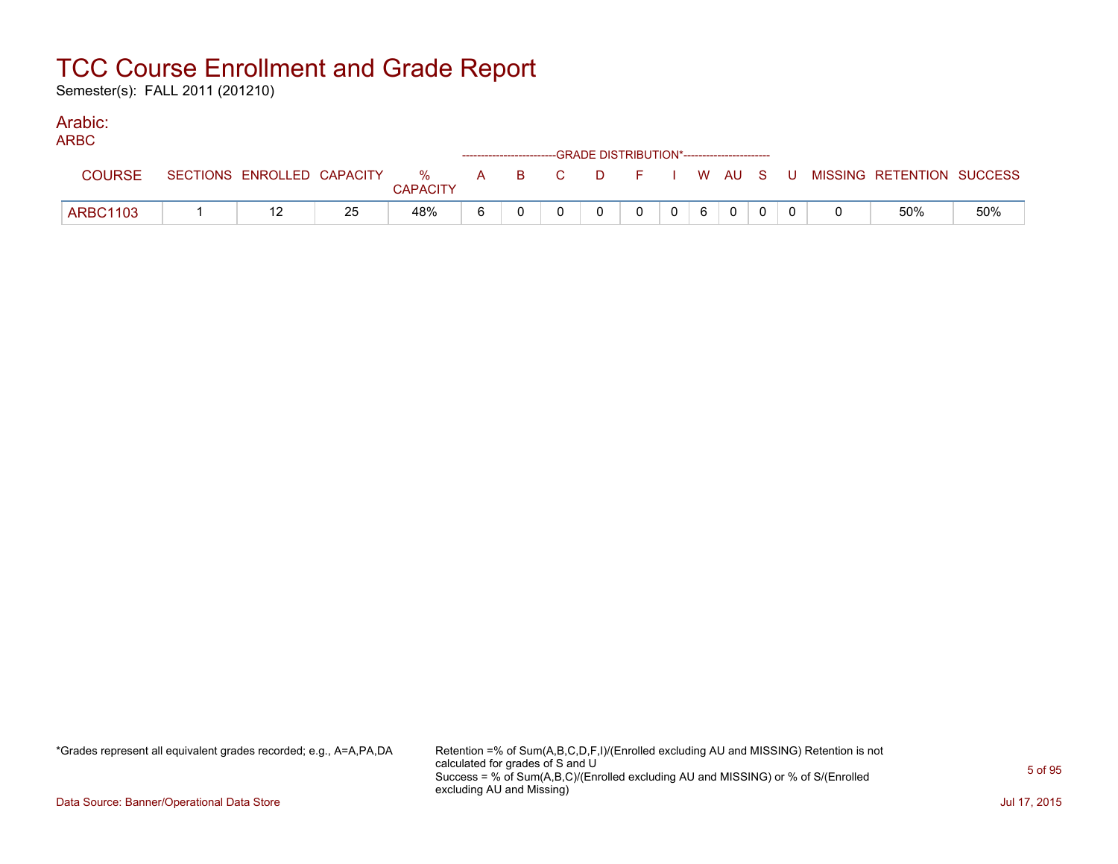Semester(s): FALL 2011 (201210)

### Arabic:

| <b>ARBC</b>     |                            |    |                         |   |  | ------------------------GRADE DISTRIBUTION*----------------------- |   |                |   |          |  |                                                |     |
|-----------------|----------------------------|----|-------------------------|---|--|--------------------------------------------------------------------|---|----------------|---|----------|--|------------------------------------------------|-----|
| <b>COURSE</b>   | SECTIONS ENROLLED CAPACITY |    | $\%$<br><b>CAPACITY</b> |   |  |                                                                    |   |                |   |          |  | A B C D F I W AU S U MISSING—RETENTION SUCCESS |     |
| <b>ARBC1103</b> | 12                         | 25 | 48%                     | 6 |  | 0                                                                  | 0 | 0 <sup>1</sup> | 6 | $\Omega$ |  | 50%                                            | 50% |

\*Grades represent all equivalent grades recorded; e.g., A=A,PA,DA Retention =% of Sum(A,B,C,D,F,I)/(Enrolled excluding AU and MISSING) Retention is not calculated for grades of S and U Success = % of Sum(A,B,C)/(Enrolled excluding AU and MISSING) or % of S/(Enrolled excluding AU and Missing)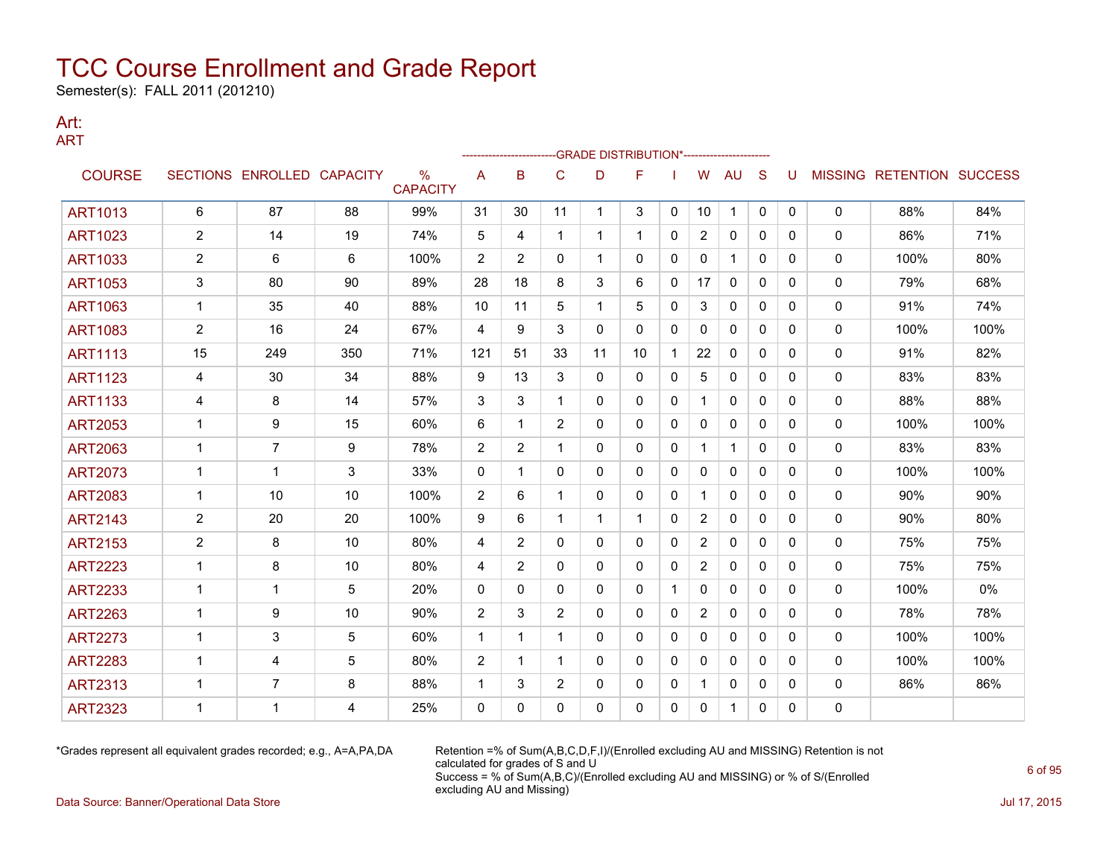Semester(s): FALL 2011 (201210)

#### Art: ART

|                |                |                            |     |                         |                |                |                | -GRADE DISTRIBUTION*---------------------- |             |              |                |              |              |              |              |                                  |      |
|----------------|----------------|----------------------------|-----|-------------------------|----------------|----------------|----------------|--------------------------------------------|-------------|--------------|----------------|--------------|--------------|--------------|--------------|----------------------------------|------|
| <b>COURSE</b>  |                | SECTIONS ENROLLED CAPACITY |     | $\%$<br><b>CAPACITY</b> | A              | B              | C              | D                                          | F           |              | W              | AU           | S            | U            |              | <b>MISSING RETENTION SUCCESS</b> |      |
| <b>ART1013</b> | 6              | 87                         | 88  | 99%                     | 31             | 30             | 11             | 1                                          | 3           | 0            | 10             | $\mathbf{1}$ | $\mathbf 0$  | 0            | 0            | 88%                              | 84%  |
| <b>ART1023</b> | $\overline{2}$ | 14                         | 19  | 74%                     | 5              | 4              | $\mathbf 1$    | 1                                          |             | 0            | 2              | $\mathbf{0}$ | $\mathbf{0}$ | $\mathbf{0}$ | 0            | 86%                              | 71%  |
| <b>ART1033</b> | 2              | 6                          | 6   | 100%                    | $\overline{2}$ | $\overline{2}$ | $\mathbf{0}$   | 1                                          | 0           | $\mathbf{0}$ | 0              |              | $\mathbf{0}$ | $\Omega$     | 0            | 100%                             | 80%  |
| <b>ART1053</b> | 3              | 80                         | 90  | 89%                     | 28             | 18             | 8              | 3                                          | 6           | 0            | 17             | 0            | 0            | 0            | 0            | 79%                              | 68%  |
| <b>ART1063</b> | 1              | 35                         | 40  | 88%                     | 10             | 11             | 5              | 1                                          | 5           | 0            | 3              | 0            | 0            | 0            | 0            | 91%                              | 74%  |
| <b>ART1083</b> | $\overline{2}$ | 16                         | 24  | 67%                     | $\overline{4}$ | 9              | 3              | $\mathbf{0}$                               | 0           | $\mathbf{0}$ | 0              | $\mathbf{0}$ | $\mathbf{0}$ | 0            | $\mathbf{0}$ | 100%                             | 100% |
| <b>ART1113</b> | 15             | 249                        | 350 | 71%                     | 121            | 51             | 33             | 11                                         | 10          | 1            | 22             | $\Omega$     | $\mathbf{0}$ | $\Omega$     | 0            | 91%                              | 82%  |
| <b>ART1123</b> | 4              | 30                         | 34  | 88%                     | 9              | 13             | 3              | $\mathbf{0}$                               | $\Omega$    | $\Omega$     | 5              | $\Omega$     | $\mathbf{0}$ | $\Omega$     | 0            | 83%                              | 83%  |
| <b>ART1133</b> | 4              | 8                          | 14  | 57%                     | 3              | 3              | 1              | 0                                          | 0           | 0            | 1              | 0            | $\mathbf{0}$ | 0            | 0            | 88%                              | 88%  |
| <b>ART2053</b> | $\mathbf 1$    | 9                          | 15  | 60%                     | 6              | 1              | $\overline{2}$ | $\mathbf{0}$                               | 0           | $\mathbf{0}$ | 0              | $\mathbf{0}$ | $\mathbf{0}$ | 0            | $\mathbf{0}$ | 100%                             | 100% |
| <b>ART2063</b> | 1              | $\overline{7}$             | 9   | 78%                     | $\overline{2}$ | 2              | 1              | 0                                          | $\Omega$    | $\mathbf{0}$ | 1              |              | $\mathbf{0}$ | $\Omega$     | 0            | 83%                              | 83%  |
| <b>ART2073</b> | 1              | 1                          | 3   | 33%                     | $\mathbf{0}$   | 1              | $\mathbf{0}$   | 0                                          | 0           | 0            | 0              | $\mathbf{0}$ | $\mathbf{0}$ | 0            | 0            | 100%                             | 100% |
| <b>ART2083</b> | 1              | 10                         | 10  | 100%                    | 2              | 6              | 1              | 0                                          | 0           | 0            | 1              | 0            | $\mathbf{0}$ | 0            | 0            | 90%                              | 90%  |
| <b>ART2143</b> | $\overline{2}$ | 20                         | 20  | 100%                    | 9              | 6              | 1              | 1                                          | $\mathbf 1$ | 0            | $\overline{2}$ | 0            | 0            | 0            | 0            | 90%                              | 80%  |
| <b>ART2153</b> | $\overline{2}$ | 8                          | 10  | 80%                     | $\overline{4}$ | 2              | $\Omega$       | $\Omega$                                   | $\Omega$    | $\Omega$     | $\overline{2}$ | $\Omega$     | $\Omega$     | $\Omega$     | 0            | 75%                              | 75%  |
| <b>ART2223</b> | 1              | 8                          | 10  | 80%                     | 4              | 2              | $\Omega$       | 0                                          | 0           | 0            | $\overline{2}$ | $\mathbf{0}$ | $\mathbf{0}$ | 0            | 0            | 75%                              | 75%  |
| <b>ART2233</b> | 1              | 1                          | 5   | 20%                     | $\mathbf{0}$   | $\mathbf{0}$   | $\Omega$       | $\mathbf{0}$                               | 0           | -1           | 0              | $\mathbf{0}$ | $\mathbf{0}$ | $\Omega$     | 0            | 100%                             | 0%   |
| <b>ART2263</b> | 1              | 9                          | 10  | 90%                     | 2              | 3              | $\overline{2}$ | 0                                          | 0           | 0            | 2              | $\mathbf{0}$ | $\mathbf{0}$ | 0            | 0            | 78%                              | 78%  |
| <b>ART2273</b> | 1              | 3                          | 5   | 60%                     | $\mathbf{1}$   | 1              | 1              | $\mathbf{0}$                               | 0           | $\mathbf{0}$ | 0              | $\mathbf{0}$ | $\Omega$     | $\Omega$     | 0            | 100%                             | 100% |
| <b>ART2283</b> | 1              | 4                          | 5   | 80%                     | $\overline{2}$ | 1              | 1              | 0                                          | 0           | 0            | 0              | $\mathbf{0}$ | $\mathbf{0}$ | 0            | 0            | 100%                             | 100% |
| <b>ART2313</b> | 1              | 7                          | 8   | 88%                     | $\mathbf{1}$   | 3              | $\overline{2}$ | 0                                          | 0           | 0            | 1.             | 0            | 0            | 0            | 0            | 86%                              | 86%  |
| <b>ART2323</b> | 1              | 1                          | 4   | 25%                     | $\Omega$       | 0              | 0              | 0                                          | 0           | 0            | 0              | 1            | 0            | 0            | 0            |                                  |      |

\*Grades represent all equivalent grades recorded; e.g., A=A,PA,DA Retention =% of Sum(A,B,C,D,F,I)/(Enrolled excluding AU and MISSING) Retention is not calculated for grades of S and U Success = % of Sum(A,B,C)/(Enrolled excluding AU and MISSING) or % of S/(Enrolled excluding AU and Missing) Data Source: Banner/Operational Data Store Jul 17, 2015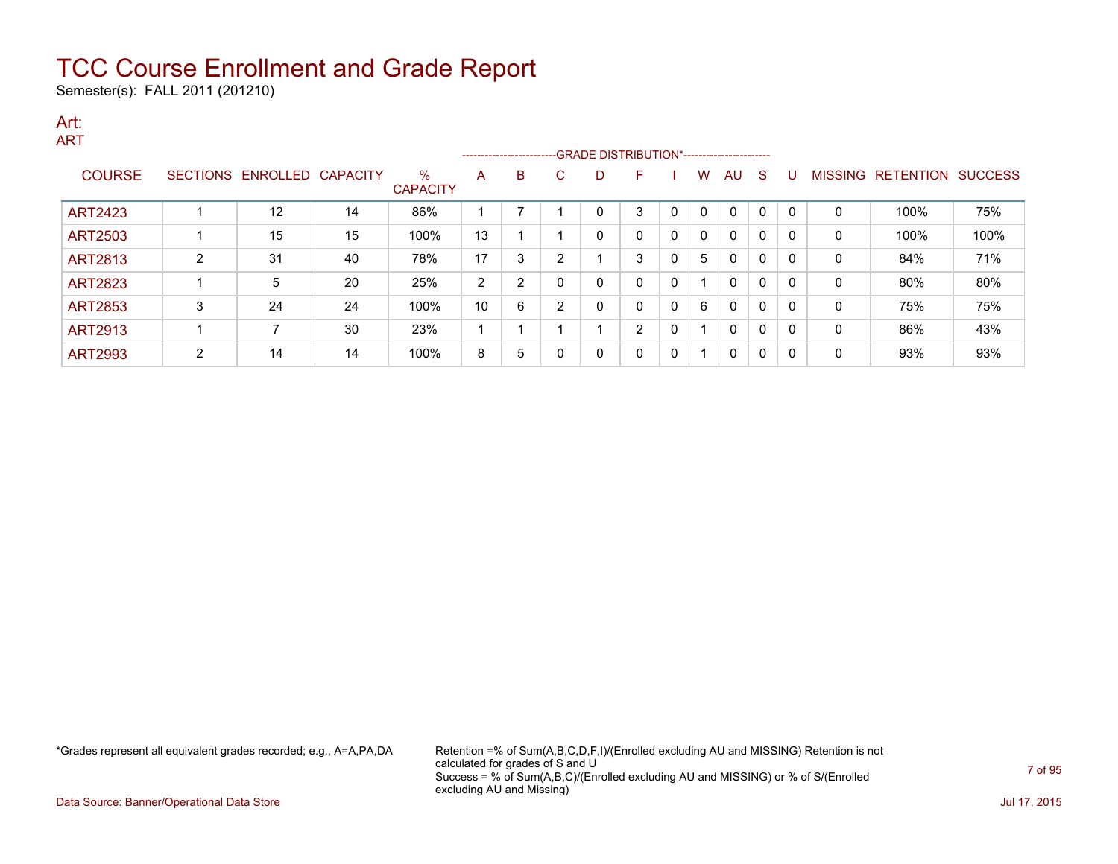Semester(s): FALL 2011 (201210)

#### Art: ART

|                |   |                   |                 |                         |    |                |   |              | ------------------------GRADE DISTRIBUTION*----------------------- |   |   |              |             |     |                |                  |                |
|----------------|---|-------------------|-----------------|-------------------------|----|----------------|---|--------------|--------------------------------------------------------------------|---|---|--------------|-------------|-----|----------------|------------------|----------------|
| <b>COURSE</b>  |   | SECTIONS ENROLLED | <b>CAPACITY</b> | $\%$<br><b>CAPACITY</b> | A  | B              | C | D            | F                                                                  |   | w | AU           | S           |     | <b>MISSING</b> | <b>RETENTION</b> | <b>SUCCESS</b> |
| <b>ART2423</b> |   | 12                | 14              | 86%                     |    |                |   | ◠            | 3                                                                  | C | 0 | 0            | 0           |     | 0              | 100%             | 75%            |
| <b>ART2503</b> |   | 15                | 15              | 100%                    | 13 |                |   | 0            | 0                                                                  | 0 | 0 | 0            | 0           |     | 0              | 100%             | 100%           |
| <b>ART2813</b> | 2 | 31                | 40              | 78%                     | 17 | 3              | ◠ |              | 3                                                                  | 0 | 5 | $\mathbf 0$  | 0           | -C  | 0              | 84%              | 71%            |
| <b>ART2823</b> |   | 5                 | 20              | 25%                     | 2  | $\overline{2}$ |   | 0            | 0                                                                  | 0 |   | $\mathbf{0}$ | $\mathbf 0$ | -0  | 0              | 80%              | 80%            |
| <b>ART2853</b> | 3 | 24                | 24              | 100%                    | 10 | 6              | ົ | 0            | 0                                                                  | 0 | 6 | $\mathbf{0}$ | $\mathbf 0$ | - 0 | 0              | 75%              | 75%            |
| <b>ART2913</b> |   |                   | 30              | 23%                     |    |                |   |              | C                                                                  | 0 |   | $\mathbf{0}$ | 0           | -0  | 0              | 86%              | 43%            |
| <b>ART2993</b> | າ | 14                | 14              | 100%                    | 8  | 5              | ∩ | $\mathbf{0}$ | 0                                                                  | 0 | и | 0            | 0           | 0   | 0              | 93%              | 93%            |

\*Grades represent all equivalent grades recorded; e.g., A=A,PA,DA Retention =% of Sum(A,B,C,D,F,I)/(Enrolled excluding AU and MISSING) Retention is not calculated for grades of S and U Success = % of Sum(A,B,C)/(Enrolled excluding AU and MISSING) or % of S/(Enrolled excluding AU and Missing)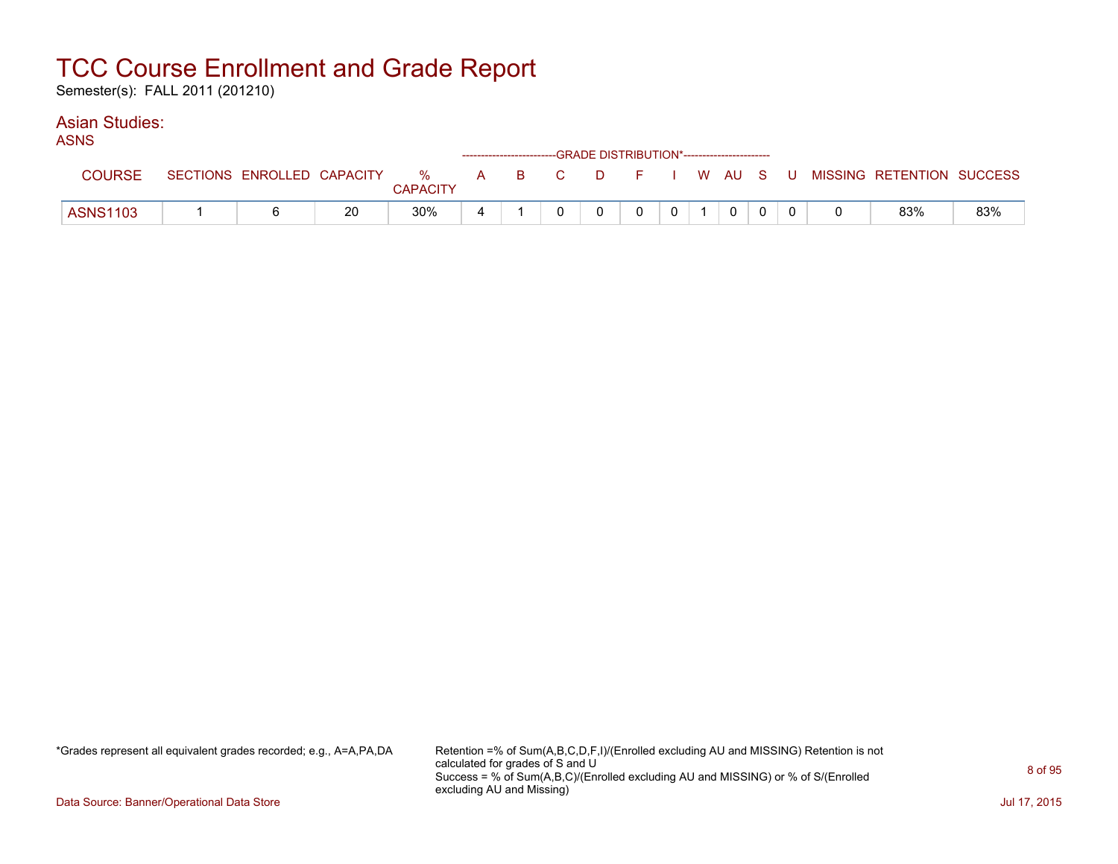Semester(s): FALL 2011 (201210)

#### Asian Studies: ASNS

| AƏNƏ            |                            |    |                      |  | ------------------------GRADE DISTRIBUTION*----------------------- |          |              |  |  |                           |     |
|-----------------|----------------------------|----|----------------------|--|--------------------------------------------------------------------|----------|--------------|--|--|---------------------------|-----|
| <b>COURSE</b>   | SECTIONS ENROLLED CAPACITY |    | %<br><b>CAPACITY</b> |  | A B C                                                              | DFIWAUSU |              |  |  | MISSING RETENTION SUCCESS |     |
| <b>ASNS1103</b> |                            | 20 | 30%                  |  |                                                                    |          | $\mathbf{0}$ |  |  | 83%                       | 83% |

\*Grades represent all equivalent grades recorded; e.g., A=A,PA,DA Retention =% of Sum(A,B,C,D,F,I)/(Enrolled excluding AU and MISSING) Retention is not calculated for grades of S and U Success = % of Sum(A,B,C)/(Enrolled excluding AU and MISSING) or % of S/(Enrolled excluding AU and Missing)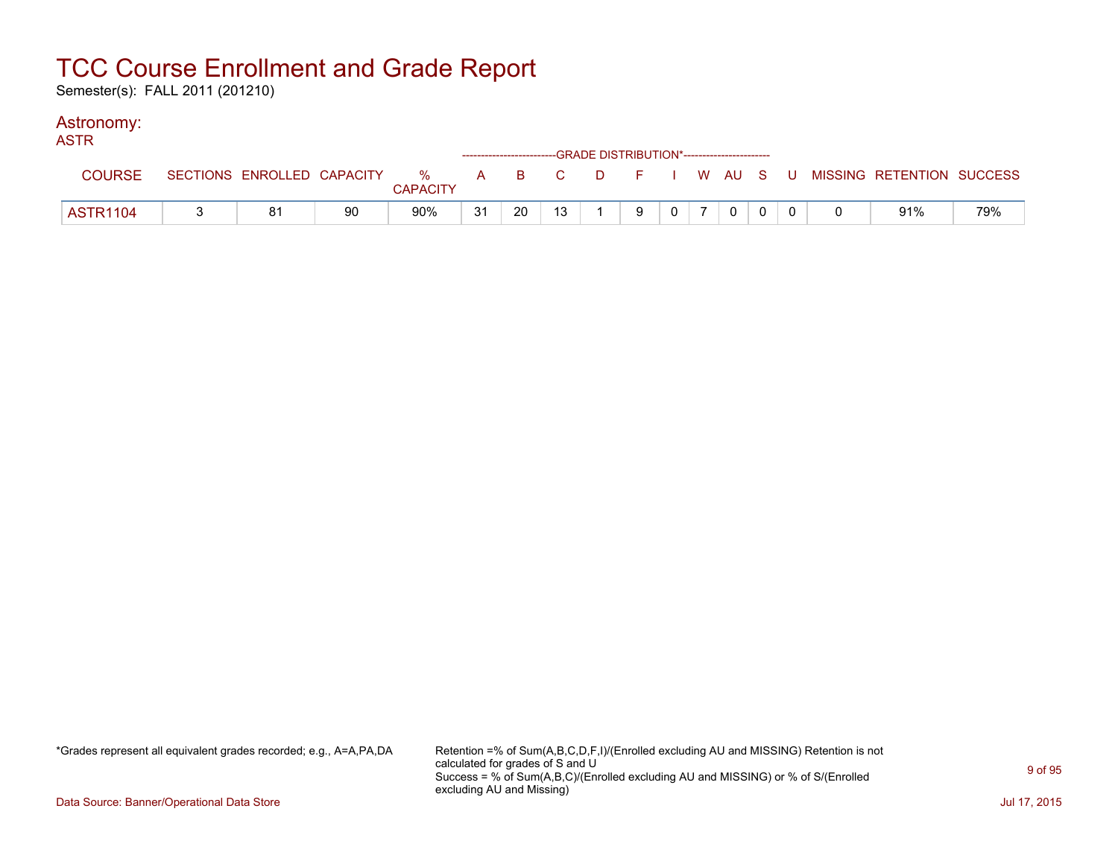Semester(s): FALL 2011 (201210)

#### Astronomy:

| <b>ASTR</b>     |    |    |                 |    | ------------------------GRADE DISTRIBUTION*----------------------- |    |   |                |             |  |                                                                             |     |
|-----------------|----|----|-----------------|----|--------------------------------------------------------------------|----|---|----------------|-------------|--|-----------------------------------------------------------------------------|-----|
| <b>COURSE</b>   |    |    | <b>CAPACITY</b> |    |                                                                    |    |   |                |             |  | SECTIONS ENROLLED CAPACITY % A B C D F I W AU S U MISSING RETENTION SUCCESS |     |
| <b>ASTR1104</b> | 81 | 90 | 90%             | 31 | 20                                                                 | 13 | 9 | 0 <sup>1</sup> | $\mathbf 0$ |  | 91%                                                                         | 79% |

\*Grades represent all equivalent grades recorded; e.g., A=A,PA,DA Retention =% of Sum(A,B,C,D,F,I)/(Enrolled excluding AU and MISSING) Retention is not calculated for grades of S and U Success = % of Sum(A,B,C)/(Enrolled excluding AU and MISSING) or % of S/(Enrolled excluding AU and Missing)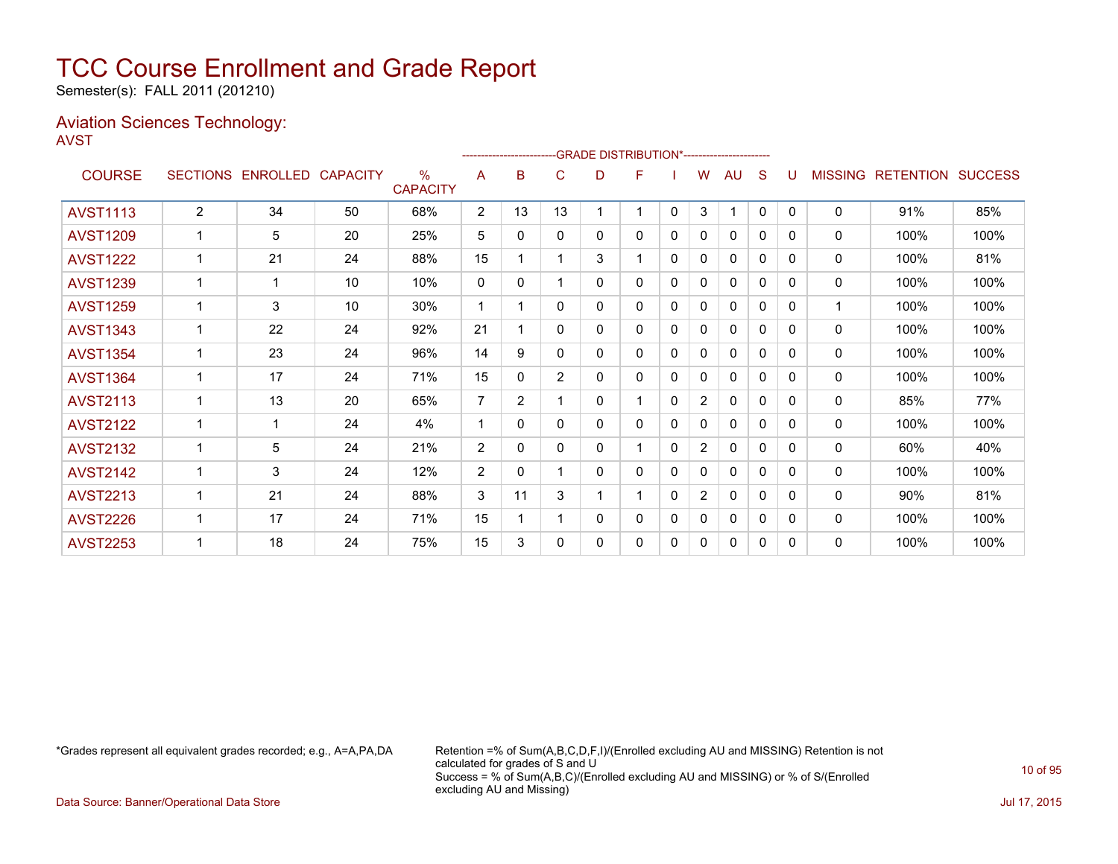Semester(s): FALL 2011 (201210)

#### Aviation Sciences Technology: AVST

|                 |                 |          |                 |                                  |                |                | ------------------------GRADE            DISTRIBUTION*------------------------- |   |   |              |                |              |              |              |                |                  |                |
|-----------------|-----------------|----------|-----------------|----------------------------------|----------------|----------------|---------------------------------------------------------------------------------|---|---|--------------|----------------|--------------|--------------|--------------|----------------|------------------|----------------|
| <b>COURSE</b>   | <b>SECTIONS</b> | ENROLLED | <b>CAPACITY</b> | $\frac{0}{0}$<br><b>CAPACITY</b> | A              | B              | C                                                                               | D | F |              | w              | AU           | S            |              | <b>MISSING</b> | <b>RETENTION</b> | <b>SUCCESS</b> |
| <b>AVST1113</b> | $\overline{2}$  | 34       | 50              | 68%                              | $\overline{2}$ | 13             | 13                                                                              |   |   | $\mathbf{0}$ | 3              | 1            | $\mathbf{0}$ | $\Omega$     | 0              | 91%              | 85%            |
| <b>AVST1209</b> |                 | 5        | 20              | 25%                              | 5              | 0              | $\mathbf{0}$                                                                    | 0 | 0 | 0            | 0              | $\mathbf{0}$ | 0            | 0            | 0              | 100%             | 100%           |
| <b>AVST1222</b> |                 | 21       | 24              | 88%                              | 15             |                |                                                                                 | 3 |   | $\mathbf{0}$ | 0              | $\mathbf{0}$ | 0            | $\Omega$     | 0              | 100%             | 81%            |
| <b>AVST1239</b> |                 | 1        | 10              | 10%                              | 0              | $\Omega$       |                                                                                 | 0 | 0 | 0            | $\mathbf{0}$   | $\mathbf{0}$ | 0            | $\Omega$     | 0              | 100%             | 100%           |
| <b>AVST1259</b> |                 | 3        | 10              | 30%                              | 1              | 1              | 0                                                                               | 0 | 0 | 0            | 0              | 0            | 0            | 0            | 1              | 100%             | 100%           |
| <b>AVST1343</b> |                 | 22       | 24              | 92%                              | 21             |                | $\Omega$                                                                        | 0 | 0 | 0            | 0              | $\Omega$     | 0            | $\Omega$     | 0              | 100%             | 100%           |
| <b>AVST1354</b> |                 | 23       | 24              | 96%                              | 14             | 9              | $\Omega$                                                                        | 0 | 0 | $\mathbf 0$  | 0              | $\mathbf{0}$ | 0            | 0            | 0              | 100%             | 100%           |
| <b>AVST1364</b> |                 | 17       | 24              | 71%                              | 15             | 0              | $\overline{2}$                                                                  | 0 | 0 | 0            | 0              | 0            | 0            | $\mathbf{0}$ | 0              | 100%             | 100%           |
| <b>AVST2113</b> |                 | 13       | 20              | 65%                              | 7              | $\overline{2}$ |                                                                                 | 0 |   | 0            | $\overline{2}$ | $\mathbf{0}$ | $\Omega$     | $\Omega$     | 0              | 85%              | 77%            |
| <b>AVST2122</b> |                 | 1        | 24              | 4%                               |                | 0              | $\Omega$                                                                        | 0 | 0 | 0            | 0              | $\mathbf{0}$ | 0            | $\Omega$     | 0              | 100%             | 100%           |
| <b>AVST2132</b> |                 | 5        | 24              | 21%                              | 2              | $\Omega$       | 0                                                                               | 0 |   | 0            | $\overline{2}$ | $\mathbf{0}$ | 0            | 0            | 0              | 60%              | 40%            |
| <b>AVST2142</b> |                 | 3        | 24              | 12%                              | 2              | $\Omega$       |                                                                                 | 0 | 0 | 0            | 0              | $\mathbf{0}$ | 0            | $\Omega$     | 0              | 100%             | 100%           |
| <b>AVST2213</b> |                 | 21       | 24              | 88%                              | 3              | 11             | 3                                                                               |   |   | 0            | $\overline{2}$ | $\mathbf{0}$ | 0            | $\Omega$     | 0              | 90%              | 81%            |
| <b>AVST2226</b> |                 | 17       | 24              | 71%                              | 15             |                |                                                                                 | 0 | 0 | 0            | 0              | $\mathbf{0}$ | 0            | $\Omega$     | 0              | 100%             | 100%           |
| <b>AVST2253</b> |                 | 18       | 24              | 75%                              | 15             | 3              | 0                                                                               | 0 | 0 | 0            | 0              | 0            | 0            | $\Omega$     | 0              | 100%             | 100%           |

\*Grades represent all equivalent grades recorded; e.g., A=A,PA,DA Retention =% of Sum(A,B,C,D,F,I)/(Enrolled excluding AU and MISSING) Retention is not calculated for grades of S and U Success = % of Sum(A,B,C)/(Enrolled excluding AU and MISSING) or % of S/(Enrolled excluding AU and Missing)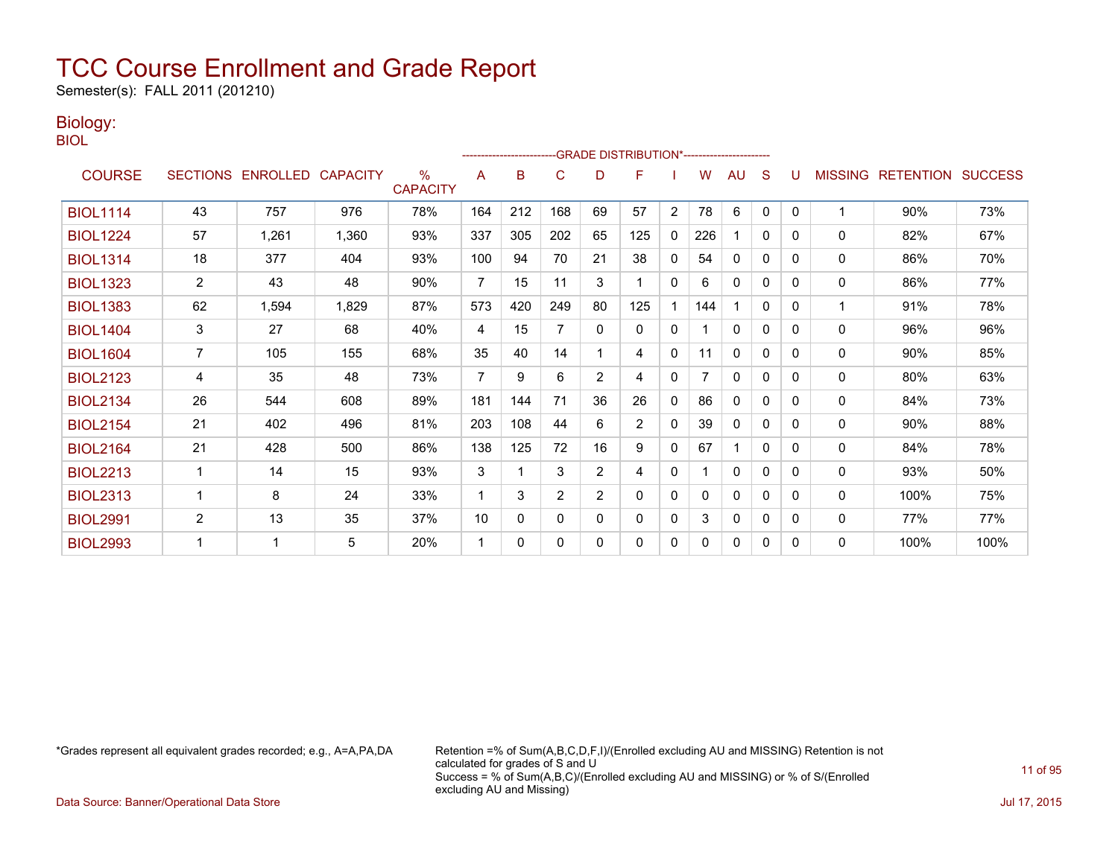Semester(s): FALL 2011 (201210)

### Biology:

BIOL

|                 |                |                            |       |                         |                |     |                |                | --GRADE DISTRIBUTION*------------------------ |                |          |              |              |   |                |                          |      |
|-----------------|----------------|----------------------------|-------|-------------------------|----------------|-----|----------------|----------------|-----------------------------------------------|----------------|----------|--------------|--------------|---|----------------|--------------------------|------|
| <b>COURSE</b>   |                | SECTIONS ENROLLED CAPACITY |       | $\%$<br><b>CAPACITY</b> | A              | B   | C              | D              | F                                             |                | w        | AU           | S            |   | <b>MISSING</b> | <b>RETENTION SUCCESS</b> |      |
| <b>BIOL1114</b> | 43             | 757                        | 976   | 78%                     | 164            | 212 | 168            | 69             | 57                                            | $\overline{2}$ | 78       | 6            | $\mathbf{0}$ | 0 |                | 90%                      | 73%  |
| <b>BIOL1224</b> | 57             | 1,261                      | 1,360 | 93%                     | 337            | 305 | 202            | 65             | 125                                           | $\mathbf{0}$   | 226      |              | $\mathbf{0}$ | 0 | 0              | 82%                      | 67%  |
| <b>BIOL1314</b> | 18             | 377                        | 404   | 93%                     | 100            | 94  | 70             | 21             | 38                                            | $\mathbf{0}$   | 54       | $\mathbf{0}$ | $\Omega$     | 0 | 0              | 86%                      | 70%  |
| <b>BIOL1323</b> | $\overline{2}$ | 43                         | 48    | 90%                     | 7              | 15  | 11             | 3              | 1                                             | 0              | 6        | 0            | 0            | 0 | 0              | 86%                      | 77%  |
| <b>BIOL1383</b> | 62             | 1,594                      | 1,829 | 87%                     | 573            | 420 | 249            | 80             | 125                                           |                | 144      |              | $\mathbf{0}$ | 0 |                | 91%                      | 78%  |
| <b>BIOL1404</b> | 3              | 27                         | 68    | 40%                     | 4              | 15  | 7              | $\Omega$       | $\mathbf{0}$                                  | $\mathbf{0}$   |          | $\mathbf{0}$ | 0            | 0 | 0              | 96%                      | 96%  |
| <b>BIOL1604</b> | 7              | 105                        | 155   | 68%                     | 35             | 40  | 14             |                | 4                                             | $\mathbf{0}$   | 11       | $\mathbf{0}$ | 0            | 0 | 0              | 90%                      | 85%  |
| <b>BIOL2123</b> | 4              | 35                         | 48    | 73%                     | $\overline{7}$ | 9   | 6              | 2              | 4                                             | $\mathbf{0}$   |          | 0            | $\Omega$     | 0 | 0              | 80%                      | 63%  |
| <b>BIOL2134</b> | 26             | 544                        | 608   | 89%                     | 181            | 144 | 71             | 36             | 26                                            | 0              | 86       | 0            | 0            | 0 | 0              | 84%                      | 73%  |
| <b>BIOL2154</b> | 21             | 402                        | 496   | 81%                     | 203            | 108 | 44             | 6              | $\overline{2}$                                | $\mathbf{0}$   | 39       | 0            | $\Omega$     | 0 | 0              | 90%                      | 88%  |
| <b>BIOL2164</b> | 21             | 428                        | 500   | 86%                     | 138            | 125 | 72             | 16             | 9                                             | $\mathbf{0}$   | 67       |              | $\Omega$     | 0 | 0              | 84%                      | 78%  |
| <b>BIOL2213</b> | 1              | 14                         | 15    | 93%                     | 3              | 1   | 3              | $\overline{2}$ | 4                                             | 0              |          | 0            | $\mathbf{0}$ | 0 | 0              | 93%                      | 50%  |
| <b>BIOL2313</b> | 1              | 8                          | 24    | 33%                     | 1              | 3   | $\overline{2}$ | $\overline{2}$ | $\Omega$                                      | $\mathbf{0}$   | $\Omega$ | $\mathbf{0}$ | $\Omega$     | 0 | 0              | 100%                     | 75%  |
| <b>BIOL2991</b> | $\overline{2}$ | 13                         | 35    | 37%                     | 10             | 0   | $\mathbf{0}$   | 0              | 0                                             | $\mathbf{0}$   | 3        | 0            | 0            | 0 | 0              | 77%                      | 77%  |
| <b>BIOL2993</b> |                |                            | 5     | 20%                     | 1              | 0   | $\Omega$       | 0              | 0                                             | 0              | 0        | 0            | 0            | 0 | 0              | 100%                     | 100% |

\*Grades represent all equivalent grades recorded; e.g., A=A,PA,DA Retention =% of Sum(A,B,C,D,F,I)/(Enrolled excluding AU and MISSING) Retention is not calculated for grades of S and U Success = % of Sum(A,B,C)/(Enrolled excluding AU and MISSING) or % of S/(Enrolled excluding AU and Missing)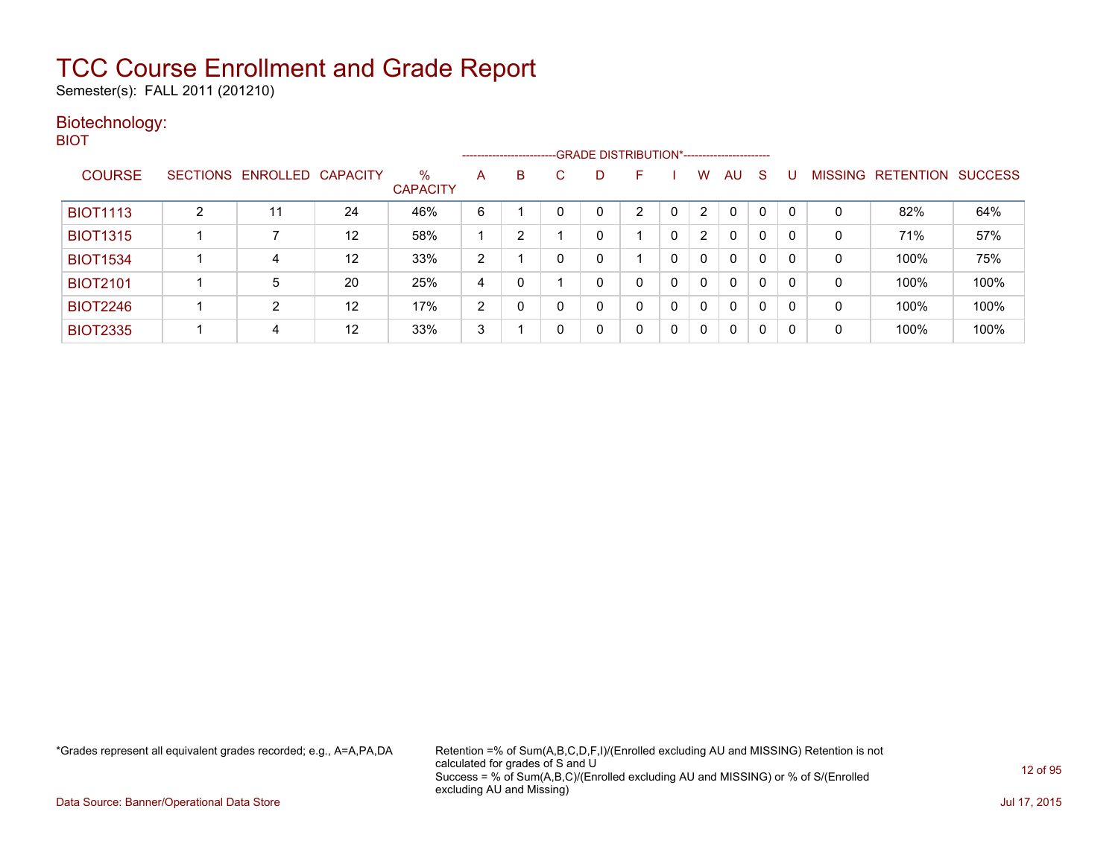Semester(s): FALL 2011 (201210)

#### Biotechnology: BIOT

|                 |                            |    |                         |                |   |    | ------------------------GRADE DISTRIBUTION*----------------------- |    |          |   |              |              |   |              |                   |                |
|-----------------|----------------------------|----|-------------------------|----------------|---|----|--------------------------------------------------------------------|----|----------|---|--------------|--------------|---|--------------|-------------------|----------------|
| <b>COURSE</b>   | SECTIONS ENROLLED CAPACITY |    | $\%$<br><b>CAPACITY</b> | A              | B | C. | D                                                                  | н. |          | w | AU           | -S           |   |              | MISSING RETENTION | <b>SUCCESS</b> |
| <b>BIOT1113</b> | 11                         | 24 | 46%                     | 6              |   |    |                                                                    | ົ  |          | 2 | 0            | 0            | 0 | 0            | 82%               | 64%            |
| <b>BIOT1315</b> |                            | 12 | 58%                     |                | 2 |    |                                                                    |    | 0        | 2 | 0            | 0            | 0 | 0            | 71%               | 57%            |
| <b>BIOT1534</b> | 4                          | 12 | 33%                     | $\overline{2}$ |   | 0  |                                                                    |    | 0        | 0 | $\mathbf{0}$ | $\mathbf{0}$ | 0 | 0            | 100%              | 75%            |
| <b>BIOT2101</b> | 5                          | 20 | 25%                     | 4              |   |    |                                                                    |    | $\Omega$ | 0 | $\mathbf{0}$ | $\mathbf{0}$ | 0 | 0            | 100%              | 100%           |
| <b>BIOT2246</b> | $\overline{2}$             | 12 | 17%                     | $\overline{2}$ |   | 0  |                                                                    |    | 0        | 0 | $\mathbf{0}$ | $\mathbf{0}$ | 0 | $\mathbf{0}$ | 100%              | 100%           |
| <b>BIOT2335</b> | 4                          | 12 | 33%                     | 3              |   | 0  |                                                                    | 0  |          |   | 0            | $\mathbf{0}$ | 0 | 0            | 100%              | 100%           |

\*Grades represent all equivalent grades recorded; e.g., A=A,PA,DA Retention =% of Sum(A,B,C,D,F,I)/(Enrolled excluding AU and MISSING) Retention is not calculated for grades of S and U Success = % of Sum(A,B,C)/(Enrolled excluding AU and MISSING) or % of S/(Enrolled excluding AU and Missing)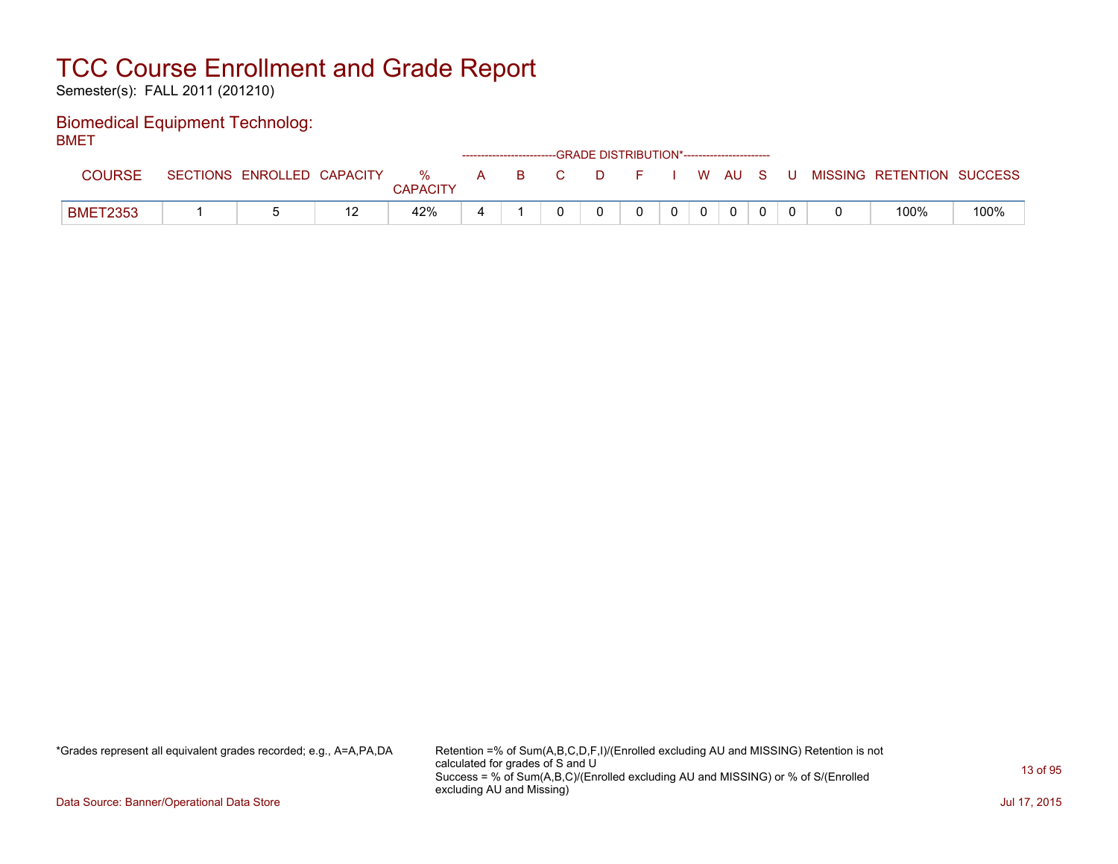Semester(s): FALL 2011 (201210)

#### Biomedical Equipment Technolog: **BMFT**

| ----            |                 |                   |     |                      |   |     |              | ------------------------GRADE DISTRIBUTION*----------------------- |                |              |              |     |                           |      |
|-----------------|-----------------|-------------------|-----|----------------------|---|-----|--------------|--------------------------------------------------------------------|----------------|--------------|--------------|-----|---------------------------|------|
| <b>COURSE</b>   | <b>SECTIONS</b> | ENROLLED CAPACITY |     | %<br><b>CAPACITY</b> |   | A B | $\mathbf{C}$ | in Die Ste                                                         |                |              | I WAUS       | . U | MISSING RETENTION SUCCESS |      |
| <b>BMET2353</b> |                 |                   | ' 4 | 42%                  | 4 |     |              |                                                                    | 0 <sup>1</sup> | $\mathbf{0}$ | $\mathbf{0}$ |     | 100%                      | 100% |

\*Grades represent all equivalent grades recorded; e.g., A=A,PA,DA Retention =% of Sum(A,B,C,D,F,I)/(Enrolled excluding AU and MISSING) Retention is not calculated for grades of S and U Success = % of Sum(A,B,C)/(Enrolled excluding AU and MISSING) or % of S/(Enrolled excluding AU and Missing)

Data Source: Banner/Operational Data Store Jul 17, 2015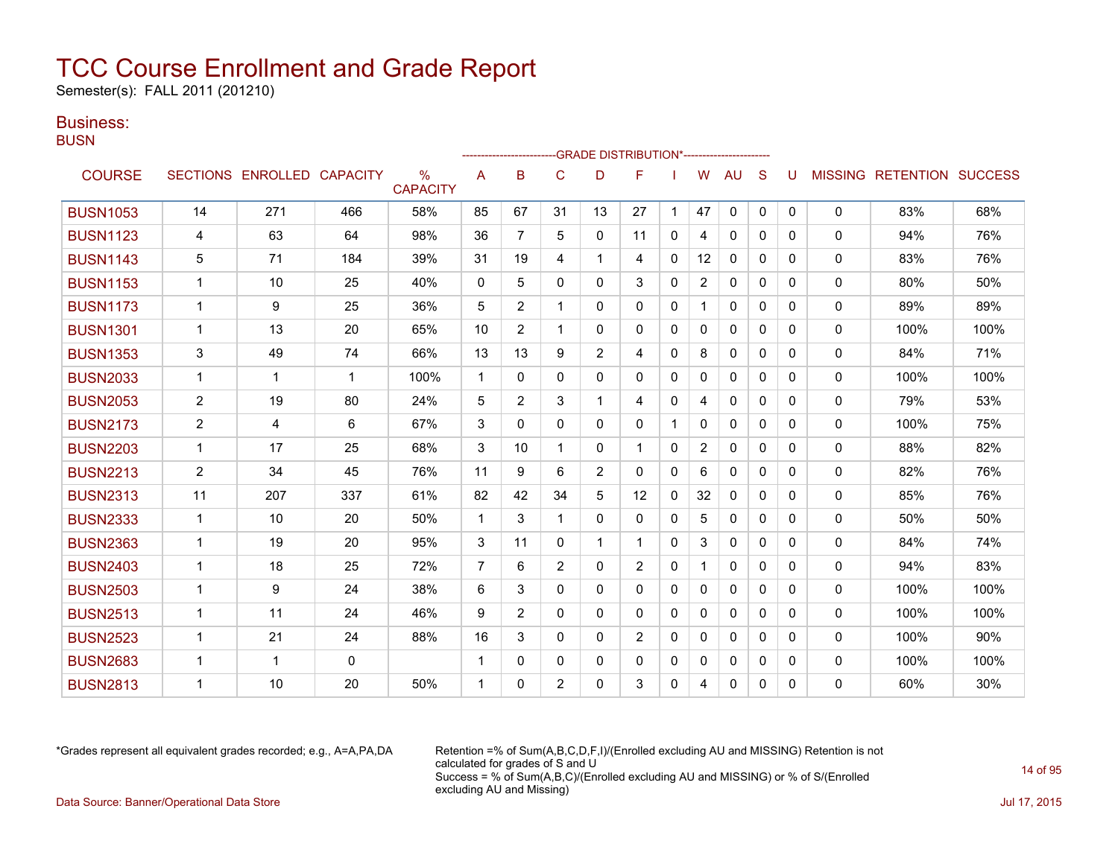Semester(s): FALL 2011 (201210)

### Business:

**BUSN** 

|                 |                |                            |             |                                  |                | ------------------------- |                |                | -GRADE DISTRIBUTION*---------------------- |              |                |              |              |          |              |                                  |      |
|-----------------|----------------|----------------------------|-------------|----------------------------------|----------------|---------------------------|----------------|----------------|--------------------------------------------|--------------|----------------|--------------|--------------|----------|--------------|----------------------------------|------|
| <b>COURSE</b>   |                | SECTIONS ENROLLED CAPACITY |             | $\frac{0}{0}$<br><b>CAPACITY</b> | A              | B                         | C              | D              | F                                          |              | W              | <b>AU</b>    | S            | U        |              | <b>MISSING RETENTION SUCCESS</b> |      |
| <b>BUSN1053</b> | 14             | 271                        | 466         | 58%                              | 85             | 67                        | 31             | 13             | 27                                         | 1            | 47             | $\mathbf{0}$ | $\mathbf{0}$ | 0        | $\mathbf{0}$ | 83%                              | 68%  |
| <b>BUSN1123</b> | 4              | 63                         | 64          | 98%                              | 36             | $\overline{7}$            | 5              | 0              | 11                                         | 0            | 4              | $\mathbf{0}$ | $\Omega$     | 0        | 0            | 94%                              | 76%  |
| <b>BUSN1143</b> | 5              | 71                         | 184         | 39%                              | 31             | 19                        | 4              | $\mathbf 1$    | 4                                          | 0            | 12             | $\mathbf{0}$ | $\mathbf{0}$ | 0        | 0            | 83%                              | 76%  |
| <b>BUSN1153</b> | $\mathbf 1$    | 10                         | 25          | 40%                              | 0              | 5                         | $\Omega$       | $\Omega$       | 3                                          | $\Omega$     | $\overline{2}$ | $\mathbf{0}$ | $\Omega$     | 0        | $\mathbf{0}$ | 80%                              | 50%  |
| <b>BUSN1173</b> | $\mathbf 1$    | 9                          | 25          | 36%                              | 5              | $\overline{2}$            | 1              | $\Omega$       | $\Omega$                                   | 0            |                | $\mathbf{0}$ | $\Omega$     | 0        | 0            | 89%                              | 89%  |
| <b>BUSN1301</b> | $\mathbf{1}$   | 13                         | 20          | 65%                              | 10             | 2                         | 1              | 0              | $\mathbf{0}$                               | 0            | 0              | $\mathbf{0}$ | $\mathbf{0}$ | 0        | 0            | 100%                             | 100% |
| <b>BUSN1353</b> | 3              | 49                         | 74          | 66%                              | 13             | 13                        | 9              | $\overline{2}$ | 4                                          | $\Omega$     | 8              | $\mathbf{0}$ | $\Omega$     | 0        | 0            | 84%                              | 71%  |
| <b>BUSN2033</b> | $\mathbf 1$    | 1                          | $\mathbf 1$ | 100%                             | $\mathbf 1$    | $\Omega$                  | $\mathbf{0}$   | 0              | $\mathbf{0}$                               | $\Omega$     | $\mathbf{0}$   | $\mathbf{0}$ | $\Omega$     | 0        | 0            | 100%                             | 100% |
| <b>BUSN2053</b> | $\overline{2}$ | 19                         | 80          | 24%                              | 5              | $\overline{2}$            | 3              | 1              | 4                                          | 0            | 4              | $\mathbf{0}$ | $\Omega$     | 0        | 0            | 79%                              | 53%  |
| <b>BUSN2173</b> | $\overline{2}$ | 4                          | 6           | 67%                              | 3              | $\Omega$                  | $\mathbf{0}$   | $\Omega$       | $\mathbf{0}$                               | $\mathbf 1$  | 0              | 0            | $\mathbf{0}$ | 0        | 0            | 100%                             | 75%  |
| <b>BUSN2203</b> | $\mathbf{1}$   | 17                         | 25          | 68%                              | 3              | 10                        | 1              | 0              |                                            | 0            | $\overline{2}$ | $\mathbf{0}$ | $\Omega$     | 0        | $\Omega$     | 88%                              | 82%  |
| <b>BUSN2213</b> | $\overline{2}$ | 34                         | 45          | 76%                              | 11             | 9                         | 6              | $\overline{2}$ | $\mathbf{0}$                               | $\Omega$     | 6              | $\mathbf{0}$ | $\Omega$     | $\Omega$ | $\mathbf{0}$ | 82%                              | 76%  |
| <b>BUSN2313</b> | 11             | 207                        | 337         | 61%                              | 82             | 42                        | 34             | 5              | 12                                         | 0            | 32             | $\mathbf{0}$ | $\Omega$     | 0        | 0            | 85%                              | 76%  |
| <b>BUSN2333</b> | $\mathbf{1}$   | 10                         | 20          | 50%                              | $\mathbf 1$    | 3                         | 1              | 0              | $\mathbf{0}$                               | 0            | 5              | 0            | $\mathbf{0}$ | 0        | 0            | 50%                              | 50%  |
| <b>BUSN2363</b> | $\mathbf{1}$   | 19                         | 20          | 95%                              | 3              | 11                        | $\Omega$       | $\mathbf 1$    |                                            | $\Omega$     | 3              | $\Omega$     | $\Omega$     | $\Omega$ | $\Omega$     | 84%                              | 74%  |
| <b>BUSN2403</b> | $\mathbf 1$    | 18                         | 25          | 72%                              | $\overline{7}$ | 6                         | $\overline{2}$ | 0              | 2                                          | 0            |                | 0            | $\Omega$     | 0        | 0            | 94%                              | 83%  |
| <b>BUSN2503</b> | 1              | 9                          | 24          | 38%                              | 6              | 3                         | 0              | 0              | $\mathbf{0}$                               | 0            | 0              | $\mathbf{0}$ | $\mathbf{0}$ | 0        | 0            | 100%                             | 100% |
| <b>BUSN2513</b> | $\mathbf{1}$   | 11                         | 24          | 46%                              | 9              | 2                         | $\Omega$       | 0              | $\Omega$                                   | 0            | $\Omega$       | $\mathbf{0}$ | $\mathbf{0}$ | 0        | $\Omega$     | 100%                             | 100% |
| <b>BUSN2523</b> | $\mathbf{1}$   | 21                         | 24          | 88%                              | 16             | $\mathbf{3}$              | $\Omega$       | 0              | 2                                          | $\Omega$     | $\mathbf{0}$   | $\Omega$     | $\Omega$     | 0        | $\Omega$     | 100%                             | 90%  |
| <b>BUSN2683</b> | $\mathbf 1$    | 1                          | $\mathbf 0$ |                                  | $\mathbf 1$    | 0                         | $\mathbf{0}$   | 0              | $\mathbf{0}$                               | 0            | 0              | $\mathbf{0}$ | $\mathbf{0}$ | 0        | 0            | 100%                             | 100% |
| <b>BUSN2813</b> | 1              | 10                         | 20          | 50%                              | 1              | $\Omega$                  | $\overline{2}$ | $\Omega$       | 3                                          | $\mathbf{0}$ | 4              | $\mathbf{0}$ | $\mathbf{0}$ | 0        | 0            | 60%                              | 30%  |

\*Grades represent all equivalent grades recorded; e.g., A=A,PA,DA Retention =% of Sum(A,B,C,D,F,I)/(Enrolled excluding AU and MISSING) Retention is not calculated for grades of S and U Success = % of Sum(A,B,C)/(Enrolled excluding AU and MISSING) or % of S/(Enrolled excluding AU and Missing) Data Source: Banner/Operational Data Store Jul 17, 2015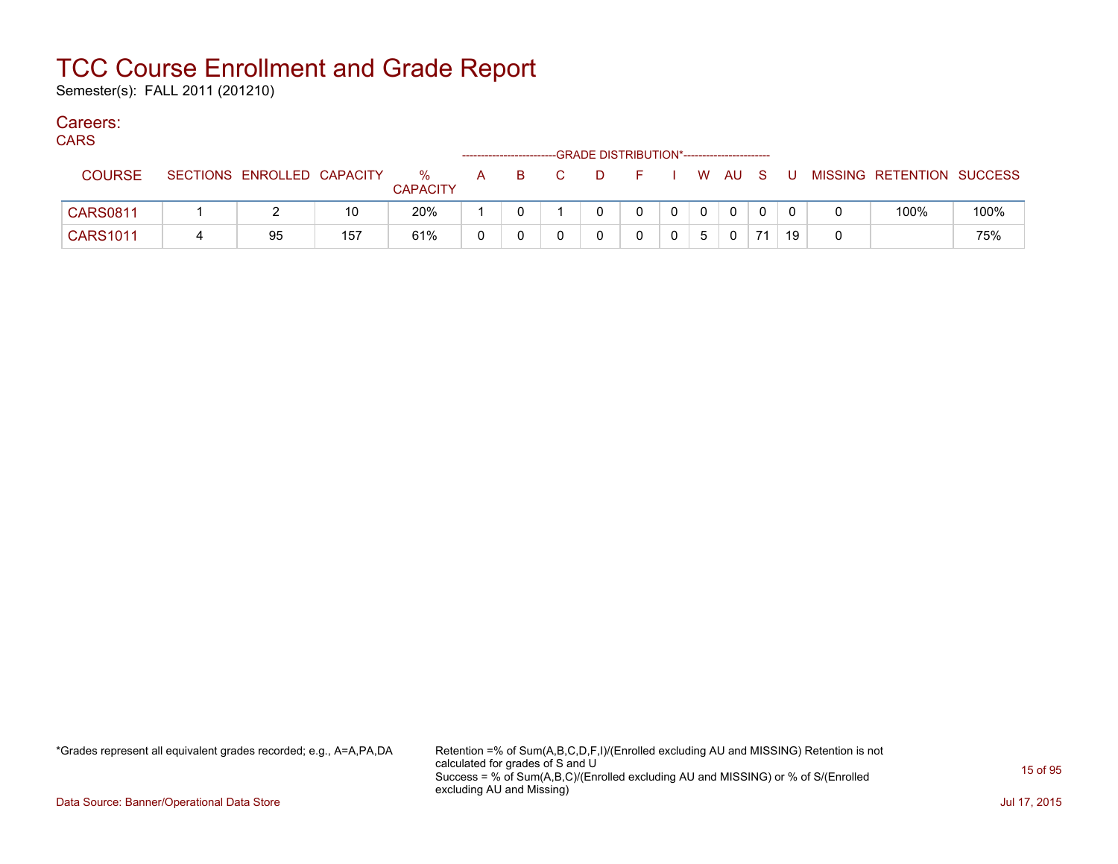Semester(s): FALL 2011 (201210)

### Careers:

| ۰.<br>v<br>. . |  |
|----------------|--|
|----------------|--|

| ,, ,, , ,       |                 |                   |     |                         |   | ----------------------- |    |              |                |                |          |          |                           |      |
|-----------------|-----------------|-------------------|-----|-------------------------|---|-------------------------|----|--------------|----------------|----------------|----------|----------|---------------------------|------|
| <b>COURSE</b>   | <b>SECTIONS</b> | ENROLLED CAPACITY |     | $\%$<br><b>CAPACITY</b> | A |                         | D. |              |                | W AU S         |          | U        | MISSING RETENTION SUCCESS |      |
| <b>CARS0811</b> |                 |                   | 10  | 20%                     |   |                         |    | $\mathbf{0}$ | $\overline{0}$ | $\overline{0}$ | $\Omega$ | $\Omega$ | 100%                      | 100% |
| <b>CARS1011</b> |                 | 95                | 157 | 61%                     | 0 |                         |    |              | 5              | $\Omega$       |          | 19       |                           | 75%  |

\*Grades represent all equivalent grades recorded; e.g., A=A,PA,DA Retention =% of Sum(A,B,C,D,F,I)/(Enrolled excluding AU and MISSING) Retention is not calculated for grades of S and U Success = % of Sum(A,B,C)/(Enrolled excluding AU and MISSING) or % of S/(Enrolled excluding AU and Missing)

Data Source: Banner/Operational Data Store Jul 17, 2015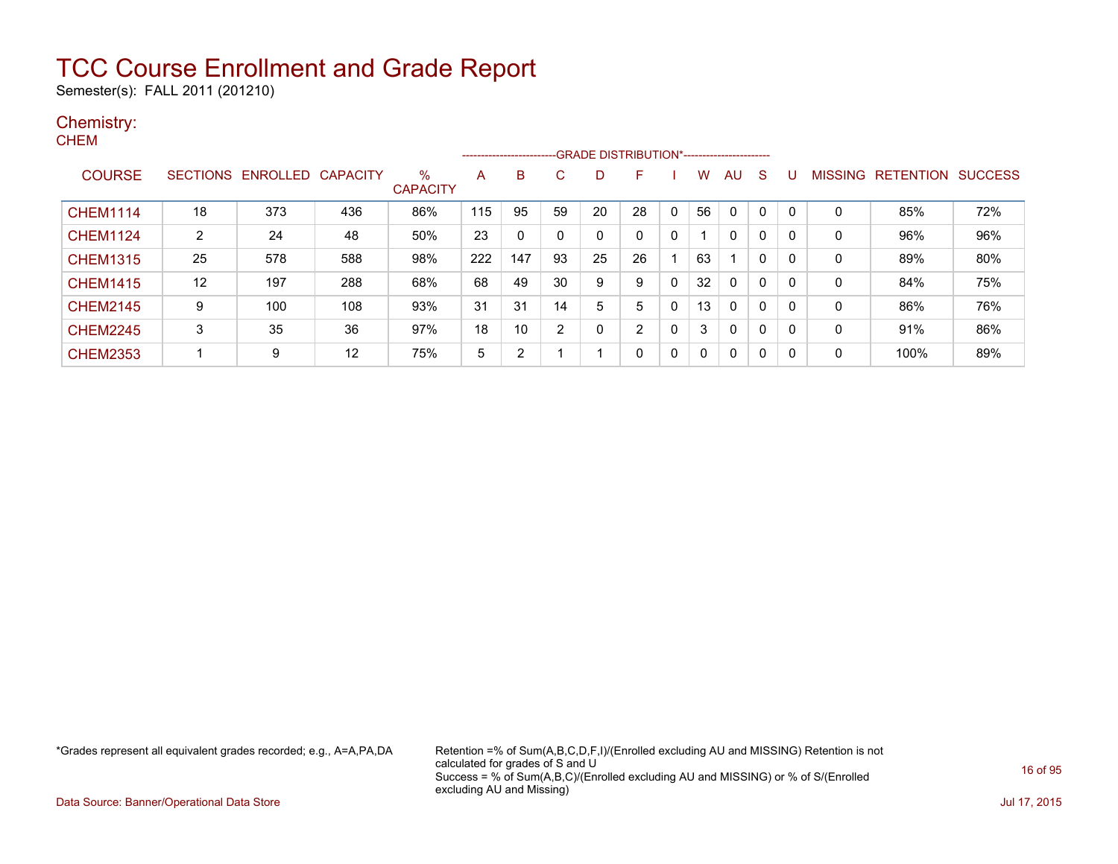Semester(s): FALL 2011 (201210)

#### Chemistry: **CHEM**

|                 |                 |          |                 |                      |     | --------------------- |    |    | -- GRADE DISTRIBUTION*------------------------ |             |    |              |          |   |         |                  |                |
|-----------------|-----------------|----------|-----------------|----------------------|-----|-----------------------|----|----|------------------------------------------------|-------------|----|--------------|----------|---|---------|------------------|----------------|
| <b>COURSE</b>   | <b>SECTIONS</b> | ENROLLED | <b>CAPACITY</b> | %<br><b>CAPACITY</b> | A   | B                     | C. | D  | F                                              |             | w  | AU           | S        |   | MISSING | <b>RETENTION</b> | <b>SUCCESS</b> |
| <b>CHEM1114</b> | 18              | 373      | 436             | 86%                  | 115 | 95                    | 59 | 20 | 28                                             | $\mathbf 0$ | 56 | 0            |          |   | 0       | 85%              | 72%            |
| <b>CHEM1124</b> | 2               | 24       | 48              | 50%                  | 23  |                       | 0  | 0  |                                                | 0           |    | 0            | 0        | 0 | 0       | 96%              | 96%            |
| <b>CHEM1315</b> | 25              | 578      | 588             | 98%                  | 222 | 147                   | 93 | 25 | 26                                             |             | 63 |              | 0        | 0 | 0       | 89%              | 80%            |
| <b>CHEM1415</b> | 12              | 197      | 288             | 68%                  | 68  | 49                    | 30 | 9  | 9                                              | 0           | 32 | 0            | 0        | 0 | 0       | 84%              | 75%            |
| <b>CHEM2145</b> | 9               | 100      | 108             | 93%                  | 31  | 31                    | 14 | 5  | 5.                                             | 0           | 13 | 0            | 0        | 0 | 0       | 86%              | 76%            |
| <b>CHEM2245</b> | 3               | 35       | 36              | 97%                  | 18  | 10                    | 2  | 0  | ົ                                              | $\mathbf 0$ | 3  | $\mathbf{0}$ | $\Omega$ | 0 | 0       | 91%              | 86%            |
| <b>CHEM2353</b> |                 | 9        | 12              | 75%                  | 5   | $\overline{2}$        |    |    |                                                | 0           | 0  | 0            | 0        | 0 | 0       | 100%             | 89%            |

\*Grades represent all equivalent grades recorded; e.g., A=A,PA,DA Retention =% of Sum(A,B,C,D,F,I)/(Enrolled excluding AU and MISSING) Retention is not calculated for grades of S and U Success = % of Sum(A,B,C)/(Enrolled excluding AU and MISSING) or % of S/(Enrolled excluding AU and Missing)

Data Source: Banner/Operational Data Store Jul 17, 2015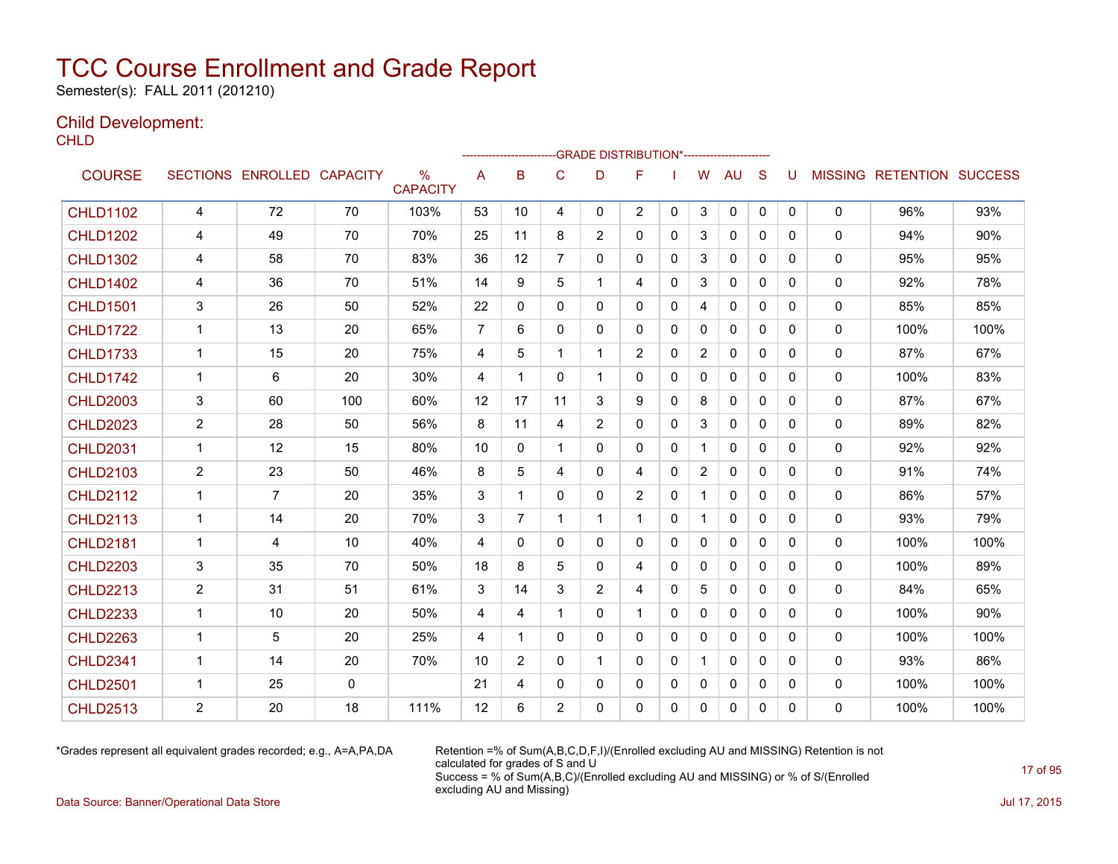Semester(s): FALL 2011 (201210)

### Child Development:

**CHLD** 

|                 |                |                   |                 |                                  |                |                |                |                | --------------------GRADE                       DISTRIBUTION*--------------------- |              |                |              |              |   |              |                                  |      |
|-----------------|----------------|-------------------|-----------------|----------------------------------|----------------|----------------|----------------|----------------|------------------------------------------------------------------------------------|--------------|----------------|--------------|--------------|---|--------------|----------------------------------|------|
| <b>COURSE</b>   |                | SECTIONS ENROLLED | <b>CAPACITY</b> | $\frac{0}{0}$<br><b>CAPACITY</b> | A              | B              | C              | D              | F                                                                                  |              | W              | AU           | S            | U |              | <b>MISSING RETENTION SUCCESS</b> |      |
| <b>CHLD1102</b> | 4              | 72                | 70              | 103%                             | 53             | 10             | 4              | 0              | $\overline{2}$                                                                     | $\mathbf{0}$ | 3              | $\mathbf 0$  | $\mathbf{0}$ | 0 | 0            | 96%                              | 93%  |
| <b>CHLD1202</b> | 4              | 49                | 70              | 70%                              | 25             | 11             | 8              | $\overline{2}$ | 0                                                                                  | 0            | 3              | $\mathbf{0}$ | $\mathbf{0}$ | 0 | 0            | 94%                              | 90%  |
| <b>CHLD1302</b> | 4              | 58                | 70              | 83%                              | 36             | 12             | 7              | 0              | 0                                                                                  | $\mathbf{0}$ | 3              | 0            | $\mathbf{0}$ | 0 | 0            | 95%                              | 95%  |
| <b>CHLD1402</b> | 4              | 36                | 70              | 51%                              | 14             | 9              | 5              | 1.             | 4                                                                                  | $\mathbf{0}$ | 3              | $\mathbf{0}$ | $\mathbf{0}$ | 0 | 0            | 92%                              | 78%  |
| <b>CHLD1501</b> | 3              | 26                | 50              | 52%                              | 22             | $\mathbf{0}$   | 0              | 0              | 0                                                                                  | 0            | 4              | $\mathbf{0}$ | $\mathbf{0}$ | 0 | 0            | 85%                              | 85%  |
| <b>CHLD1722</b> | $\mathbf 1$    | 13                | 20              | 65%                              | $\overline{7}$ | 6              | $\mathbf{0}$   | 0              | 0                                                                                  | $\mathbf{0}$ | $\mathbf{0}$   | $\mathbf{0}$ | $\mathbf{0}$ | 0 | 0            | 100%                             | 100% |
| <b>CHLD1733</b> | $\mathbf{1}$   | 15                | 20              | 75%                              | 4              | 5              | 1              | 1              | $\overline{2}$                                                                     | $\Omega$     | $\overline{2}$ | 0            | $\mathbf{0}$ | 0 | 0            | 87%                              | 67%  |
| <b>CHLD1742</b> | $\mathbf 1$    | 6                 | 20              | 30%                              | 4              | 1              | 0              | 1              | 0                                                                                  | $\Omega$     | $\mathbf{0}$   | $\mathbf{0}$ | $\mathbf{0}$ | 0 | 0            | 100%                             | 83%  |
| <b>CHLD2003</b> | 3              | 60                | 100             | 60%                              | 12             | 17             | 11             | 3              | 9                                                                                  | $\Omega$     | 8              | $\mathbf{0}$ | $\Omega$     | 0 | 0            | 87%                              | 67%  |
| <b>CHLD2023</b> | $\overline{c}$ | 28                | 50              | 56%                              | 8              | 11             | 4              | $\overline{2}$ | 0                                                                                  | $\Omega$     | 3              | $\mathbf{0}$ | $\Omega$     | 0 | 0            | 89%                              | 82%  |
| <b>CHLD2031</b> | $\mathbf{1}$   | 12                | 15              | 80%                              | 10             | $\mathbf{0}$   | 1              | $\mathbf{0}$   | 0                                                                                  | $\mathbf{0}$ | 1              | $\mathbf{0}$ | $\Omega$     | 0 | 0            | 92%                              | 92%  |
| <b>CHLD2103</b> | $\overline{2}$ | 23                | 50              | 46%                              | 8              | 5              | 4              | 0              | 4                                                                                  | 0            | $\overline{2}$ | 0            | $\mathbf{0}$ | 0 | 0            | 91%                              | 74%  |
| <b>CHLD2112</b> | 1              | $\overline{7}$    | 20              | 35%                              | 3              |                | 0              | 0              | $\overline{2}$                                                                     | 0            |                | 0            | 0            | 0 | 0            | 86%                              | 57%  |
| <b>CHLD2113</b> | $\mathbf{1}$   | 14                | 20              | 70%                              | 3              | 7              | 1              | $\mathbf 1$    | 1                                                                                  | $\mathbf{0}$ | $\mathbf{1}$   | $\mathbf{0}$ | $\mathbf{0}$ | 0 | 0            | 93%                              | 79%  |
| <b>CHLD2181</b> | $\mathbf{1}$   | 4                 | 10              | 40%                              | $\overline{4}$ | $\Omega$       | $\mathbf{0}$   | $\Omega$       | $\Omega$                                                                           | $\Omega$     | $\mathbf{0}$   | $\mathbf{0}$ | $\Omega$     | 0 | $\mathbf{0}$ | 100%                             | 100% |
| <b>CHLD2203</b> | 3              | 35                | 70              | 50%                              | 18             | 8              | 5              | 0              | 4                                                                                  | $\mathbf{0}$ | 0              | 0            | $\mathbf{0}$ | 0 | 0            | 100%                             | 89%  |
| <b>CHLD2213</b> | $\overline{2}$ | 31                | 51              | 61%                              | 3              | 14             | 3              | $\overline{2}$ | 4                                                                                  | $\Omega$     | 5              | $\mathbf{0}$ | $\Omega$     | 0 | 0            | 84%                              | 65%  |
| <b>CHLD2233</b> | 1              | 10                | 20              | 50%                              | 4              | 4              | 1              | 0              | 1                                                                                  | 0            | $\mathbf 0$    | $\mathbf{0}$ | $\mathbf{0}$ | 0 | 0            | 100%                             | 90%  |
| <b>CHLD2263</b> | $\mathbf{1}$   | 5                 | 20              | 25%                              | 4              | 1              | $\Omega$       | 0              | 0                                                                                  | $\Omega$     | $\mathbf{0}$   | $\mathbf{0}$ | $\Omega$     | 0 | $\mathbf{0}$ | 100%                             | 100% |
| <b>CHLD2341</b> | $\mathbf 1$    | 14                | 20              | 70%                              | 10             | $\overline{2}$ | $\Omega$       | 1              | $\Omega$                                                                           | $\mathbf{0}$ |                | $\mathbf{0}$ | $\Omega$     | 0 | 0            | 93%                              | 86%  |
| <b>CHLD2501</b> | $\mathbf 1$    | 25                | 0               |                                  | 21             | 4              | 0              | 0              | 0                                                                                  | 0            | $\mathbf{0}$   | $\mathbf{0}$ | 0            | 0 | 0            | 100%                             | 100% |
| <b>CHLD2513</b> | 2              | 20                | 18              | 111%                             | 12             | 6              | $\overline{2}$ | 0              | 0                                                                                  | 0            | 0              | $\mathbf{0}$ | 0            | 0 | 0            | 100%                             | 100% |

\*Grades represent all equivalent grades recorded; e.g., A=A,PA,DA Retention =% of Sum(A,B,C,D,F,I)/(Enrolled excluding AU and MISSING) Retention is not calculated for grades of S and U Success = % of Sum(A,B,C)/(Enrolled excluding AU and MISSING) or % of S/(Enrolled excluding AU and Missing)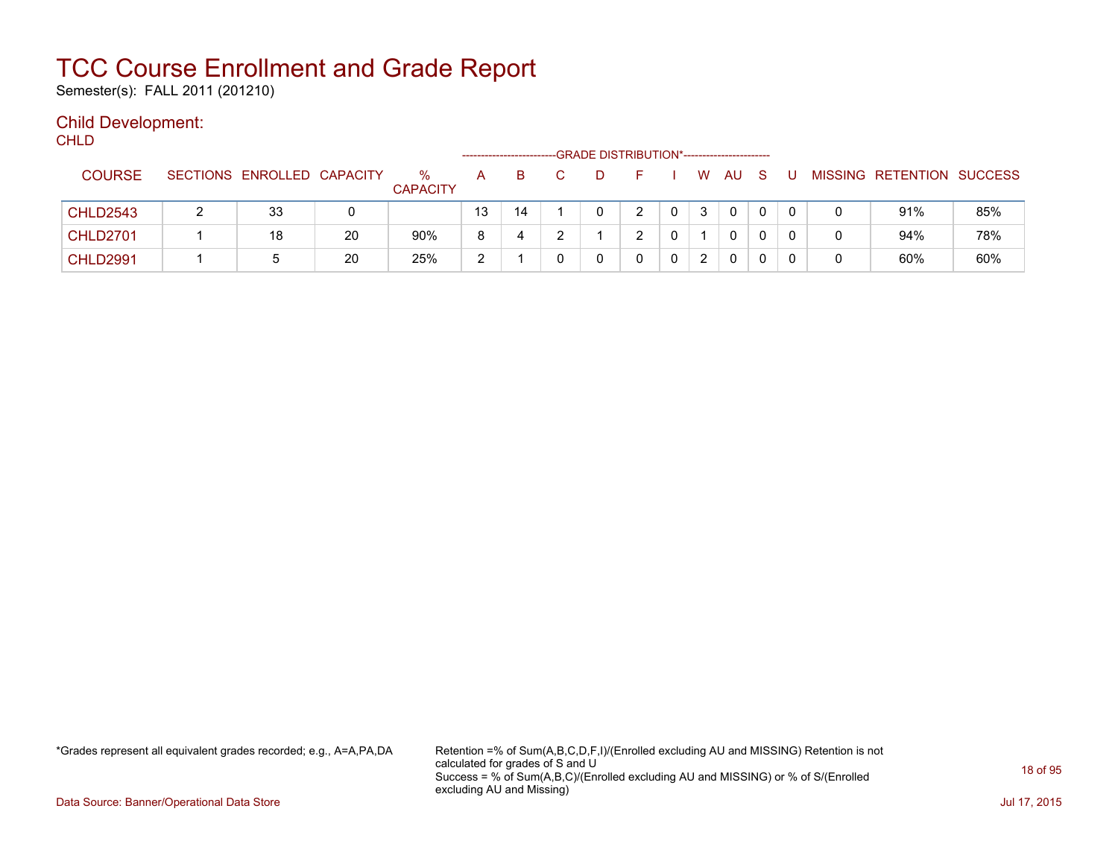Semester(s): FALL 2011 (201210)

### Child Development:

**CHLD** 

|                 |                            |    |                         |    | ---------------------- | -GRADE DISTRIBUTION*----------------------- |   |    |    |              |  |                           |     |
|-----------------|----------------------------|----|-------------------------|----|------------------------|---------------------------------------------|---|----|----|--------------|--|---------------------------|-----|
| <b>COURSE</b>   | SECTIONS ENROLLED CAPACITY |    | $\%$<br><b>CAPACITY</b> | A  | B                      | D                                           |   | W  | AU |              |  | MISSING RETENTION SUCCESS |     |
| <b>CHLD2543</b> | 33                         |    |                         | 13 | 14                     |                                             |   | -3 | 0  |              |  | 91%                       | 85% |
| <b>CHLD2701</b> | 18                         | 20 | 90%                     |    | 4                      |                                             | ົ |    | 0  | $\mathbf{0}$ |  | 94%                       | 78% |
| <b>CHLD2991</b> | <sub>5</sub>               | 20 | 25%                     | ົ  |                        |                                             |   |    | 0  |              |  | 60%                       | 60% |

\*Grades represent all equivalent grades recorded; e.g., A=A,PA,DA Retention =% of Sum(A,B,C,D,F,I)/(Enrolled excluding AU and MISSING) Retention is not calculated for grades of S and U Success = % of Sum(A,B,C)/(Enrolled excluding AU and MISSING) or % of S/(Enrolled excluding AU and Missing)

Data Source: Banner/Operational Data Store Jul 17, 2015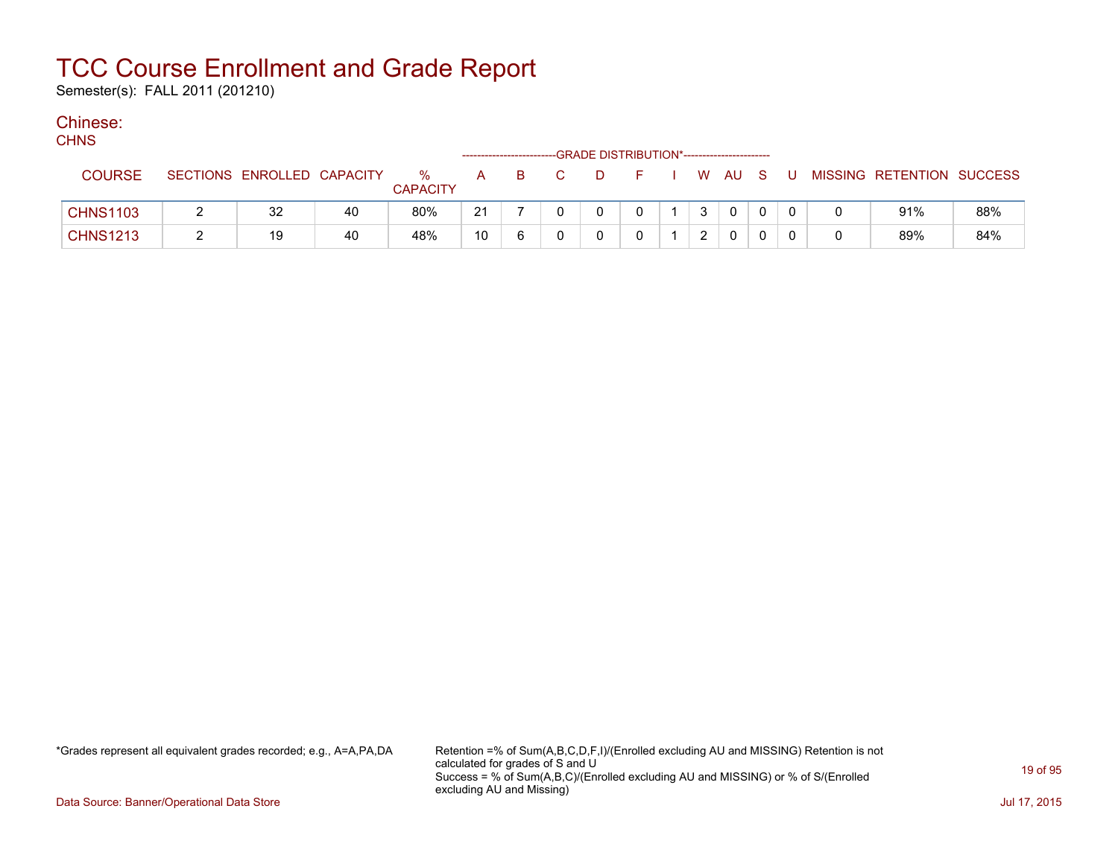Semester(s): FALL 2011 (201210)

### Chinese:

| <b>CHNS</b>     |                            |    |                      |    |                         |                                             |  |      |  |   |                           |     |
|-----------------|----------------------------|----|----------------------|----|-------------------------|---------------------------------------------|--|------|--|---|---------------------------|-----|
|                 |                            |    |                      |    | ----------------------- | -GRADE DISTRIBUTION*----------------------- |  |      |  |   |                           |     |
| <b>COURSE</b>   | SECTIONS ENROLLED CAPACITY |    | %<br><b>CAPACITY</b> | A  | B.                      |                                             |  | WAUS |  |   | MISSING RETENTION SUCCESS |     |
| <b>CHNS1103</b> | 32                         | 40 | 80%                  | 21 |                         |                                             |  |      |  |   | 91%                       | 88% |
| <b>CHNS1213</b> | 19                         | 40 | 48%                  | 10 | 6                       |                                             |  |      |  | 0 | 89%                       | 84% |

\*Grades represent all equivalent grades recorded; e.g., A=A,PA,DA Retention =% of Sum(A,B,C,D,F,I)/(Enrolled excluding AU and MISSING) Retention is not calculated for grades of S and U Success = % of Sum(A,B,C)/(Enrolled excluding AU and MISSING) or % of S/(Enrolled excluding AU and Missing)

Data Source: Banner/Operational Data Store Jul 17, 2015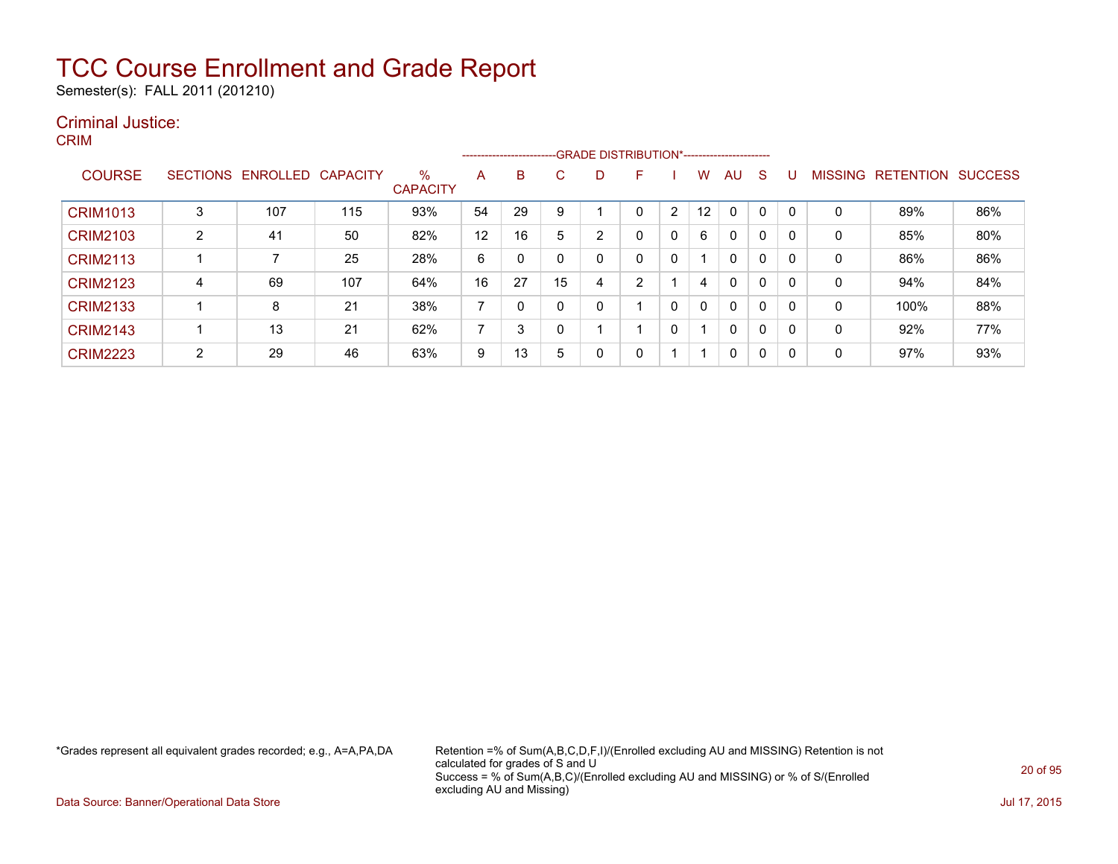Semester(s): FALL 2011 (201210)

### Criminal Justice:

CRIM

|                 |        |                   |                 |                         |                | --------------------------GRADE DISTRIBUTION*----------------------- |    |    |    |   |    |              |              |   |                |                  |                |
|-----------------|--------|-------------------|-----------------|-------------------------|----------------|----------------------------------------------------------------------|----|----|----|---|----|--------------|--------------|---|----------------|------------------|----------------|
| <b>COURSE</b>   |        | SECTIONS ENROLLED | <b>CAPACITY</b> | $\%$<br><b>CAPACITY</b> | A              | B                                                                    | C. | D. | F  |   | w  | AU           | <sub>S</sub> |   | <b>MISSING</b> | <b>RETENTION</b> | <b>SUCCESS</b> |
| <b>CRIM1013</b> | 3      | 107               | 115             | 93%                     | 54             | 29                                                                   |    |    |    | 2 | 12 | $\Omega$     | 0            |   | 0              | 89%              | 86%            |
| <b>CRIM2103</b> | 2      | 41                | 50              | 82%                     | 12             | 16                                                                   | 5  | 2  | 0  | 0 | 6  | 0            | 0            |   | 0              | 85%              | 80%            |
| <b>CRIM2113</b> |        |                   | 25              | 28%                     | 6              | 0                                                                    |    | 0  | 0  | 0 |    | $\mathbf{0}$ | $\mathbf{0}$ |   | 0              | 86%              | 86%            |
| <b>CRIM2123</b> | 4      | 69                | 107             | 64%                     | 16             | 27                                                                   | 15 | 4  | C. |   | 4  | $\mathbf{0}$ | 0            |   | 0              | 94%              | 84%            |
| <b>CRIM2133</b> |        | 8                 | 21              | 38%                     | $\overline{ }$ |                                                                      |    |    |    | 0 | 0  | $\mathbf{0}$ | 0            |   | 0              | 100%             | 88%            |
| <b>CRIM2143</b> |        | 13                | 21              | 62%                     | ⇁              | 3                                                                    |    |    |    | 0 |    | $\mathbf{0}$ | 0            | 0 | 0              | 92%              | 77%            |
| <b>CRIM2223</b> | ົ<br>∠ | 29                | 46              | 63%                     | 9              | 13                                                                   | 5  | 0  | 0  |   |    | 0            | 0            | 0 | 0              | 97%              | 93%            |

\*Grades represent all equivalent grades recorded; e.g., A=A,PA,DA Retention =% of Sum(A,B,C,D,F,I)/(Enrolled excluding AU and MISSING) Retention is not calculated for grades of S and U Success = % of Sum(A,B,C)/(Enrolled excluding AU and MISSING) or % of S/(Enrolled excluding AU and Missing)

Data Source: Banner/Operational Data Store Jul 17, 2015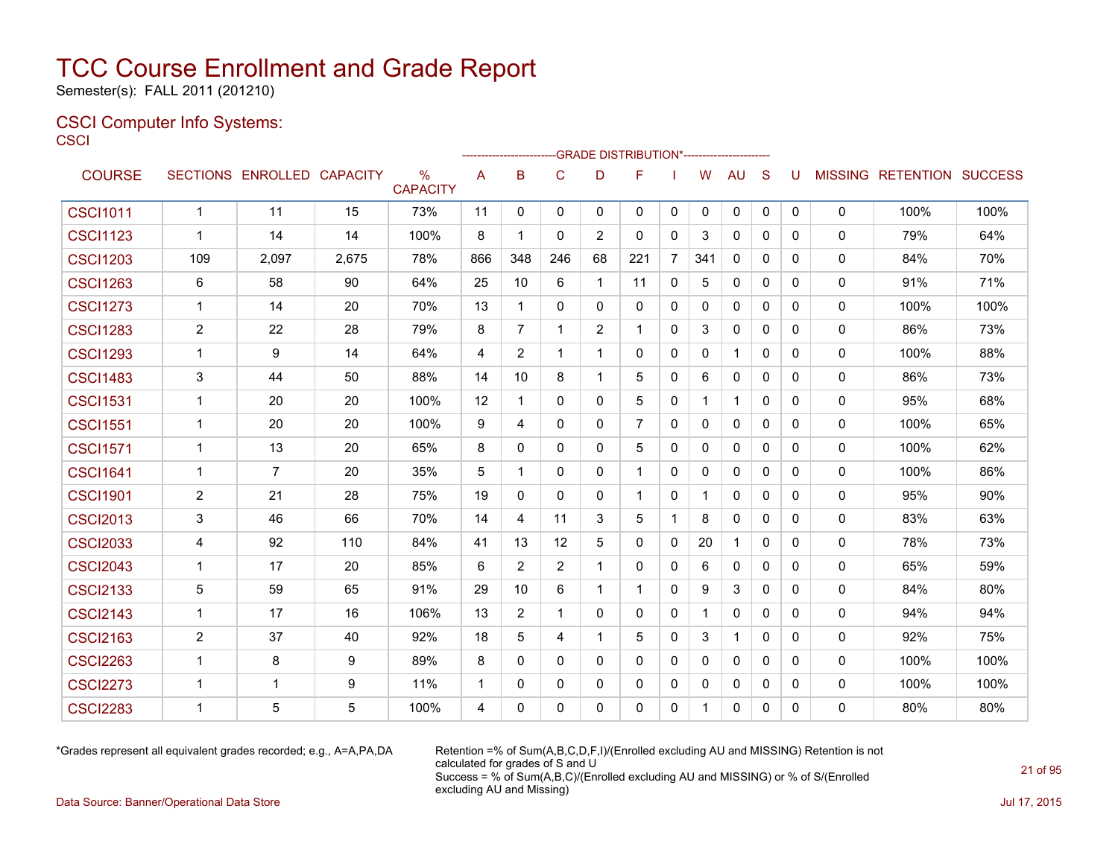Semester(s): FALL 2011 (201210)

#### CSCI Computer Info Systems: **CSCI**

|                 |                         |                            |       |                      |              |              | ------------------------GRADE                DISTRIBUTION*---------------------- |              |                |                |              |              |              |              |             |                                  |      |
|-----------------|-------------------------|----------------------------|-------|----------------------|--------------|--------------|----------------------------------------------------------------------------------|--------------|----------------|----------------|--------------|--------------|--------------|--------------|-------------|----------------------------------|------|
| <b>COURSE</b>   |                         | SECTIONS ENROLLED CAPACITY |       | %<br><b>CAPACITY</b> | A            | B            | $\mathsf{C}$                                                                     | D            | F              |                | W            | <b>AU</b>    | S            | U            |             | <b>MISSING RETENTION SUCCESS</b> |      |
| <b>CSCI1011</b> | $\mathbf{1}$            | 11                         | 15    | 73%                  | 11           | $\mathbf 0$  | $\mathbf 0$                                                                      | $\mathbf{0}$ | 0              | 0              | $\mathbf{0}$ | 0            | 0            | $\mathbf{0}$ | $\mathbf 0$ | 100%                             | 100% |
| <b>CSCI1123</b> | $\mathbf 1$             | 14                         | 14    | 100%                 | 8            | $\mathbf 1$  | 0                                                                                | 2            | 0              | 0              | 3            | 0            | 0            | $\mathbf{0}$ | 0           | 79%                              | 64%  |
| <b>CSCI1203</b> | 109                     | 2,097                      | 2,675 | 78%                  | 866          | 348          | 246                                                                              | 68           | 221            | $\overline{7}$ | 341          | 0            | $\Omega$     | $\Omega$     | 0           | 84%                              | 70%  |
| <b>CSCI1263</b> | 6                       | 58                         | 90    | 64%                  | 25           | 10           | 6                                                                                | 1            | 11             | 0              | 5            | 0            | $\mathbf{0}$ | $\mathbf{0}$ | 0           | 91%                              | 71%  |
| <b>CSCI1273</b> | $\mathbf 1$             | 14                         | 20    | 70%                  | 13           | $\mathbf 1$  | $\mathbf{0}$                                                                     | 0            | 0              | 0              | 0            | 0            | 0            | 0            | 0           | 100%                             | 100% |
| <b>CSCI1283</b> | $\overline{2}$          | 22                         | 28    | 79%                  | 8            | 7            | 1                                                                                | 2            | -1             | $\mathbf{0}$   | 3            | 0            | $\mathbf{0}$ | $\mathbf{0}$ | 0           | 86%                              | 73%  |
| <b>CSCI1293</b> | $\mathbf{1}$            | 9                          | 14    | 64%                  | 4            | 2            | 1                                                                                | 1            | 0              | 0              | 0            | $\mathbf{1}$ | $\mathbf{0}$ | $\mathbf{0}$ | 0           | 100%                             | 88%  |
| <b>CSCI1483</b> | 3                       | 44                         | 50    | 88%                  | 14           | 10           | 8                                                                                | 1            | 5              | $\mathbf{0}$   | 6            | $\mathbf{0}$ | $\mathbf{0}$ | $\mathbf{0}$ | 0           | 86%                              | 73%  |
| <b>CSCI1531</b> | $\overline{1}$          | 20                         | 20    | 100%                 | 12           | $\mathbf{1}$ | $\mathbf 0$                                                                      | 0            | 5              | 0              | 1            | $\mathbf{1}$ | 0            | $\mathbf{0}$ | $\mathbf 0$ | 95%                              | 68%  |
| <b>CSCI1551</b> | $\mathbf 1$             | 20                         | 20    | 100%                 | 9            | 4            | $\Omega$                                                                         | 0            | $\overline{7}$ | $\mathbf{0}$   | 0            | $\Omega$     | $\Omega$     | $\Omega$     | 0           | 100%                             | 65%  |
| <b>CSCI1571</b> | -1                      | 13                         | 20    | 65%                  | 8            | 0            | 0                                                                                | 0            | 5              | 0              | 0            | 0            | 0            | $\mathbf{0}$ | 0           | 100%                             | 62%  |
| <b>CSCI1641</b> | $\mathbf 1$             | 7                          | 20    | 35%                  | 5            | $\mathbf 1$  | $\Omega$                                                                         | $\Omega$     | $\mathbf 1$    | 0              | 0            | 0            | $\mathbf{0}$ | $\Omega$     | 0           | 100%                             | 86%  |
| <b>CSCI1901</b> | $\overline{2}$          | 21                         | 28    | 75%                  | 19           | 0            | $\Omega$                                                                         | 0            | 1              | 0              |              | 0            | $\Omega$     | $\Omega$     | 0           | 95%                              | 90%  |
| <b>CSCI2013</b> | 3                       | 46                         | 66    | 70%                  | 14           | 4            | 11                                                                               | 3            | 5              | 1              | 8            | 0            | $\mathbf{0}$ | $\mathbf{0}$ | $\mathbf 0$ | 83%                              | 63%  |
| <b>CSCI2033</b> | 4                       | 92                         | 110   | 84%                  | 41           | 13           | 12 <sup>2</sup>                                                                  | 5            | $\Omega$       | $\mathbf{0}$   | 20           | $\mathbf{1}$ | $\mathbf{0}$ | $\Omega$     | 0           | 78%                              | 73%  |
| <b>CSCI2043</b> | $\mathbf 1$             | 17                         | 20    | 85%                  | 6            | 2            | 2                                                                                | 1            | $\Omega$       | 0              | 6            | 0            | 0            | $\mathbf{0}$ | 0           | 65%                              | 59%  |
| <b>CSCI2133</b> | 5                       | 59                         | 65    | 91%                  | 29           | 10           | 6                                                                                | $\mathbf 1$  | $\mathbf 1$    | $\mathbf{0}$   | 9            | 3            | $\mathbf{0}$ | $\Omega$     | 0           | 84%                              | 80%  |
| <b>CSCI2143</b> | $\overline{1}$          | 17                         | 16    | 106%                 | 13           | 2            | $\mathbf 1$                                                                      | $\Omega$     | $\Omega$       | 0              | 1            | $\Omega$     | $\mathbf{0}$ | $\mathbf{0}$ | $\mathbf 0$ | 94%                              | 94%  |
| <b>CSCI2163</b> | $\overline{2}$          | 37                         | 40    | 92%                  | 18           | 5            | 4                                                                                | 1            | 5              | $\mathbf{0}$   | 3            | $\mathbf{1}$ | $\Omega$     | $\Omega$     | $\mathbf 0$ | 92%                              | 75%  |
| <b>CSCI2263</b> | $\overline{1}$          | 8                          | 9     | 89%                  | 8            | 0            | $\Omega$                                                                         | 0            | $\Omega$       | $\mathbf{0}$   | $\Omega$     | $\Omega$     | $\Omega$     | $\Omega$     | 0           | 100%                             | 100% |
| <b>CSCI2273</b> | $\mathbf{1}$            | $\mathbf{1}$               | 9     | 11%                  | $\mathbf{1}$ | 0            | $\Omega$                                                                         | 0            | $\Omega$       | $\mathbf{0}$   | $\Omega$     | $\Omega$     | $\Omega$     | $\Omega$     | $\mathbf 0$ | 100%                             | 100% |
| <b>CSCI2283</b> | $\overline{\mathbf{1}}$ | 5                          | 5     | 100%                 | 4            | $\Omega$     | 0                                                                                | $\Omega$     | $\Omega$       | $\Omega$       |              | $\Omega$     | $\Omega$     | $\Omega$     | $\Omega$    | 80%                              | 80%  |

\*Grades represent all equivalent grades recorded; e.g., A=A,PA,DA Retention =% of Sum(A,B,C,D,F,I)/(Enrolled excluding AU and MISSING) Retention is not calculated for grades of S and U Success = % of Sum(A,B,C)/(Enrolled excluding AU and MISSING) or % of S/(Enrolled excluding AU and Missing)

Data Source: Banner/Operational Data Store Jul 17, 2015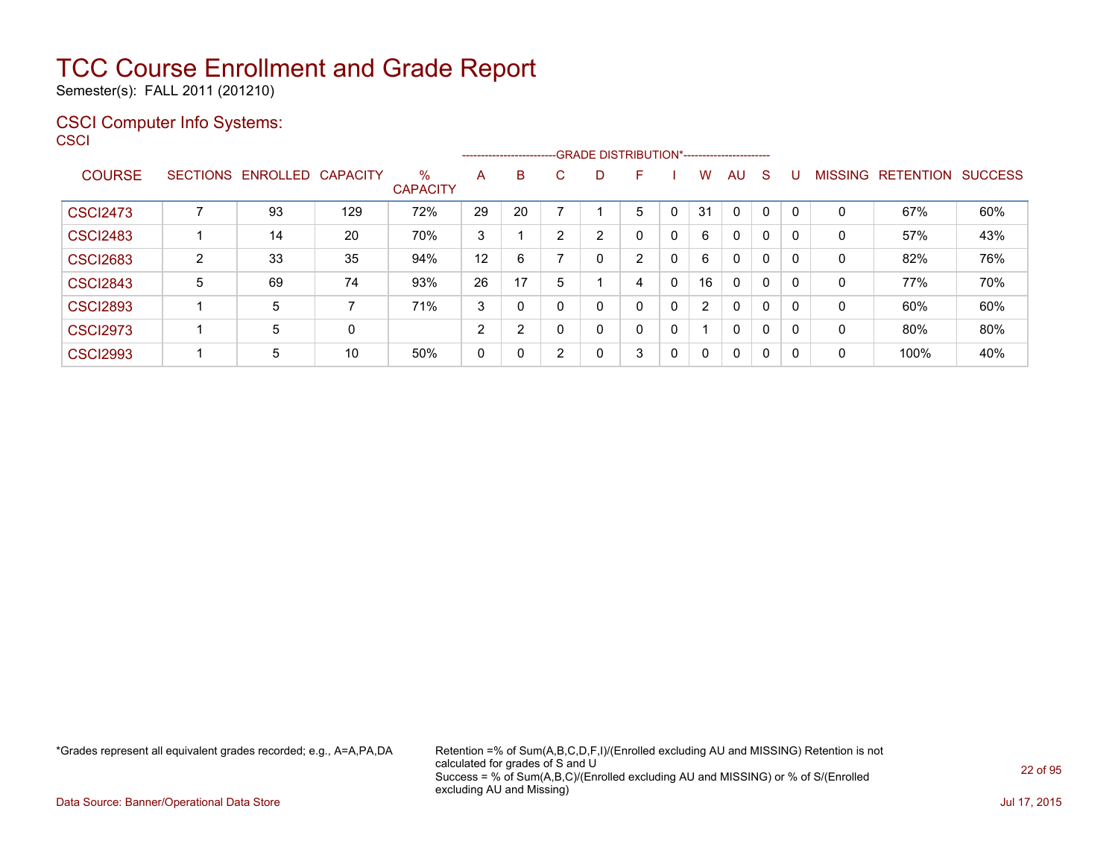Semester(s): FALL 2011 (201210)

### CSCI Computer Info Systems:

| CSCI |  |  |  |  |
|------|--|--|--|--|
|      |  |  |  |  |
|      |  |  |  |  |

|                 |   |                            |     |                      |    |    |                | --------------------------GRADE DISTRIBUTION*----------------------- |              |              |    |             |              |              |          |                           |     |
|-----------------|---|----------------------------|-----|----------------------|----|----|----------------|----------------------------------------------------------------------|--------------|--------------|----|-------------|--------------|--------------|----------|---------------------------|-----|
| <b>COURSE</b>   |   | SECTIONS ENROLLED CAPACITY |     | %<br><b>CAPACITY</b> | A  | B  | C              | D                                                                    | F            |              | W  | AU          | <sub>S</sub> |              |          | MISSING RETENTION SUCCESS |     |
| <b>CSCI2473</b> |   | 93                         | 129 | 72%                  | 29 | 20 |                |                                                                      | 5            | 0            | 31 | $\mathbf 0$ | 0            | $\mathbf{0}$ | $\Omega$ | 67%                       | 60% |
| <b>CSCI2483</b> |   | 14                         | 20  | 70%                  | 3  |    | $\overline{2}$ | 2                                                                    | 0            | 0            | 6  | 0           | $\mathbf{0}$ | 0            | $\Omega$ | 57%                       | 43% |
| <b>CSCI2683</b> | 2 | 33                         | 35  | 94%                  | 12 | 6  |                | 0                                                                    | 2            | $\mathbf{0}$ | 6  | 0           | 0            | 0            | $\Omega$ | 82%                       | 76% |
| <b>CSCI2843</b> | 5 | 69                         | 74  | 93%                  | 26 | 17 | 5              |                                                                      | 4            | $\mathbf{0}$ | 16 | 0           | 0            | 0            | 0        | 77%                       | 70% |
| <b>CSCI2893</b> |   | 5                          | 7   | 71%                  | 3  | 0  | 0              | 0                                                                    | 0            | 0            | 2  | 0           | 0            | 0            | 0        | 60%                       | 60% |
| <b>CSCI2973</b> |   | 5                          | 0   |                      | 2  | 2  | 0              | 0                                                                    | $\mathbf{0}$ | 0            |    | $\Omega$    | $\mathbf{0}$ | 0            | 0        | 80%                       | 80% |
| <b>CSCI2993</b> |   | 5                          | 10  | 50%                  | 0  | 0  | 2              | 0                                                                    | 3            | 0            | 0  | 0           | 0            | 0            | 0        | 100%                      | 40% |

\*Grades represent all equivalent grades recorded; e.g., A=A,PA,DA Retention =% of Sum(A,B,C,D,F,I)/(Enrolled excluding AU and MISSING) Retention is not calculated for grades of S and U Success = % of Sum(A,B,C)/(Enrolled excluding AU and MISSING) or % of S/(Enrolled excluding AU and Missing)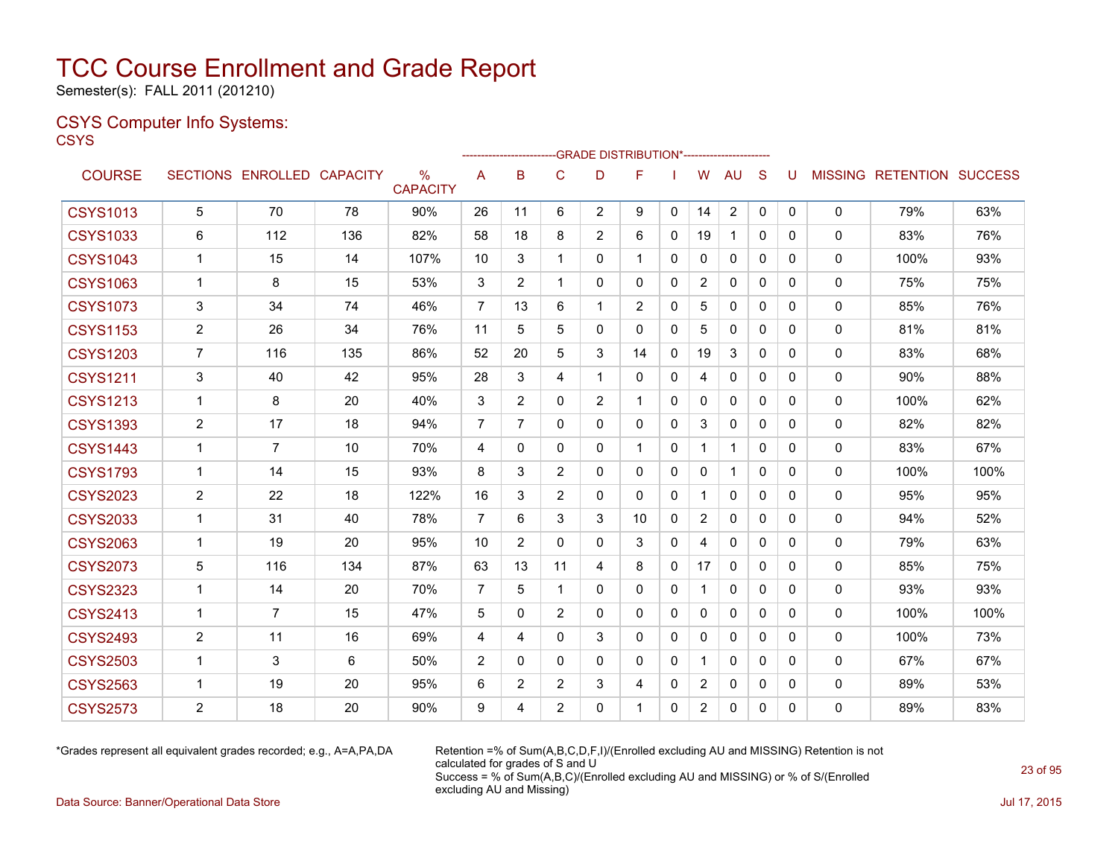Semester(s): FALL 2011 (201210)

### CSYS Computer Info Systems:

**CSYS** 

|                 |                         |                   |                 |                      |                | ----------------------- |                | --GRADE DISTRIBUTION*---------------------- |                |              |                |                |              |          |              |                                  |      |
|-----------------|-------------------------|-------------------|-----------------|----------------------|----------------|-------------------------|----------------|---------------------------------------------|----------------|--------------|----------------|----------------|--------------|----------|--------------|----------------------------------|------|
| <b>COURSE</b>   |                         | SECTIONS ENROLLED | <b>CAPACITY</b> | %<br><b>CAPACITY</b> | A              | <sub>B</sub>            | C              | D                                           | F              |              | W              | <b>AU</b>      | <sub>S</sub> | U        |              | <b>MISSING RETENTION SUCCESS</b> |      |
| <b>CSYS1013</b> | 5                       | 70                | 78              | 90%                  | 26             | 11                      | 6              | $\overline{2}$                              | 9              | $\mathbf{0}$ | 14             | $\overline{2}$ | 0            | 0        | 0            | 79%                              | 63%  |
| <b>CSYS1033</b> | 6                       | 112               | 136             | 82%                  | 58             | 18                      | 8              | 2                                           | 6              | $\Omega$     | 19             | $\mathbf 1$    | $\Omega$     | 0        | $\mathbf{0}$ | 83%                              | 76%  |
| <b>CSYS1043</b> | $\mathbf 1$             | 15                | 14              | 107%                 | 10             | 3                       | 1              | $\mathbf{0}$                                | 1              | $\Omega$     | $\Omega$       | $\mathbf{0}$   | $\Omega$     | 0        | 0            | 100%                             | 93%  |
| <b>CSYS1063</b> | $\mathbf 1$             | 8                 | 15              | 53%                  | 3              | 2                       | 1              | 0                                           | 0              | 0            | $\overline{2}$ | 0              | $\mathbf{0}$ | 0        | 0            | 75%                              | 75%  |
| <b>CSYS1073</b> | 3                       | 34                | 74              | 46%                  | $\overline{7}$ | 13                      | 6              | $\mathbf 1$                                 | $\overline{2}$ | 0            | 5              | 0              | 0            | 0        | 0            | 85%                              | 76%  |
| <b>CSYS1153</b> | $\overline{2}$          | 26                | 34              | 76%                  | 11             | 5                       | 5              | $\mathbf{0}$                                | $\Omega$       | $\mathbf{0}$ | 5              | $\mathbf{0}$   | $\Omega$     | $\Omega$ | $\mathbf{0}$ | 81%                              | 81%  |
| <b>CSYS1203</b> | $\overline{7}$          | 116               | 135             | 86%                  | 52             | 20                      | 5              | 3                                           | 14             | $\mathbf{0}$ | 19             | 3              | $\mathbf{0}$ | 0        | 0            | 83%                              | 68%  |
| <b>CSYS1211</b> | 3                       | 40                | 42              | 95%                  | 28             | 3                       | 4              | 1                                           | 0              | 0            | 4              | 0              | $\mathbf{0}$ | $\Omega$ | 0            | 90%                              | 88%  |
| <b>CSYS1213</b> | $\mathbf{1}$            | 8                 | 20              | 40%                  | 3              | $\overline{2}$          | $\Omega$       | $\overline{2}$                              | 1              | $\Omega$     | $\Omega$       | $\mathbf{0}$   | $\Omega$     | $\Omega$ | 0            | 100%                             | 62%  |
| <b>CSYS1393</b> | $\overline{\mathbf{c}}$ | 17                | 18              | 94%                  | $\overline{7}$ | $\overline{7}$          | $\Omega$       | $\mathbf{0}$                                | $\Omega$       | $\Omega$     | 3              | $\Omega$       | $\Omega$     | 0        | 0            | 82%                              | 82%  |
| <b>CSYS1443</b> | 1                       | 7                 | 10              | 70%                  | 4              | 0                       | $\Omega$       | $\mathbf{0}$                                | 1              | $\mathbf{0}$ | 1              | 1              | $\Omega$     | 0        | 0            | 83%                              | 67%  |
| <b>CSYS1793</b> | $\mathbf{1}$            | 14                | 15              | 93%                  | 8              | 3                       | 2              | $\mathbf{0}$                                | 0              | 0            | $\mathbf{0}$   | 1              | $\mathbf{0}$ | 0        | $\mathbf{0}$ | 100%                             | 100% |
| <b>CSYS2023</b> | $\overline{2}$          | 22                | 18              | 122%                 | 16             | 3                       | $\overline{2}$ | $\mathbf{0}$                                | $\Omega$       | $\mathbf{0}$ | 1              | $\mathbf{0}$   | $\Omega$     | $\Omega$ | 0            | 95%                              | 95%  |
| <b>CSYS2033</b> | $\mathbf{1}$            | 31                | 40              | 78%                  | $\overline{7}$ | 6                       | 3              | 3                                           | 10             | $\mathbf{0}$ | $\overline{2}$ | 0              | $\mathbf{0}$ | 0        | 0            | 94%                              | 52%  |
| <b>CSYS2063</b> | $\mathbf{1}$            | 19                | 20              | 95%                  | 10             | $\overline{2}$          | $\Omega$       | $\mathbf{0}$                                | 3              | $\mathbf{0}$ | 4              | $\mathbf{0}$   | $\Omega$     | $\Omega$ | 0            | 79%                              | 63%  |
| <b>CSYS2073</b> | 5                       | 116               | 134             | 87%                  | 63             | 13                      | 11             | 4                                           | 8              | 0            | 17             | $\Omega$       | $\Omega$     | $\Omega$ | 0            | 85%                              | 75%  |
| <b>CSYS2323</b> | $\mathbf{1}$            | 14                | 20              | 70%                  | $\overline{7}$ | 5                       | $\mathbf 1$    | $\mathbf{0}$                                | 0              | $\mathbf{0}$ | $\mathbf{1}$   | $\mathbf{0}$   | $\Omega$     | $\Omega$ | 0            | 93%                              | 93%  |
| <b>CSYS2413</b> | $\mathbf 1$             | $\overline{7}$    | 15              | 47%                  | 5              | 0                       | $\overline{2}$ | $\mathbf{0}$                                | 0              | 0            | $\mathbf{0}$   | $\mathbf 0$    | $\Omega$     | $\Omega$ | 0            | 100%                             | 100% |
| <b>CSYS2493</b> | 2                       | 11                | 16              | 69%                  | 4              | 4                       | $\mathbf{0}$   | 3                                           | 0              | $\mathbf{0}$ | 0              | $\mathbf{0}$   | $\mathbf{0}$ | 0        | 0            | 100%                             | 73%  |
| <b>CSYS2503</b> | $\mathbf 1$             | 3                 | 6               | 50%                  | $\overline{2}$ | 0                       | $\Omega$       | $\mathbf{0}$                                | 0              | $\Omega$     | 1              | $\mathbf{0}$   | $\Omega$     | 0        | 0            | 67%                              | 67%  |
| <b>CSYS2563</b> | $\mathbf 1$             | 19                | 20              | 95%                  | 6              | $\overline{2}$          | 2              | 3                                           | 4              | 0            | $\overline{2}$ | 0              | $\mathbf{0}$ | 0        | 0            | 89%                              | 53%  |
| <b>CSYS2573</b> | $\overline{2}$          | 18                | 20              | 90%                  | 9              | 4                       | $\overline{2}$ | 0                                           | 1              | 0            | $\overline{2}$ | 0              | 0            | $\Omega$ | $\mathbf{0}$ | 89%                              | 83%  |

\*Grades represent all equivalent grades recorded; e.g., A=A,PA,DA Retention =% of Sum(A,B,C,D,F,I)/(Enrolled excluding AU and MISSING) Retention is not calculated for grades of S and U Success = % of Sum(A,B,C)/(Enrolled excluding AU and MISSING) or % of S/(Enrolled excluding AU and Missing)

Data Source: Banner/Operational Data Store Jul 17, 2015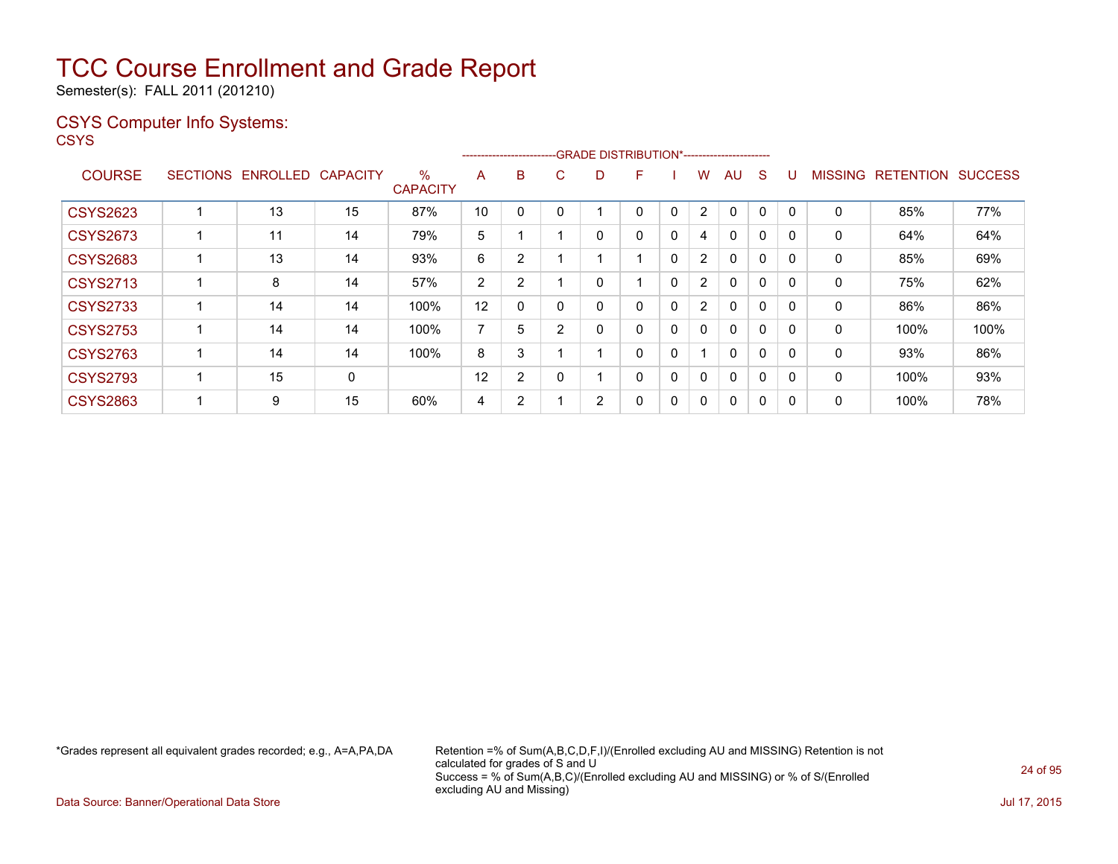Semester(s): FALL 2011 (201210)

### CSYS Computer Info Systems:

**CSYS** 

|                 |                 |                 |                 |                         |    |                |                |   | --------------------------GRADE DISTRIBUTION*----------------------- |              |                |                |          |             |                |                  |                |
|-----------------|-----------------|-----------------|-----------------|-------------------------|----|----------------|----------------|---|----------------------------------------------------------------------|--------------|----------------|----------------|----------|-------------|----------------|------------------|----------------|
| <b>COURSE</b>   | <b>SECTIONS</b> | <b>ENROLLED</b> | <b>CAPACITY</b> | $\%$<br><b>CAPACITY</b> | A  | B              | C              | D | F                                                                    |              | w              | AU             | S        |             | <b>MISSING</b> | <b>RETENTION</b> | <b>SUCCESS</b> |
| <b>CSYS2623</b> |                 | 13              | 15              | 87%                     | 10 |                |                |   | $\Omega$                                                             | 0            | 2              | 0              | 0        | 0           | 0              | 85%              | 77%            |
| <b>CSYS2673</b> |                 | 11              | 14              | 79%                     | 5  |                |                | 0 | $\mathbf{0}$                                                         | 0            | 4              | 0              | 0        | 0           | 0              | 64%              | 64%            |
| <b>CSYS2683</b> |                 | 13              | 14              | 93%                     | 6  | 2              |                | 4 |                                                                      | $\mathbf{0}$ | $\overline{2}$ | $\Omega$       | 0        | $\mathbf 0$ | 0              | 85%              | 69%            |
| <b>CSYS2713</b> |                 | 8               | 14              | 57%                     | 2  | 2              |                | 0 |                                                                      | 0            | $\overline{2}$ | 0              | 0        |             | 0              | 75%              | 62%            |
| <b>CSYS2733</b> |                 | 14              | 14              | 100%                    | 12 |                |                | 0 | 0                                                                    | 0            | $\overline{2}$ | $\Omega$       | $\Omega$ |             | 0              | 86%              | 86%            |
| <b>CSYS2753</b> |                 | 14              | 14              | 100%                    | 7  | 5              | $\overline{2}$ | 0 | 0                                                                    | 0            | 0              | $\Omega$       | 0        | 0           | $\mathbf{0}$   | 100%             | 100%           |
| <b>CSYS2763</b> |                 | 14              | 14              | 100%                    | 8  | 3              |                |   | $\mathbf{0}$                                                         | 0            |                | $\Omega$       | $\Omega$ |             | 0              | 93%              | 86%            |
| <b>CSYS2793</b> |                 | 15              | 0               |                         | 12 | $\overline{2}$ |                |   | 0                                                                    | 0            | 0              | $\Omega$       | 0        | 0           | 0              | 100%             | 93%            |
| <b>CSYS2863</b> |                 | 9               | 15              | 60%                     | 4  | ົ<br>∠         |                | 2 | 0                                                                    | 0            | 0              | $\overline{0}$ | 0        |             | 0              | 100%             | 78%            |

\*Grades represent all equivalent grades recorded; e.g., A=A,PA,DA Retention =% of Sum(A,B,C,D,F,I)/(Enrolled excluding AU and MISSING) Retention is not calculated for grades of S and U Success = % of Sum(A,B,C)/(Enrolled excluding AU and MISSING) or % of S/(Enrolled excluding AU and Missing)

Data Source: Banner/Operational Data Store Jul 17, 2015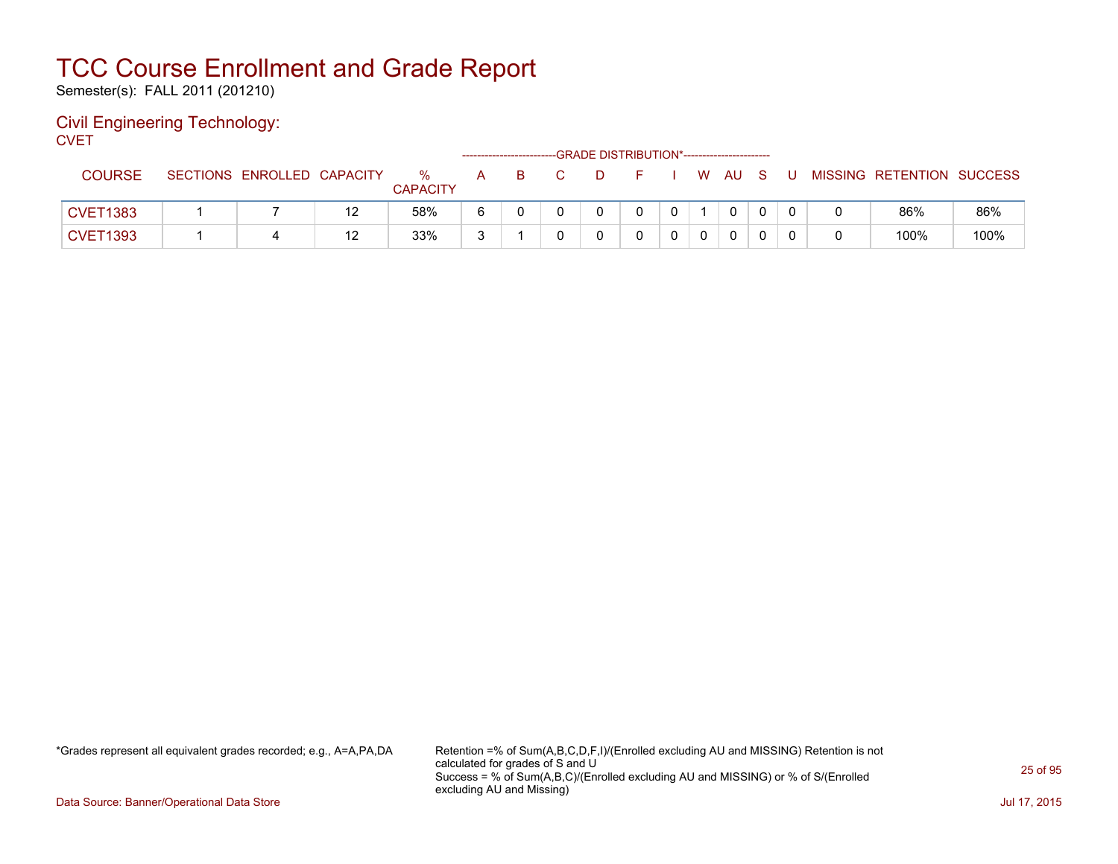Semester(s): FALL 2011 (201210)

#### Civil Engineering Technology: **CVET**

| _____           |                            |    |                      |     |                                                      |          |    |  |              |     |     |                           |      |
|-----------------|----------------------------|----|----------------------|-----|------------------------------------------------------|----------|----|--|--------------|-----|-----|---------------------------|------|
| <b>COURSE</b>   | SECTIONS ENROLLED CAPACITY |    | %<br><b>CAPACITY</b> | A B | $\overline{C}$ and $\overline{C}$ and $\overline{C}$ | $\Box$ D | E. |  | I WAU        | - S | - U | MISSING RETENTION SUCCESS |      |
| <b>CVET1383</b> |                            | 12 | 58%                  |     |                                                      |          |    |  | $\mathbf{0}$ |     |     | 86%                       | 86%  |
| <b>CVET1393</b> |                            | 12 | 33%                  |     |                                                      |          |    |  | $\mathbf{0}$ |     |     | 100%                      | 100% |

\*Grades represent all equivalent grades recorded; e.g., A=A,PA,DA Retention =% of Sum(A,B,C,D,F,I)/(Enrolled excluding AU and MISSING) Retention is not calculated for grades of S and U Success = % of Sum(A,B,C)/(Enrolled excluding AU and MISSING) or % of S/(Enrolled excluding AU and Missing)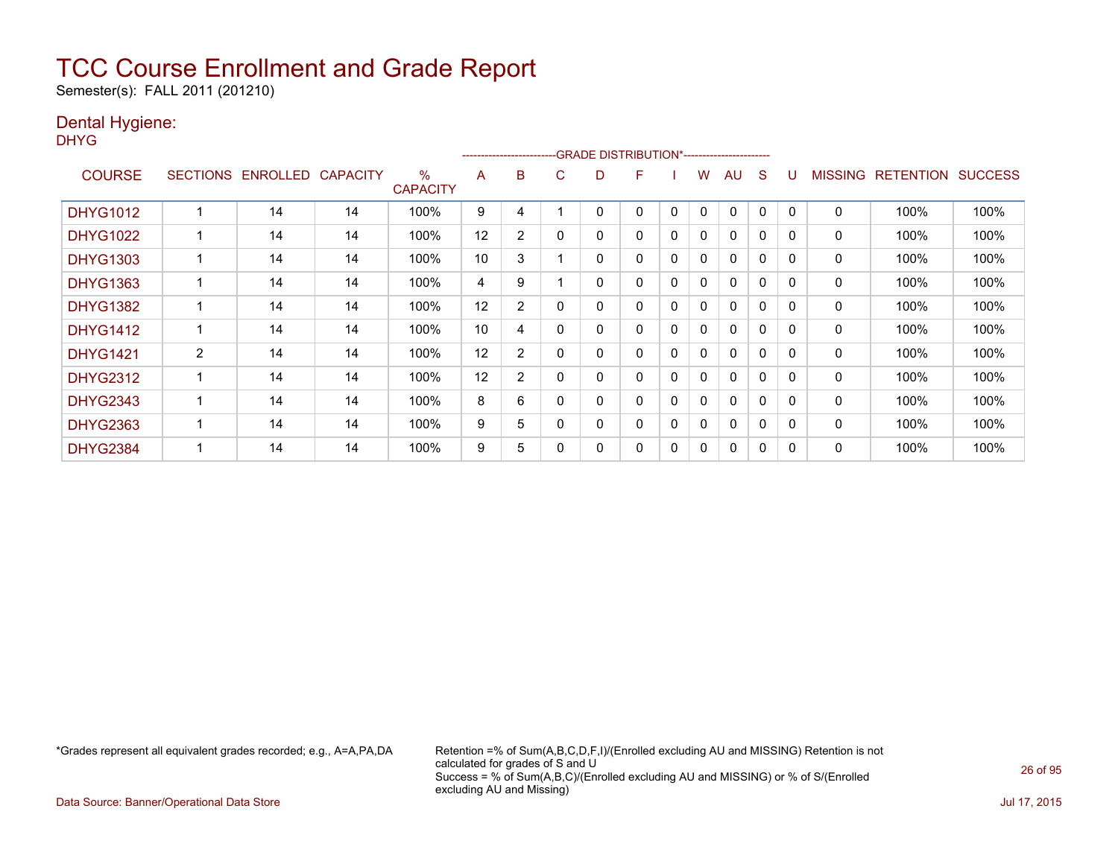Semester(s): FALL 2011 (201210)

### Dental Hygiene:

DHYG

|                 |                 |                 |                 |                      | --------------------- |                |   | -GRADE DISTRIBUTION*---------------------- |   |          |   |              |              |              |                |                  |                |
|-----------------|-----------------|-----------------|-----------------|----------------------|-----------------------|----------------|---|--------------------------------------------|---|----------|---|--------------|--------------|--------------|----------------|------------------|----------------|
| <b>COURSE</b>   | <b>SECTIONS</b> | <b>ENROLLED</b> | <b>CAPACITY</b> | %<br><b>CAPACITY</b> | A                     | B              | С | D                                          | F |          | w | AU           | S            |              | <b>MISSING</b> | <b>RETENTION</b> | <b>SUCCESS</b> |
| <b>DHYG1012</b> |                 | 14              | 14              | 100%                 | 9                     | 4              |   | 0                                          | 0 | 0        | 0 | $\Omega$     | 0            | $\mathbf{0}$ | 0              | 100%             | 100%           |
| <b>DHYG1022</b> |                 | 14              | 14              | 100%                 | 12                    | $\overline{2}$ |   | 0                                          | 0 | 0        | 0 | 0            | 0            | $\Omega$     | 0              | 100%             | 100%           |
| <b>DHYG1303</b> |                 | 14              | 14              | 100%                 | 10                    | 3              |   | 0                                          | 0 | 0        | 0 | $\mathbf{0}$ | 0            | 0            | 0              | 100%             | 100%           |
| <b>DHYG1363</b> |                 | 14              | 14              | 100%                 | 4                     | 9              |   | 0                                          | 0 | $\Omega$ | 0 | $\mathbf{0}$ | 0            | $\Omega$     | 0              | 100%             | 100%           |
| <b>DHYG1382</b> |                 | 14              | 14              | 100%                 | 12                    | $\overline{2}$ | 0 | 0                                          | 0 | 0        | 0 | $\mathbf{0}$ | 0            | $\Omega$     | 0              | 100%             | 100%           |
| <b>DHYG1412</b> |                 | 14              | 14              | 100%                 | 10                    | 4              |   | 0                                          | 0 | 0        | 0 | 0            | $\mathbf{0}$ | $\Omega$     | $\mathbf 0$    | 100%             | 100%           |
| <b>DHYG1421</b> | $\overline{2}$  | 14              | 14              | 100%                 | 12                    | $\overline{2}$ |   | 0                                          | 0 | $\Omega$ | 0 | 0            | 0            | 0            | 0              | 100%             | 100%           |
| <b>DHYG2312</b> |                 | 14              | 14              | 100%                 | 12                    | $\overline{2}$ | 0 | 0                                          | 0 | 0        | 0 | $\mathbf{0}$ | 0            | 0            | 0              | 100%             | 100%           |
| <b>DHYG2343</b> |                 | 14              | 14              | 100%                 | 8                     | 6              |   | 0                                          | 0 | 0        | 0 | $\Omega$     | 0            | $\Omega$     | 0              | 100%             | 100%           |
| <b>DHYG2363</b> |                 | 14              | 14              | 100%                 | 9                     | 5              |   | 0                                          | 0 | 0        | 0 | $\Omega$     | 0            | $\Omega$     | 0              | 100%             | 100%           |
| <b>DHYG2384</b> |                 | 14              | 14              | 100%                 | 9                     | 5              |   | 0                                          | 0 | 0        | 0 | 0            | 0            | 0            | 0              | 100%             | 100%           |

\*Grades represent all equivalent grades recorded; e.g., A=A,PA,DA Retention =% of Sum(A,B,C,D,F,I)/(Enrolled excluding AU and MISSING) Retention is not calculated for grades of S and U Success = % of Sum(A,B,C)/(Enrolled excluding AU and MISSING) or % of S/(Enrolled excluding AU and Missing)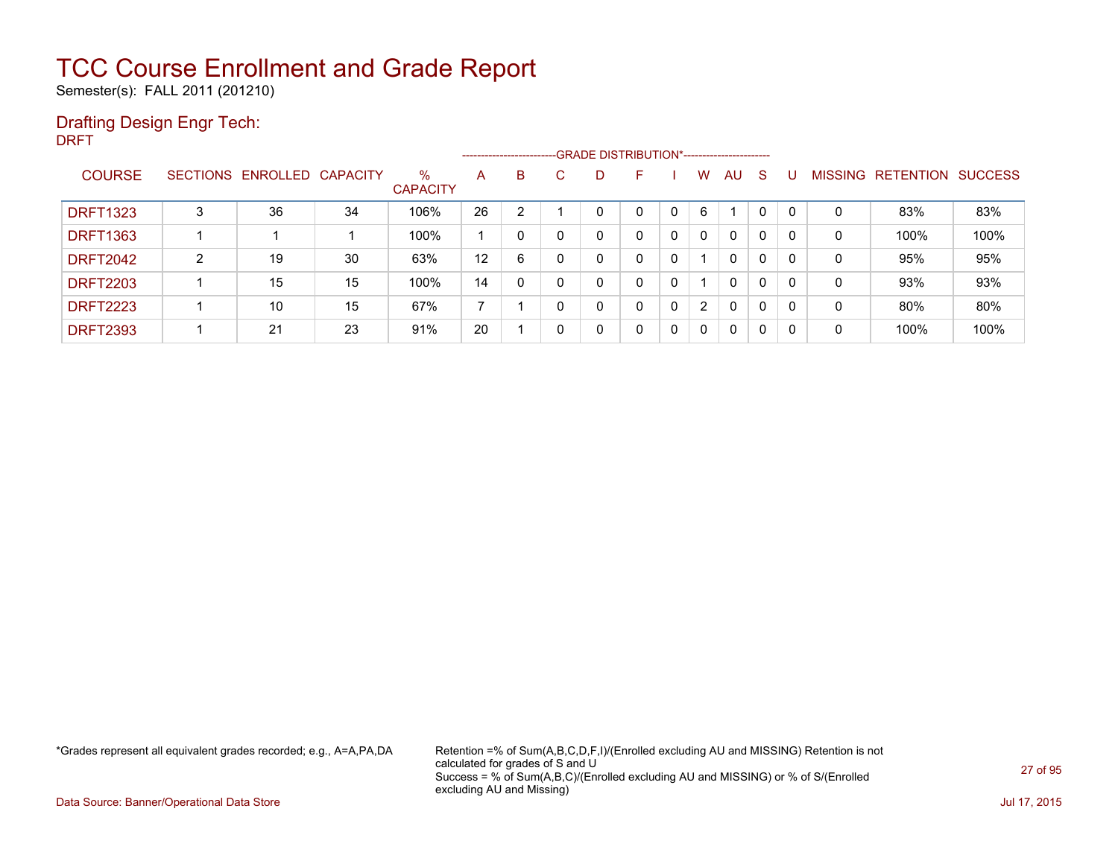Semester(s): FALL 2011 (201210)

### Drafting Design Engr Tech:

DRFT

|                 |                |                            |    |                      | ------------------------- |          |   |   | --GRADE DISTRIBUTION*----------------------- |          |                |              |              |          |                |                  |                |
|-----------------|----------------|----------------------------|----|----------------------|---------------------------|----------|---|---|----------------------------------------------|----------|----------------|--------------|--------------|----------|----------------|------------------|----------------|
| <b>COURSE</b>   |                | SECTIONS ENROLLED CAPACITY |    | %<br><b>CAPACITY</b> | A                         | B        | С | D |                                              |          | W.             | AU.          | S.           |          | <b>MISSING</b> | <b>RETENTION</b> | <b>SUCCESS</b> |
| <b>DRFT1323</b> | 3              | 36                         | 34 | 106%                 | 26                        | 2        |   | 0 |                                              |          | 6              |              |              | $\Omega$ | 0              | 83%              | 83%            |
| <b>DRFT1363</b> |                |                            |    | 100%                 |                           |          |   | 0 | 0                                            | $\Omega$ | 0              | 0            | $\Omega$     | 0        | 0              | 100%             | 100%           |
| <b>DRFT2042</b> | $\overline{2}$ | 19                         | 30 | 63%                  | 12                        | 6        |   | 0 | 0                                            | 0        |                | $\mathbf{0}$ | $\mathbf{0}$ | 0        | 0              | 95%              | 95%            |
| <b>DRFT2203</b> |                | 15                         | 15 | 100%                 | 14                        | $\Omega$ |   | 0 | 0                                            | 0        |                | $\Omega$     | $\Omega$     | 0        | 0              | 93%              | 93%            |
| <b>DRFT2223</b> |                | 10                         | 15 | 67%                  | $\overline{\phantom{a}}$  |          |   | 0 | 0                                            | 0        | $\overline{2}$ | 0            | $\mathbf{0}$ | 0        | 0              | 80%              | 80%            |
| <b>DRFT2393</b> |                | 21                         | 23 | 91%                  | 20                        |          |   | 0 | 0                                            | 0        | 0              | $\mathbf{0}$ | 0            | 0        | 0              | 100%             | 100%           |

\*Grades represent all equivalent grades recorded; e.g., A=A,PA,DA Retention =% of Sum(A,B,C,D,F,I)/(Enrolled excluding AU and MISSING) Retention is not calculated for grades of S and U Success = % of Sum(A,B,C)/(Enrolled excluding AU and MISSING) or % of S/(Enrolled excluding AU and Missing)

Data Source: Banner/Operational Data Store Jul 17, 2015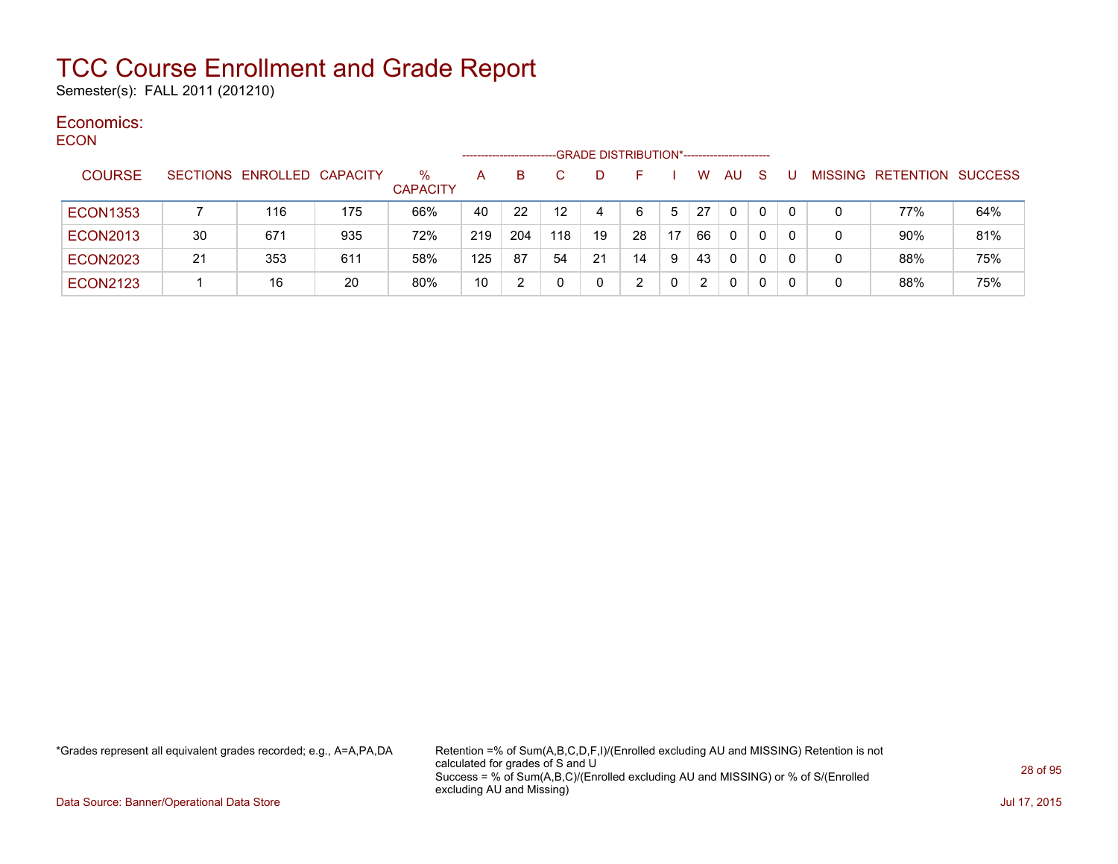Semester(s): FALL 2011 (201210)

#### Economics: ECON

| ∟∪∪™            |                 |                   |     |                      | --------------------- |     |                  | -GRADE DISTRIBUTION*----------------------- |    |    |                      |           |   |   |   |                   |                |
|-----------------|-----------------|-------------------|-----|----------------------|-----------------------|-----|------------------|---------------------------------------------|----|----|----------------------|-----------|---|---|---|-------------------|----------------|
| <b>COURSE</b>   | <b>SECTIONS</b> | ENROLLED CAPACITY |     | %<br><b>CAPACITY</b> | A                     | в   |                  | D                                           |    |    | W                    | <b>AU</b> | S |   |   | MISSING RETENTION | <b>SUCCESS</b> |
| <b>ECON1353</b> |                 | 116               | 175 | 66%                  | 40                    | 22  | 12 <sup>12</sup> | 4                                           | 6  | 5  | 27                   | 0         | 0 |   | 0 | 77%               | 64%            |
| <b>ECON2013</b> | 30              | 671               | 935 | 72%                  | 219                   | 204 | 118              | 19                                          | 28 | 17 | 66                   | 0         | 0 |   | 0 | 90%               | 81%            |
| <b>ECON2023</b> | 21              | 353               | 611 | 58%                  | 125                   | 87  | 54               | 21                                          | 14 | 9  | 43                   | 0         | 0 | 0 | 0 | 88%               | 75%            |
| <b>ECON2123</b> |                 | 16                | 20  | 80%                  | 10                    |     |                  | 0                                           |    |    | $\mathbf{2}^{\circ}$ | 0         | 0 |   | 0 | 88%               | 75%            |

\*Grades represent all equivalent grades recorded; e.g., A=A,PA,DA Retention =% of Sum(A,B,C,D,F,I)/(Enrolled excluding AU and MISSING) Retention is not calculated for grades of S and U Success = % of Sum(A,B,C)/(Enrolled excluding AU and MISSING) or % of S/(Enrolled excluding AU and Missing)

Data Source: Banner/Operational Data Store Jul 17, 2015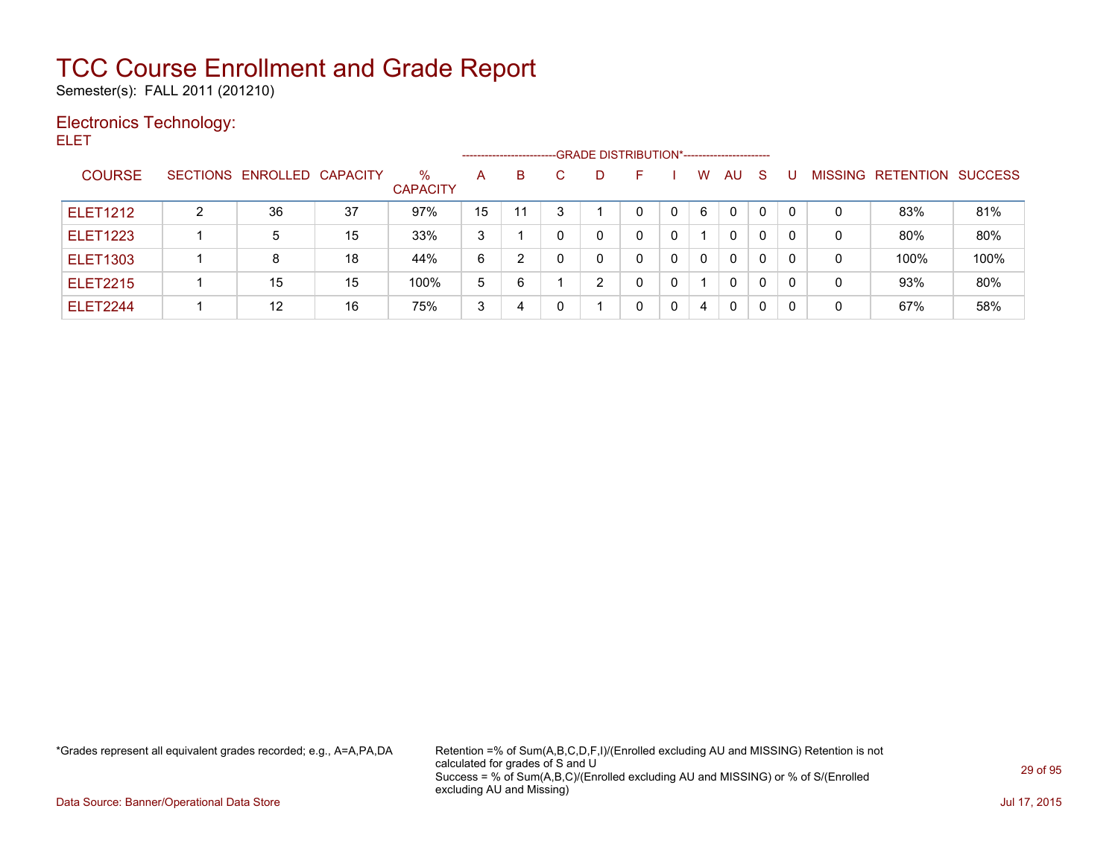Semester(s): FALL 2011 (201210)

### Electronics Technology:

ELET

|                 |   |                            |    |                         |    | -------------------------- |   |   | -- GRADE DISTRIBUTION*------------------------ |              |   |              |              |   |   |                          |                |
|-----------------|---|----------------------------|----|-------------------------|----|----------------------------|---|---|------------------------------------------------|--------------|---|--------------|--------------|---|---|--------------------------|----------------|
| <b>COURSE</b>   |   | SECTIONS ENROLLED CAPACITY |    | $\%$<br><b>CAPACITY</b> | A  | B                          |   | D |                                                |              | W | AU.          | -S           | U |   | <b>MISSING RETENTION</b> | <b>SUCCESS</b> |
| <b>ELET1212</b> | 2 | 36                         | 37 | 97%                     | 15 | 11                         | າ |   | $\Omega$                                       | $\Omega$     | 6 | $\Omega$     |              |   | 0 | 83%                      | 81%            |
| <b>ELET1223</b> |   | 5                          | 15 | 33%                     | 3  |                            |   | 0 | $\mathbf{0}$                                   | $\mathbf{0}$ |   | $\mathbf{0}$ | $\mathbf{0}$ |   | 0 | 80%                      | 80%            |
| <b>ELET1303</b> |   |                            | 18 | 44%                     | 6  |                            |   | 0 |                                                | 0            | 0 | $\Omega$     | 0            |   | 0 | 100%                     | 100%           |
| <b>ELET2215</b> |   | 15                         | 15 | 100%                    | 5  | 6                          |   | 2 |                                                | 0            |   | $\mathbf{0}$ | 0            |   | 0 | 93%                      | 80%            |
| ELET2244        |   | 12                         | 16 | 75%                     | 3  | 4                          |   |   |                                                | 0            | 4 | 0            | 0            |   | 0 | 67%                      | 58%            |

\*Grades represent all equivalent grades recorded; e.g., A=A,PA,DA Retention =% of Sum(A,B,C,D,F,I)/(Enrolled excluding AU and MISSING) Retention is not calculated for grades of S and U Success = % of Sum(A,B,C)/(Enrolled excluding AU and MISSING) or % of S/(Enrolled excluding AU and Missing)

Data Source: Banner/Operational Data Store Jul 17, 2015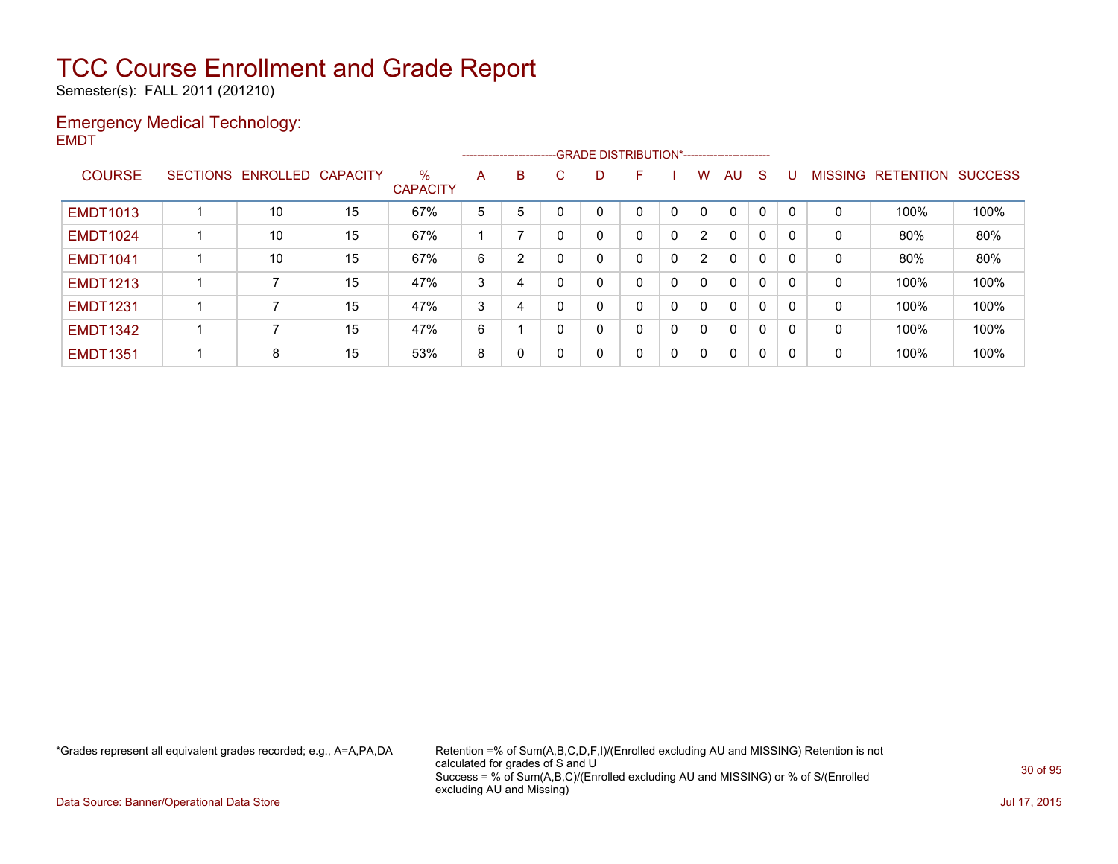Semester(s): FALL 2011 (201210)

#### Emergency Medical Technology: EMDT

|                 |                            |    |                         |   |   |              |    | --------------------------GRADE DISTRIBUTION*----------------------- |              |                |              |              |          |                |           |                |
|-----------------|----------------------------|----|-------------------------|---|---|--------------|----|----------------------------------------------------------------------|--------------|----------------|--------------|--------------|----------|----------------|-----------|----------------|
| <b>COURSE</b>   | SECTIONS ENROLLED CAPACITY |    | $\%$<br><b>CAPACITY</b> | A | B | C.           | D. | F.                                                                   |              | W              | AU           | <sub>S</sub> |          | <b>MISSING</b> | RETENTION | <b>SUCCESS</b> |
| <b>EMDT1013</b> | 10                         | 15 | 67%                     | 5 | 5 |              |    | 0                                                                    | 0            | 0              | $\mathbf{0}$ | $\mathbf 0$  |          | 0              | 100%      | 100%           |
| <b>EMDT1024</b> | 10                         | 15 | 67%                     |   |   |              |    | 0                                                                    | $\mathbf{0}$ | $\overline{2}$ | $\mathbf{0}$ | $\mathbf 0$  | - 0      | 0              | 80%       | 80%            |
| <b>EMDT1041</b> | 10                         | 15 | 67%                     | 6 | 2 |              |    | 0                                                                    | 0            | $\overline{2}$ | $\mathbf{0}$ | $\mathbf{0}$ |          | 0              | 80%       | 80%            |
| <b>EMDT1213</b> | 7                          | 15 | 47%                     | 3 | 4 | $\mathsf{C}$ |    | 0                                                                    | 0            | $\mathbf{0}$   | $\mathbf{0}$ | $\mathbf{0}$ | 0        | 0              | 100%      | 100%           |
| <b>EMDT1231</b> |                            | 15 | 47%                     | 3 | 4 |              |    | 0                                                                    | 0            | $\mathbf{0}$   | $\mathbf{0}$ | 0            | $\Omega$ | 0              | 100%      | 100%           |
| <b>EMDT1342</b> |                            | 15 | 47%                     | 6 |   |              |    | 0                                                                    | 0            | $\mathbf{0}$   | $\mathbf{0}$ | 0            | 0        | 0              | 100%      | 100%           |
| <b>EMDT1351</b> | 8                          | 15 | 53%                     | 8 | 0 |              | 0  | 0                                                                    | $\mathbf{0}$ | $\mathbf 0$    | $\mathbf{0}$ | 0            | -0       | 0              | 100%      | 100%           |

\*Grades represent all equivalent grades recorded; e.g., A=A,PA,DA Retention =% of Sum(A,B,C,D,F,I)/(Enrolled excluding AU and MISSING) Retention is not calculated for grades of S and U Success = % of Sum(A,B,C)/(Enrolled excluding AU and MISSING) or % of S/(Enrolled excluding AU and Missing)

Data Source: Banner/Operational Data Store Jul 17, 2015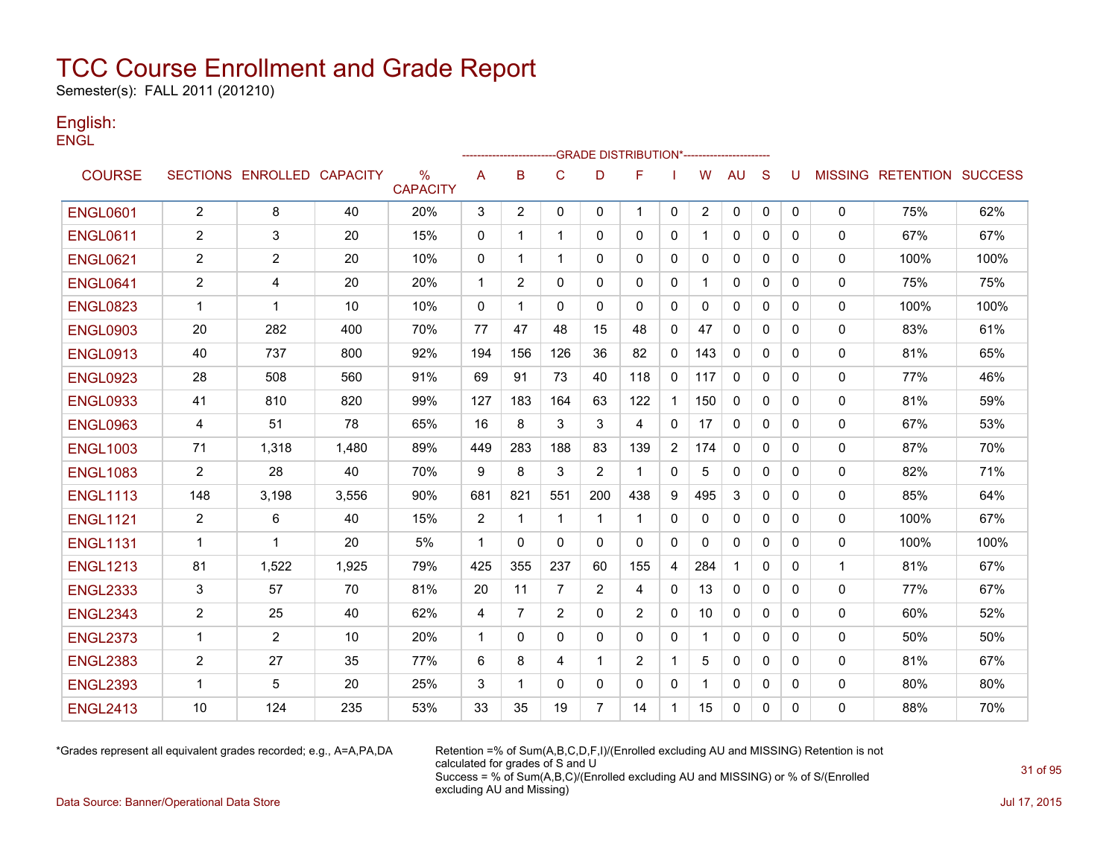Semester(s): FALL 2011 (201210)

#### English: **ENGL**

|                 |                |                            |       |                      |                |              |              |                | -------------------GRADE                       DISTRIBUTION*--------------------- |                |                |              |              |              |              |                                  |      |
|-----------------|----------------|----------------------------|-------|----------------------|----------------|--------------|--------------|----------------|-----------------------------------------------------------------------------------|----------------|----------------|--------------|--------------|--------------|--------------|----------------------------------|------|
| <b>COURSE</b>   |                | SECTIONS ENROLLED CAPACITY |       | %<br><b>CAPACITY</b> | A              | B            | $\mathsf{C}$ | D              | F                                                                                 |                | W              | <b>AU</b>    | S            | U            |              | <b>MISSING RETENTION SUCCESS</b> |      |
| <b>ENGL0601</b> | $\overline{2}$ | 8                          | 40    | 20%                  | 3              | 2            | $\mathbf 0$  | $\mathbf{0}$   | $\mathbf 1$                                                                       | $\mathbf 0$    | $\overline{2}$ | 0            | $\mathbf 0$  | $\mathbf{0}$ | $\mathbf 0$  | 75%                              | 62%  |
| <b>ENGL0611</b> | $\overline{2}$ | 3                          | 20    | 15%                  | 0              | 1            | $\mathbf{1}$ | 0              | 0                                                                                 | 0              | 1              | $\mathbf{0}$ | 0            | 0            | 0            | 67%                              | 67%  |
| <b>ENGL0621</b> | $\overline{2}$ | 2                          | 20    | 10%                  | 0              | 1            | 1            | $\Omega$       | $\mathbf{0}$                                                                      | 0              | 0              | 0            | $\mathbf{0}$ | 0            | 0            | 100%                             | 100% |
| <b>ENGL0641</b> | 2              | 4                          | 20    | 20%                  | $\mathbf{1}$   | 2            | $\mathbf{0}$ | 0              | $\mathbf{0}$                                                                      | $\mathbf{0}$   |                | 0            | $\Omega$     | 0            | 0            | 75%                              | 75%  |
| <b>ENGL0823</b> | -1             | $\mathbf 1$                | 10    | 10%                  | $\mathbf{0}$   | 1            | $\Omega$     | 0              | 0                                                                                 | $\mathbf{0}$   | 0              | $\mathbf{0}$ | 0            | 0            | $\mathbf{0}$ | 100%                             | 100% |
| <b>ENGL0903</b> | 20             | 282                        | 400   | 70%                  | 77             | 47           | 48           | 15             | 48                                                                                | 0              | 47             | $\mathbf{0}$ | 0            | 0            | 0            | 83%                              | 61%  |
| <b>ENGL0913</b> | 40             | 737                        | 800   | 92%                  | 194            | 156          | 126          | 36             | 82                                                                                | 0              | 143            | 0            | $\mathbf{0}$ | 0            | $\mathbf 0$  | 81%                              | 65%  |
| <b>ENGL0923</b> | 28             | 508                        | 560   | 91%                  | 69             | 91           | 73           | 40             | 118                                                                               | 0              | 117            | $\Omega$     | $\mathbf{0}$ | 0            | 0            | 77%                              | 46%  |
| <b>ENGL0933</b> | 41             | 810                        | 820   | 99%                  | 127            | 183          | 164          | 63             | 122                                                                               | $\mathbf{1}$   | 150            | $\Omega$     | $\Omega$     | 0            | $\mathbf{0}$ | 81%                              | 59%  |
| <b>ENGL0963</b> | 4              | 51                         | 78    | 65%                  | 16             | 8            | 3            | 3              | 4                                                                                 | $\mathbf{0}$   | 17             | $\Omega$     | $\Omega$     | 0            | 0            | 67%                              | 53%  |
| <b>ENGL1003</b> | 71             | 1,318                      | 1,480 | 89%                  | 449            | 283          | 188          | 83             | 139                                                                               | $\overline{2}$ | 174            | 0            | $\Omega$     | 0            | 0            | 87%                              | 70%  |
| <b>ENGL1083</b> | $\overline{2}$ | 28                         | 40    | 70%                  | 9              | 8            | 3            | $\overline{2}$ | 1                                                                                 | 0              | 5              | 0            | $\mathbf{0}$ | 0            | 0            | 82%                              | 71%  |
| <b>ENGL1113</b> | 148            | 3,198                      | 3,556 | 90%                  | 681            | 821          | 551          | 200            | 438                                                                               | 9              | 495            | 3            | 0            | 0            | 0            | 85%                              | 64%  |
| <b>ENGL1121</b> | $\overline{2}$ | 6                          | 40    | 15%                  | $\overline{2}$ | $\mathbf 1$  | $\mathbf 1$  | 1              | -1                                                                                | 0              | 0              | 0            | $\mathbf{0}$ | 0            | 0            | 100%                             | 67%  |
| <b>ENGL1131</b> | $\mathbf{1}$   | $\mathbf 1$                | 20    | 5%                   | $\mathbf{1}$   | $\Omega$     | $\Omega$     | $\Omega$       | $\mathbf{0}$                                                                      | $\mathbf{0}$   | $\mathbf{0}$   | $\Omega$     | $\Omega$     | $\Omega$     | 0            | 100%                             | 100% |
| <b>ENGL1213</b> | 81             | 1,522                      | 1,925 | 79%                  | 425            | 355          | 237          | 60             | 155                                                                               | 4              | 284            | $\mathbf 1$  | $\mathbf{0}$ | 0            | $\mathbf{1}$ | 81%                              | 67%  |
| <b>ENGL2333</b> | 3              | 57                         | 70    | 81%                  | 20             | 11           | 7            | 2              | 4                                                                                 | $\mathbf{0}$   | 13             | $\mathbf{0}$ | $\mathbf{0}$ | 0            | 0            | 77%                              | 67%  |
| <b>ENGL2343</b> | $\overline{2}$ | 25                         | 40    | 62%                  | 4              | 7            | 2            | 0              | 2                                                                                 | 0              | 10             | $\mathbf{0}$ | $\mathbf{0}$ | 0            | 0            | 60%                              | 52%  |
| <b>ENGL2373</b> | $\mathbf{1}$   | 2                          | 10    | 20%                  | $\mathbf{1}$   | $\mathbf{0}$ | $\Omega$     | $\Omega$       | $\mathbf{0}$                                                                      | $\mathbf{0}$   | 1              | $\Omega$     | $\Omega$     | 0            | $\mathbf{0}$ | 50%                              | 50%  |
| <b>ENGL2383</b> | $\overline{2}$ | 27                         | 35    | 77%                  | 6              | 8            | 4            | 1              | 2                                                                                 | $\mathbf{1}$   | 5              | 0            | $\Omega$     | 0            | 0            | 81%                              | 67%  |
| <b>ENGL2393</b> | -1             | 5                          | 20    | 25%                  | 3              | 1            | $\Omega$     | 0              | 0                                                                                 | 0              |                | 0            | 0            | 0            | 0            | 80%                              | 80%  |
| <b>ENGL2413</b> | 10             | 124                        | 235   | 53%                  | 33             | 35           | 19           | $\overline{7}$ | 14                                                                                | 1              | 15             | 0            | 0            | 0            | 0            | 88%                              | 70%  |

\*Grades represent all equivalent grades recorded; e.g., A=A,PA,DA Retention =% of Sum(A,B,C,D,F,I)/(Enrolled excluding AU and MISSING) Retention is not calculated for grades of S and U Success = % of Sum(A,B,C)/(Enrolled excluding AU and MISSING) or % of S/(Enrolled excluding AU and Missing)

Data Source: Banner/Operational Data Store Jul 17, 2015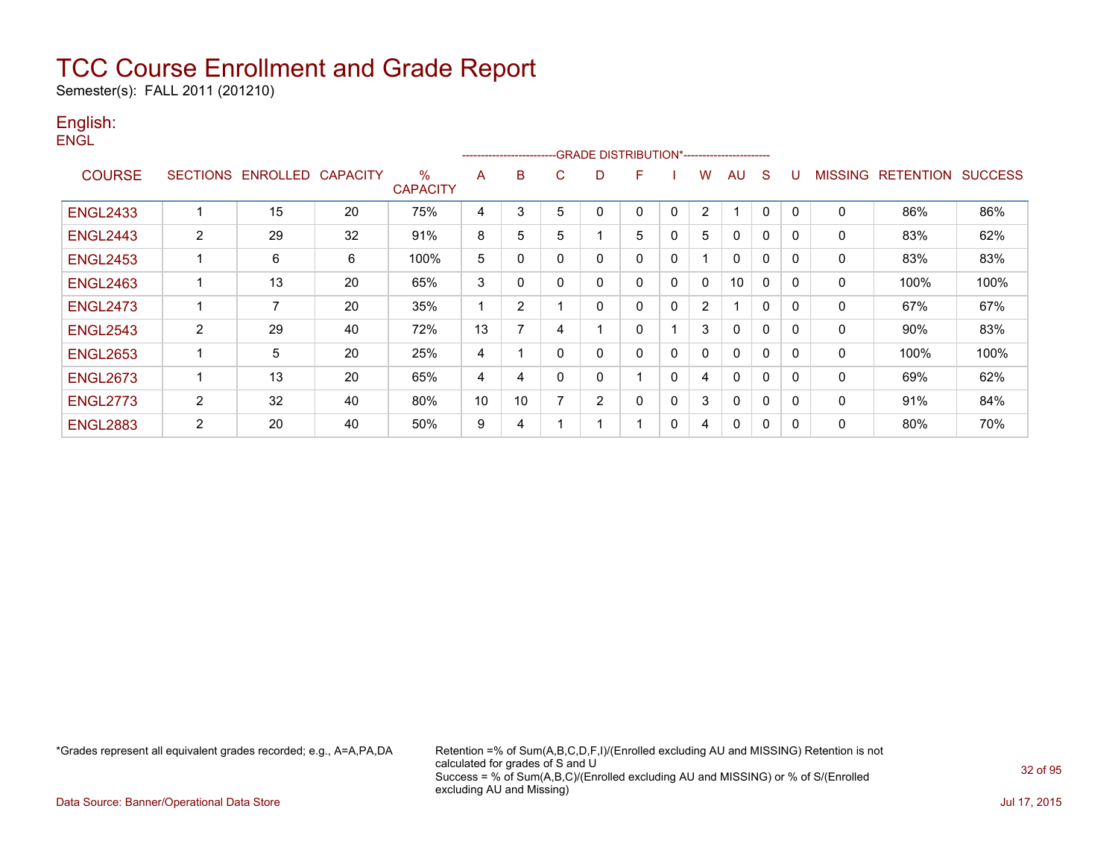Semester(s): FALL 2011 (201210)

#### English: **ENGL**

|                 |                |                            |    |                      |    |                |          | ------------------------GRADE                DISTRIBUTION*---------------------- |              |              |   |              |              |          |                |                  |                |
|-----------------|----------------|----------------------------|----|----------------------|----|----------------|----------|----------------------------------------------------------------------------------|--------------|--------------|---|--------------|--------------|----------|----------------|------------------|----------------|
| <b>COURSE</b>   |                | SECTIONS ENROLLED CAPACITY |    | ℅<br><b>CAPACITY</b> | A  | в              | C        | D                                                                                | F            |              | w | AU           | S            |          | <b>MISSING</b> | <b>RETENTION</b> | <b>SUCCESS</b> |
| <b>ENGL2433</b> | 4              | 15                         | 20 | 75%                  | 4  | 3              | 5        | 0                                                                                | $\mathbf 0$  | 0            | 2 |              | 0            | 0        | $\mathbf 0$    | 86%              | 86%            |
| <b>ENGL2443</b> | $\overline{2}$ | 29                         | 32 | 91%                  | 8  | 5              | 5        |                                                                                  | 5            | 0            | 5 | 0            | 0            | 0        | 0              | 83%              | 62%            |
| <b>ENGL2453</b> | 1              | 6                          | 6  | 100%                 | 5  | 0              | $\Omega$ | $\mathbf 0$                                                                      | $\mathbf{0}$ | 0            |   | 0            | $\Omega$     | $\Omega$ | 0              | 83%              | 83%            |
| <b>ENGL2463</b> | 1              | 13                         | 20 | 65%                  | 3  | 0              | 0        | 0                                                                                | 0            | $\Omega$     | 0 | 10           | $\Omega$     | $\Omega$ | 0              | 100%             | 100%           |
| <b>ENGL2473</b> | 1              | 7                          | 20 | 35%                  |    | 2              |          | $\Omega$                                                                         | $\Omega$     | 0            | 2 |              | $\mathbf{0}$ | $\Omega$ | $\mathbf{0}$   | 67%              | 67%            |
| <b>ENGL2543</b> | 2              | 29                         | 40 | 72%                  | 13 | $\overline{ }$ | 4        |                                                                                  | 0            |              | 3 | $\Omega$     | $\mathbf{0}$ | 0        | 0              | 90%              | 83%            |
| <b>ENGL2653</b> | 1              | 5                          | 20 | 25%                  | 4  |                | $\Omega$ | $\mathbf 0$                                                                      | $\mathbf{0}$ | 0            | 0 | $\Omega$     | $\Omega$     | 0        | $\mathbf{0}$   | 100%             | 100%           |
| <b>ENGL2673</b> | 1              | 13                         | 20 | 65%                  | 4  | 4              | $\Omega$ | $\mathbf 0$                                                                      |              | 0            | 4 | $\Omega$     | $\Omega$     | 0        | $\mathbf{0}$   | 69%              | 62%            |
| <b>ENGL2773</b> | 2              | 32                         | 40 | 80%                  | 10 | 10             |          | 2                                                                                | $\mathbf 0$  | $\mathbf{0}$ | 3 | $\mathbf{0}$ | $\Omega$     | 0        | 0              | 91%              | 84%            |
| <b>ENGL2883</b> | 2              | 20                         | 40 | 50%                  | 9  | 4              |          |                                                                                  |              | 0            | 4 | 0            | 0            | 0        | 0              | 80%              | 70%            |

\*Grades represent all equivalent grades recorded; e.g., A=A,PA,DA Retention =% of Sum(A,B,C,D,F,I)/(Enrolled excluding AU and MISSING) Retention is not calculated for grades of S and U Success = % of Sum(A,B,C)/(Enrolled excluding AU and MISSING) or % of S/(Enrolled excluding AU and Missing)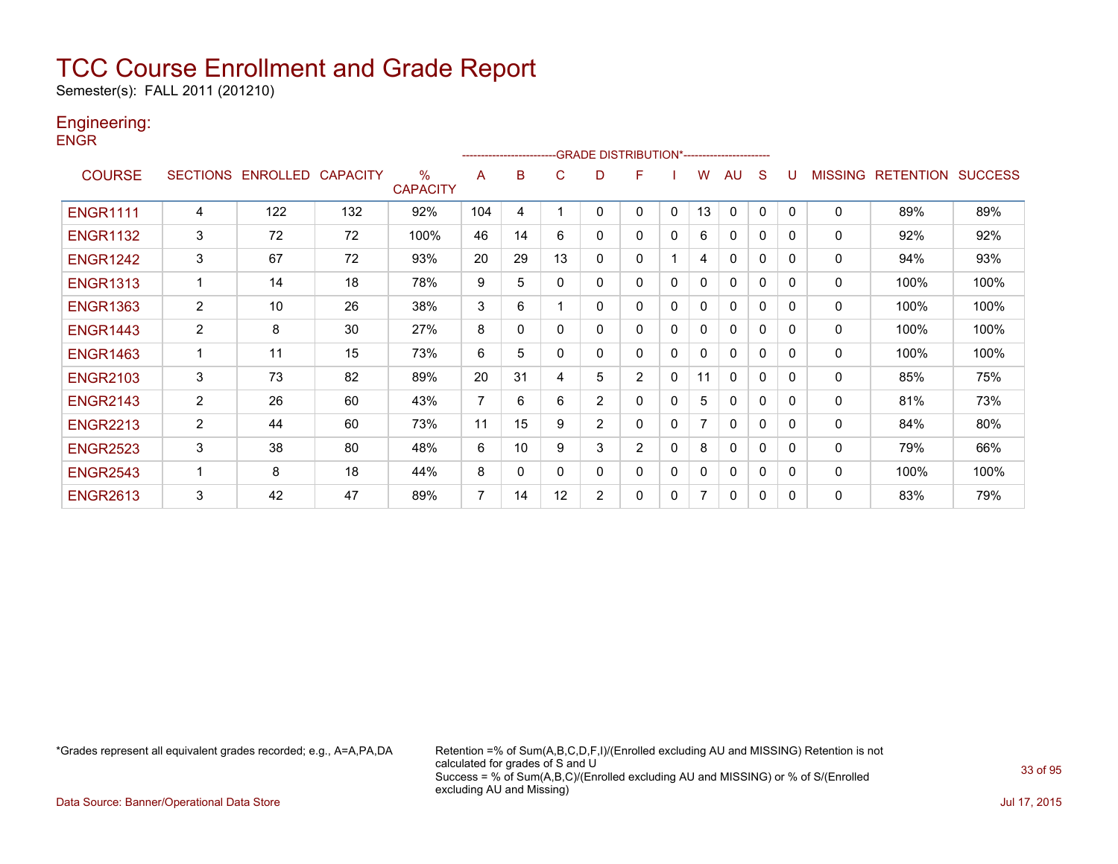Semester(s): FALL 2011 (201210)

### Engineering:

**ENGR** 

|                 |                |                   |                 |                                  |     |              | ------------------------GRADE                DISTRIBUTION*---------------------- |                |                |              |    |              |              |          |                |                  |                |
|-----------------|----------------|-------------------|-----------------|----------------------------------|-----|--------------|----------------------------------------------------------------------------------|----------------|----------------|--------------|----|--------------|--------------|----------|----------------|------------------|----------------|
| <b>COURSE</b>   |                | SECTIONS ENROLLED | <b>CAPACITY</b> | $\frac{0}{0}$<br><b>CAPACITY</b> | A   | в            | C.                                                                               | D              | F              |              | w  | AU           | S            |          | <b>MISSING</b> | <b>RETENTION</b> | <b>SUCCESS</b> |
| <b>ENGR1111</b> | 4              | 122               | 132             | 92%                              | 104 | 4            |                                                                                  | 0              | 0              | 0            | 13 | $\mathbf{0}$ | 0            | $\Omega$ | 0              | 89%              | 89%            |
| <b>ENGR1132</b> | 3              | 72                | 72              | 100%                             | 46  | 14           | 6                                                                                | 0              | 0              | 0            | 6  | $\mathbf{0}$ | 0            | $\Omega$ | 0              | 92%              | 92%            |
| <b>ENGR1242</b> | 3              | 67                | 72              | 93%                              | 20  | 29           | 13                                                                               | 0              | 0              |              | 4  | $\mathbf{0}$ | 0            | $\Omega$ | $\mathbf{0}$   | 94%              | 93%            |
| <b>ENGR1313</b> |                | 14                | 18              | 78%                              | 9   | 5            | 0                                                                                | 0              | 0              | 0            | 0  | $\mathbf{0}$ | 0            | $\Omega$ | 0              | 100%             | 100%           |
| <b>ENGR1363</b> | $\overline{c}$ | 10                | 26              | 38%                              | 3   | 6            |                                                                                  | 0              | 0              | 0            | 0  | $\mathbf{0}$ | $\mathbf{0}$ | $\Omega$ | 0              | 100%             | 100%           |
| <b>ENGR1443</b> | 2              | 8                 | 30              | 27%                              | 8   | 0            | 0                                                                                | 0              | 0              | 0            | 0  | $\mathbf{0}$ | $\mathbf{0}$ | 0        | 0              | 100%             | 100%           |
| <b>ENGR1463</b> |                | 11                | 15              | 73%                              | 6   | 5            | 0                                                                                | 0              | 0              | 0            | 0  | $\mathbf{0}$ | $\mathbf{0}$ | $\Omega$ | 0              | 100%             | 100%           |
| <b>ENGR2103</b> | 3              | 73                | 82              | 89%                              | 20  | 31           | 4                                                                                | 5              | $\overline{2}$ | $\mathbf{0}$ | 11 | $\mathbf{0}$ | $\mathbf{0}$ | $\Omega$ | 0              | 85%              | 75%            |
| <b>ENGR2143</b> | $\overline{2}$ | 26                | 60              | 43%                              | 7   | 6            | 6                                                                                | $\overline{2}$ | 0              | 0            | 5  | $\mathbf{0}$ | $\mathbf{0}$ | $\Omega$ | 0              | 81%              | 73%            |
| <b>ENGR2213</b> | 2              | 44                | 60              | 73%                              | 11  | 15           | 9                                                                                | $\overline{2}$ | 0              | $\mathbf{0}$ | 7  | $\mathbf{0}$ | $\mathbf{0}$ | $\Omega$ | 0              | 84%              | 80%            |
| <b>ENGR2523</b> | 3              | 38                | 80              | 48%                              | 6   | 10           | 9                                                                                | 3              | $\overline{2}$ | $\Omega$     | 8  | $\mathbf{0}$ | $\mathbf{0}$ | $\Omega$ | 0              | 79%              | 66%            |
| <b>ENGR2543</b> |                | 8                 | 18              | 44%                              | 8   | $\mathbf{0}$ | $\Omega$                                                                         | 0              | 0              | 0            | 0  | $\mathbf{0}$ | $\mathbf{0}$ | $\Omega$ | 0              | 100%             | 100%           |
| <b>ENGR2613</b> | 3              | 42                | 47              | 89%                              | 7   | 14           | 12                                                                               | 2              | 0              | 0            | 7  | $\mathbf{0}$ | 0            | $\Omega$ | 0              | 83%              | 79%            |

\*Grades represent all equivalent grades recorded; e.g., A=A,PA,DA Retention =% of Sum(A,B,C,D,F,I)/(Enrolled excluding AU and MISSING) Retention is not calculated for grades of S and U Success = % of Sum(A,B,C)/(Enrolled excluding AU and MISSING) or % of S/(Enrolled excluding AU and Missing)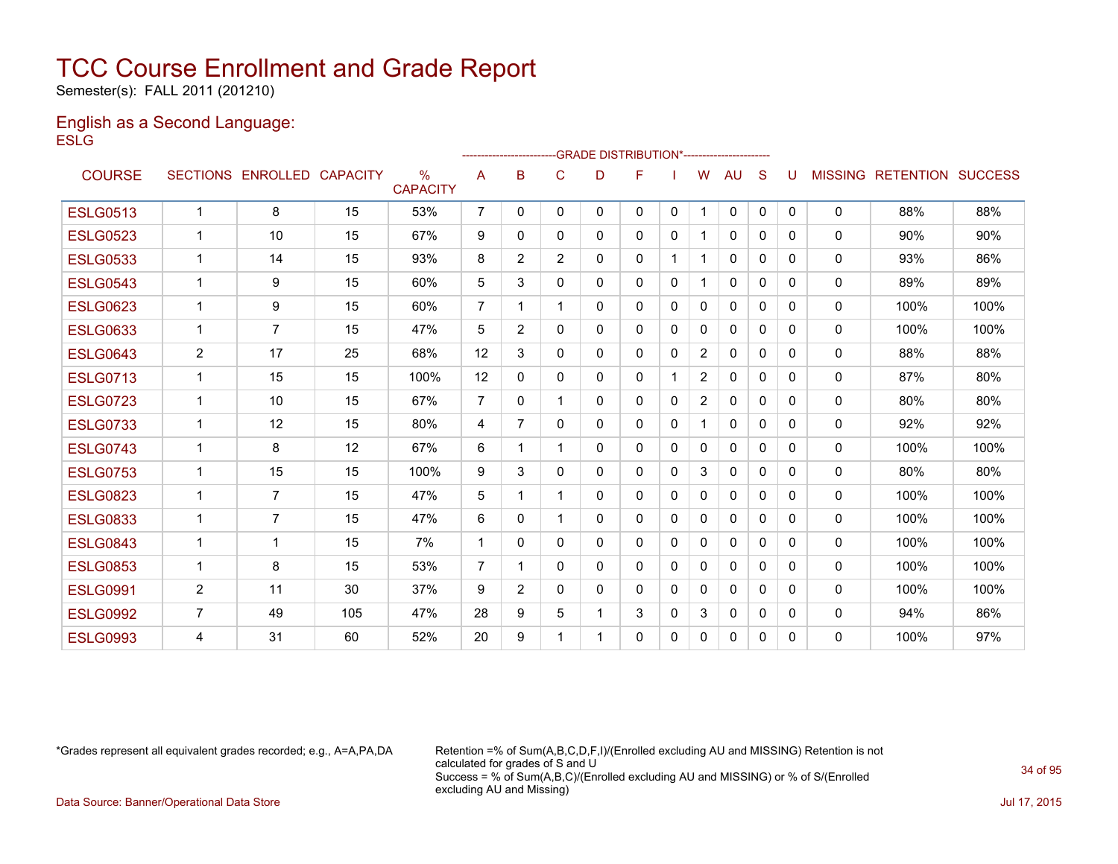Semester(s): FALL 2011 (201210)

#### English as a Second Language: **ESLG**

|                 |                |                   |                 |                      |                |                |                | -GRADE DISTRIBUTION*---------------------- |   |              |                |              |              |              |                |                          |      |
|-----------------|----------------|-------------------|-----------------|----------------------|----------------|----------------|----------------|--------------------------------------------|---|--------------|----------------|--------------|--------------|--------------|----------------|--------------------------|------|
| <b>COURSE</b>   |                | SECTIONS ENROLLED | <b>CAPACITY</b> | %<br><b>CAPACITY</b> | A              | B              | C              | D                                          | F |              | W              | AU           | S            | U            | <b>MISSING</b> | <b>RETENTION SUCCESS</b> |      |
| <b>ESLG0513</b> | 1              | 8                 | 15              | 53%                  | 7              | $\Omega$       | 0              | 0                                          | 0 | $\mathbf{0}$ | -1             | $\mathbf{0}$ | $\mathbf{0}$ | $\mathbf{0}$ | $\mathbf{0}$   | 88%                      | 88%  |
| <b>ESLG0523</b> | $\mathbf{1}$   | 10                | 15              | 67%                  | 9              | 0              | 0              | 0                                          | 0 | $\mathbf{0}$ | 1              | $\mathbf{0}$ | $\Omega$     | $\Omega$     | 0              | 90%                      | 90%  |
| <b>ESLG0533</b> | 1              | 14                | 15              | 93%                  | 8              | $\overline{2}$ | $\overline{2}$ | 0                                          | 0 |              |                | $\mathbf{0}$ | $\Omega$     | 0            | 0              | 93%                      | 86%  |
| <b>ESLG0543</b> | $\mathbf 1$    | 9                 | 15              | 60%                  | 5              | 3              | 0              | 0                                          | 0 | $\mathbf{0}$ |                | 0            | $\Omega$     | 0            | 0              | 89%                      | 89%  |
| <b>ESLG0623</b> | $\mathbf 1$    | 9                 | 15              | 60%                  | $\overline{7}$ | 1              |                | 0                                          | 0 | $\Omega$     | $\mathbf{0}$   | $\mathbf{0}$ | $\Omega$     | 0            | 0              | 100%                     | 100% |
| <b>ESLG0633</b> | $\mathbf{1}$   | $\overline{7}$    | 15              | 47%                  | 5              | $\overline{2}$ | 0              | 0                                          | 0 | $\mathbf{0}$ | 0              | $\mathbf{0}$ | $\mathbf{0}$ | 0            | 0              | 100%                     | 100% |
| <b>ESLG0643</b> | $\overline{2}$ | 17                | 25              | 68%                  | 12             | 3              | 0              | 0                                          | 0 | $\Omega$     | $\overline{2}$ | 0            | $\Omega$     | 0            | $\mathbf{0}$   | 88%                      | 88%  |
| <b>ESLG0713</b> | $\mathbf{1}$   | 15                | 15              | 100%                 | 12             | $\mathbf{0}$   | 0              | 0                                          | 0 |              | $\overline{2}$ | $\mathbf{0}$ | $\Omega$     | $\Omega$     | $\mathbf{0}$   | 87%                      | 80%  |
| <b>ESLG0723</b> | $\mathbf{1}$   | 10                | 15              | 67%                  | $\overline{7}$ | $\Omega$       |                | 0                                          | 0 | $\mathbf{0}$ | $\overline{2}$ | $\mathbf{0}$ | $\Omega$     | $\Omega$     | 0              | 80%                      | 80%  |
| <b>ESLG0733</b> | $\mathbf{1}$   | 12                | 15              | 80%                  | 4              | 7              | $\Omega$       | 0                                          | 0 | $\mathbf{0}$ | -1             | $\mathbf{0}$ | $\Omega$     | <sup>0</sup> | $\mathbf{0}$   | 92%                      | 92%  |
| <b>ESLG0743</b> | $\mathbf 1$    | 8                 | 12              | 67%                  | 6              | 1              |                | 0                                          | 0 | $\mathbf{0}$ | 0              | $\mathbf{0}$ | $\Omega$     | $\Omega$     | 0              | 100%                     | 100% |
| <b>ESLG0753</b> | 1              | 15                | 15              | 100%                 | 9              | 3              | 0              | 0                                          | 0 | $\mathbf{0}$ | 3              | $\Omega$     | $\Omega$     | 0            | $\mathbf{0}$   | 80%                      | 80%  |
| <b>ESLG0823</b> | $\mathbf 1$    | $\overline{7}$    | 15              | 47%                  | 5              | 1              |                | 0                                          | 0 | $\Omega$     | $\Omega$       | $\mathbf{0}$ | $\Omega$     | 0            | 0              | 100%                     | 100% |
| <b>ESLG0833</b> | $\mathbf 1$    | 7                 | 15              | 47%                  | 6              | $\Omega$       |                | 0                                          | 0 | $\Omega$     | $\mathbf{0}$   | $\mathbf{0}$ | $\Omega$     | 0            | $\mathbf{0}$   | 100%                     | 100% |
| <b>ESLG0843</b> | $\mathbf{1}$   | 1                 | 15              | 7%                   | $\overline{1}$ | 0              | $\Omega$       | 0                                          | 0 | $\Omega$     | $\Omega$       | $\mathbf{0}$ | $\Omega$     | 0            | 0              | 100%                     | 100% |
| <b>ESLG0853</b> | $\mathbf{1}$   | 8                 | 15              | 53%                  | $\overline{7}$ | 1              | 0              | 0                                          | 0 | $\mathbf{0}$ | 0              | 0            | $\mathbf{0}$ | 0            | 0              | 100%                     | 100% |
| <b>ESLG0991</b> | 2              | 11                | 30              | 37%                  | 9              | $\overline{2}$ | 0              | 0                                          | 0 | $\mathbf{0}$ | 0              | 0            | $\Omega$     | $\Omega$     | 0              | 100%                     | 100% |
| <b>ESLG0992</b> | $\overline{7}$ | 49                | 105             | 47%                  | 28             | 9              | 5              | 1                                          | 3 | $\mathbf{0}$ | 3              | 0            | 0            | 0            | $\mathbf{0}$   | 94%                      | 86%  |
| <b>ESLG0993</b> | 4              | 31                | 60              | 52%                  | 20             | 9              |                |                                            | 0 | $\Omega$     | 0              | $\Omega$     | 0            | $\Omega$     | $\mathbf{0}$   | 100%                     | 97%  |

\*Grades represent all equivalent grades recorded; e.g., A=A,PA,DA Retention =% of Sum(A,B,C,D,F,I)/(Enrolled excluding AU and MISSING) Retention is not calculated for grades of S and U Success = % of Sum(A,B,C)/(Enrolled excluding AU and MISSING) or % of S/(Enrolled excluding AU and Missing)

Data Source: Banner/Operational Data Store Jul 17, 2015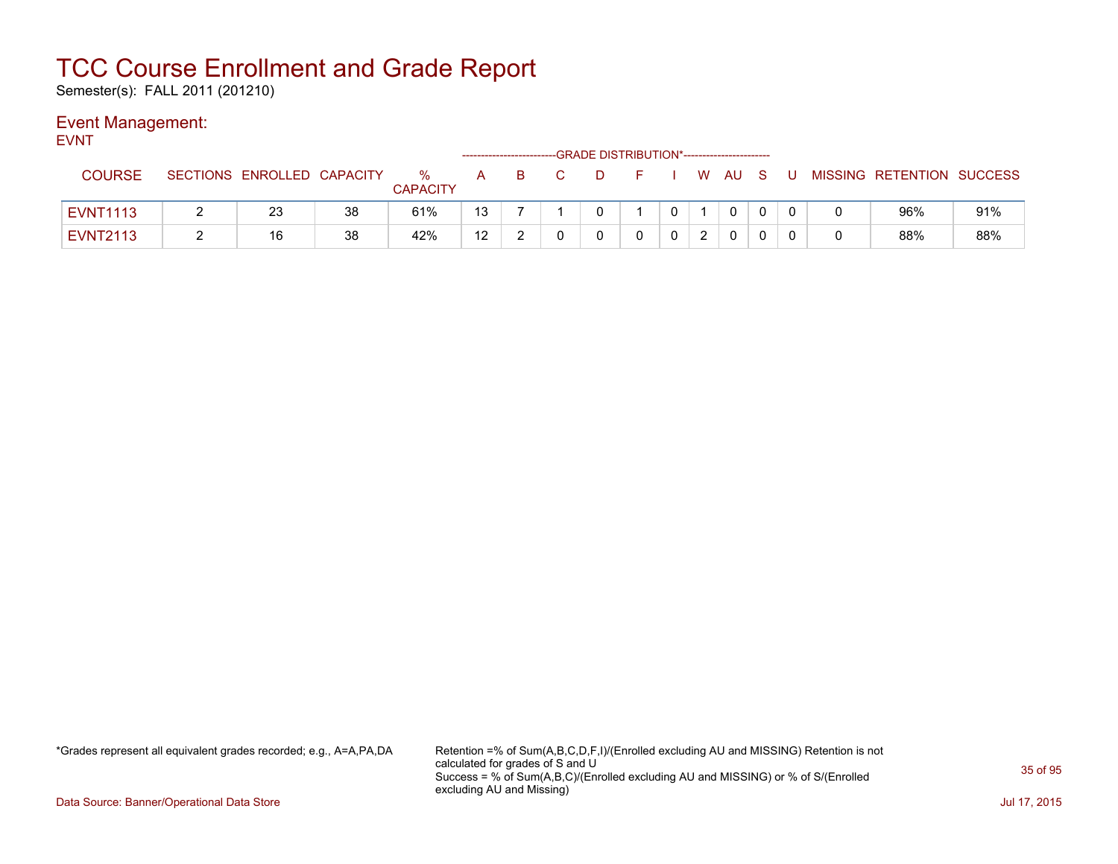Semester(s): FALL 2011 (201210)

### Event Management:

EVNT

|                 |   |                            |    | ---GRADE DISTRIBUTION*----------------------- |    |    |  |  |  |  |  |        |  |  |  |                           |     |
|-----------------|---|----------------------------|----|-----------------------------------------------|----|----|--|--|--|--|--|--------|--|--|--|---------------------------|-----|
| <b>COURSE</b>   |   | SECTIONS ENROLLED CAPACITY |    | ℅<br><b>CAPACITY</b>                          | A  | B. |  |  |  |  |  | W AU S |  |  |  | MISSING RETENTION SUCCESS |     |
| <b>EVNT1113</b> | _ | 23                         | 38 | 61%                                           | 13 |    |  |  |  |  |  |        |  |  |  | 96%                       | 91% |
| <b>EVNT2113</b> |   | 16                         | 38 | 42%                                           | 12 |    |  |  |  |  |  |        |  |  |  | 88%                       | 88% |

\*Grades represent all equivalent grades recorded; e.g., A=A,PA,DA Retention =% of Sum(A,B,C,D,F,I)/(Enrolled excluding AU and MISSING) Retention is not calculated for grades of S and U Success = % of Sum(A,B,C)/(Enrolled excluding AU and MISSING) or % of S/(Enrolled excluding AU and Missing)

Data Source: Banner/Operational Data Store Jul 17, 2015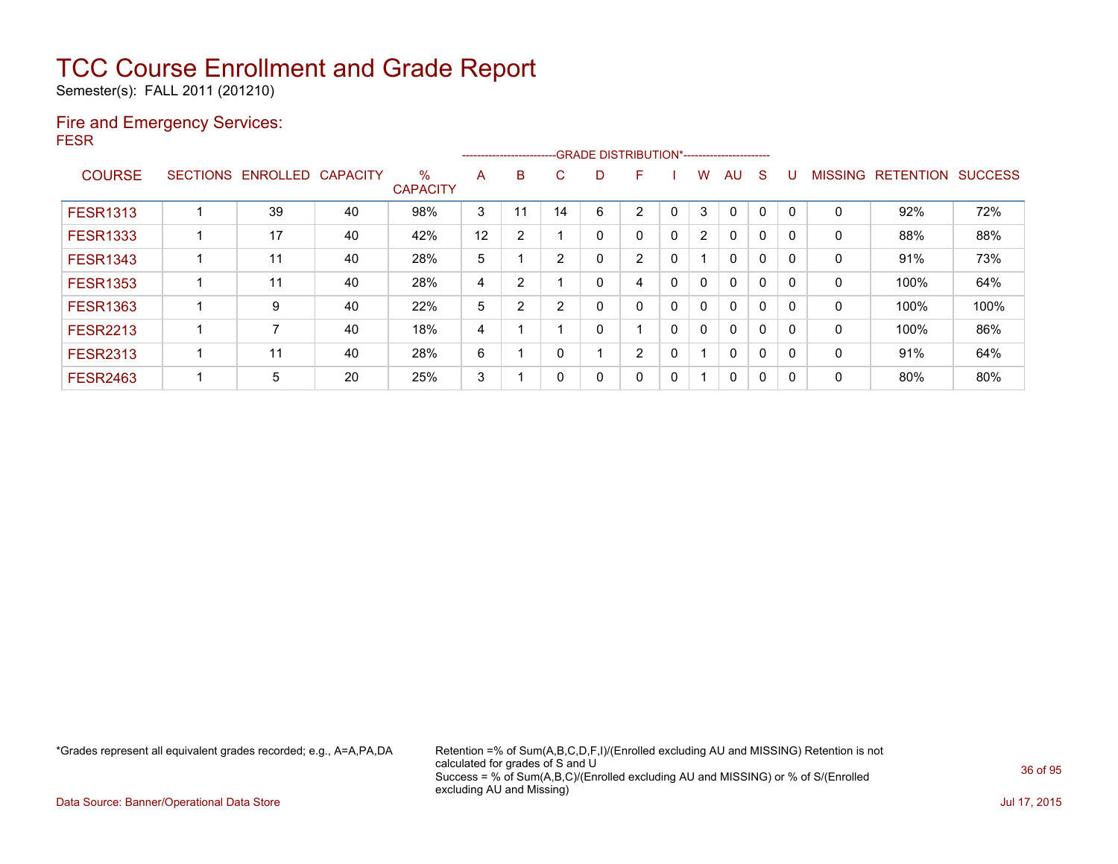Semester(s): FALL 2011 (201210)

#### Fire and Emergency Services: FESR

|                 |                 |                   |    |                         | -GRADE DISTRIBUTION*-----------------------<br>------------------------- |    |                |   |                |   |   |              |              |          |                |                  |                |
|-----------------|-----------------|-------------------|----|-------------------------|--------------------------------------------------------------------------|----|----------------|---|----------------|---|---|--------------|--------------|----------|----------------|------------------|----------------|
| <b>COURSE</b>   | <b>SECTIONS</b> | ENROLLED CAPACITY |    | $\%$<br><b>CAPACITY</b> | A                                                                        | B  | C.             | D | F              |   | w | AU           | <sub>S</sub> |          | <b>MISSING</b> | <b>RETENTION</b> | <b>SUCCESS</b> |
| <b>FESR1313</b> |                 | 39                | 40 | 98%                     | 3                                                                        | 11 | 14             | 6 | 2              | 0 | 3 | $\mathbf{0}$ | 0            |          | 0              | 92%              | 72%            |
| <b>FESR1333</b> |                 | 17                | 40 | 42%                     | 12                                                                       | 2  |                | Ω | 0              | 0 | 2 | $\mathbf{0}$ | 0            | $\Omega$ | 0              | 88%              | 88%            |
| <b>FESR1343</b> |                 | 11                | 40 | 28%                     | 5                                                                        |    | 2              |   | 2              | 0 |   | 0            | 0            | $\Omega$ | 0              | 91%              | 73%            |
| <b>FESR1353</b> |                 | 11                | 40 | 28%                     | 4                                                                        | 2  |                |   | 4              | 0 | 0 | $\mathbf{0}$ | 0            |          | 0              | 100%             | 64%            |
| <b>FESR1363</b> |                 | 9                 | 40 | 22%                     | 5                                                                        | 2  | $\overline{2}$ |   | 0              | 0 | 0 | $\mathbf{0}$ | 0            | $\Omega$ | 0              | 100%             | 100%           |
| <b>FESR2213</b> |                 |                   | 40 | 18%                     | 4                                                                        |    |                |   |                | 0 | 0 | $\mathbf{0}$ | 0            | $\Omega$ | 0              | 100%             | 86%            |
| <b>FESR2313</b> |                 | 11                | 40 | 28%                     | 6                                                                        |    | $\Omega$       |   | $\overline{2}$ | 0 |   | $\mathbf{0}$ | $\mathbf{0}$ | $\Omega$ | 0              | 91%              | 64%            |
| <b>FESR2463</b> |                 | 5                 | 20 | 25%                     | 3                                                                        |    | 0              |   | 0              | 0 |   | 0            | 0            | 0        | 0              | 80%              | 80%            |

\*Grades represent all equivalent grades recorded; e.g., A=A,PA,DA Retention =% of Sum(A,B,C,D,F,I)/(Enrolled excluding AU and MISSING) Retention is not calculated for grades of S and U Success = % of Sum(A,B,C)/(Enrolled excluding AU and MISSING) or % of S/(Enrolled excluding AU and Missing)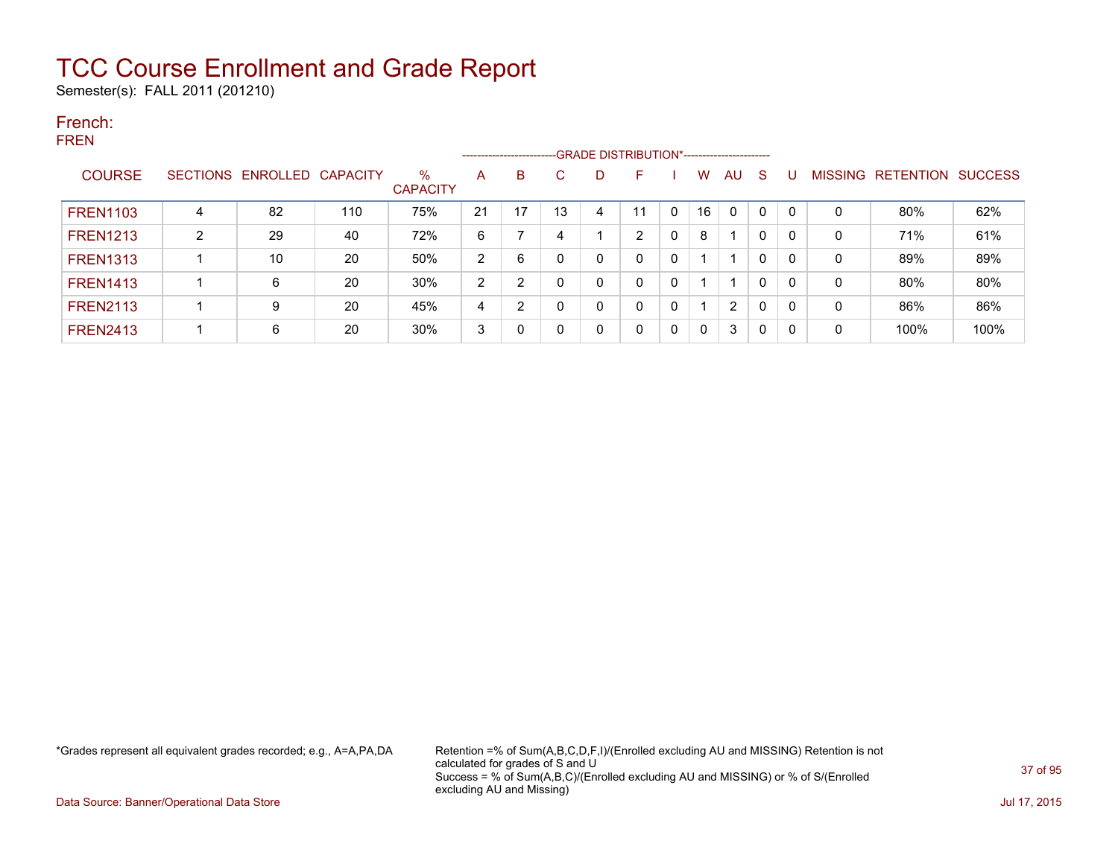Semester(s): FALL 2011 (201210)

### French: FREN

|                 |   |                   |                 |                      |                | --------------------- |    |   | -GRADE DISTRIBUTION*----------------------- |              |    |    |              |              |             |                  |                |
|-----------------|---|-------------------|-----------------|----------------------|----------------|-----------------------|----|---|---------------------------------------------|--------------|----|----|--------------|--------------|-------------|------------------|----------------|
| <b>COURSE</b>   |   | SECTIONS ENROLLED | <b>CAPACITY</b> | %<br><b>CAPACITY</b> | A              | B                     | C. |   | F                                           |              | w  | AU | S            | IJ           | MISSING     | <b>RETENTION</b> | <b>SUCCESS</b> |
| <b>FREN1103</b> | 4 | 82                | 110             | 75%                  | 21             | 17                    | 13 | 4 | 11                                          | $\Omega$     | 16 | 0  | $\mathbf{0}$ | $\mathbf{0}$ | 0           | 80%              | 62%            |
| <b>FREN1213</b> | 2 | 29                | 40              | 72%                  | 6              |                       | 4  |   | ົ                                           | $\mathbf{0}$ | 8  |    | 0            | 0            | 0           | 71%              | 61%            |
| <b>FREN1313</b> |   | 10                | 20              | 50%                  | $\overline{2}$ | 6                     |    |   |                                             | 0            |    |    | $\mathbf{0}$ | 0            | 0           | 89%              | 89%            |
| <b>FREN1413</b> |   | 6                 | 20              | 30%                  | $\overline{2}$ | 2                     | 0  |   |                                             | 0            |    |    | 0            | 0            | 0           | 80%              | 80%            |
| <b>FREN2113</b> |   | 9                 | 20              | 45%                  | 4              | 2                     | 0  |   |                                             | 0            |    | 2  | $\mathbf{0}$ | 0            | $\mathbf 0$ | 86%              | 86%            |
| <b>FREN2413</b> |   | 6                 | 20              | 30%                  | 3              | 0                     |    |   |                                             | 0            | 0  | 3  | 0            | 0            | 0           | 100%             | 100%           |

\*Grades represent all equivalent grades recorded; e.g., A=A,PA,DA Retention =% of Sum(A,B,C,D,F,I)/(Enrolled excluding AU and MISSING) Retention is not calculated for grades of S and U Success = % of Sum(A,B,C)/(Enrolled excluding AU and MISSING) or % of S/(Enrolled excluding AU and Missing)

Data Source: Banner/Operational Data Store Jul 17, 2015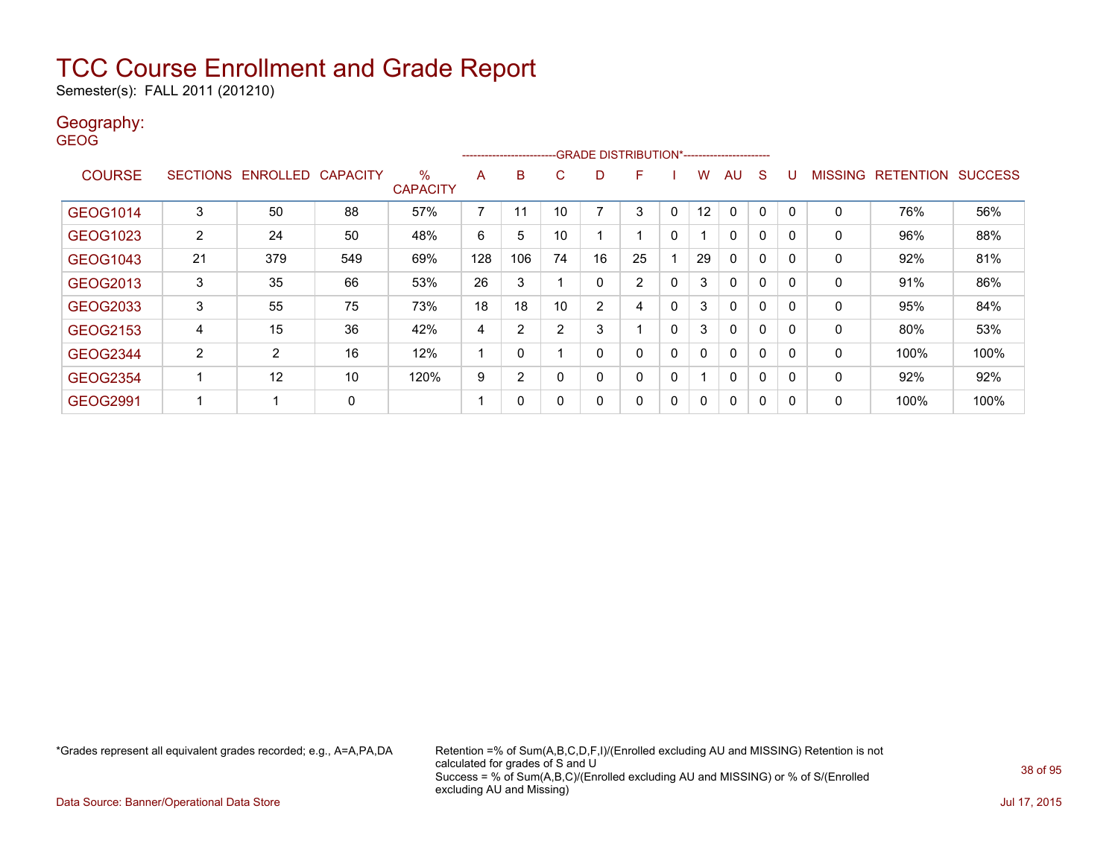Semester(s): FALL 2011 (201210)

### Geography:

GEOG

|                 |                 |                   |     |                      |                | ---------------------- |                | -GRADE DISTRIBUTION*----------------------- |                |              |    |              |              |             |                |                  |                |
|-----------------|-----------------|-------------------|-----|----------------------|----------------|------------------------|----------------|---------------------------------------------|----------------|--------------|----|--------------|--------------|-------------|----------------|------------------|----------------|
| <b>COURSE</b>   | <b>SECTIONS</b> | ENROLLED CAPACITY |     | %<br><b>CAPACITY</b> | A              | B                      | C              | D                                           | F              |              | w  | AU           | S            | U           | <b>MISSING</b> | <b>RETENTION</b> | <b>SUCCESS</b> |
| GEOG1014        | 3               | 50                | 88  | 57%                  | $\overline{ }$ | 11                     | 10             |                                             | 3              | 0            | 12 |              | 0            | 0           | 0              | 76%              | 56%            |
| GEOG1023        | 2               | 24                | 50  | 48%                  | 6              | 5                      | 10             |                                             |                | 0            |    | $\mathbf{0}$ | $\mathbf{0}$ | 0           | 0              | 96%              | 88%            |
| GEOG1043        | 21              | 379               | 549 | 69%                  | 128            | 106                    | 74             | 16                                          | 25             |              | 29 | $\mathbf{0}$ | $\mathbf{0}$ | $\mathbf 0$ | 0              | 92%              | 81%            |
| GEOG2013        | 3               | 35                | 66  | 53%                  | 26             | 3                      |                | 0                                           | $\overline{2}$ | 0            | 3  | $\mathbf{0}$ | $\mathbf{0}$ | 0           | 0              | 91%              | 86%            |
| GEOG2033        | 3               | 55                | 75  | 73%                  | 18             | 18                     | 10             | $\overline{2}$                              | 4              | $\mathbf{0}$ | 3  | $\mathbf{0}$ | $\mathbf{0}$ | 0           | 0              | 95%              | 84%            |
| GEOG2153        | 4               | 15                | 36  | 42%                  | 4              | 2                      | $\overline{2}$ | 3                                           |                | $\mathbf{0}$ | 3  | $\mathbf{0}$ | $\mathbf{0}$ | $\mathbf 0$ | $\mathbf{0}$   | 80%              | 53%            |
| <b>GEOG2344</b> | $\overline{2}$  | $\overline{2}$    | 16  | 12%                  | 4              | 0                      |                | 0                                           |                | 0            |    | $\mathbf{0}$ | $\mathbf{0}$ | 0           | 0              | 100%             | 100%           |
| <b>GEOG2354</b> |                 | 12                | 10  | 120%                 | 9              | 2                      | 0              | 0                                           | $\Omega$       | 0            |    | $\mathbf{0}$ | $\mathbf{0}$ | 0           | 0              | 92%              | 92%            |
| GEOG2991        |                 |                   | 0   |                      |                | 0                      | 0              | 0                                           | $\Omega$       | $\mathbf{0}$ | 0  | $\mathbf{0}$ | $\mathbf{0}$ | 0           | 0              | 100%             | 100%           |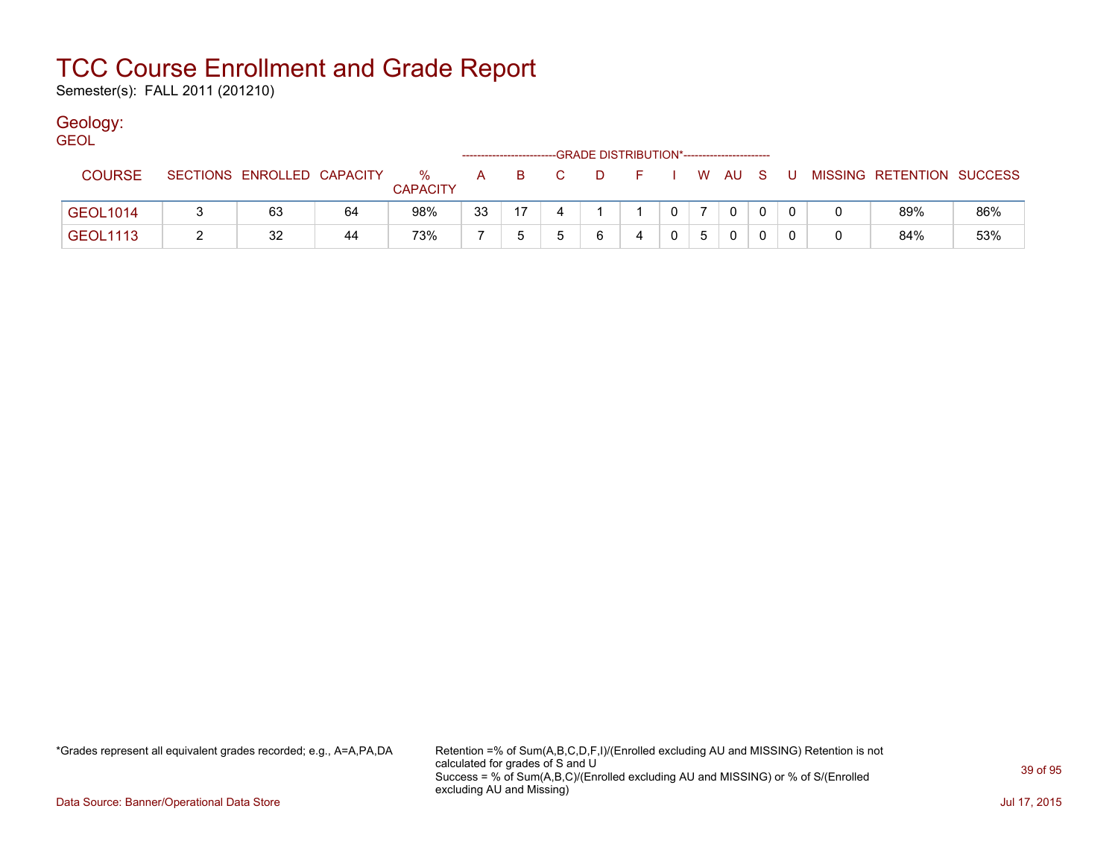Semester(s): FALL 2011 (201210)

### Geology:

| <b>GEOL</b>     |                            |    |                      |    |     |                                                                                                                                                                                                                                                                                                                                    | -GRADE DISTRIBUTION*-----------------------        |              |        |     |                           |     |
|-----------------|----------------------------|----|----------------------|----|-----|------------------------------------------------------------------------------------------------------------------------------------------------------------------------------------------------------------------------------------------------------------------------------------------------------------------------------------|----------------------------------------------------|--------------|--------|-----|---------------------------|-----|
| <b>COURSE</b>   | SECTIONS ENROLLED CAPACITY |    | %<br><b>CAPACITY</b> |    | A B | $\overline{C}$ and $\overline{C}$ and $\overline{C}$ and $\overline{C}$ and $\overline{C}$ and $\overline{C}$ and $\overline{C}$ and $\overline{C}$ and $\overline{C}$ and $\overline{C}$ and $\overline{C}$ and $\overline{C}$ and $\overline{C}$ and $\overline{C}$ and $\overline{C}$ and $\overline{C}$ and $\overline{C}$ and | $\mathcal{L} = \mathbf{F} \mathbf{F} + \mathbf{F}$ |              | . WAUS | - U | MISSING RETENTION SUCCESS |     |
| <b>GEOL1014</b> | 63                         | 64 | 98%                  | 33 | 17  |                                                                                                                                                                                                                                                                                                                                    |                                                    | $\mathbf{0}$ |        |     | 89%                       | 86% |
| <b>GEOL1113</b> | 32                         | 44 | 73%                  |    |     |                                                                                                                                                                                                                                                                                                                                    |                                                    |              |        |     | 84%                       | 53% |

\*Grades represent all equivalent grades recorded; e.g., A=A,PA,DA Retention =% of Sum(A,B,C,D,F,I)/(Enrolled excluding AU and MISSING) Retention is not calculated for grades of S and U Success = % of Sum(A,B,C)/(Enrolled excluding AU and MISSING) or % of S/(Enrolled excluding AU and Missing)

Data Source: Banner/Operational Data Store Jul 17, 2015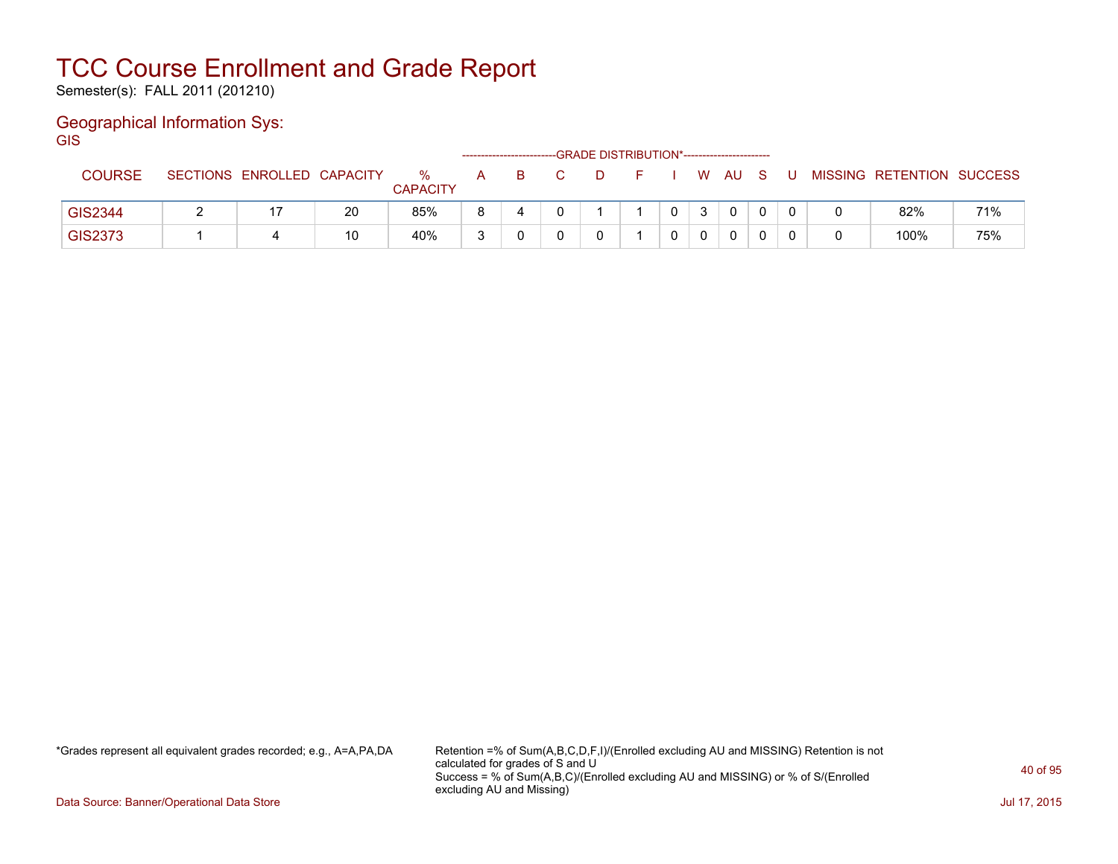Semester(s): FALL 2011 (201210)

### Geographical Information Sys:

**GIS** 

|                |                            |    |                      |        |  | -GRADE DISTRIBUTION*----------------------- |  |      |  |                           |     |
|----------------|----------------------------|----|----------------------|--------|--|---------------------------------------------|--|------|--|---------------------------|-----|
| <b>COURSE</b>  | SECTIONS ENROLLED CAPACITY |    | %<br><b>CAPACITY</b> | A      |  |                                             |  | W AU |  | MISSING RETENTION SUCCESS |     |
| <b>GIS2344</b> |                            | 20 | 85%                  |        |  |                                             |  | 0    |  | 82%                       | 71% |
| GIS2373        |                            | 10 | 40%                  | $\sim$ |  |                                             |  | 0    |  | 100%                      | 75% |

\*Grades represent all equivalent grades recorded; e.g., A=A,PA,DA Retention =% of Sum(A,B,C,D,F,I)/(Enrolled excluding AU and MISSING) Retention is not calculated for grades of S and U Success = % of Sum(A,B,C)/(Enrolled excluding AU and MISSING) or % of S/(Enrolled excluding AU and Missing)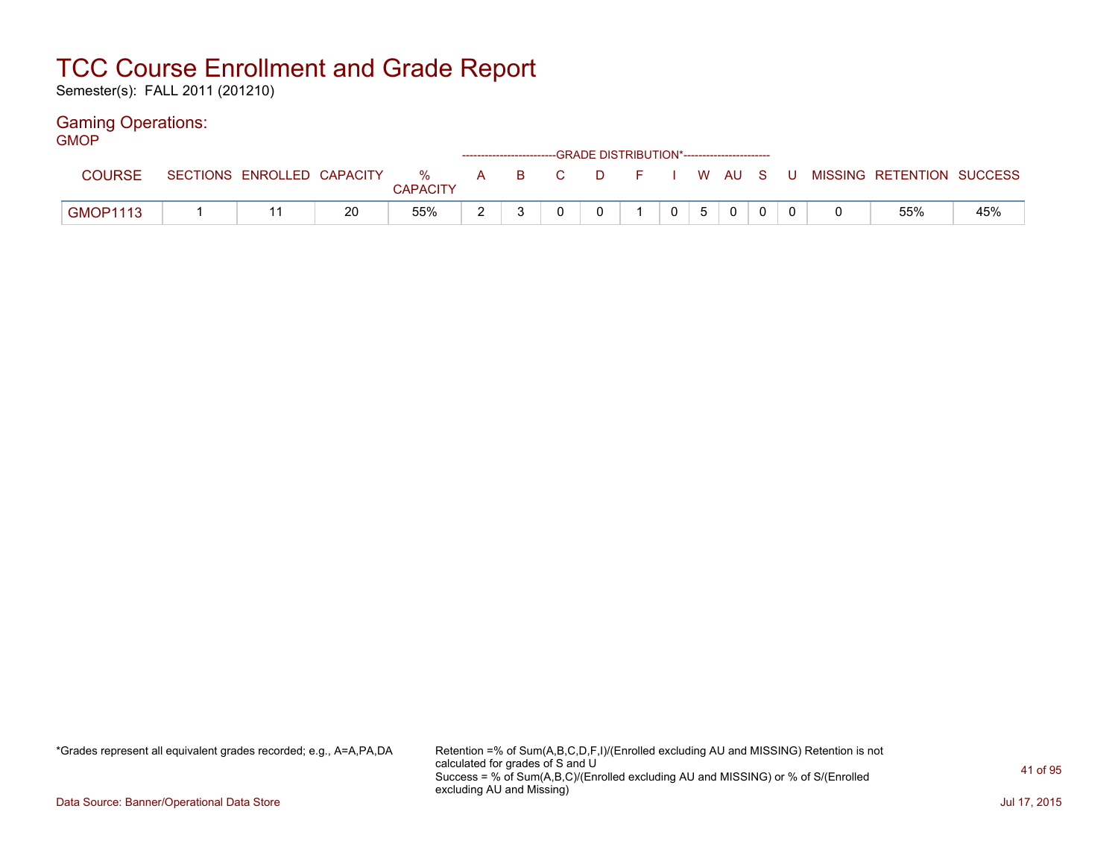Semester(s): FALL 2011 (201210)

### Gaming Operations:

| GMOP            |  |    |                 |  | ------------------------GRADE DISTRIBUTION*----------------------- |          |  |                        |          |                                                                             |     |
|-----------------|--|----|-----------------|--|--------------------------------------------------------------------|----------|--|------------------------|----------|-----------------------------------------------------------------------------|-----|
| <b>COURSE</b>   |  |    | <b>CAPACITY</b> |  |                                                                    |          |  |                        |          | SECTIONS ENROLLED CAPACITY % A B C D F I W AU S U MISSING RETENTION SUCCESS |     |
| <b>GMOP1113</b> |  | 20 | 55%             |  |                                                                    | $\Omega$ |  | $0 \mid 5 \mid 0 \mid$ | $\Omega$ | 55%                                                                         | 45% |

\*Grades represent all equivalent grades recorded; e.g., A=A,PA,DA Retention =% of Sum(A,B,C,D,F,I)/(Enrolled excluding AU and MISSING) Retention is not calculated for grades of S and U Success = % of Sum(A,B,C)/(Enrolled excluding AU and MISSING) or % of S/(Enrolled excluding AU and Missing)

Data Source: Banner/Operational Data Store Jul 17, 2015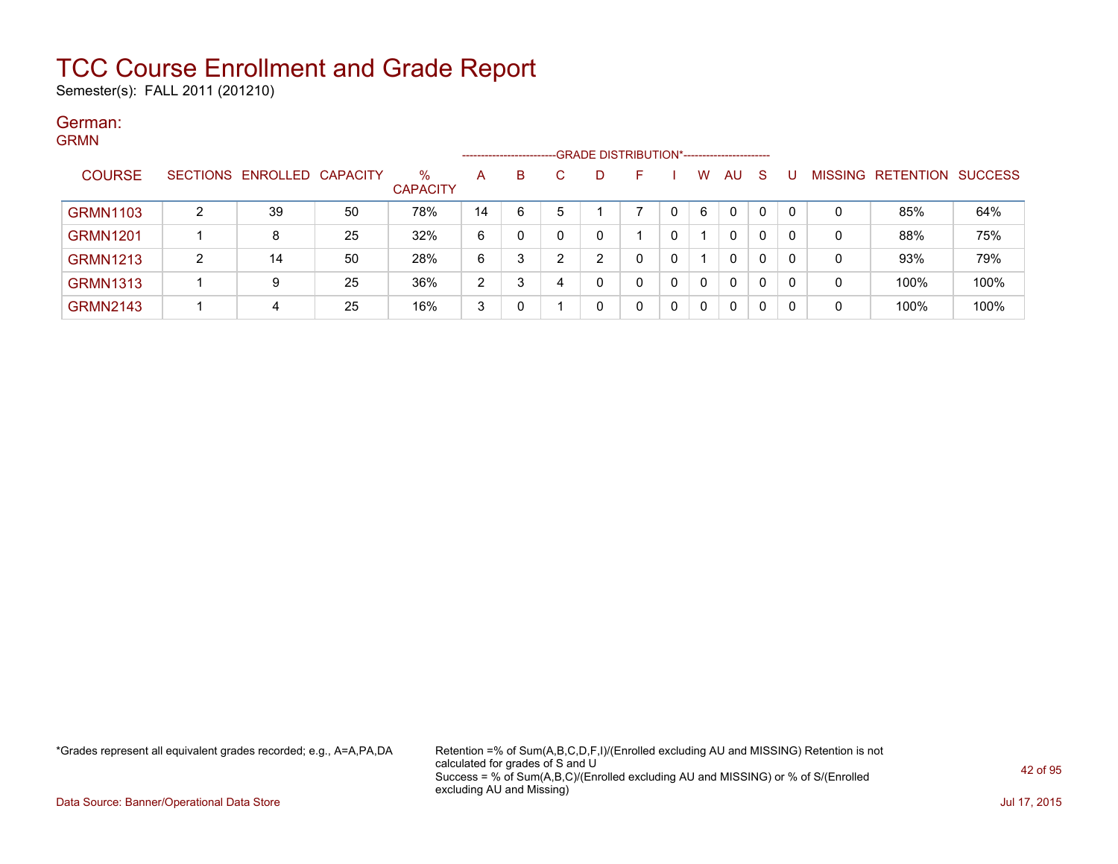Semester(s): FALL 2011 (201210)

### German: GRMN

| ------          |   |                            |    |                      |                    |   |   |   | ------------------------GRADE DISTRIBUTION*----------------------- |   |          |              |              |    |         |                          |      |
|-----------------|---|----------------------------|----|----------------------|--------------------|---|---|---|--------------------------------------------------------------------|---|----------|--------------|--------------|----|---------|--------------------------|------|
| <b>COURSE</b>   |   | SECTIONS ENROLLED CAPACITY |    | %<br><b>CAPACITY</b> | A                  | В |   | D |                                                                    |   | w        | AU           | <sub>S</sub> |    | MISSING | <b>RETENTION SUCCESS</b> |      |
| <b>GRMN1103</b> | ົ | 39                         | 50 | 78%                  | 14                 | 6 |   |   |                                                                    | 0 | 6        | $\mathbf{0}$ | 0            | റ  | 0       | 85%                      | 64%  |
| <b>GRMN1201</b> |   |                            | 25 | 32%                  | 6                  |   |   | C |                                                                    | 0 |          | $\mathbf{0}$ | 0            | -0 | 0       | 88%                      | 75%  |
| <b>GRMN1213</b> | ົ | 14                         | 50 | 28%                  | 6                  | ີ | ົ | ົ | 0                                                                  | 0 |          | $\mathbf{0}$ | 0            |    | 0       | 93%                      | 79%  |
| <b>GRMN1313</b> |   | 9                          | 25 | 36%                  | $\mathcal{D}$<br>▵ | ົ |   | 0 |                                                                    | 0 | $\Omega$ | $\mathbf{0}$ | 0            | -0 | 0       | 100%                     | 100% |
| <b>GRMN2143</b> |   | 4                          | 25 | 16%                  | 3                  |   |   | 0 |                                                                    | 0 | 0        | $\mathbf{0}$ | 0            | -0 | 0       | 100%                     | 100% |

\*Grades represent all equivalent grades recorded; e.g., A=A,PA,DA Retention =% of Sum(A,B,C,D,F,I)/(Enrolled excluding AU and MISSING) Retention is not calculated for grades of S and U Success = % of Sum(A,B,C)/(Enrolled excluding AU and MISSING) or % of S/(Enrolled excluding AU and Missing)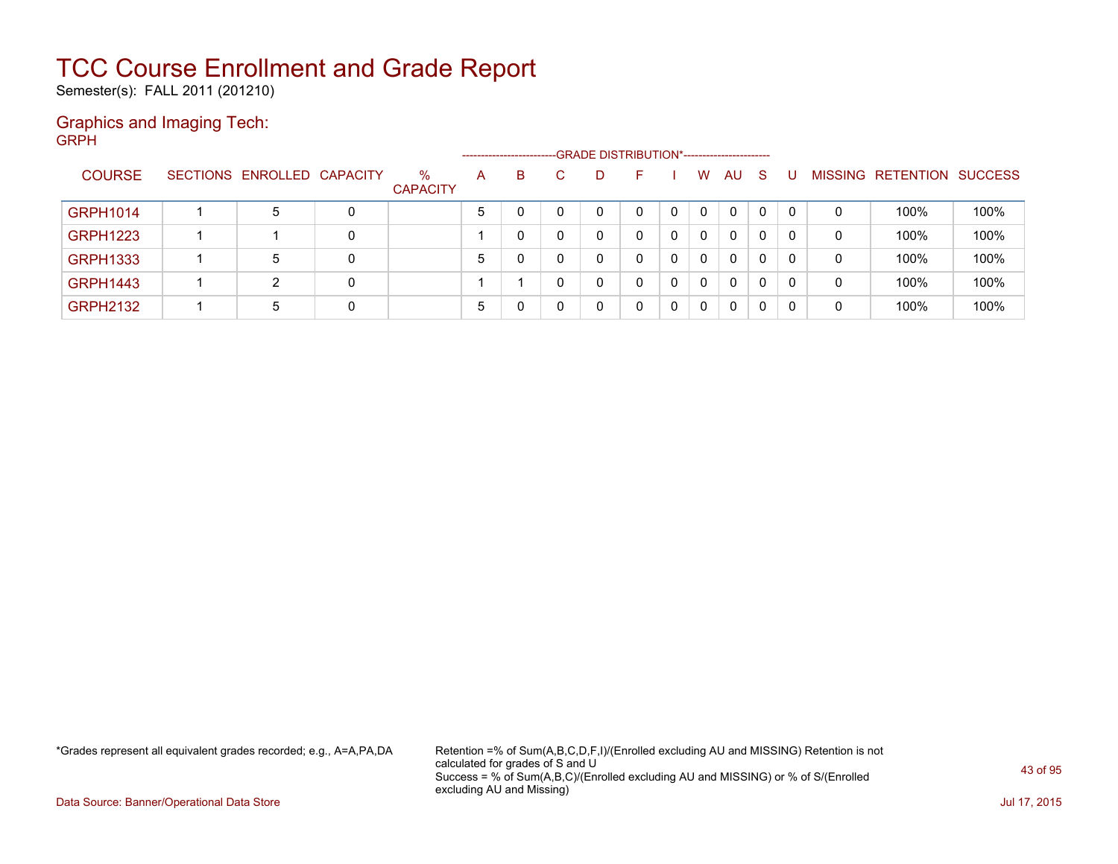Semester(s): FALL 2011 (201210)

### Graphics and Imaging Tech: GRPH

|                 |                            |   |                         |   | --------------------- | -GRADE DISTRIBUTION*----------------------- |              |   |          |              |    |    |   |                          |                |
|-----------------|----------------------------|---|-------------------------|---|-----------------------|---------------------------------------------|--------------|---|----------|--------------|----|----|---|--------------------------|----------------|
| <b>COURSE</b>   | SECTIONS ENROLLED CAPACITY |   | $\%$<br><b>CAPACITY</b> | A | B                     | D                                           | F            |   | W        | AU           | -S |    |   | <b>MISSING RETENTION</b> | <b>SUCCESS</b> |
| <b>GRPH1014</b> | 5                          | 0 |                         | 5 |                       |                                             | $\mathbf{0}$ | 0 | $\Omega$ | $\mathbf{0}$ | 0  | 0  | 0 | 100%                     | 100%           |
| <b>GRPH1223</b> |                            | 0 |                         |   |                       |                                             | 0            | 0 | 0        | 0            | 0  | 0  | 0 | 100%                     | 100%           |
| <b>GRPH1333</b> | 5                          | 0 |                         | 5 |                       |                                             | 0            | 0 | 0        | $\mathbf{0}$ | 0  | 0  | 0 | 100%                     | 100%           |
| <b>GRPH1443</b> | 2                          | 0 |                         |   |                       |                                             | 0            | 0 | 0        | $\mathbf{0}$ | 0  | 0  | 0 | 100%                     | 100%           |
| <b>GRPH2132</b> | 5                          | 0 |                         | 5 |                       |                                             | 0            | 0 | 0        | 0            | 0  | -0 | 0 | 100%                     | 100%           |

\*Grades represent all equivalent grades recorded; e.g., A=A,PA,DA Retention =% of Sum(A,B,C,D,F,I)/(Enrolled excluding AU and MISSING) Retention is not calculated for grades of S and U Success = % of Sum(A,B,C)/(Enrolled excluding AU and MISSING) or % of S/(Enrolled excluding AU and Missing)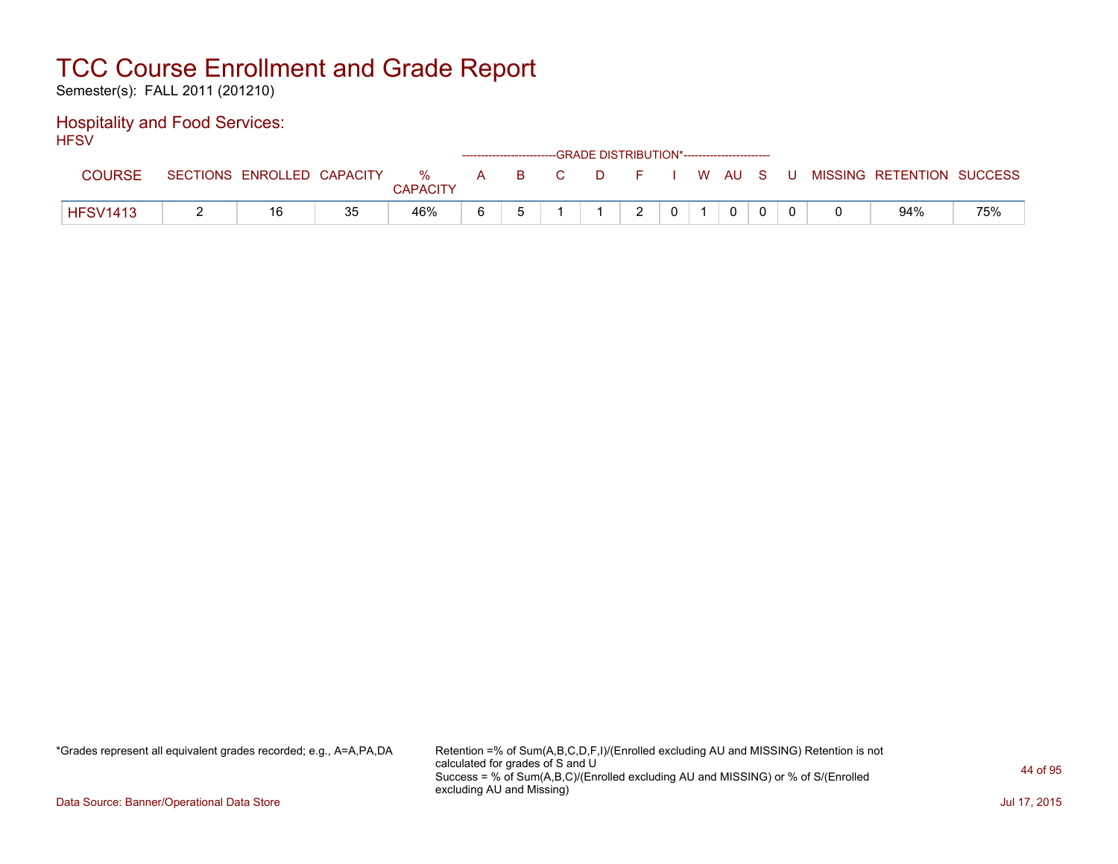Semester(s): FALL 2011 (201210)

### Hospitality and Food Services: **HFSV**

| .               |                            |    |                 |  | ------------------------GRADE DISTRIBUTION*----------------------- |               |                |              |  |                                                  |     |
|-----------------|----------------------------|----|-----------------|--|--------------------------------------------------------------------|---------------|----------------|--------------|--|--------------------------------------------------|-----|
| <b>COURSE</b>   | SECTIONS ENROLLED CAPACITY |    | <b>CAPACITY</b> |  |                                                                    |               |                |              |  | % A B C D F I W AU S U MISSING RETENTION SUCCESS |     |
| <b>HFSV1413</b> |                            | つに | 46%             |  |                                                                    | $\mathcal{D}$ | 0 <sup>1</sup> | $\mathbf{0}$ |  | 94%                                              | 75% |

\*Grades represent all equivalent grades recorded; e.g., A=A,PA,DA Retention =% of Sum(A,B,C,D,F,I)/(Enrolled excluding AU and MISSING) Retention is not calculated for grades of S and U Success = % of Sum(A,B,C)/(Enrolled excluding AU and MISSING) or % of S/(Enrolled excluding AU and Missing)

Data Source: Banner/Operational Data Store Jul 17, 2015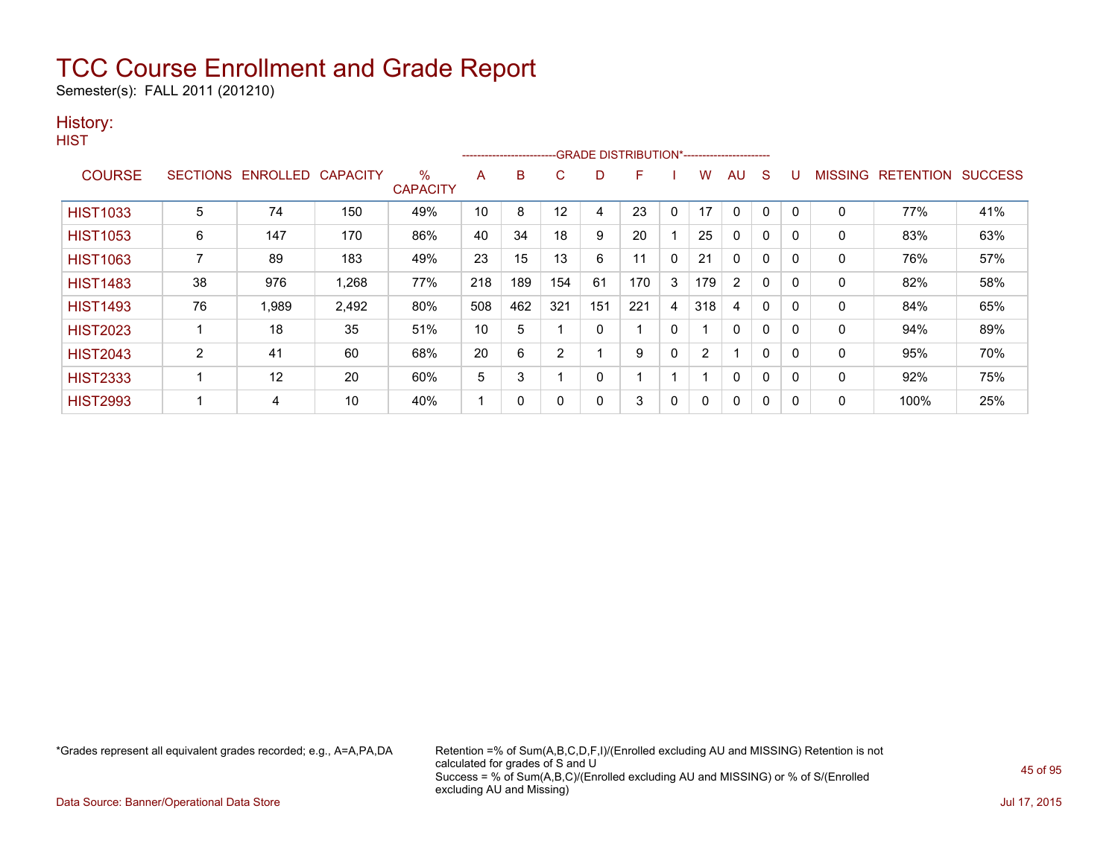Semester(s): FALL 2011 (201210)

### History:

| v.<br>۰. |  |
|----------|--|

|                 |                 |          |                 |                      |     |     |                |     | -----------------------GRADE DISTRIBUTION*----------------------- |              |     |              |              |          |                |                  |                |
|-----------------|-----------------|----------|-----------------|----------------------|-----|-----|----------------|-----|-------------------------------------------------------------------|--------------|-----|--------------|--------------|----------|----------------|------------------|----------------|
| <b>COURSE</b>   | <b>SECTIONS</b> | ENROLLED | <b>CAPACITY</b> | %<br><b>CAPACITY</b> | A   | в   | C              | D   | F                                                                 |              | w   | AU           | S            |          | <b>MISSING</b> | <b>RETENTION</b> | <b>SUCCESS</b> |
|                 |                 |          |                 |                      |     |     |                |     |                                                                   |              |     |              |              |          |                |                  |                |
| <b>HIST1033</b> | 5               | 74       | 150             | 49%                  | 10  | 8   | 12             | 4   | 23                                                                | $\mathbf 0$  | 17  | $\mathbf{0}$ | 0            | $\Omega$ | 0              | 77%              | 41%            |
| <b>HIST1053</b> | 6               | 147      | 170             | 86%                  | 40  | 34  | 18             | 9   | 20                                                                |              | 25  | 0            | 0            | $\Omega$ | 0              | 83%              | 63%            |
| <b>HIST1063</b> |                 | 89       | 183             | 49%                  | 23  | 15  | 13             | 6   | 11                                                                | $\mathbf 0$  | 21  | $\mathbf 0$  | 0            |          | 0              | 76%              | 57%            |
| <b>HIST1483</b> | 38              | 976      | 1,268           | 77%                  | 218 | 189 | 154            | 61  | 170                                                               | 3            | 179 | 2            | $\mathbf{0}$ | $\Omega$ | $\mathbf{0}$   | 82%              | 58%            |
| <b>HIST1493</b> | 76              | 1.989    | 2,492           | 80%                  | 508 | 462 | 321            | 151 | 221                                                               | 4            | 318 | 4            | $\mathbf{0}$ | $\Omega$ | 0              | 84%              | 65%            |
| <b>HIST2023</b> |                 | 18       | 35              | 51%                  | 10  | 5   |                | 0   |                                                                   | 0            |     | 0            | 0            |          | 0              | 94%              | 89%            |
| <b>HIST2043</b> | 2               | 41       | 60              | 68%                  | 20  | 6   | $\overline{2}$ |     | 9                                                                 | $\mathbf{0}$ | 2   |              | $\mathbf{0}$ | 0        | 0              | 95%              | 70%            |
| <b>HIST2333</b> |                 | 12       | 20              | 60%                  | 5   | 3   |                | 0   |                                                                   |              |     | $\mathbf{0}$ | $\mathbf{0}$ | 0        | 0              | 92%              | 75%            |
| <b>HIST2993</b> |                 | 4        | 10              | 40%                  | -1  | 0   | 0              | 0   | 3                                                                 | 0            |     | 0            | 0            | 0        | 0              | 100%             | 25%            |

\*Grades represent all equivalent grades recorded; e.g., A=A,PA,DA Retention =% of Sum(A,B,C,D,F,I)/(Enrolled excluding AU and MISSING) Retention is not calculated for grades of S and U Success = % of Sum(A,B,C)/(Enrolled excluding AU and MISSING) or % of S/(Enrolled excluding AU and Missing)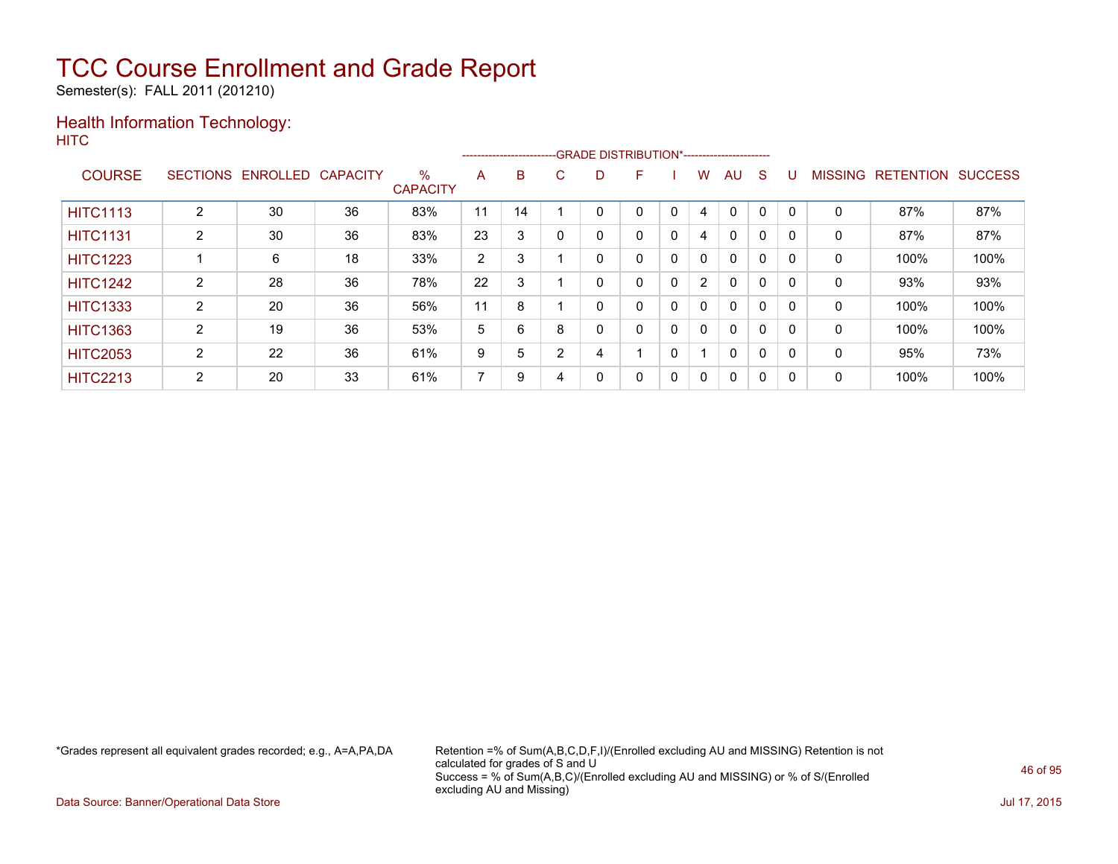Semester(s): FALL 2011 (201210)

### Health Information Technology: **HITC**

|                 |                 |          |                 |                         |    |    |   | --------------------------GRADE DISTRIBUTION*----------------------- |   |              |                |              |              |          |                |                  |                |
|-----------------|-----------------|----------|-----------------|-------------------------|----|----|---|----------------------------------------------------------------------|---|--------------|----------------|--------------|--------------|----------|----------------|------------------|----------------|
| <b>COURSE</b>   | <b>SECTIONS</b> | ENROLLED | <b>CAPACITY</b> | $\%$<br><b>CAPACITY</b> | A  | B  | C | D                                                                    | F |              | W              | AU           | <sub>S</sub> |          | <b>MISSING</b> | <b>RETENTION</b> | <b>SUCCESS</b> |
| <b>HITC1113</b> | ົ               | 30       | 36              | 83%                     | 11 | 14 |   |                                                                      | 0 |              | 4              |              | 0            |          | 0              | 87%              | 87%            |
| <b>HITC1131</b> | 2               | 30       | 36              | 83%                     | 23 | 3  | 0 | 0                                                                    | 0 | $\mathbf{0}$ | 4              | $\mathbf{0}$ | 0            | $\Omega$ | 0              | 87%              | 87%            |
| <b>HITC1223</b> |                 | 6        | 18              | 33%                     | 2  | 3  |   | 0                                                                    | 0 | 0            | $\mathbf{0}$   | $\mathbf{0}$ | $\mathbf 0$  |          | 0              | 100%             | 100%           |
| <b>HITC1242</b> | 2               | 28       | 36              | 78%                     | 22 | 3  |   | 0                                                                    | 0 | 0            | $\overline{2}$ | $\mathbf{0}$ | 0            |          | 0              | 93%              | 93%            |
| <b>HITC1333</b> | 2               | 20       | 36              | 56%                     | 11 | 8  |   | 0                                                                    | 0 | $\mathbf{0}$ | 0              | $\mathbf{0}$ | 0            |          | 0              | 100%             | 100%           |
| <b>HITC1363</b> | 2               | 19       | 36              | 53%                     | 5  | 6  | 8 | 0                                                                    | 0 | $\mathbf{0}$ | 0              | $\mathbf{0}$ | 0            |          | 0              | 100%             | 100%           |
| <b>HITC2053</b> | 2               | 22       | 36              | 61%                     | 9  | 5  | 2 | 4                                                                    |   | 0            |                | 0            | 0            |          | 0              | 95%              | 73%            |
| <b>HITC2213</b> | 2               | 20       | 33              | 61%                     | 7  | 9  |   | 0                                                                    | 0 | 0            | $\mathbf{0}$   | $\mathbf 0$  | 0            |          | 0              | 100%             | 100%           |

\*Grades represent all equivalent grades recorded; e.g., A=A,PA,DA Retention =% of Sum(A,B,C,D,F,I)/(Enrolled excluding AU and MISSING) Retention is not calculated for grades of S and U Success = % of Sum(A,B,C)/(Enrolled excluding AU and MISSING) or % of S/(Enrolled excluding AU and Missing)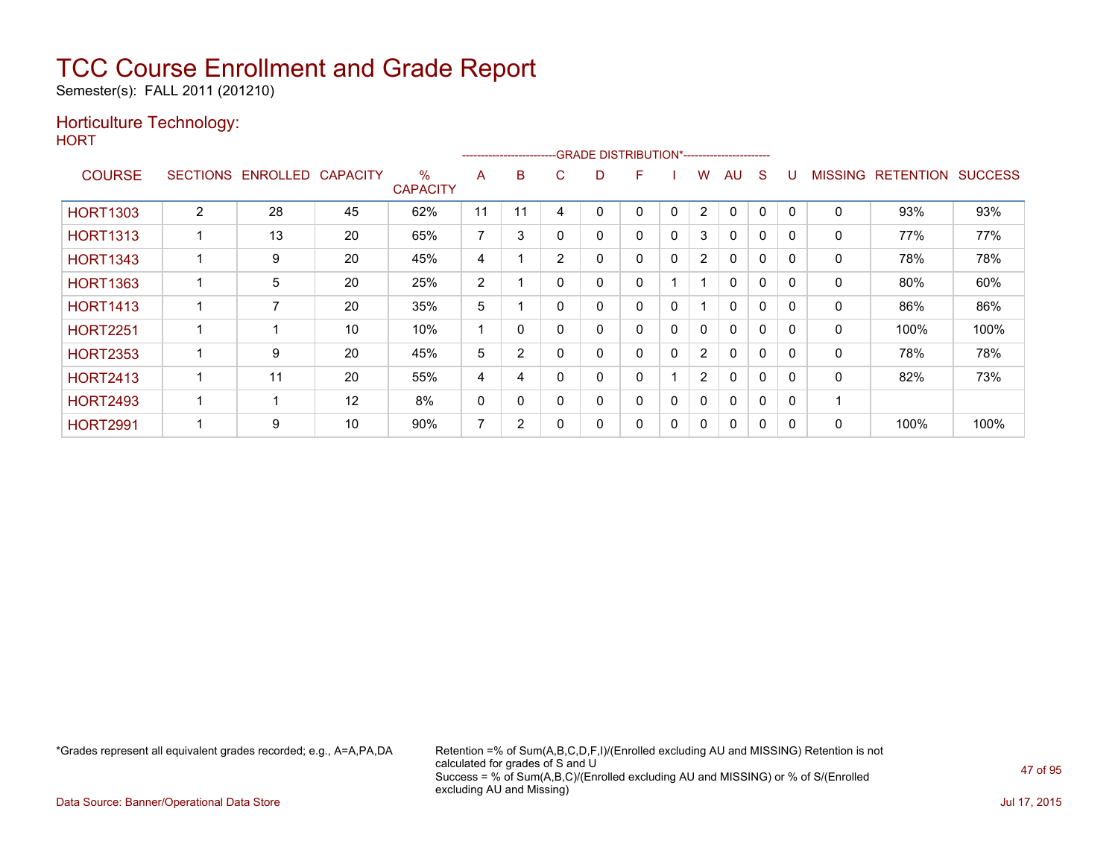Semester(s): FALL 2011 (201210)

### Horticulture Technology:

**HORT** 

|                 |                 |          |                 |                                  |                |          | ------------------------GRADE                DISTRIBUTION*---------------------- |   |   |              |                       |              |   |          |                |                  |                |
|-----------------|-----------------|----------|-----------------|----------------------------------|----------------|----------|----------------------------------------------------------------------------------|---|---|--------------|-----------------------|--------------|---|----------|----------------|------------------|----------------|
| <b>COURSE</b>   | <b>SECTIONS</b> | ENROLLED | <b>CAPACITY</b> | $\frac{0}{0}$<br><b>CAPACITY</b> | A              | B        | C                                                                                | D | F |              | W                     | AU           | S |          | <b>MISSING</b> | <b>RETENTION</b> | <b>SUCCESS</b> |
| <b>HORT1303</b> | $\overline{2}$  | 28       | 45              | 62%                              | 11             | 11       | 4                                                                                |   | 0 | 0            | 2                     | $\mathbf{0}$ | 0 | $\Omega$ | 0              | 93%              | 93%            |
| <b>HORT1313</b> |                 | 13       | 20              | 65%                              | $\overline{ }$ | 3        | $\Omega$                                                                         | 0 | 0 | $\mathbf 0$  | 3                     | $\mathbf{0}$ | 0 | $\Omega$ | 0              | 77%              | 77%            |
| <b>HORT1343</b> |                 | 9        | 20              | 45%                              | 4              |          | $\overline{2}$                                                                   |   | 0 | 0            | $\mathbf{2}^{\circ}$  | $\mathbf{0}$ | 0 | $\Omega$ | 0              | 78%              | 78%            |
| <b>HORT1363</b> |                 | 5        | 20              | 25%                              | 2              |          | $\Omega$                                                                         | 0 | 0 |              |                       | $\Omega$     | 0 | $\Omega$ | 0              | 80%              | 60%            |
| <b>HORT1413</b> |                 | 7        | 20              | 35%                              | 5              |          | $\Omega$                                                                         | 0 | 0 | 0            |                       | $\Omega$     | 0 | $\Omega$ | 0              | 86%              | 86%            |
| <b>HORT2251</b> |                 |          | 10              | 10%                              |                | $\Omega$ | $\Omega$                                                                         | 0 | 0 | 0            | 0                     | $\mathbf{0}$ | 0 | $\Omega$ | $\mathbf 0$    | 100%             | 100%           |
| <b>HORT2353</b> |                 | 9        | 20              | 45%                              | 5              | 2        | $\Omega$                                                                         | 0 | 0 | $\mathbf{0}$ | $\mathbf{2}^{\prime}$ | $\mathbf{0}$ | 0 | $\Omega$ | 0              | 78%              | 78%            |
| <b>HORT2413</b> |                 | 11       | 20              | 55%                              | 4              | 4        | $\Omega$                                                                         | 0 | 0 |              | $\overline{2}$        | $\mathbf{0}$ | 0 | $\Omega$ | $\Omega$       | 82%              | 73%            |
| <b>HORT2493</b> |                 | ٠        | 12              | 8%                               | 0              | 0        | $\Omega$                                                                         | 0 | 0 | $\mathbf{0}$ | $\mathbf{0}$          | $\mathbf{0}$ | 0 | 0        |                |                  |                |
| <b>HORT2991</b> |                 | 9        | 10              | 90%                              | 7              | 2        | -0                                                                               |   | 0 | 0            | 0                     | $\mathbf{0}$ | 0 | 0        | 0              | 100%             | 100%           |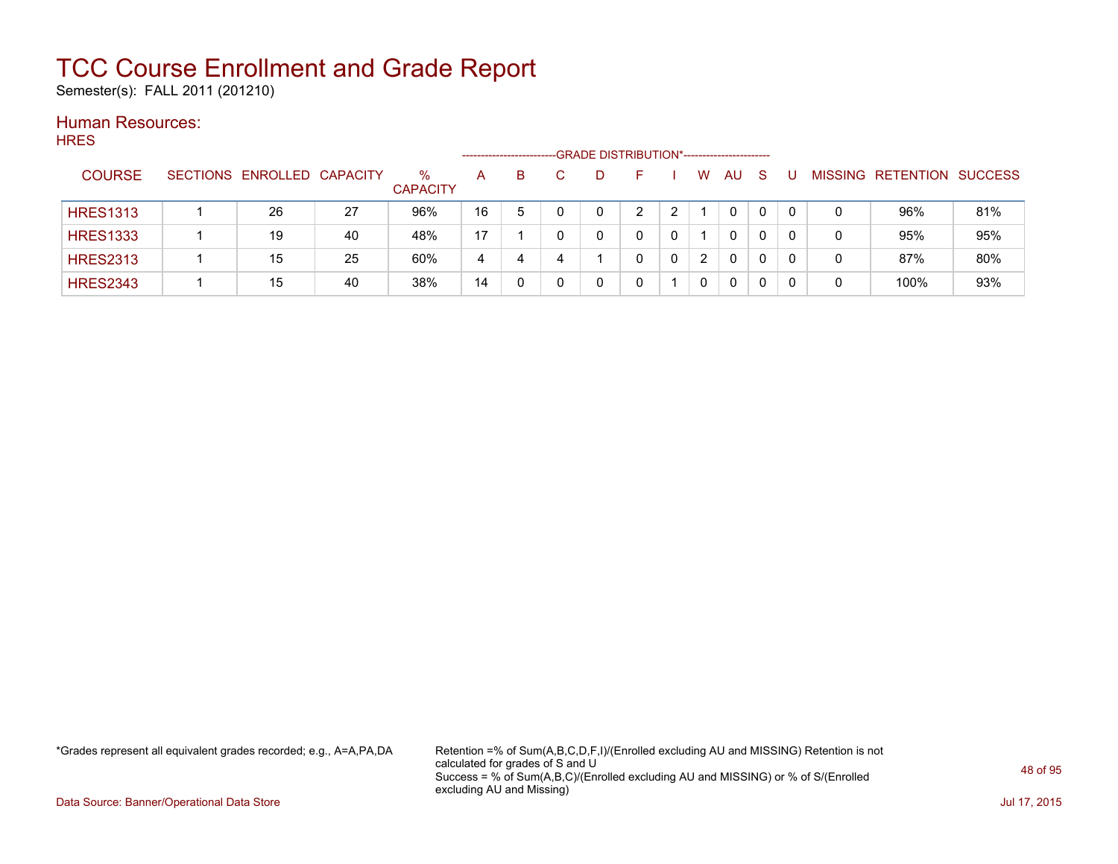Semester(s): FALL 2011 (201210)

#### Human Resources: HRES

| .               |                            |    |                         | ------------------ |   | -GRADE DISTRIBUTION*----------------------- |   |   |                      |           |              |    |                |           |                |
|-----------------|----------------------------|----|-------------------------|--------------------|---|---------------------------------------------|---|---|----------------------|-----------|--------------|----|----------------|-----------|----------------|
| <b>COURSE</b>   | SECTIONS ENROLLED CAPACITY |    | $\%$<br><b>CAPACITY</b> | A                  | B |                                             |   |   | W                    | <b>AU</b> | <sub>S</sub> |    | <b>MISSING</b> | RETENTION | <b>SUCCESS</b> |
| <b>HRES1313</b> | 26                         | 27 | 96%                     | 16                 | 5 |                                             | ⌒ |   |                      | 0         |              |    | 0              | 96%       | 81%            |
| <b>HRES1333</b> | 19                         | 40 | 48%                     | 17                 |   |                                             | 0 |   |                      | 0         | 0            |    | 0              | 95%       | 95%            |
| <b>HRES2313</b> | 15                         | 25 | 60%                     | 4                  | 4 |                                             |   | 0 | $\mathbf{2}^{\circ}$ | 0         | 0            | -0 | 0              | 87%       | 80%            |
| <b>HRES2343</b> | 15                         | 40 | 38%                     | 14                 |   |                                             |   |   | 0                    | 0         |              |    | 0              | 100%      | 93%            |

\*Grades represent all equivalent grades recorded; e.g., A=A,PA,DA Retention =% of Sum(A,B,C,D,F,I)/(Enrolled excluding AU and MISSING) Retention is not calculated for grades of S and U Success = % of Sum(A,B,C)/(Enrolled excluding AU and MISSING) or % of S/(Enrolled excluding AU and Missing)

Data Source: Banner/Operational Data Store Jul 17, 2015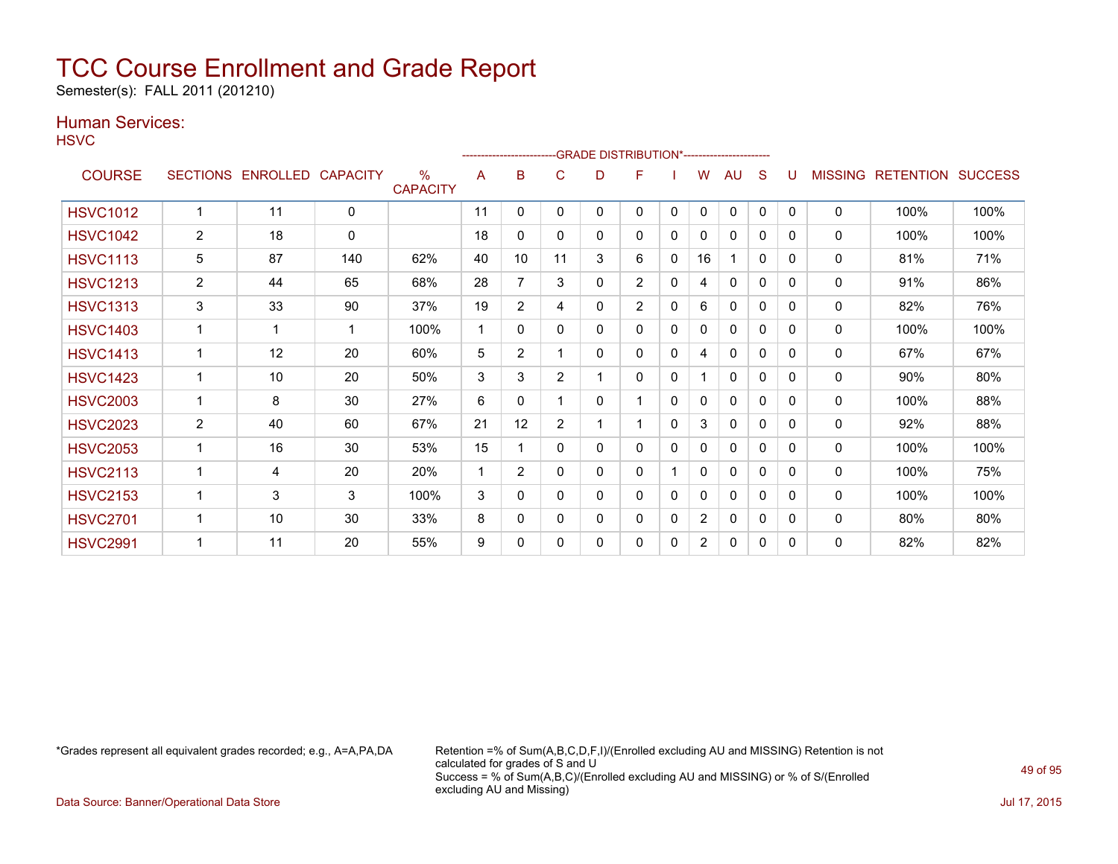Semester(s): FALL 2011 (201210)

### Human Services:

**HSVC** 

| .               |                 |                          |              |                         |    |                |                |   | -GRADE DISTRIBUTION*----------------------- |   |                |              |              |              |                |                  |                |
|-----------------|-----------------|--------------------------|--------------|-------------------------|----|----------------|----------------|---|---------------------------------------------|---|----------------|--------------|--------------|--------------|----------------|------------------|----------------|
| <b>COURSE</b>   | <b>SECTIONS</b> | <b>ENROLLED CAPACITY</b> |              | $\%$<br><b>CAPACITY</b> | A  | B              | C              | D | F                                           |   | W              | <b>AU</b>    | S            |              | <b>MISSING</b> | <b>RETENTION</b> | <b>SUCCESS</b> |
| <b>HSVC1012</b> | 1               | 11                       | $\mathbf{0}$ |                         | 11 | 0              | 0              | 0 | $\mathbf{0}$                                | 0 | $\mathbf{0}$   | $\mathbf{0}$ | $\mathbf{0}$ | $\mathbf{0}$ | $\mathbf{0}$   | 100%             | 100%           |
| <b>HSVC1042</b> | 2               | 18                       | $\mathbf{0}$ |                         | 18 | 0              | 0              | 0 | 0                                           | 0 | 0              | $\mathbf{0}$ | 0            | 0            | $\mathbf{0}$   | 100%             | 100%           |
| <b>HSVC1113</b> | 5               | 87                       | 140          | 62%                     | 40 | 10             | 11             | 3 | 6                                           | 0 | 16             |              | 0            | 0            | $\mathbf{0}$   | 81%              | 71%            |
| <b>HSVC1213</b> | $\overline{2}$  | 44                       | 65           | 68%                     | 28 | $\overline{7}$ | 3              | 0 | $\overline{2}$                              | 0 | 4              | $\mathbf{0}$ | 0            | $\Omega$     | $\mathbf{0}$   | 91%              | 86%            |
| <b>HSVC1313</b> | 3               | 33                       | 90           | 37%                     | 19 | $\overline{2}$ | 4              | 0 | $\overline{2}$                              | 0 | 6              | $\mathbf{0}$ | 0            | 0            | 0              | 82%              | 76%            |
| <b>HSVC1403</b> |                 | 1                        | 1            | 100%                    | 1  | 0              | 0              | 0 | $\mathbf{0}$                                | 0 | 0              | $\mathbf{0}$ | $\mathbf{0}$ | $\mathbf{0}$ | $\mathbf{0}$   | 100%             | 100%           |
| <b>HSVC1413</b> | 1               | 12                       | 20           | 60%                     | 5  | $\overline{2}$ |                | 0 | $\mathbf{0}$                                | 0 | 4              | $\mathbf{0}$ | $\mathbf{0}$ | $\Omega$     | $\mathbf{0}$   | 67%              | 67%            |
| <b>HSVC1423</b> |                 | 10                       | 20           | 50%                     | 3  | 3              | $\overline{2}$ | 1 | $\mathbf{0}$                                | 0 |                | $\mathbf{0}$ | 0            | 0            | $\mathbf{0}$   | 90%              | 80%            |
| <b>HSVC2003</b> | 1               | 8                        | 30           | 27%                     | 6  | 0              |                | 0 |                                             | 0 | 0              | 0            | 0            | 0            | $\mathbf{0}$   | 100%             | 88%            |
| <b>HSVC2023</b> | $\overline{2}$  | 40                       | 60           | 67%                     | 21 | 12             | $\overline{2}$ | 1 | 1                                           | 0 | 3              | $\Omega$     | 0            | $\Omega$     | $\mathbf{0}$   | 92%              | 88%            |
| <b>HSVC2053</b> |                 | 16                       | 30           | 53%                     | 15 |                | 0              | 0 | $\mathbf{0}$                                | 0 | 0              | $\mathbf{0}$ | 0            | 0            | 0              | 100%             | 100%           |
| <b>HSVC2113</b> | 1               | 4                        | 20           | 20%                     | 1  | $\overline{2}$ | 0              | 0 | $\mathbf{0}$                                |   | 0              | 0            | $\mathbf{0}$ | $\mathbf{0}$ | 0              | 100%             | 75%            |
| <b>HSVC2153</b> |                 | 3                        | 3            | 100%                    | 3  | 0              | 0              | 0 | 0                                           | 0 | 0              | $\mathbf{0}$ | 0            | 0            | $\mathbf{0}$   | 100%             | 100%           |
| <b>HSVC2701</b> |                 | 10                       | 30           | 33%                     | 8  | 0              | 0              | 0 | 0                                           | 0 | $\overline{2}$ | $\mathbf{0}$ | 0            | 0            | $\mathbf{0}$   | 80%              | 80%            |
| <b>HSVC2991</b> |                 | 11                       | 20           | 55%                     | 9  | 0              | 0              | 0 | 0                                           | 0 | $\overline{2}$ | 0            | 0            | 0            | 0              | 82%              | 82%            |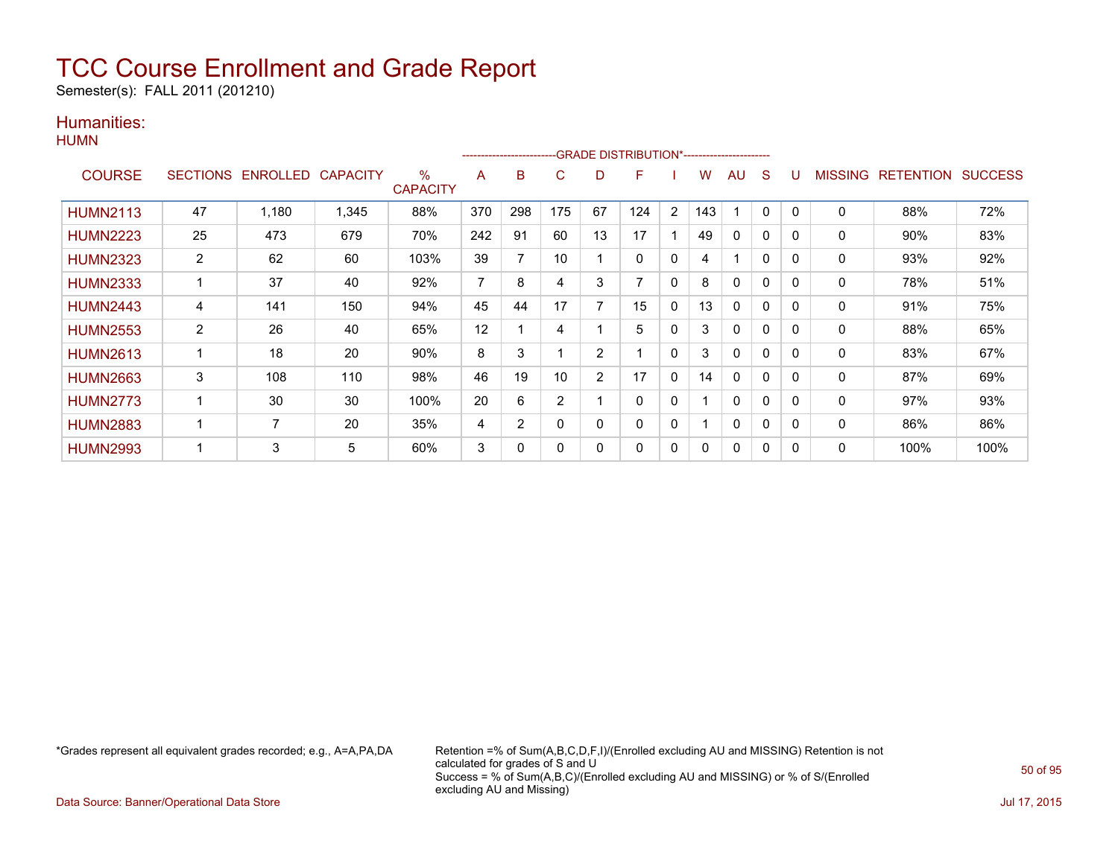Semester(s): FALL 2011 (201210)

### Humanities:

|                 |                       |                            |       |                      |     | ---------------------- |          |    | -GRADE DISTRIBUTION*----------------------- |              |          |              |              |          |                |                  |                |
|-----------------|-----------------------|----------------------------|-------|----------------------|-----|------------------------|----------|----|---------------------------------------------|--------------|----------|--------------|--------------|----------|----------------|------------------|----------------|
| <b>COURSE</b>   |                       | SECTIONS ENROLLED CAPACITY |       | %<br><b>CAPACITY</b> | A   | B                      | C        | D  | F                                           |              | w        | AU           | S            |          | <b>MISSING</b> | <b>RETENTION</b> | <b>SUCCESS</b> |
| <b>HUMN2113</b> | 47                    | 1,180                      | 1,345 | 88%                  | 370 | 298                    | 175      | 67 | 124                                         | 2            | 143      |              | $\mathbf{0}$ | 0        | $\mathbf 0$    | 88%              | 72%            |
| <b>HUMN2223</b> | 25                    | 473                        | 679   | 70%                  | 242 | 91                     | 60       | 13 | 17                                          |              | 49       | 0            | 0            | 0        | 0              | 90%              | 83%            |
| <b>HUMN2323</b> | $\overline{2}$        | 62                         | 60    | 103%                 | 39  | 7                      | 10       |    | $\Omega$                                    | $\mathbf{0}$ | 4        |              | $\mathbf{0}$ | $\Omega$ | 0              | 93%              | 92%            |
| <b>HUMN2333</b> |                       | 37                         | 40    | 92%                  | 7   | 8                      | 4        | 3  |                                             | $\mathbf{0}$ | 8        | $\mathbf{0}$ | 0            | 0        | 0              | 78%              | 51%            |
| <b>HUMN2443</b> | 4                     | 141                        | 150   | 94%                  | 45  | 44                     | 17       | ⇁  | 15                                          | 0            | 13       | 0            | 0            | 0        | 0              | 91%              | 75%            |
| <b>HUMN2553</b> | $\mathbf{2}^{\prime}$ | 26                         | 40    | 65%                  | 12  |                        | 4        |    | 5                                           | 0            | 3        | 0            | $\mathbf{0}$ |          | 0              | 88%              | 65%            |
| <b>HUMN2613</b> | 1                     | 18                         | 20    | 90%                  | 8   | 3                      |          | 2  |                                             | $\mathbf{0}$ | 3        | $\mathbf{0}$ | $\Omega$     | 0        | $\mathbf{0}$   | 83%              | 67%            |
| <b>HUMN2663</b> | 3                     | 108                        | 110   | 98%                  | 46  | 19                     | 10       | 2  | 17                                          | $\Omega$     | 14       | $\mathbf{0}$ | 0            | 0        | 0              | 87%              | 69%            |
| <b>HUMN2773</b> | 1                     | 30                         | 30    | 100%                 | 20  | 6                      | 2        |    | $\Omega$                                    | 0            |          | 0            | 0            | 0        | 0              | 97%              | 93%            |
| <b>HUMN2883</b> | 1                     | 7                          | 20    | 35%                  | 4   | $\overline{2}$         | $\Omega$ | 0  | $\Omega$                                    | $\mathbf{0}$ |          | $\Omega$     | $\mathbf{0}$ | $\Omega$ | $\mathbf{0}$   | 86%              | 86%            |
| <b>HUMN2993</b> | ٠                     | 3                          | 5     | 60%                  | 3   | 0                      | 0        | 0  | $\Omega$                                    | $\mathbf{0}$ | $\Omega$ | $\mathbf{0}$ | 0            |          | $\Omega$       | 100%             | 100%           |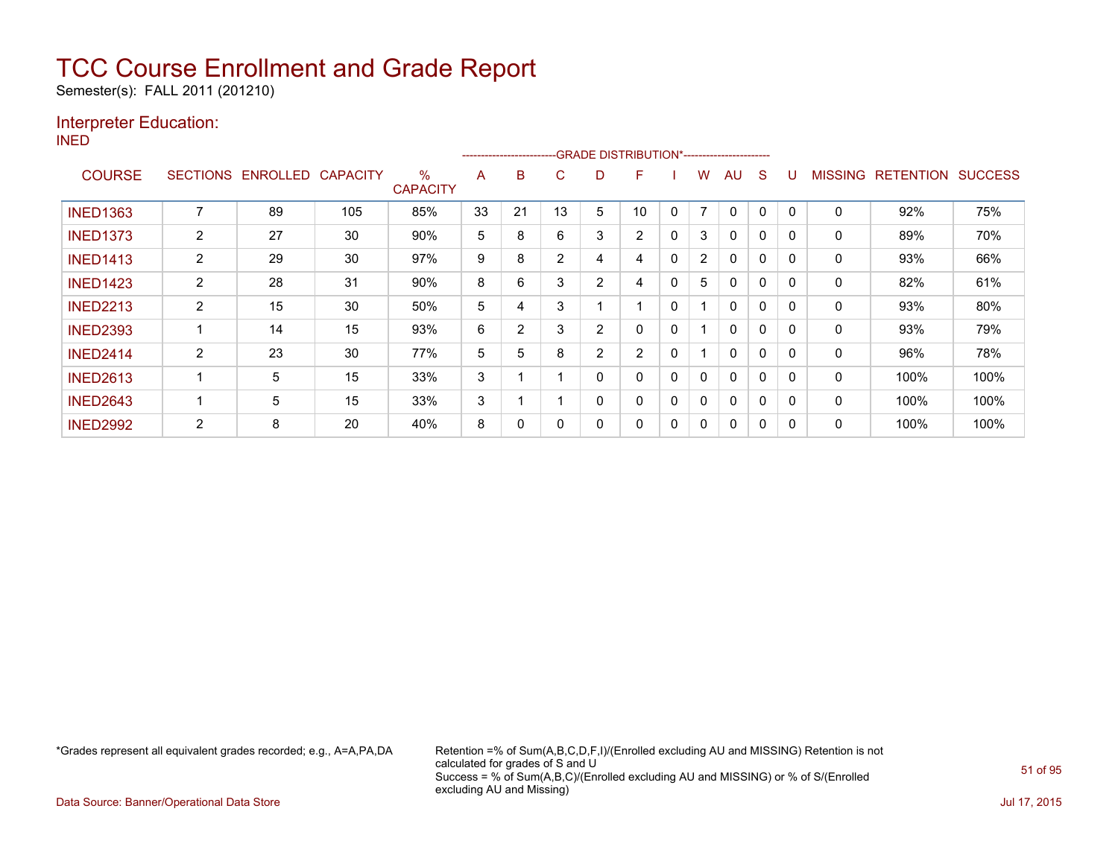Semester(s): FALL 2011 (201210)

### Interpreter Education:

INED

|                 |                 |                 |                 |                         |    | ------------------------ |                |   | -GRADE DISTRIBUTION*----------------------- |          |                |              |          |              |                |                  |                |
|-----------------|-----------------|-----------------|-----------------|-------------------------|----|--------------------------|----------------|---|---------------------------------------------|----------|----------------|--------------|----------|--------------|----------------|------------------|----------------|
| <b>COURSE</b>   | <b>SECTIONS</b> | <b>ENROLLED</b> | <b>CAPACITY</b> | $\%$<br><b>CAPACITY</b> | A  | B                        | С              | D | F                                           |          | w              | AU           | S        | U            | <b>MISSING</b> | <b>RETENTION</b> | <b>SUCCESS</b> |
| <b>INED1363</b> |                 | 89              | 105             | 85%                     | 33 | 21                       | 13             | 5 | 10                                          | 0        | $\overline{ }$ | 0            | 0        | $\mathbf{0}$ | 0              | 92%              | 75%            |
| <b>INED1373</b> | $\overline{2}$  | 27              | 30              | 90%                     | 5  | 8                        | 6              | 3 | $\overline{2}$                              | 0        | 3              | $\mathbf{0}$ | 0        | 0            | 0              | 89%              | 70%            |
| <b>INED1413</b> | $\overline{2}$  | 29              | 30              | 97%                     | 9  | 8                        | $\overline{2}$ | 4 | 4                                           | $\Omega$ | $\overline{2}$ | $\Omega$     | 0        | 0            | 0              | 93%              | 66%            |
| <b>INED1423</b> | $\overline{2}$  | 28              | 31              | 90%                     | 8  | 6                        | 3              | 2 | 4                                           | 0        | 5              | $\Omega$     | $\Omega$ | $\mathbf{0}$ | 0              | 82%              | 61%            |
| <b>INED2213</b> | $\overline{2}$  | 15              | 30              | 50%                     | 5  | 4                        | 3              |   | $\overline{ }$                              | 0        |                | $\mathbf{0}$ | $\Omega$ | $\mathbf{0}$ | 0              | 93%              | 80%            |
| <b>INED2393</b> |                 | 14              | 15              | 93%                     | 6  | $\overline{2}$           | 3              | 2 | 0                                           | 0        |                | $\mathbf{0}$ | $\Omega$ | $\Omega$     | 0              | 93%              | 79%            |
| <b>INED2414</b> | 2               | 23              | 30              | 77%                     | 5  | 5                        | 8              | 2 | $\overline{2}$                              | 0        |                | $\mathbf{0}$ | $\Omega$ | 0            | $\mathbf{0}$   | 96%              | 78%            |
| <b>INED2613</b> |                 | 5               | 15              | 33%                     | 3  |                          |                | 0 | 0                                           | 0        | 0              | $\mathbf{0}$ | 0        | 0            | $\mathbf{0}$   | 100%             | 100%           |
| <b>INED2643</b> |                 | 5               | 15              | 33%                     | 3  |                          |                | 0 | 0                                           | 0        | 0              | $\Omega$     | 0        | 0            | 0              | 100%             | 100%           |
| <b>INED2992</b> | 2               | 8               | 20              | 40%                     | 8  | 0                        |                | 0 | 0                                           | 0        | 0              | 0            | 0        |              | 0              | 100%             | 100%           |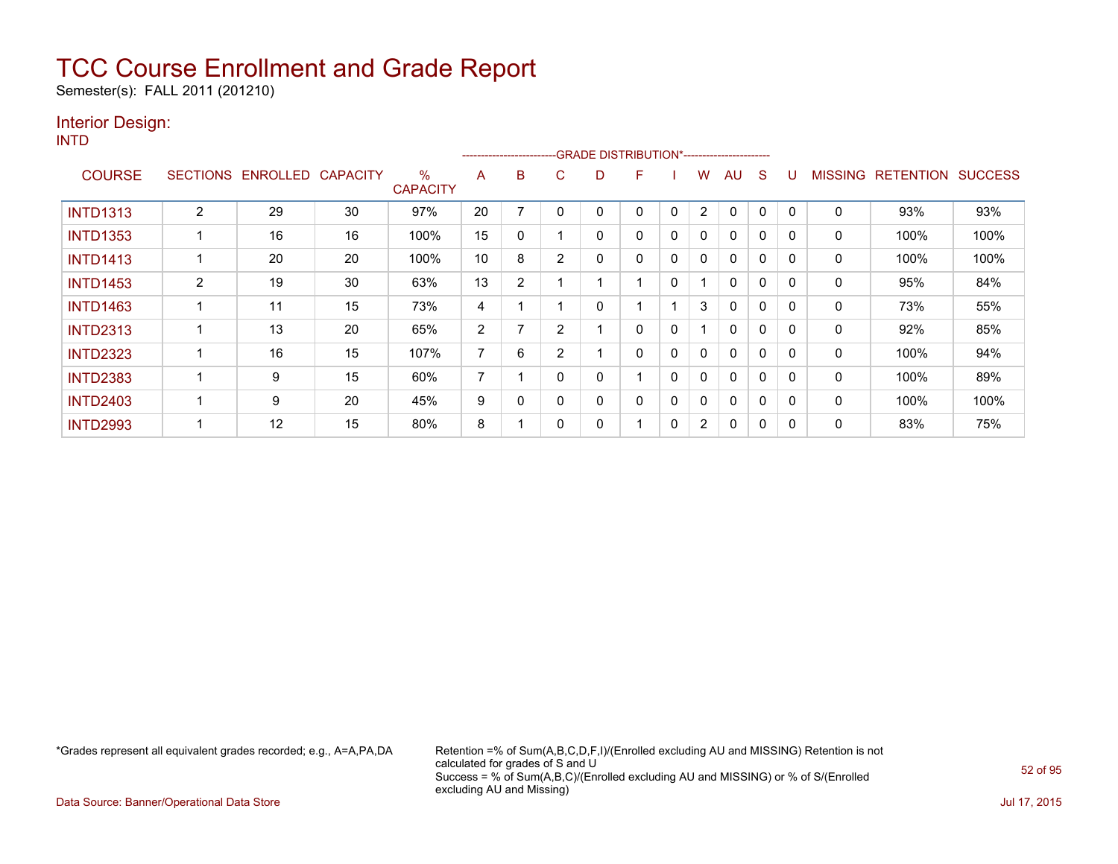Semester(s): FALL 2011 (201210)

### Interior Design:

INTD

| .               |                 |          |                 |                                  |    |                |                |   | ------------------------GRADE                DISTRIBUTION*---------------------- |   |                |              |              |          |                |                  |                |
|-----------------|-----------------|----------|-----------------|----------------------------------|----|----------------|----------------|---|----------------------------------------------------------------------------------|---|----------------|--------------|--------------|----------|----------------|------------------|----------------|
| <b>COURSE</b>   | <b>SECTIONS</b> | ENROLLED | <b>CAPACITY</b> | $\frac{0}{0}$<br><b>CAPACITY</b> | A  | B              | C.             | D | F                                                                                |   | w              | AU           | <sub>S</sub> |          | <b>MISSING</b> | <b>RETENTION</b> | <b>SUCCESS</b> |
| <b>INTD1313</b> | $\overline{2}$  | 29       | 30              | 97%                              | 20 |                |                |   | 0                                                                                | 0 | 2              | 0            | 0            |          | 0              | 93%              | 93%            |
| <b>INTD1353</b> |                 | 16       | 16              | 100%                             | 15 | 0              |                | 0 | 0                                                                                | 0 | $\mathbf{0}$   | $\Omega$     | 0            | $\Omega$ | $\mathbf{0}$   | 100%             | 100%           |
| <b>INTD1413</b> |                 | 20       | 20              | 100%                             | 10 | 8              | 2              | ი | 0                                                                                | 0 | $\mathbf{0}$   | $\mathbf{0}$ | 0            | 0        | 0              | 100%             | 100%           |
| <b>INTD1453</b> | 2               | 19       | 30              | 63%                              | 13 | $\overline{2}$ |                |   |                                                                                  | 0 |                | $\mathbf{0}$ | 0            | 0        | 0              | 95%              | 84%            |
| <b>INTD1463</b> |                 | 11       | 15              | 73%                              | 4  |                |                |   |                                                                                  |   | 3              | $\mathbf{0}$ | 0            | 0        | 0              | 73%              | 55%            |
| <b>INTD2313</b> |                 | 13       | 20              | 65%                              | 2  |                | $\overline{2}$ |   | 0                                                                                | 0 |                | $\mathbf{0}$ | 0            | 0        | 0              | 92%              | 85%            |
| <b>INTD2323</b> |                 | 16       | 15              | 107%                             | 7  | 6              | $\overline{2}$ |   | 0                                                                                | 0 | 0              | $\mathbf{0}$ | 0            | O        | 0              | 100%             | 94%            |
| <b>INTD2383</b> |                 | 9        | 15              | 60%                              | 7  |                | $\Omega$       |   |                                                                                  | 0 | 0              | $\mathbf{0}$ | 0            | $\Omega$ | 0              | 100%             | 89%            |
| <b>INTD2403</b> |                 | 9        | 20              | 45%                              | 9  | 0              | $\Omega$       |   | 0                                                                                | 0 | 0              | $\mathbf{0}$ | 0            | 0        | 0              | 100%             | 100%           |
| <b>INTD2993</b> |                 | 12       | 15              | 80%                              | 8  |                |                |   |                                                                                  | 0 | $\overline{2}$ | $\mathbf{0}$ | 0            | $\Omega$ | 0              | 83%              | 75%            |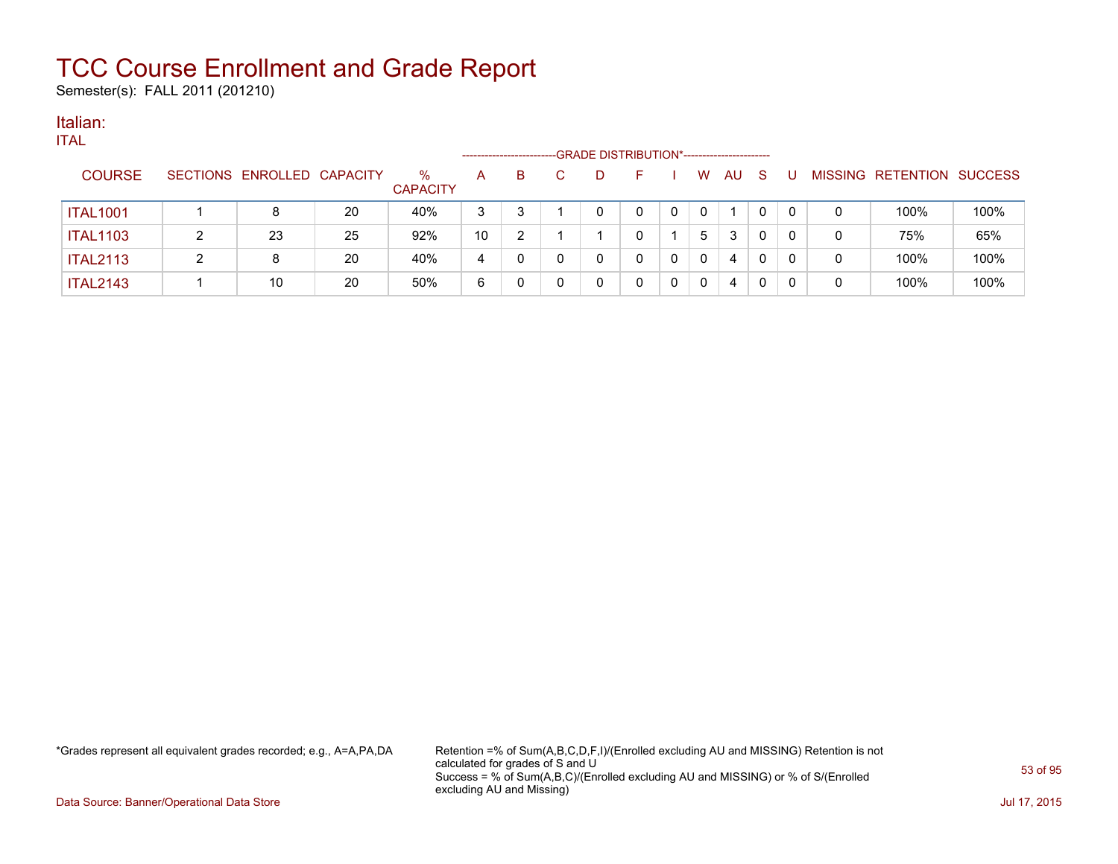Semester(s): FALL 2011 (201210)

#### Italian: ITAL

| TAL.            |   |                            |    |                         | -------------------- |   | -GRADE DISTRIBUTION*----------------------- |  |   |     |              |   |   |                   |                |
|-----------------|---|----------------------------|----|-------------------------|----------------------|---|---------------------------------------------|--|---|-----|--------------|---|---|-------------------|----------------|
| <b>COURSE</b>   |   | SECTIONS ENROLLED CAPACITY |    | $\%$<br><b>CAPACITY</b> | A                    | B | D                                           |  | W | AU. | S            |   |   | MISSING RETENTION | <b>SUCCESS</b> |
| <b>ITAL1001</b> |   | 8                          | 20 | 40%                     | 3                    | 3 |                                             |  |   |     | $\mathbf{0}$ | 0 | 0 | 100%              | 100%           |
| <b>ITAL1103</b> |   | 23                         | 25 | 92%                     | 10                   | 2 |                                             |  | 5 | 3   | 0            | 0 | 0 | 75%               | 65%            |
| <b>ITAL2113</b> | າ | 8                          | 20 | 40%                     | 4                    | 0 |                                             |  | 0 | 4   | 0            | 0 | 0 | 100%              | 100%           |
| <b>ITAL2143</b> |   | 10                         | 20 | 50%                     | 6                    |   |                                             |  |   | 4   | 0            |   | 0 | 100%              | 100%           |

\*Grades represent all equivalent grades recorded; e.g., A=A,PA,DA Retention =% of Sum(A,B,C,D,F,I)/(Enrolled excluding AU and MISSING) Retention is not calculated for grades of S and U Success = % of Sum(A,B,C)/(Enrolled excluding AU and MISSING) or % of S/(Enrolled excluding AU and Missing)

Data Source: Banner/Operational Data Store Jul 17, 2015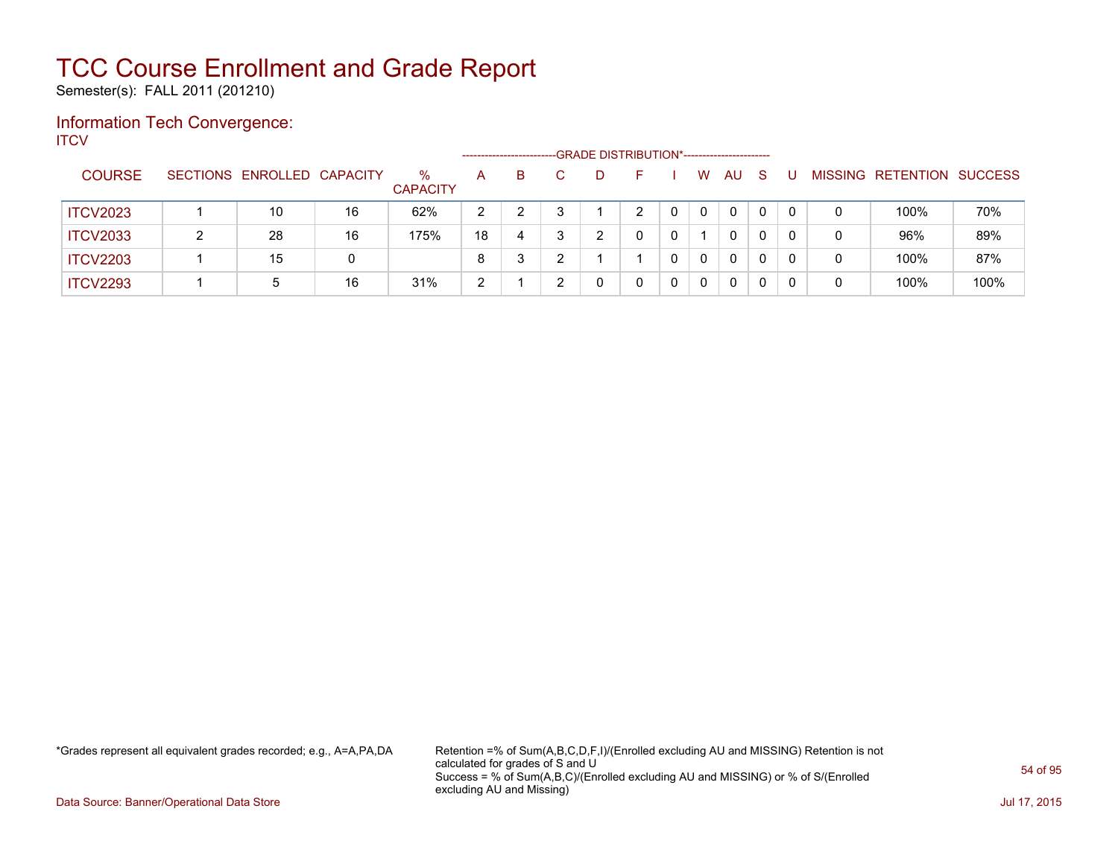Semester(s): FALL 2011 (201210)

### Information Tech Convergence: **ITCV**

|                 |                            |    |                      |        | ---------------------- |    | -GRADE DISTRIBUTION*----------------------- |  |          |              |              |          |   |                   |                |
|-----------------|----------------------------|----|----------------------|--------|------------------------|----|---------------------------------------------|--|----------|--------------|--------------|----------|---|-------------------|----------------|
| <b>COURSE</b>   | SECTIONS ENROLLED CAPACITY |    | %<br><b>CAPACITY</b> | A      | B                      | C. | D                                           |  | W        | AU           | <sub>S</sub> |          |   | MISSING RETENTION | <b>SUCCESS</b> |
| <b>ITCV2023</b> | 10                         | 16 | 62%                  | 2      |                        |    |                                             |  | $\Omega$ | $\mathbf{0}$ | $\mathbf 0$  | $\Omega$ | 0 | 100%              | 70%            |
| <b>ITCV2033</b> | 28                         | 16 | 175%                 | 18     | 4                      |    | າ                                           |  |          | 0            | 0            | $\Omega$ | 0 | 96%               | 89%            |
| <b>ITCV2203</b> | 15                         | 0  |                      | 8      | ີ                      |    |                                             |  | 0        | 0            | 0            | $\Omega$ | 0 | 100%              | 87%            |
| <b>ITCV2293</b> | 5                          | 16 | 31%                  | っ<br>∼ |                        |    |                                             |  | 0        | 0            | 0            |          | 0 | 100%              | 100%           |

\*Grades represent all equivalent grades recorded; e.g., A=A,PA,DA Retention =% of Sum(A,B,C,D,F,I)/(Enrolled excluding AU and MISSING) Retention is not calculated for grades of S and U Success = % of Sum(A,B,C)/(Enrolled excluding AU and MISSING) or % of S/(Enrolled excluding AU and Missing)

Data Source: Banner/Operational Data Store Jul 17, 2015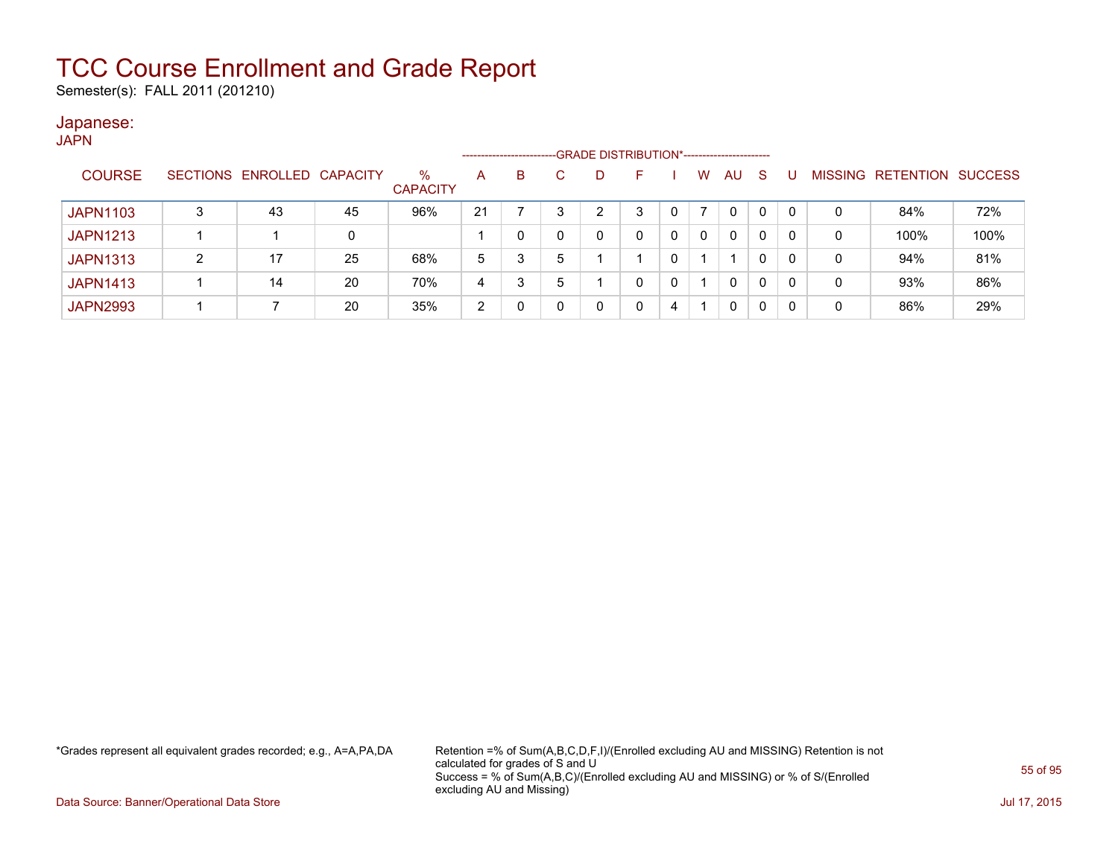Semester(s): FALL 2011 (201210)

#### Japanese: JAPN

| .               |   |                            |    |                         | ------------------- |   |    |   | -GRADE DISTRIBUTION*----------------------- |   |   |              |              |   |                   |                |
|-----------------|---|----------------------------|----|-------------------------|---------------------|---|----|---|---------------------------------------------|---|---|--------------|--------------|---|-------------------|----------------|
| <b>COURSE</b>   |   | SECTIONS ENROLLED CAPACITY |    | $\%$<br><b>CAPACITY</b> | A                   | B | C. | D | F                                           |   | W | AU.          | S            |   | MISSING RETENTION | <b>SUCCESS</b> |
| <b>JAPN1103</b> | 3 | 43                         | 45 | 96%                     | 21                  |   |    | ົ | 3                                           |   |   | 0            | $\mathbf{0}$ | 0 | 84%               | 72%            |
| <b>JAPN1213</b> |   |                            | 0  |                         |                     |   |    |   | 0                                           | 0 | 0 | $\Omega$     | 0            | 0 | 100%              | 100%           |
| <b>JAPN1313</b> | 2 | 17                         | 25 | 68%                     | 5                   | 3 | 5  |   |                                             |   |   |              | $\mathbf{0}$ | 0 | 94%               | 81%            |
| <b>JAPN1413</b> |   | 14                         | 20 | 70%                     | 4                   | 3 |    |   | 0                                           |   |   | $\mathbf{0}$ | 0            | 0 | 93%               | 86%            |
| <b>JAPN2993</b> |   |                            | 20 | 35%                     | 2                   |   |    |   |                                             | 4 |   | 0            | 0            | 0 | 86%               | 29%            |

\*Grades represent all equivalent grades recorded; e.g., A=A,PA,DA Retention =% of Sum(A,B,C,D,F,I)/(Enrolled excluding AU and MISSING) Retention is not calculated for grades of S and U Success = % of Sum(A,B,C)/(Enrolled excluding AU and MISSING) or % of S/(Enrolled excluding AU and Missing)

Data Source: Banner/Operational Data Store Jul 17, 2015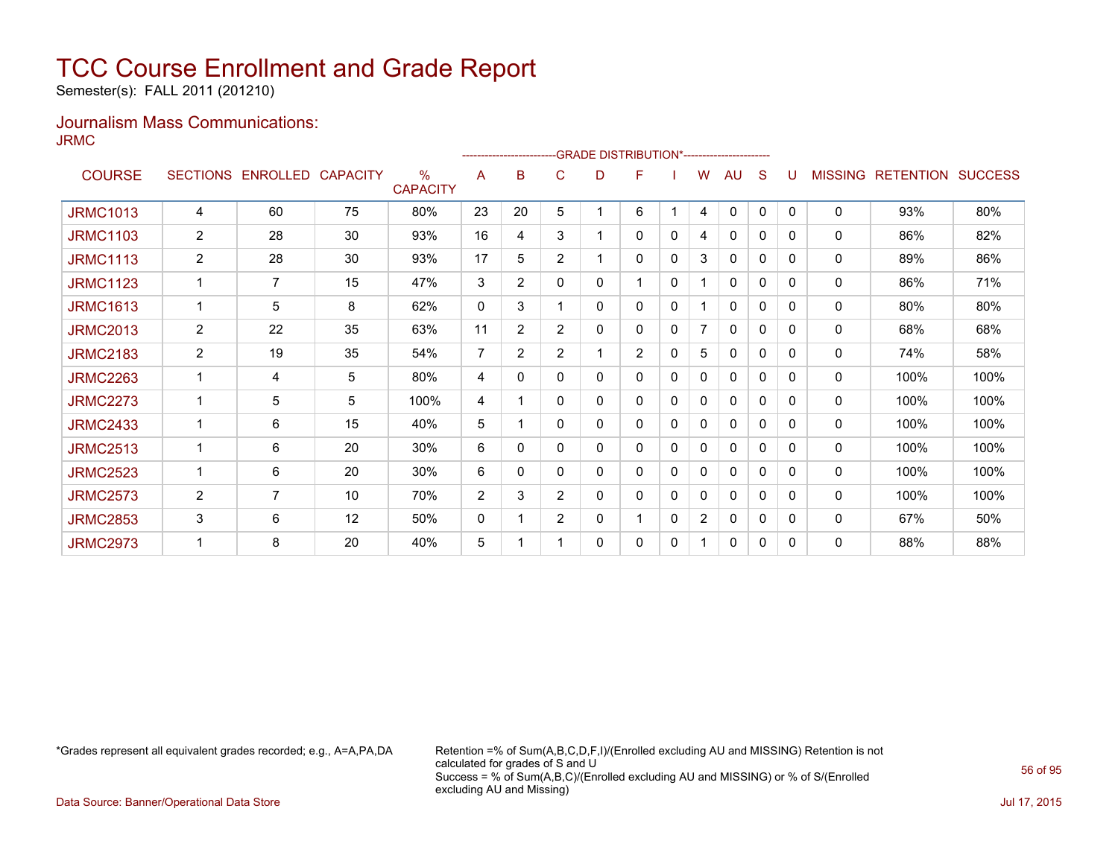Semester(s): FALL 2011 (201210)

### Journalism Mass Communications: JRMC

|                 |                 |                   |    |                                  |    |                |                |   | <b>GRADE DISTRIBUTION*-----------------------</b> |   |                |              |   |              |                |                  |                |
|-----------------|-----------------|-------------------|----|----------------------------------|----|----------------|----------------|---|---------------------------------------------------|---|----------------|--------------|---|--------------|----------------|------------------|----------------|
| <b>COURSE</b>   | <b>SECTIONS</b> | ENROLLED CAPACITY |    | $\frac{0}{0}$<br><b>CAPACITY</b> | A  | в              | C              | D | F                                                 |   | W              | <b>AU</b>    | S |              | <b>MISSING</b> | <b>RETENTION</b> | <b>SUCCESS</b> |
| <b>JRMC1013</b> | 4               | 60                | 75 | 80%                              | 23 | 20             | 5              |   | 6                                                 |   | 4              | 0            | 0 | $\mathbf{0}$ | 0              | 93%              | 80%            |
| <b>JRMC1103</b> | $\overline{2}$  | 28                | 30 | 93%                              | 16 | 4              | 3              |   | 0                                                 | 0 | 4              | 0            | 0 | 0            | 0              | 86%              | 82%            |
| <b>JRMC1113</b> | 2               | 28                | 30 | 93%                              | 17 | 5              | 2              |   | 0                                                 | 0 | 3              | $\mathbf{0}$ | 0 | 0            | 0              | 89%              | 86%            |
| <b>JRMC1123</b> |                 | 7                 | 15 | 47%                              | 3  | $\overline{2}$ | 0              | 0 |                                                   | 0 |                | $\mathbf{0}$ | 0 | 0            | 0              | 86%              | 71%            |
| <b>JRMC1613</b> | 1               | 5                 | 8  | 62%                              | 0  | 3              |                | 0 | 0                                                 | 0 |                | 0            | 0 | 0            | 0              | 80%              | 80%            |
| <b>JRMC2013</b> | 2               | 22                | 35 | 63%                              | 11 | $\overline{2}$ | $\overline{2}$ | 0 | 0                                                 | 0 | 7              | $\mathbf{0}$ | 0 | 0            | 0              | 68%              | 68%            |
| <b>JRMC2183</b> | $\overline{2}$  | 19                | 35 | 54%                              | 7  | $\overline{2}$ | $\overline{2}$ |   | $\overline{2}$                                    | 0 | 5              | $\mathbf{0}$ | 0 | 0            | 0              | 74%              | 58%            |
| <b>JRMC2263</b> | 1               | 4                 | 5  | 80%                              | 4  | 0              | 0              | 0 | 0                                                 | 0 | 0              | 0            | 0 | 0            | 0              | 100%             | 100%           |
| <b>JRMC2273</b> |                 | 5                 | 5  | 100%                             | 4  | 1              | 0              | 0 | 0                                                 | 0 | 0              | $\mathbf{0}$ | 0 | 0            | 0              | 100%             | 100%           |
| <b>JRMC2433</b> |                 | 6                 | 15 | 40%                              | 5  | 1              | $\mathbf{0}$   | 0 | 0                                                 | 0 | 0              | 0            | 0 | 0            | 0              | 100%             | 100%           |
| <b>JRMC2513</b> |                 | 6                 | 20 | 30%                              | 6  | 0              | 0              | 0 | 0                                                 | 0 | 0              | 0            | 0 | 0            | 0              | 100%             | 100%           |
| <b>JRMC2523</b> |                 | 6                 | 20 | 30%                              | 6  | 0              | 0              | 0 | 0                                                 | 0 | 0              | 0            | 0 | 0            | 0              | 100%             | 100%           |
| <b>JRMC2573</b> | 2               | 7                 | 10 | 70%                              | 2  | 3              | $\overline{2}$ | 0 | 0                                                 | 0 | 0              | $\mathbf{0}$ | 0 | $\Omega$     | 0              | 100%             | 100%           |
| <b>JRMC2853</b> | 3               | 6                 | 12 | 50%                              | 0  | 1              | $\overline{2}$ | 0 |                                                   | 0 | $\overline{2}$ | 0            | 0 | 0            | 0              | 67%              | 50%            |
| <b>JRMC2973</b> |                 | 8                 | 20 | 40%                              | 5  | 1              |                | 0 | 0                                                 | 0 |                | $\mathbf{0}$ | 0 | 0            | 0              | 88%              | 88%            |

\*Grades represent all equivalent grades recorded; e.g., A=A,PA,DA Retention =% of Sum(A,B,C,D,F,I)/(Enrolled excluding AU and MISSING) Retention is not calculated for grades of S and U Success = % of Sum(A,B,C)/(Enrolled excluding AU and MISSING) or % of S/(Enrolled excluding AU and Missing)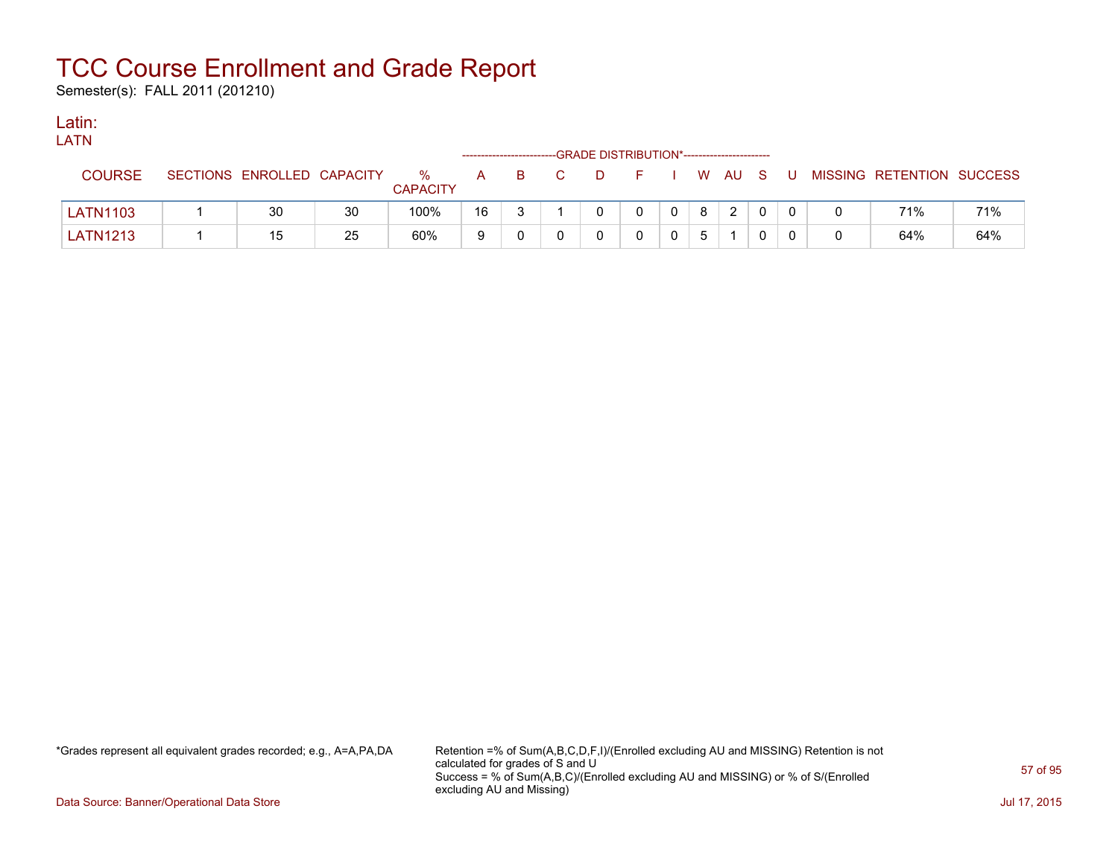Semester(s): FALL 2011 (201210)

### Latin:

| LATN            |                            |    |                         |              |    |                |                                             |         |   |                |          |    |                           |     |
|-----------------|----------------------------|----|-------------------------|--------------|----|----------------|---------------------------------------------|---------|---|----------------|----------|----|---------------------------|-----|
|                 |                            |    |                         |              |    |                | -GRADE DISTRIBUTION*----------------------- |         |   |                |          |    |                           |     |
| <b>COURSE</b>   | SECTIONS ENROLLED CAPACITY |    | $\%$<br><b>CAPACITY</b> | $\mathsf{A}$ | B. | $\overline{C}$ | $\Box$ D                                    | $F = 1$ |   | I W AU S       |          | -U | MISSING RETENTION SUCCESS |     |
| <b>LATN1103</b> | 30                         | 30 | 100%                    | 16           |    |                |                                             |         | 8 | $\overline{2}$ | $\Omega$ |    | 71%                       | 71% |
| <b>LATN1213</b> | 15                         | 25 | 60%                     | 9            |    |                |                                             |         |   |                |          |    | 64%                       | 64% |

\*Grades represent all equivalent grades recorded; e.g., A=A,PA,DA Retention =% of Sum(A,B,C,D,F,I)/(Enrolled excluding AU and MISSING) Retention is not calculated for grades of S and U Success = % of Sum(A,B,C)/(Enrolled excluding AU and MISSING) or % of S/(Enrolled excluding AU and Missing)

Data Source: Banner/Operational Data Store Jul 17, 2015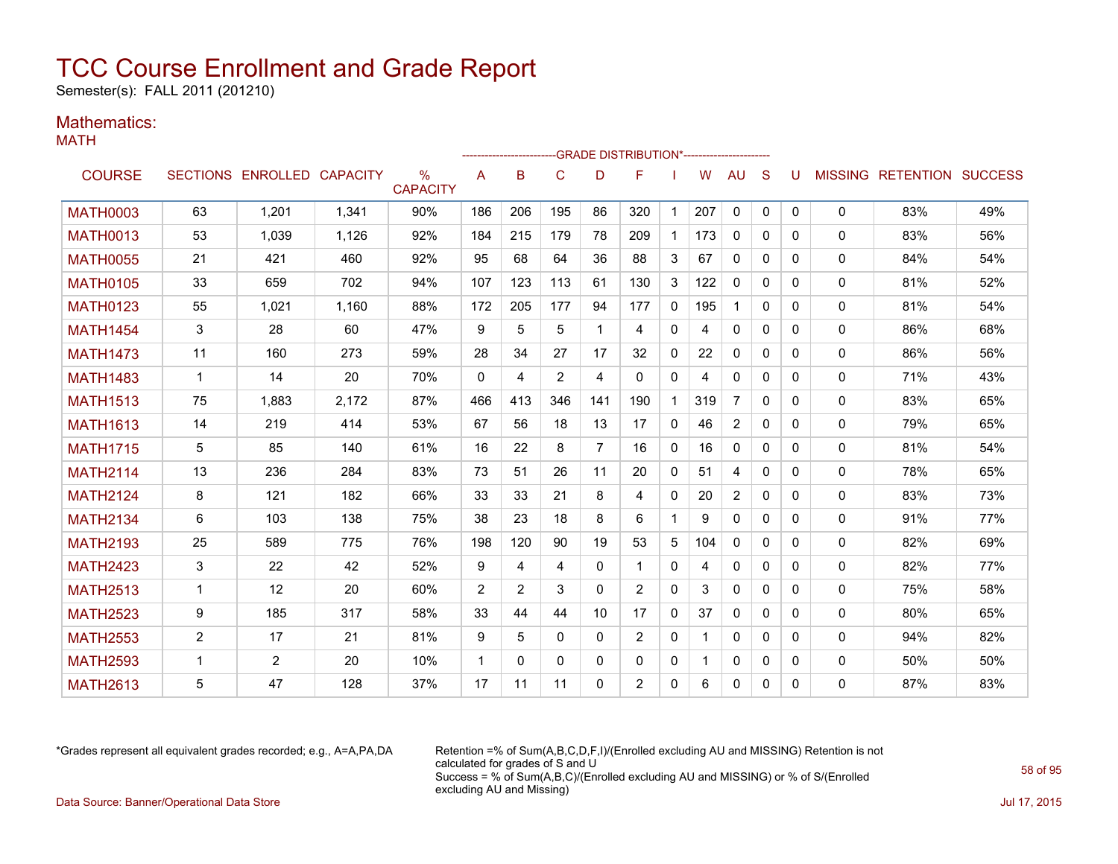Semester(s): FALL 2011 (201210)

### Mathematics:

MATH

|                 |                |                            |       |                                  |             |          |          |          | -GRADE DISTRIBUTION*---------------------- |              |     |                |              |              |              |                           |     |
|-----------------|----------------|----------------------------|-------|----------------------------------|-------------|----------|----------|----------|--------------------------------------------|--------------|-----|----------------|--------------|--------------|--------------|---------------------------|-----|
| <b>COURSE</b>   |                | SECTIONS ENROLLED CAPACITY |       | $\frac{0}{0}$<br><b>CAPACITY</b> | A           | в        | C        | D        | F                                          |              | W   | <b>AU</b>      | S            | U            |              | MISSING RETENTION SUCCESS |     |
| <b>MATH0003</b> | 63             | 1.201                      | 1,341 | 90%                              | 186         | 206      | 195      | 86       | 320                                        | $\mathbf{1}$ | 207 | 0              | 0            | $\mathbf{0}$ | 0            | 83%                       | 49% |
| <b>MATH0013</b> | 53             | 1,039                      | 1,126 | 92%                              | 184         | 215      | 179      | 78       | 209                                        | $\mathbf{1}$ | 173 | $\mathbf{0}$   | $\Omega$     | $\Omega$     | 0            | 83%                       | 56% |
| <b>MATH0055</b> | 21             | 421                        | 460   | 92%                              | 95          | 68       | 64       | 36       | 88                                         | 3            | 67  | $\mathbf{0}$   | $\Omega$     | 0            | 0            | 84%                       | 54% |
| <b>MATH0105</b> | 33             | 659                        | 702   | 94%                              | 107         | 123      | 113      | 61       | 130                                        | 3            | 122 | $\mathbf{0}$   | $\Omega$     | $\Omega$     | 0            | 81%                       | 52% |
| <b>MATH0123</b> | 55             | 1,021                      | 1,160 | 88%                              | 172         | 205      | 177      | 94       | 177                                        | $\mathbf{0}$ | 195 | $\mathbf 1$    | $\Omega$     | $\Omega$     | 0            | 81%                       | 54% |
| <b>MATH1454</b> | 3              | 28                         | 60    | 47%                              | 9           | 5        | 5        |          | 4                                          | $\mathbf{0}$ | 4   | $\mathbf{0}$   | $\Omega$     | 0            | 0            | 86%                       | 68% |
| <b>MATH1473</b> | 11             | 160                        | 273   | 59%                              | 28          | 34       | 27       | 17       | 32                                         | $\mathbf{0}$ | 22  | $\mathbf{0}$   | $\Omega$     | 0            | 0            | 86%                       | 56% |
| <b>MATH1483</b> | $\mathbf 1$    | 14                         | 20    | 70%                              | $\Omega$    | 4        | 2        | 4        | $\Omega$                                   | $\mathbf{0}$ | 4   | 0              | $\Omega$     | 0            | 0            | 71%                       | 43% |
| <b>MATH1513</b> | 75             | 1,883                      | 2,172 | 87%                              | 466         | 413      | 346      | 141      | 190                                        | $\mathbf{1}$ | 319 | $\overline{7}$ | $\Omega$     | 0            | $\Omega$     | 83%                       | 65% |
| <b>MATH1613</b> | 14             | 219                        | 414   | 53%                              | 67          | 56       | 18       | 13       | 17                                         | $\mathbf{0}$ | 46  | $\overline{2}$ | $\Omega$     | 0            | 0            | 79%                       | 65% |
| <b>MATH1715</b> | 5              | 85                         | 140   | 61%                              | 16          | 22       | 8        | 7        | 16                                         | $\mathbf{0}$ | 16  | $\mathbf{0}$   | $\Omega$     | $\Omega$     | $\mathbf{0}$ | 81%                       | 54% |
| <b>MATH2114</b> | 13             | 236                        | 284   | 83%                              | 73          | 51       | 26       | 11       | 20                                         | $\mathbf{0}$ | 51  | 4              | $\mathbf{0}$ | 0            | 0            | 78%                       | 65% |
| <b>MATH2124</b> | 8              | 121                        | 182   | 66%                              | 33          | 33       | 21       | 8        | 4                                          | $\mathbf{0}$ | 20  | $\overline{2}$ | $\Omega$     | $\Omega$     | 0            | 83%                       | 73% |
| <b>MATH2134</b> | 6              | 103                        | 138   | 75%                              | 38          | 23       | 18       | 8        | 6                                          | $\mathbf{1}$ | 9   | $\Omega$       | $\Omega$     | $\Omega$     | 0            | 91%                       | 77% |
| <b>MATH2193</b> | 25             | 589                        | 775   | 76%                              | 198         | 120      | 90       | 19       | 53                                         | 5            | 104 | 0              | $\Omega$     | $\Omega$     | 0            | 82%                       | 69% |
| <b>MATH2423</b> | 3              | 22                         | 42    | 52%                              | 9           | 4        | 4        | $\Omega$ |                                            | 0            | 4   | 0              | $\Omega$     | $\Omega$     | 0            | 82%                       | 77% |
| <b>MATH2513</b> | $\mathbf 1$    | 12                         | 20    | 60%                              | 2           | 2        | 3        | $\Omega$ | 2                                          | $\mathbf{0}$ | 3   | 0              | 0            | 0            | 0            | 75%                       | 58% |
| <b>MATH2523</b> | 9              | 185                        | 317   | 58%                              | 33          | 44       | 44       | 10       | 17                                         | $\mathbf{0}$ | 37  | $\mathbf{0}$   | $\Omega$     | $\Omega$     | 0            | 80%                       | 65% |
| <b>MATH2553</b> | $\overline{2}$ | 17                         | 21    | 81%                              | 9           | 5        | 0        | 0        | $\overline{2}$                             | 0            | 1   | 0              | $\Omega$     | 0            | 0            | 94%                       | 82% |
| <b>MATH2593</b> | 1              | 2                          | 20    | 10%                              | $\mathbf 1$ | $\Omega$ | $\Omega$ | $\Omega$ | $\Omega$                                   | $\mathbf{0}$ |     | 0              | $\Omega$     | 0            | 0            | 50%                       | 50% |
| <b>MATH2613</b> | 5              | 47                         | 128   | 37%                              | 17          | 11       | 11       | $\Omega$ | $\overline{2}$                             | 0            | 6   | $\mathbf{0}$   | $\mathbf{0}$ | 0            | 0            | 87%                       | 83% |

\*Grades represent all equivalent grades recorded; e.g., A=A,PA,DA Retention =% of Sum(A,B,C,D,F,I)/(Enrolled excluding AU and MISSING) Retention is not calculated for grades of S and U Success = % of Sum(A,B,C)/(Enrolled excluding AU and MISSING) or % of S/(Enrolled excluding AU and Missing) Data Source: Banner/Operational Data Store Jul 17, 2015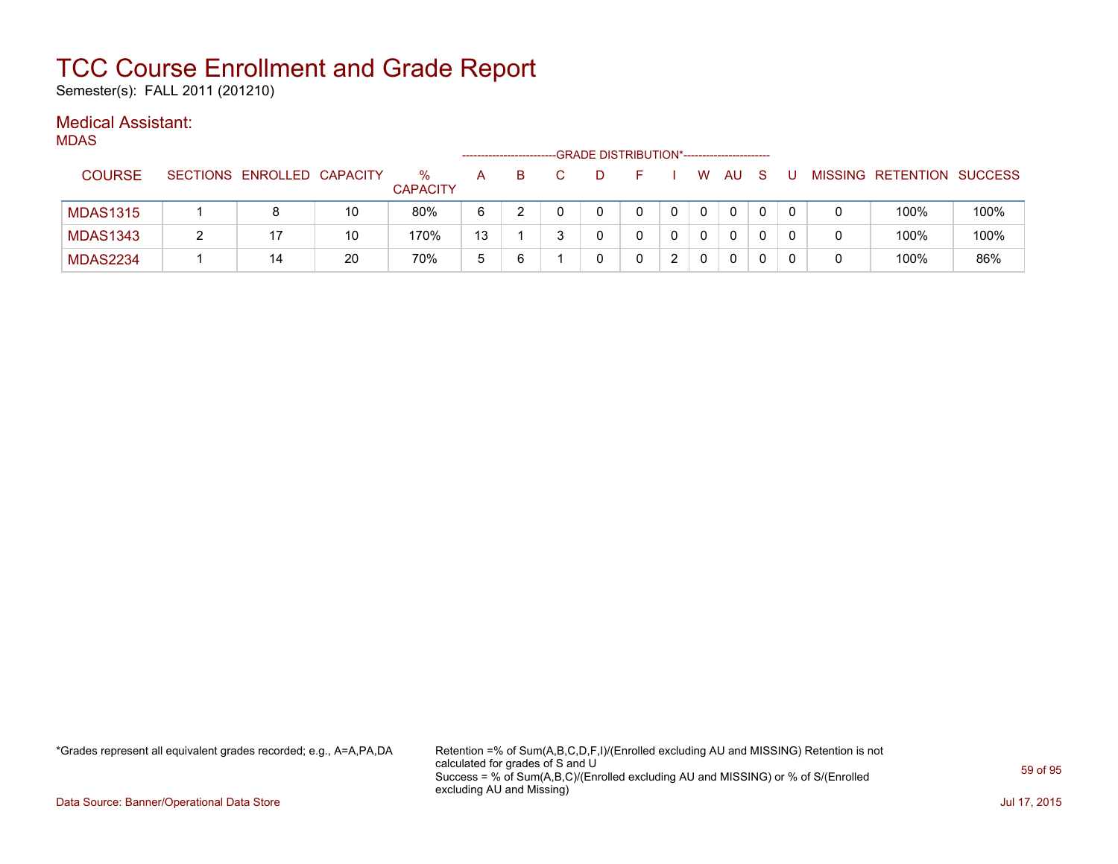Semester(s): FALL 2011 (201210)

### Medical Assistant:

MDAS

|                 |                            |    |                      | ------------------- |   | -GRADE DISTRIBUTION*---------------------- |  |    |              |   |  |                           |      |
|-----------------|----------------------------|----|----------------------|---------------------|---|--------------------------------------------|--|----|--------------|---|--|---------------------------|------|
| <b>COURSE</b>   | SECTIONS ENROLLED CAPACITY |    | %<br><b>CAPACITY</b> | A                   | в |                                            |  | W. | AU           |   |  | MISSING RETENTION SUCCESS |      |
| <b>MDAS1315</b> | 8                          | 10 | 80%                  | 6                   |   |                                            |  |    | $\mathbf{0}$ |   |  | 100%                      | 100% |
| <b>MDAS1343</b> |                            | 10 | 170%                 | 13                  |   |                                            |  |    | 0            |   |  | 100%                      | 100% |
| <b>MDAS2234</b> | 14                         | 20 | 70%                  | 5                   | 6 |                                            |  |    | 0            | 0 |  | 100%                      | 86%  |

\*Grades represent all equivalent grades recorded; e.g., A=A,PA,DA Retention =% of Sum(A,B,C,D,F,I)/(Enrolled excluding AU and MISSING) Retention is not calculated for grades of S and U Success = % of Sum(A,B,C)/(Enrolled excluding AU and MISSING) or % of S/(Enrolled excluding AU and Missing)

Data Source: Banner/Operational Data Store Jul 17, 2015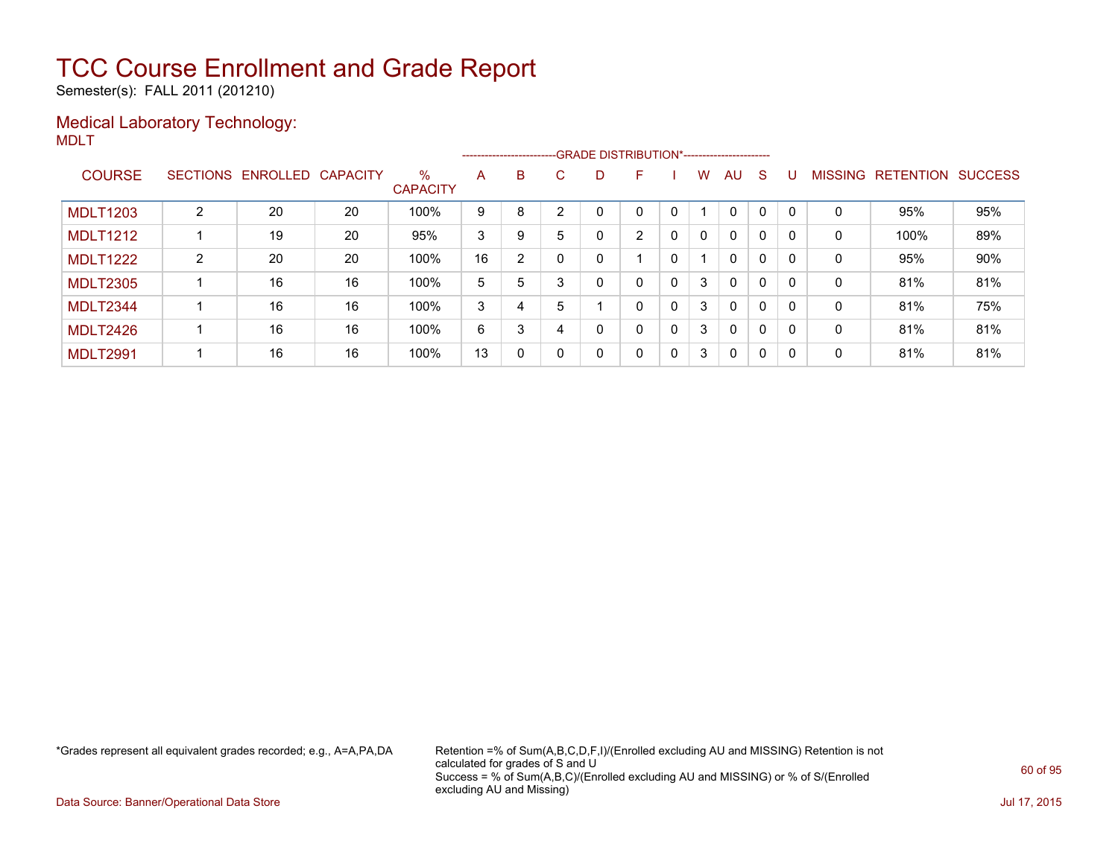Semester(s): FALL 2011 (201210)

### Medical Laboratory Technology: MDLT

|                 |   |                   |          |                         |    |   |    | --------------------------GRADE DISTRIBUTION*----------------------- |                |              |          |              |   |          |                |                  |                |
|-----------------|---|-------------------|----------|-------------------------|----|---|----|----------------------------------------------------------------------|----------------|--------------|----------|--------------|---|----------|----------------|------------------|----------------|
| <b>COURSE</b>   |   | SECTIONS ENROLLED | CAPACITY | $\%$<br><b>CAPACITY</b> | A  | B | C. | D                                                                    | F              |              | W        | AU           | S | U        | <b>MISSING</b> | <b>RETENTION</b> | <b>SUCCESS</b> |
| <b>MDLT1203</b> | 2 | 20                | 20       | 100%                    | 9  | 8 |    |                                                                      | 0              |              |          | $\mathbf{0}$ | 0 | റ        | 0              | 95%              | 95%            |
| <b>MDLT1212</b> |   | 19                | 20       | 95%                     | 3  | 9 | 5  | 0                                                                    | $\overline{2}$ | $\mathbf{0}$ | $\Omega$ | $\mathbf{0}$ | 0 | $\Omega$ | 0              | 100%             | 89%            |
| <b>MDLT1222</b> | 2 | 20                | 20       | 100%                    | 16 | 2 |    |                                                                      |                |              |          | $\mathbf{0}$ | 0 |          | 0              | 95%              | 90%            |
| <b>MDLT2305</b> |   | 16                | 16       | 100%                    | 5  | 5 |    | 0                                                                    | 0              | $\mathbf{0}$ | 3        | $\mathbf{0}$ | 0 | $\Omega$ | 0              | 81%              | 81%            |
| MDLT2344        |   | 16                | 16       | 100%                    | 3  | 4 | 5  |                                                                      | 0              | $\mathbf{0}$ | 3        | $\mathbf{0}$ | 0 | $\Omega$ | 0              | 81%              | 75%            |
| MDLT2426        |   | 16                | 16       | 100%                    | 6  | 3 |    | 0                                                                    | 0              | $\mathbf{0}$ | 3        | $\mathbf{0}$ | 0 | റ        | 0              | 81%              | 81%            |
| <b>MDLT2991</b> |   | 16                | 16       | 100%                    | 13 | 0 |    | 0                                                                    | 0              | $\mathbf{0}$ | 3        | 0            | 0 | $\Omega$ | 0              | 81%              | 81%            |

\*Grades represent all equivalent grades recorded; e.g., A=A,PA,DA Retention =% of Sum(A,B,C,D,F,I)/(Enrolled excluding AU and MISSING) Retention is not calculated for grades of S and U Success = % of Sum(A,B,C)/(Enrolled excluding AU and MISSING) or % of S/(Enrolled excluding AU and Missing)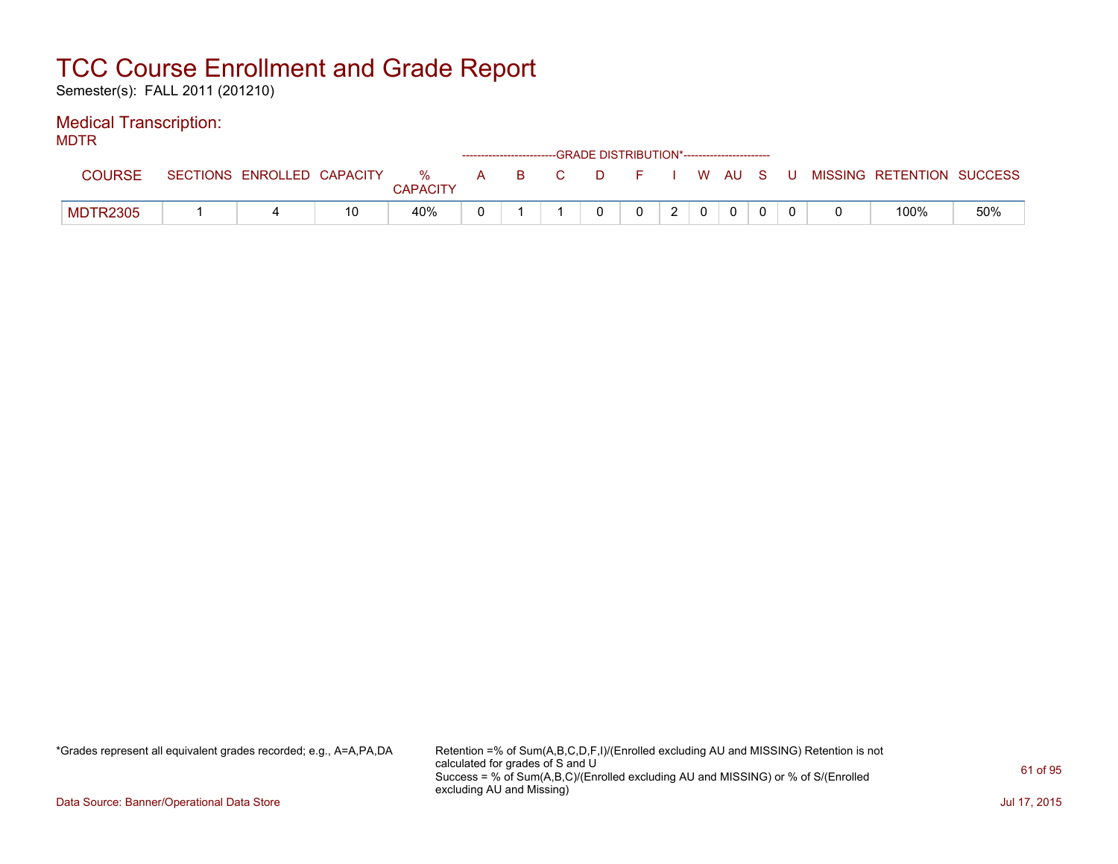Semester(s): FALL 2011 (201210)

### Medical Transcription:

MDTR

| .               |                            |    |                      |   |     | ------------------------GRADE DISTRIBUTION*----------------------- |       |   |      |   |                           |     |
|-----------------|----------------------------|----|----------------------|---|-----|--------------------------------------------------------------------|-------|---|------|---|---------------------------|-----|
| <b>COURSE</b>   | SECTIONS ENROLLED CAPACITY |    | %<br><b>CAPACITY</b> | A | BC. |                                                                    | D F I |   | WAUS | U | MISSING RETENTION SUCCESS |     |
| <b>MDTR2305</b> |                            | 10 | 40%                  |   |     |                                                                    |       | ົ |      |   | 100%                      | 50% |

\*Grades represent all equivalent grades recorded; e.g., A=A,PA,DA Retention =% of Sum(A,B,C,D,F,I)/(Enrolled excluding AU and MISSING) Retention is not calculated for grades of S and U Success = % of Sum(A,B,C)/(Enrolled excluding AU and MISSING) or % of S/(Enrolled excluding AU and Missing)

Data Source: Banner/Operational Data Store Jul 17, 2015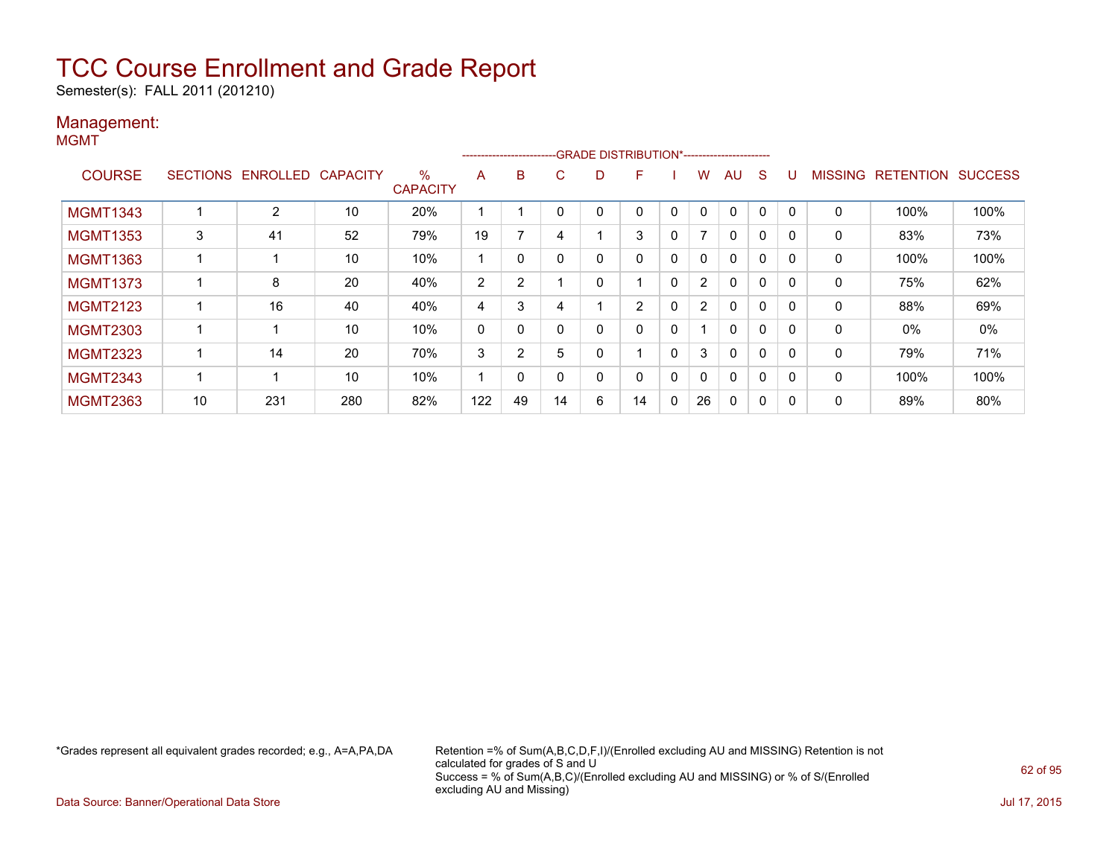Semester(s): FALL 2011 (201210)

### Management: MGMT

|                 |    |                            |     |                         | --------------------- |                |          |    |                |             |                |              |   |          |                |                  |                |
|-----------------|----|----------------------------|-----|-------------------------|-----------------------|----------------|----------|----|----------------|-------------|----------------|--------------|---|----------|----------------|------------------|----------------|
| <b>COURSE</b>   |    | SECTIONS ENROLLED CAPACITY |     | $\%$<br><b>CAPACITY</b> | A                     | B              | C.       | D. | F              |             | w              | AU           | S |          | <b>MISSING</b> | <b>RETENTION</b> | <b>SUCCESS</b> |
| <b>MGMT1343</b> |    | $\overline{2}$             | 10  | 20%                     |                       |                | 0        |    | 0              | 0           | $\mathbf{0}$   | $\Omega$     | 0 | 0        | 0              | 100%             | 100%           |
| <b>MGMT1353</b> | 3  | 41                         | 52  | 79%                     | 19                    |                | 4        |    | 3              | 0           | 7              | 0            | 0 | $\Omega$ | 0              | 83%              | 73%            |
| <b>MGMT1363</b> |    |                            | 10  | 10%                     |                       | 0              |          | 0  | 0              | $\mathbf 0$ | 0              | 0            | 0 | 0        | 0              | 100%             | 100%           |
| <b>MGMT1373</b> |    | 8                          | 20  | 40%                     | 2                     | 2              |          |    |                | $\mathbf 0$ | $\overline{2}$ | $\mathbf{0}$ | 0 | $\Omega$ | 0              | 75%              | 62%            |
| <b>MGMT2123</b> |    | 16                         | 40  | 40%                     | 4                     | 3              | 4        |    | $\overline{2}$ | 0           | $\overline{2}$ | $\Omega$     | 0 | $\Omega$ | $\mathbf 0$    | 88%              | 69%            |
| <b>MGMT2303</b> |    |                            | 10  | 10%                     | 0                     | 0              |          | 0  | 0              | $\mathbf 0$ |                | $\mathbf{0}$ | 0 |          | 0              | 0%               | 0%             |
| <b>MGMT2323</b> |    | 14                         | 20  | 70%                     | 3                     | $\overline{2}$ | 5        |    |                | $\mathbf 0$ | 3              | $\mathbf{0}$ | 0 | $\Omega$ | 0              | 79%              | 71%            |
| <b>MGMT2343</b> |    |                            | 10  | 10%                     |                       | 0              | $\Omega$ |    | 0              | 0           | 0              | 0            | 0 | $\Omega$ | 0              | 100%             | 100%           |
| <b>MGMT2363</b> | 10 | 231                        | 280 | 82%                     | 122                   | 49             | 14       | 6  | 14             | 0           | 26             | 0            | 0 |          | 0              | 89%              | 80%            |

\*Grades represent all equivalent grades recorded; e.g., A=A,PA,DA Retention =% of Sum(A,B,C,D,F,I)/(Enrolled excluding AU and MISSING) Retention is not calculated for grades of S and U Success = % of Sum(A,B,C)/(Enrolled excluding AU and MISSING) or % of S/(Enrolled excluding AU and Missing)

Data Source: Banner/Operational Data Store Jul 17, 2015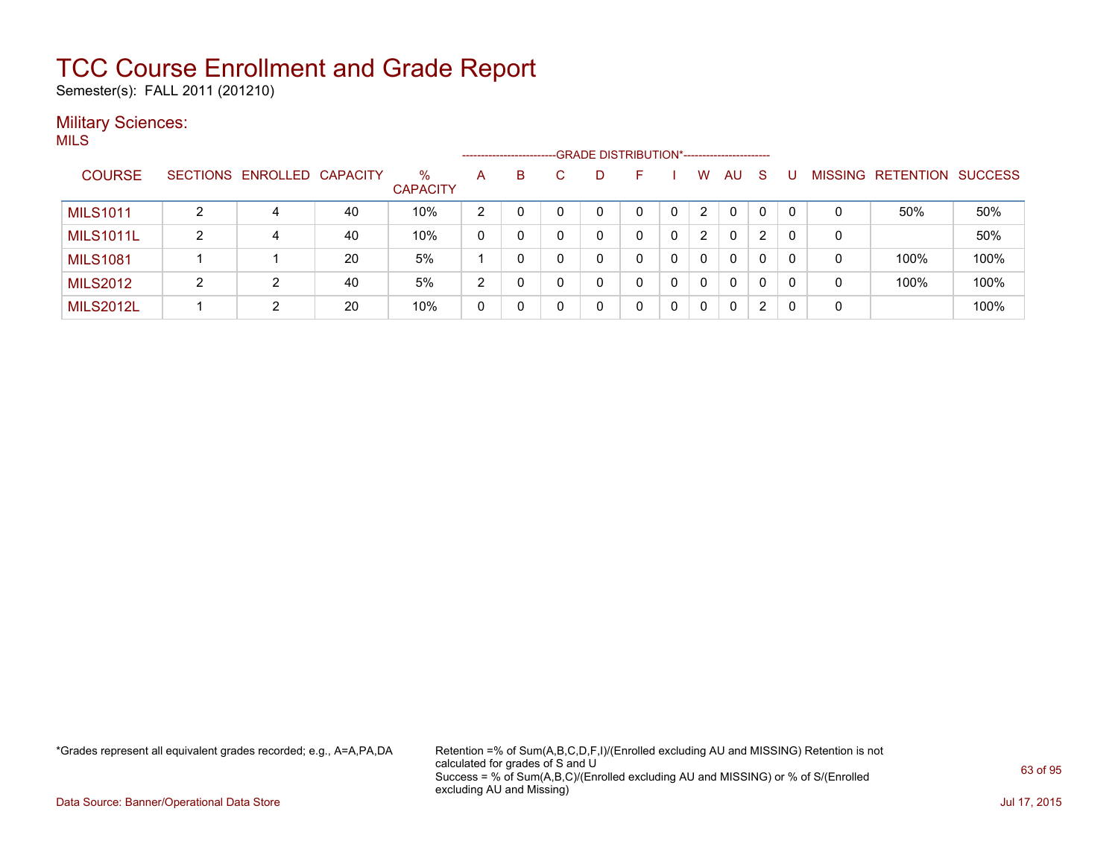Semester(s): FALL 2011 (201210)

### **Military Sciences:** MILS

|                  |   |                   |                 |                         |   | ---------------------- |   | -GRADE DISTRIBUTION*----------------------- |    |          |   |    |              |          |   |                   |                |
|------------------|---|-------------------|-----------------|-------------------------|---|------------------------|---|---------------------------------------------|----|----------|---|----|--------------|----------|---|-------------------|----------------|
| <b>COURSE</b>    |   | SECTIONS ENROLLED | <b>CAPACITY</b> | $\%$<br><b>CAPACITY</b> | A | B                      |   |                                             | н. |          | W | AU | <sub>S</sub> |          |   | MISSING RETENTION | <b>SUCCESS</b> |
| <b>MILS1011</b>  |   | 4                 | 40              | 10%                     | 2 |                        |   |                                             |    |          | 2 | 0  | 0            | $\Omega$ | 0 | 50%               | 50%            |
| <b>MILS1011L</b> | 2 | 4                 | 40              | 10%                     |   |                        |   |                                             |    |          | 2 | 0  | 2            | 0        | 0 |                   | 50%            |
| <b>MILS1081</b>  |   |                   | 20              | 5%                      |   |                        |   |                                             |    |          | 0 | 0  | 0            | 0        | 0 | 100%              | 100%           |
| <b>MILS2012</b>  | 2 | 2                 | 40              | 5%                      | 2 |                        | 0 |                                             |    | $\Omega$ |   | 0  | 0            | 0        | 0 | 100%              | 100%           |
| <b>MILS2012L</b> |   | 2                 | 20              | 10%                     |   |                        |   |                                             |    |          |   | 0  | 2            | 0        | 0 |                   | 100%           |

\*Grades represent all equivalent grades recorded; e.g., A=A,PA,DA Retention =% of Sum(A,B,C,D,F,I)/(Enrolled excluding AU and MISSING) Retention is not calculated for grades of S and U Success = % of Sum(A,B,C)/(Enrolled excluding AU and MISSING) or % of S/(Enrolled excluding AU and Missing)

Data Source: Banner/Operational Data Store Jul 17, 2015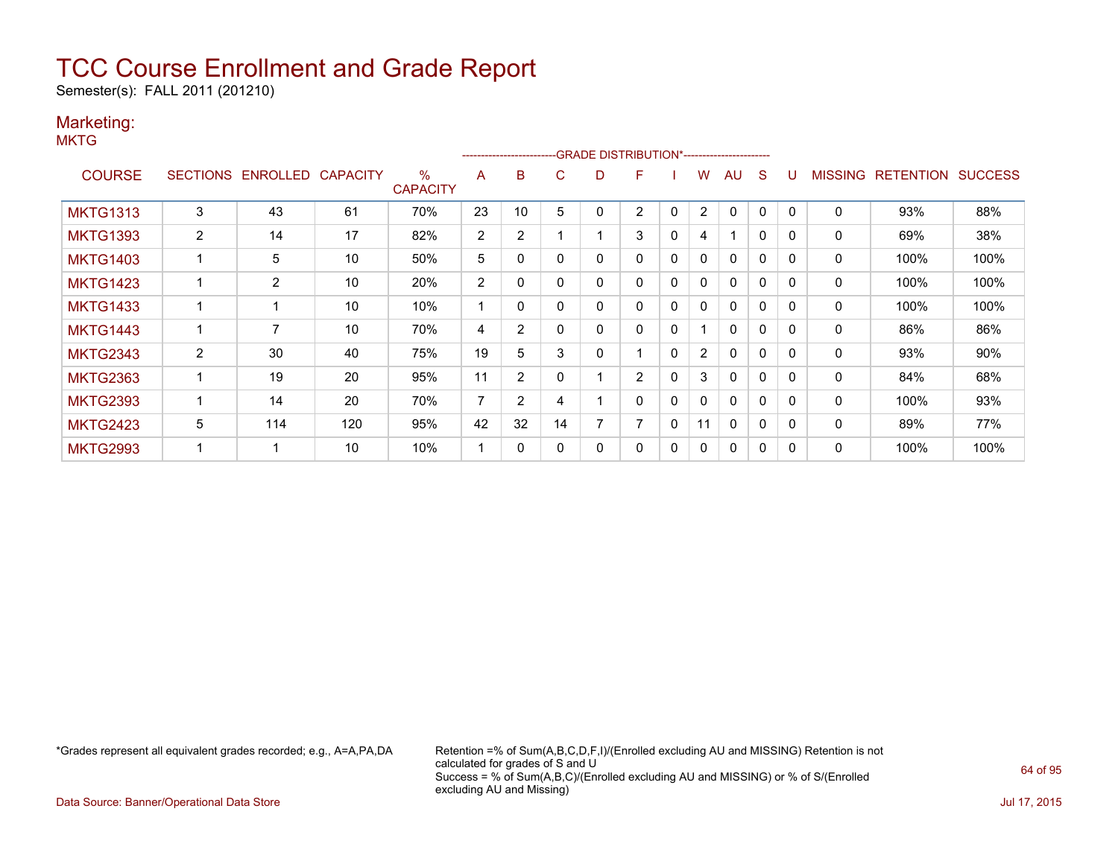Semester(s): FALL 2011 (201210)

### Marketing:

**MKTG** 

|                 |   |                   |                 |                         |                |                |    |   | -------------------------GRADE                DISTRIBUTION*---------------------- |              |                |                         |              |          |                |                  |                |
|-----------------|---|-------------------|-----------------|-------------------------|----------------|----------------|----|---|-----------------------------------------------------------------------------------|--------------|----------------|-------------------------|--------------|----------|----------------|------------------|----------------|
| <b>COURSE</b>   |   | SECTIONS ENROLLED | <b>CAPACITY</b> | $\%$<br><b>CAPACITY</b> | A              | B              | C  | D | F                                                                                 |              | w              | AU                      | S            |          | <b>MISSING</b> | <b>RETENTION</b> | <b>SUCCESS</b> |
| <b>MKTG1313</b> | 3 | 43                | 61              | 70%                     | 23             | 10             | 5  | 0 | 2                                                                                 | 0            | 2              | $\Omega$                | 0            |          | 0              | 93%              | 88%            |
| <b>MKTG1393</b> | 2 | 14                | 17              | 82%                     | $\overline{2}$ | 2              |    |   | 3                                                                                 | 0            | 4              | $\overline{\mathbf{A}}$ | $\mathbf{0}$ | $\Omega$ | 0              | 69%              | 38%            |
| <b>MKTG1403</b> |   | 5                 | 10              | 50%                     | 5              | 0              | O  | 0 | 0                                                                                 | 0            | $\mathbf{0}$   | $\mathbf{0}$            | $\mathbf{0}$ | $\Omega$ | 0              | 100%             | 100%           |
| <b>MKTG1423</b> |   | $\overline{2}$    | 10              | 20%                     | 2              | 0              |    | 0 | 0                                                                                 | $\mathbf{0}$ | $\mathbf{0}$   | $\mathbf{0}$            | $\mathbf{0}$ | $\Omega$ | 0              | 100%             | 100%           |
| <b>MKTG1433</b> |   |                   | 10              | 10%                     |                | 0              |    | 0 | 0                                                                                 | 0            | 0              | $\mathbf{0}$            | $\mathbf{0}$ | 0        | 0              | 100%             | 100%           |
| <b>MKTG1443</b> |   | 7                 | 10              | 70%                     | 4              | $\overline{2}$ |    | 0 | 0                                                                                 | 0            |                | $\mathbf{0}$            | 0            |          | 0              | 86%              | 86%            |
| <b>MKTG2343</b> | 2 | 30                | 40              | 75%                     | 19             | 5              | 3  | 0 |                                                                                   | 0            | $\overline{2}$ | $\mathbf{0}$            | 0            | $\Omega$ | 0              | 93%              | 90%            |
| <b>MKTG2363</b> |   | 19                | 20              | 95%                     | 11             | $\overline{2}$ |    |   | $\overline{2}$                                                                    | 0            | 3              | $\mathbf{0}$            | $\Omega$     |          | $\Omega$       | 84%              | 68%            |
| <b>MKTG2393</b> |   | 14                | 20              | 70%                     | 7              | $\overline{2}$ | 4  |   | 0                                                                                 | 0            | 0              | $\mathbf{0}$            | $\mathbf{0}$ | $\Omega$ | 0              | 100%             | 93%            |
| <b>MKTG2423</b> | 5 | 114               | 120             | 95%                     | 42             | 32             | 14 | 7 | 7                                                                                 | $\mathbf{0}$ | 11             | $\Omega$                | $\mathbf{0}$ | $\Omega$ | $\Omega$       | 89%              | 77%            |
| <b>MKTG2993</b> |   |                   | 10              | 10%                     |                | 0              |    | 0 | 0                                                                                 | 0            | 0              | $\mathbf{0}$            | 0            |          | 0              | 100%             | 100%           |

\*Grades represent all equivalent grades recorded; e.g., A=A,PA,DA Retention =% of Sum(A,B,C,D,F,I)/(Enrolled excluding AU and MISSING) Retention is not calculated for grades of S and U Success = % of Sum(A,B,C)/(Enrolled excluding AU and MISSING) or % of S/(Enrolled excluding AU and Missing)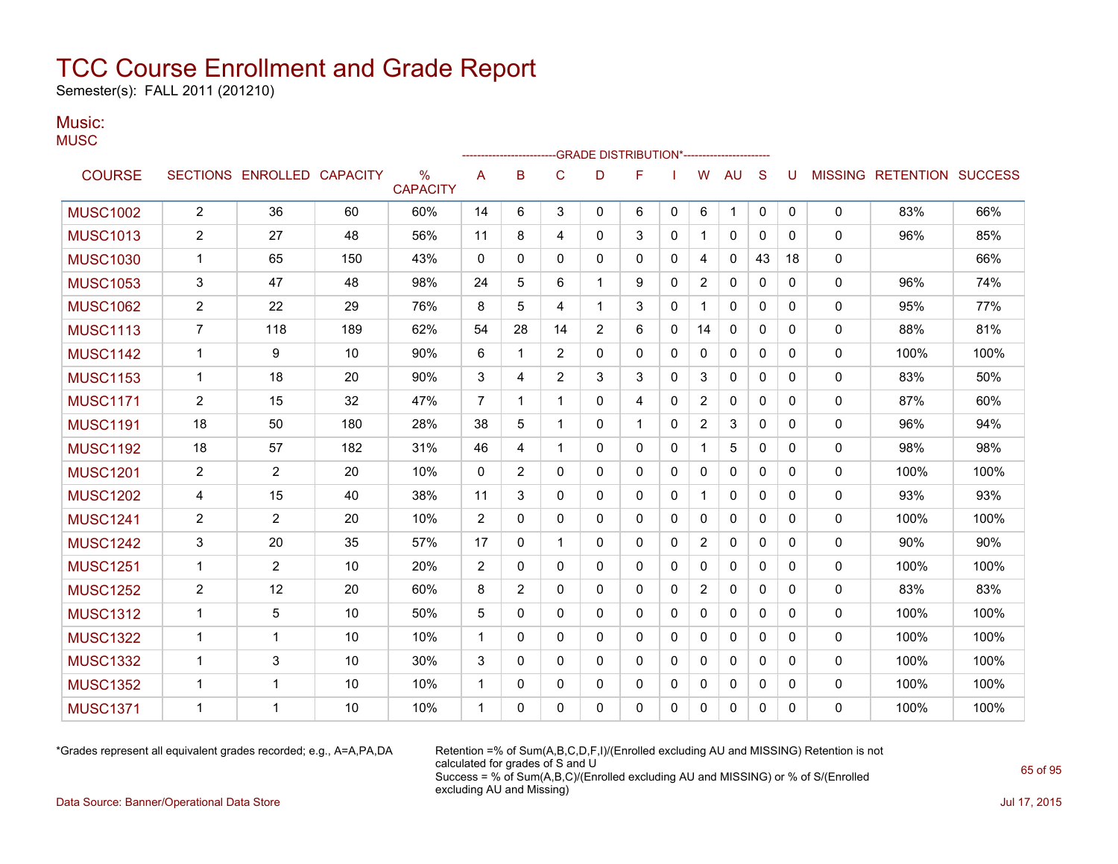Semester(s): FALL 2011 (201210)

### Music: **MUSC**

|                 |                |                            |     |                      |                |                |                | -GRADE DISTRIBUTION*---------------------- |              |   |                |              |              |          |              |                   |                |
|-----------------|----------------|----------------------------|-----|----------------------|----------------|----------------|----------------|--------------------------------------------|--------------|---|----------------|--------------|--------------|----------|--------------|-------------------|----------------|
| <b>COURSE</b>   |                | SECTIONS ENROLLED CAPACITY |     | %<br><b>CAPACITY</b> | A              | B              | $\mathsf{C}$   | D                                          | F            |   | W              | <b>AU</b>    | S            | U        |              | MISSING RETENTION | <b>SUCCESS</b> |
| <b>MUSC1002</b> | $\overline{c}$ | 36                         | 60  | 60%                  | 14             | 6              | 3              | 0                                          | 6            | 0 | 6              | $\mathbf 1$  | $\mathbf 0$  | 0        | 0            | 83%               | 66%            |
| <b>MUSC1013</b> | 2              | 27                         | 48  | 56%                  | 11             | 8              | 4              | $\mathbf{0}$                               | 3            | 0 | 1              | $\mathbf{0}$ | $\mathbf{0}$ | $\Omega$ | $\mathbf{0}$ | 96%               | 85%            |
| <b>MUSC1030</b> | 1              | 65                         | 150 | 43%                  | 0              | 0              | $\Omega$       | $\mathbf{0}$                               | 0            | 0 | 4              | 0            | 43           | 18       | 0            |                   | 66%            |
| <b>MUSC1053</b> | 3              | 47                         | 48  | 98%                  | 24             | 5              | 6              | -1                                         | 9            | 0 | 2              | 0            | 0            | 0        | 0            | 96%               | 74%            |
| <b>MUSC1062</b> | $\overline{2}$ | 22                         | 29  | 76%                  | 8              | 5              | 4              | 1                                          | 3            | 0 | 1              | 0            | 0            | 0        | 0            | 95%               | 77%            |
| <b>MUSC1113</b> | $\overline{7}$ | 118                        | 189 | 62%                  | 54             | 28             | 14             | $\overline{2}$                             | 6            | 0 | 14             | $\Omega$     | $\mathbf{0}$ | $\Omega$ | $\Omega$     | 88%               | 81%            |
| <b>MUSC1142</b> | 1              | 9                          | 10  | 90%                  | 6              | 1              | $\overline{c}$ | $\mathbf{0}$                               | 0            | 0 | 0              | 0            | 0            | 0        | 0            | 100%              | 100%           |
| <b>MUSC1153</b> | 1              | 18                         | 20  | 90%                  | 3              | 4              | $\overline{2}$ | 3                                          | 3            | 0 | 3              | 0            | $\mathbf{0}$ | 0        | 0            | 83%               | 50%            |
| <b>MUSC1171</b> | $\overline{c}$ | 15                         | 32  | 47%                  | $\overline{7}$ | $\mathbf 1$    | $\mathbf 1$    | $\mathbf{0}$                               | 4            | 0 | $\overline{2}$ | $\Omega$     | $\mathbf{0}$ | $\Omega$ | 0            | 87%               | 60%            |
| <b>MUSC1191</b> | 18             | 50                         | 180 | 28%                  | 38             | 5              | 1              | $\mathbf{0}$                               | 1            | 0 | 2              | 3            | $\mathbf{0}$ | $\Omega$ | 0            | 96%               | 94%            |
| <b>MUSC1192</b> | 18             | 57                         | 182 | 31%                  | 46             | 4              | 1              | $\mathbf{0}$                               | 0            | 0 |                | 5            | 0            | $\Omega$ | 0            | 98%               | 98%            |
| <b>MUSC1201</b> | $\overline{2}$ | $\overline{2}$             | 20  | 10%                  | 0              | 2              | $\mathbf{0}$   | $\mathbf{0}$                               | 0            | 0 | 0              | $\mathbf{0}$ | $\mathbf{0}$ | 0        | $\mathbf{0}$ | 100%              | 100%           |
| <b>MUSC1202</b> | 4              | 15                         | 40  | 38%                  | 11             | 3              | $\Omega$       | $\mathbf{0}$                               | $\mathbf{0}$ | 0 | 1              | 0            | $\mathbf{0}$ | $\Omega$ | 0            | 93%               | 93%            |
| <b>MUSC1241</b> | 2              | $\overline{c}$             | 20  | 10%                  | $\overline{c}$ | $\mathbf{0}$   | 0              | 0                                          | 0            | 0 | 0              | 0            | $\mathbf{0}$ | 0        | 0            | 100%              | 100%           |
| <b>MUSC1242</b> | 3              | 20                         | 35  | 57%                  | 17             | $\mathbf{0}$   | 1              | $\mathbf{0}$                               | 0            | 0 | $\overline{2}$ | 0            | $\mathbf{0}$ | $\Omega$ | 0            | 90%               | 90%            |
| <b>MUSC1251</b> | 1              | $\overline{2}$             | 10  | 20%                  | $\overline{2}$ | $\mathbf{0}$   | $\mathbf{0}$   | $\mathbf{0}$                               | $\mathbf{0}$ | 0 | $\mathbf{0}$   | $\mathbf{0}$ | $\mathbf{0}$ | 0        | 0            | 100%              | 100%           |
| <b>MUSC1252</b> | $\overline{c}$ | 12                         | 20  | 60%                  | 8              | $\overline{2}$ | $\Omega$       | $\mathbf{0}$                               | $\mathbf{0}$ | 0 | $\overline{2}$ | $\Omega$     | $\mathbf{0}$ | $\Omega$ | 0            | 83%               | 83%            |
| <b>MUSC1312</b> | 1              | 5                          | 10  | 50%                  | 5              | 0              | 0              | 0                                          | 0            | 0 | 0              | $\mathbf{0}$ | $\mathbf{0}$ | 0        | 0            | 100%              | 100%           |
| <b>MUSC1322</b> | 1              | 1                          | 10  | 10%                  | $\mathbf 1$    | $\mathbf{0}$   | $\mathbf{0}$   | $\mathbf{0}$                               | $\mathbf{0}$ | 0 | 0              | $\mathbf{0}$ | $\mathbf{0}$ | 0        | 0            | 100%              | 100%           |
| <b>MUSC1332</b> | 1              | 3                          | 10  | 30%                  | 3              | $\mathbf{0}$   | $\mathbf{0}$   | 0                                          | 0            | 0 | 0              | 0            | $\mathbf{0}$ | 0        | 0            | 100%              | 100%           |
| <b>MUSC1352</b> | 1              | 1                          | 10  | 10%                  | $\mathbf 1$    | 0              | 0              | 0                                          | 0            | 0 | 0              | 0            | 0            | 0        | 0            | 100%              | 100%           |
| <b>MUSC1371</b> | 1              | 1                          | 10  | 10%                  | 1              | 0              | $\mathbf 0$    | 0                                          | 0            | 0 | 0              | 0            | 0            | 0        | 0            | 100%              | 100%           |

\*Grades represent all equivalent grades recorded; e.g., A=A,PA,DA Retention =% of Sum(A,B,C,D,F,I)/(Enrolled excluding AU and MISSING) Retention is not calculated for grades of S and U Success = % of Sum(A,B,C)/(Enrolled excluding AU and MISSING) or % of S/(Enrolled excluding AU and Missing)

Data Source: Banner/Operational Data Store Jul 17, 2015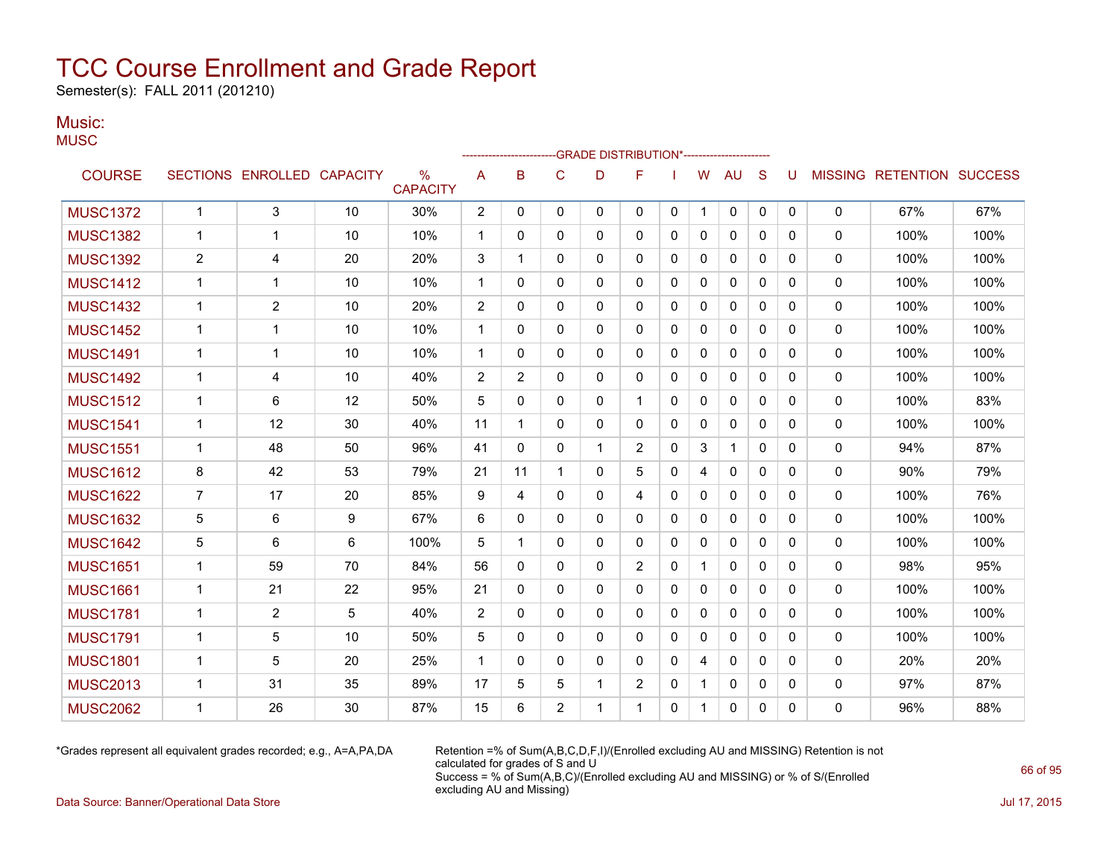Semester(s): FALL 2011 (201210)

### Music: **MUSC**

|                 |                |                            |    |                                  |                |          |                | -GRADE DISTRIBUTION*---------------------- |                |              |              |              |              |          |              |                   |                |
|-----------------|----------------|----------------------------|----|----------------------------------|----------------|----------|----------------|--------------------------------------------|----------------|--------------|--------------|--------------|--------------|----------|--------------|-------------------|----------------|
| <b>COURSE</b>   |                | SECTIONS ENROLLED CAPACITY |    | $\frac{0}{0}$<br><b>CAPACITY</b> | A              | B        | $\mathsf{C}$   | D                                          | F              |              | W            | <b>AU</b>    | S            |          |              | MISSING RETENTION | <b>SUCCESS</b> |
| <b>MUSC1372</b> | $\mathbf{1}$   | 3                          | 10 | 30%                              | $\overline{2}$ | 0        | $\mathbf 0$    | 0                                          | 0              | 0            | $\mathbf{1}$ | 0            | $\mathbf{0}$ | 0        | 0            | 67%               | 67%            |
| <b>MUSC1382</b> | 1              | 1                          | 10 | 10%                              | 1              | 0        | 0              | 0                                          | 0              | 0            | 0            | 0            | $\Omega$     | 0        | 0            | 100%              | 100%           |
| <b>MUSC1392</b> | $\overline{2}$ | 4                          | 20 | 20%                              | 3              | 1        | 0              | 0                                          | 0              | 0            | 0            | 0            | $\Omega$     | 0        | 0            | 100%              | 100%           |
| <b>MUSC1412</b> | 1              | 1                          | 10 | 10%                              | $\mathbf{1}$   | 0        | $\Omega$       | 0                                          | 0              | $\mathbf{0}$ | 0            | 0            | $\Omega$     | 0        | $\mathbf{0}$ | 100%              | 100%           |
| <b>MUSC1432</b> | 1              | $\overline{c}$             | 10 | 20%                              | 2              | 0        | $\Omega$       | 0                                          | $\mathbf{0}$   | 0            | 0            | 0            | $\Omega$     | 0        | $\Omega$     | 100%              | 100%           |
| <b>MUSC1452</b> | 1              | $\mathbf 1$                | 10 | 10%                              | $\mathbf{1}$   | 0        | 0              | 0                                          | 0              | 0            | 0            | 0            | $\Omega$     | 0        | 0            | 100%              | 100%           |
| <b>MUSC1491</b> | 1              | $\mathbf 1$                | 10 | 10%                              | $\mathbf{1}$   | 0        | 0              | 0                                          | 0              | 0            | 0            | 0            | $\Omega$     | 0        | $\mathbf{0}$ | 100%              | 100%           |
| <b>MUSC1492</b> | 1              | 4                          | 10 | 40%                              | 2              | 2        | $\mathbf 0$    | 0                                          | 0              | 0            | 0            | 0            | $\Omega$     | 0        | 0            | 100%              | 100%           |
| <b>MUSC1512</b> | 1              | 6                          | 12 | 50%                              | 5              | 0        | $\Omega$       | 0                                          | 1              | 0            | 0            | $\mathbf{0}$ | $\Omega$     | 0        | $\Omega$     | 100%              | 83%            |
| <b>MUSC1541</b> | $\mathbf 1$    | 12                         | 30 | 40%                              | 11             | 1        | $\Omega$       | 0                                          | $\mathbf{0}$   | 0            | 0            | $\mathbf{0}$ | $\Omega$     | 0        | 0            | 100%              | 100%           |
| <b>MUSC1551</b> | 1              | 48                         | 50 | 96%                              | 41             | $\Omega$ | $\mathbf{0}$   | 1                                          | 2              | 0            | 3            | 1            | $\Omega$     | 0        | $\mathbf{0}$ | 94%               | 87%            |
| <b>MUSC1612</b> | 8              | 42                         | 53 | 79%                              | 21             | 11       | 1              | 0                                          | 5              | 0            | 4            | 0            | 0            | 0        | 0            | 90%               | 79%            |
| <b>MUSC1622</b> | 7              | 17                         | 20 | 85%                              | 9              | 4        | 0              | 0                                          | 4              | 0            | 0            | 0            | 0            | 0        | 0            | 100%              | 76%            |
| <b>MUSC1632</b> | 5              | 6                          | 9  | 67%                              | 6              | 0        | $\Omega$       | 0                                          | $\mathbf{0}$   | $\mathbf{0}$ | 0            | 0            | $\Omega$     | 0        | $\mathbf{0}$ | 100%              | 100%           |
| <b>MUSC1642</b> | 5              | 6                          | 6  | 100%                             | 5              | 1        | $\Omega$       | 0                                          | $\mathbf{0}$   | $\mathbf{0}$ | 0            | $\mathbf{0}$ | $\Omega$     | 0        | $\mathbf{0}$ | 100%              | 100%           |
| <b>MUSC1651</b> | 1              | 59                         | 70 | 84%                              | 56             | 0        | $\mathbf 0$    | 0                                          | $\overline{c}$ | 0            | $\mathbf 1$  | 0            | $\Omega$     | 0        | 0            | 98%               | 95%            |
| <b>MUSC1661</b> | 1              | 21                         | 22 | 95%                              | 21             | 0        | $\Omega$       | 0                                          | $\Omega$       | 0            | 0            | $\mathbf{0}$ | $\Omega$     | 0        | 0            | 100%              | 100%           |
| <b>MUSC1781</b> | 1              | $\overline{2}$             | 5  | 40%                              | 2              | 0        | 0              | $\mathbf{0}$                               | 0              | 0            | 0            | 0            | $\Omega$     | 0        | 0            | 100%              | 100%           |
| <b>MUSC1791</b> | 1              | 5                          | 10 | 50%                              | 5              | 0        | $\Omega$       | 0                                          | $\mathbf{0}$   | $\Omega$     | 0            | $\mathbf{0}$ | $\Omega$     | $\Omega$ | $\mathbf{0}$ | 100%              | 100%           |
| <b>MUSC1801</b> | 1              | 5                          | 20 | 25%                              | $\mathbf{1}$   | 0        | $\Omega$       | 0                                          | $\Omega$       | $\mathbf{0}$ | 4            | $\mathbf{0}$ | $\Omega$     | $\Omega$ | $\mathbf{0}$ | 20%               | 20%            |
| <b>MUSC2013</b> | 1              | 31                         | 35 | 89%                              | 17             | 5        | 5              | 1                                          | 2              | 0            |              | 0            | 0            | 0        | 0            | 97%               | 87%            |
| <b>MUSC2062</b> | 1              | 26                         | 30 | 87%                              | 15             | 6        | $\overline{2}$ |                                            |                | 0            | $\mathbf 1$  | 0            | $\mathbf{0}$ | 0        | $\Omega$     | 96%               | 88%            |
|                 |                |                            |    |                                  |                |          |                |                                            |                |              |              |              |              |          |              |                   |                |

\*Grades represent all equivalent grades recorded; e.g., A=A,PA,DA Retention =% of Sum(A,B,C,D,F,I)/(Enrolled excluding AU and MISSING) Retention is not calculated for grades of S and U Success = % of Sum(A,B,C)/(Enrolled excluding AU and MISSING) or % of S/(Enrolled excluding AU and Missing)

Data Source: Banner/Operational Data Store Jul 17, 2015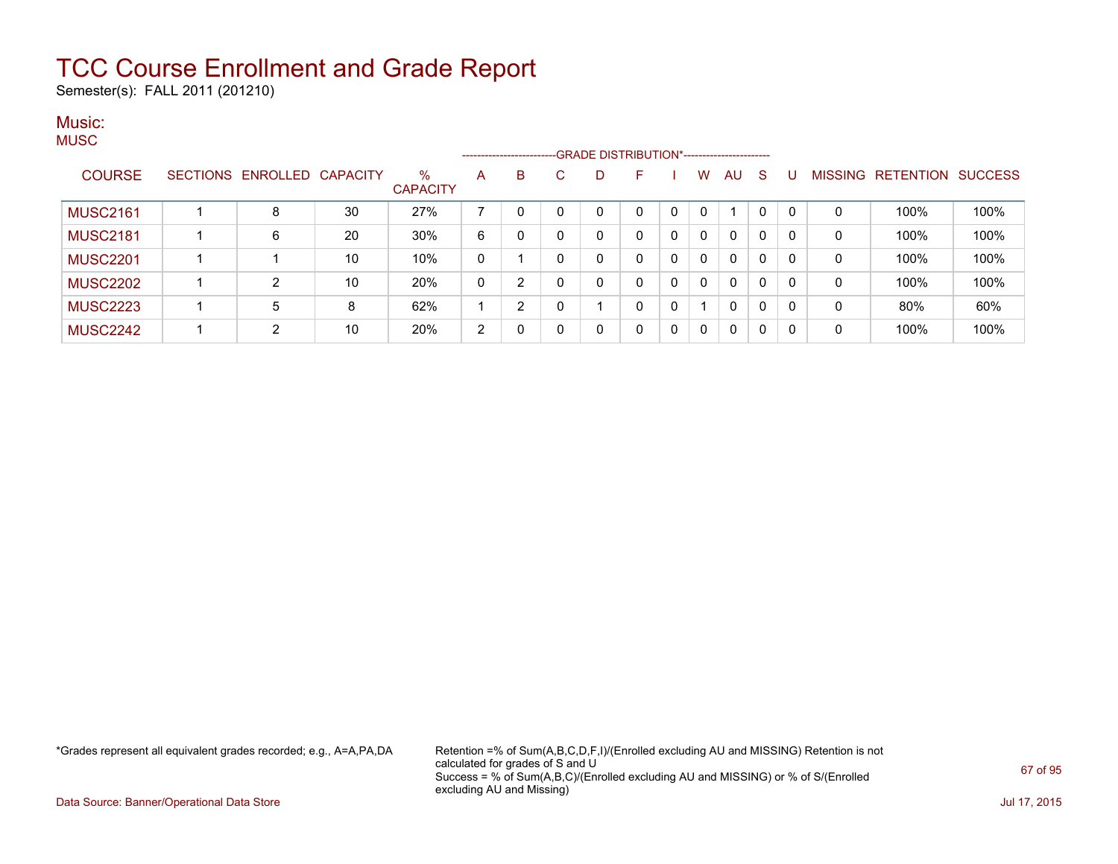Semester(s): FALL 2011 (201210)

### Music: **MUSC**

|                 |                   |                 |                      |              |   | ------------------------GRADE DISTRIBUTION*----------------------- |   |   |          |              |              |             |          |                |           |                |
|-----------------|-------------------|-----------------|----------------------|--------------|---|--------------------------------------------------------------------|---|---|----------|--------------|--------------|-------------|----------|----------------|-----------|----------------|
| <b>COURSE</b>   | SECTIONS ENROLLED | <b>CAPACITY</b> | %<br><b>CAPACITY</b> | A            | B | С                                                                  | D | ⊢ |          | W            | AU           | S           |          | <b>MISSING</b> | RETENTION | <b>SUCCESS</b> |
| <b>MUSC2161</b> | 8                 | 30              | 27%                  |              |   |                                                                    | 0 | 0 | $\Omega$ | 0            |              | $\Omega$    | $\Omega$ | 0              | 100%      | 100%           |
| <b>MUSC2181</b> | 6                 | 20              | 30%                  | 6            |   |                                                                    | 0 | 0 | 0        | 0            | 0            | 0           | $\Omega$ | 0              | 100%      | 100%           |
| <b>MUSC2201</b> |                   | 10              | 10%                  | $\mathbf{0}$ |   |                                                                    | 0 | 0 | 0        | 0            | 0            | 0           | $\Omega$ | 0              | 100%      | 100%           |
| <b>MUSC2202</b> | ົ                 | 10              | 20%                  | 0            | 2 |                                                                    | 0 | 0 | 0        | 0            | $\mathbf{0}$ | 0           | $\Omega$ | 0              | 100%      | 100%           |
| <b>MUSC2223</b> | 5                 | 8               | 62%                  |              | 2 |                                                                    |   | 0 | 0        |              | $\mathbf{0}$ | $\mathbf 0$ | $\Omega$ | 0              | 80%       | 60%            |
| <b>MUSC2242</b> | C                 | 10              | 20%                  | 2            |   |                                                                    | 0 | 0 | 0        | $\mathbf{0}$ | $\Omega$     | 0           | $\Omega$ | 0              | 100%      | 100%           |

\*Grades represent all equivalent grades recorded; e.g., A=A,PA,DA Retention =% of Sum(A,B,C,D,F,I)/(Enrolled excluding AU and MISSING) Retention is not calculated for grades of S and U Success = % of Sum(A,B,C)/(Enrolled excluding AU and MISSING) or % of S/(Enrolled excluding AU and Missing)

Data Source: Banner/Operational Data Store Jul 17, 2015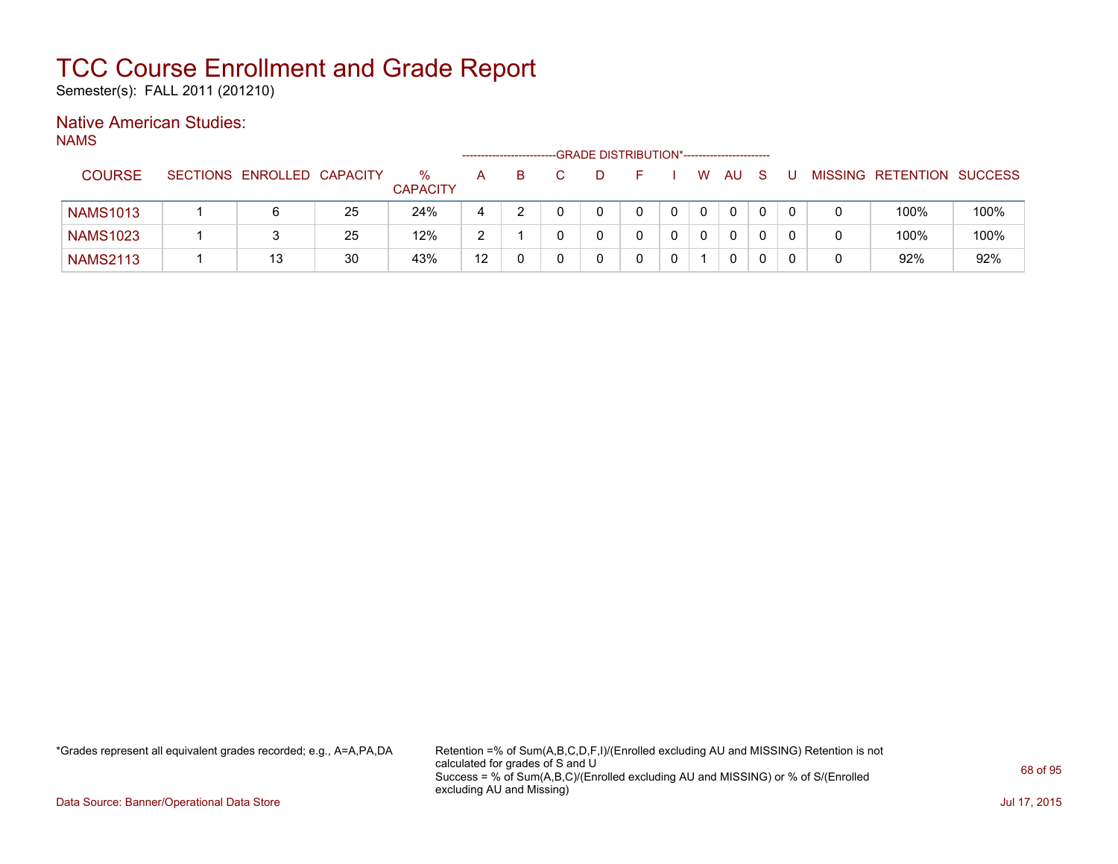Semester(s): FALL 2011 (201210)

### Native American Studies:

NAMS

|                 |                            |    |                      |    | ----------------------- | -GRADE DISTRIBUTION*----------------------- |  |   |    |  |                           |      |
|-----------------|----------------------------|----|----------------------|----|-------------------------|---------------------------------------------|--|---|----|--|---------------------------|------|
| <b>COURSE</b>   | SECTIONS ENROLLED CAPACITY |    | %<br><b>CAPACITY</b> | A  |                         |                                             |  | W | AU |  | MISSING RETENTION SUCCESS |      |
| <b>NAMS1013</b> | 6                          | 25 | 24%                  | 4  |                         |                                             |  |   | 0  |  | 100%                      | 100% |
| <b>NAMS1023</b> | 3                          | 25 | 12%                  | ာ  |                         |                                             |  |   | 0  |  | 100%                      | 100% |
| <b>NAMS2113</b> | 13                         | 30 | 43%                  | 12 |                         |                                             |  |   | 0  |  | 92%                       | 92%  |

\*Grades represent all equivalent grades recorded; e.g., A=A,PA,DA Retention =% of Sum(A,B,C,D,F,I)/(Enrolled excluding AU and MISSING) Retention is not calculated for grades of S and U Success = % of Sum(A,B,C)/(Enrolled excluding AU and MISSING) or % of S/(Enrolled excluding AU and Missing)

Data Source: Banner/Operational Data Store Jul 17, 2015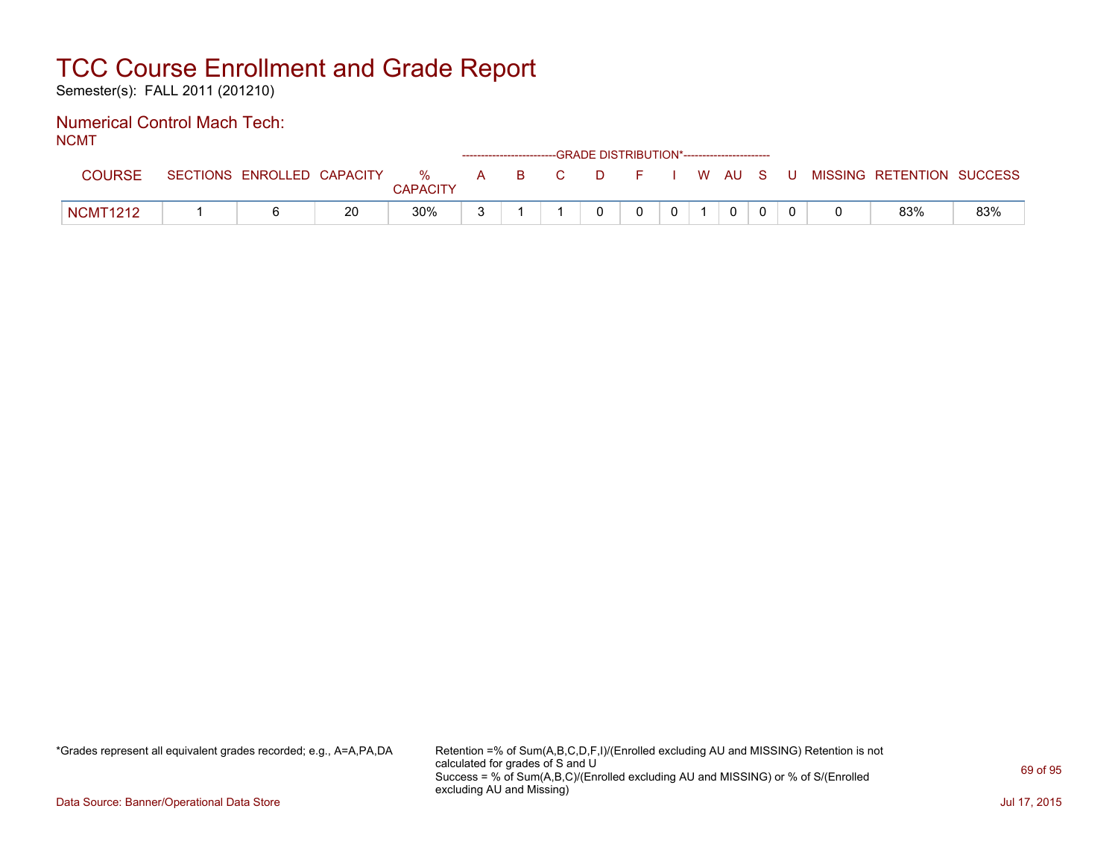Semester(s): FALL 2011 (201210)

#### Numerical Control Mach Tech: NCMT

| .               |                            |    |                      |  |       | ------------------------GRADE DISTRIBUTION*----------------------- |              |                |  |                                          |     |
|-----------------|----------------------------|----|----------------------|--|-------|--------------------------------------------------------------------|--------------|----------------|--|------------------------------------------|-----|
| COURSE          | SECTIONS ENROLLED CAPACITY |    | %<br><b>CAPACITY</b> |  | A B C |                                                                    |              |                |  | D F I W AU S U MISSING RETENTION SUCCESS |     |
| <b>NCMT1212</b> |                            | 20 | $30\%$               |  |       | $\Omega$                                                           | $\mathbf{0}$ | $\overline{0}$ |  | 83%                                      | 83% |

\*Grades represent all equivalent grades recorded; e.g., A=A,PA,DA Retention =% of Sum(A,B,C,D,F,I)/(Enrolled excluding AU and MISSING) Retention is not calculated for grades of S and U Success = % of Sum(A,B,C)/(Enrolled excluding AU and MISSING) or % of S/(Enrolled excluding AU and Missing)

Data Source: Banner/Operational Data Store Jul 17, 2015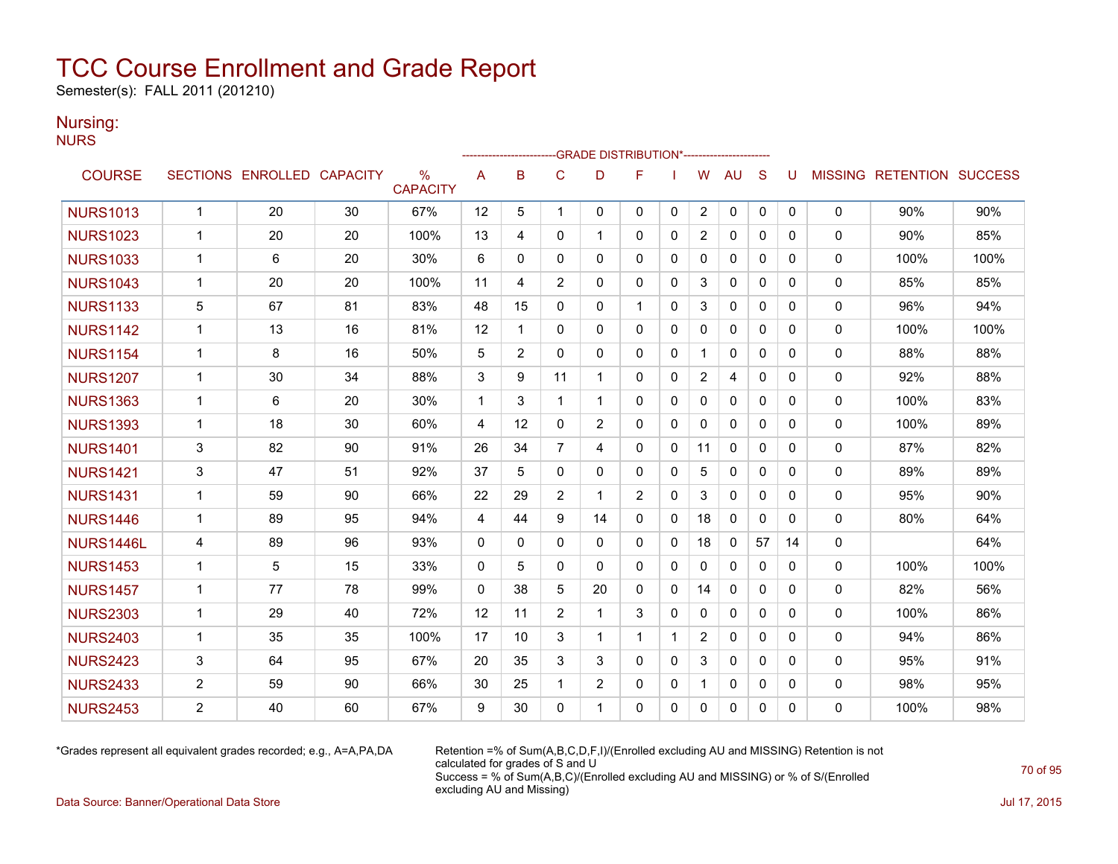Semester(s): FALL 2011 (201210)

### Nursing:

**NURS** 

|                 |                |                            |    |                                  |              |                |                | <b>GRADE DISTRIBUTION*-----------------------</b> |                |              |                |              |              |          |              |                           |      |
|-----------------|----------------|----------------------------|----|----------------------------------|--------------|----------------|----------------|---------------------------------------------------|----------------|--------------|----------------|--------------|--------------|----------|--------------|---------------------------|------|
| <b>COURSE</b>   |                | SECTIONS ENROLLED CAPACITY |    | $\frac{0}{0}$<br><b>CAPACITY</b> | A            | B              | C              | D                                                 | F              |              | W              | <b>AU</b>    | S            | U        |              | MISSING RETENTION SUCCESS |      |
| <b>NURS1013</b> | $\mathbf{1}$   | 20                         | 30 | 67%                              | 12           | 5              | 1              | 0                                                 | $\mathbf{0}$   | 0            | $\overline{2}$ | 0            | 0            | 0        | 0            | 90%                       | 90%  |
| <b>NURS1023</b> | $\mathbf{1}$   | 20                         | 20 | 100%                             | 13           | 4              | $\mathbf{0}$   | 1                                                 | $\mathbf{0}$   | 0            | $\overline{2}$ | 0            | $\mathbf{0}$ | 0        | $\mathbf{0}$ | 90%                       | 85%  |
| <b>NURS1033</b> | $\mathbf{1}$   | 6                          | 20 | 30%                              | 6            | $\mathbf{0}$   | $\mathbf{0}$   | 0                                                 | $\mathbf{0}$   | 0            | 0              | $\mathbf{0}$ | $\mathbf{0}$ | 0        | 0            | 100%                      | 100% |
| <b>NURS1043</b> | $\mathbf{1}$   | 20                         | 20 | 100%                             | 11           | 4              | $\overline{2}$ | $\Omega$                                          | $\Omega$       | $\Omega$     | 3              | $\mathbf{0}$ | $\Omega$     | $\Omega$ | $\mathbf{0}$ | 85%                       | 85%  |
| <b>NURS1133</b> | 5              | 67                         | 81 | 83%                              | 48           | 15             | $\Omega$       | 0                                                 | $\mathbf{1}$   | $\Omega$     | 3              | $\mathbf{0}$ | $\Omega$     | 0        | 0            | 96%                       | 94%  |
| <b>NURS1142</b> | $\mathbf{1}$   | 13                         | 16 | 81%                              | 12           | 1              | $\mathbf{0}$   | $\Omega$                                          | $\mathbf{0}$   | $\mathbf{0}$ | $\Omega$       | $\mathbf{0}$ | $\mathbf{0}$ | 0        | $\mathbf{0}$ | 100%                      | 100% |
| <b>NURS1154</b> | $\mathbf{1}$   | 8                          | 16 | 50%                              | 5            | $\overline{2}$ | $\mathbf{0}$   | 0                                                 | $\mathbf{0}$   | 0            |                | 0            | $\mathbf{0}$ | 0        | 0            | 88%                       | 88%  |
| <b>NURS1207</b> | $\mathbf{1}$   | 30                         | 34 | 88%                              | 3            | 9              | 11             | 1                                                 | $\mathbf{0}$   | 0            | 2              | 4            | $\mathbf{0}$ | 0        | 0            | 92%                       | 88%  |
| <b>NURS1363</b> | $\mathbf 1$    | 6                          | 20 | 30%                              | $\mathbf 1$  | 3              | 1              | 1                                                 | $\mathbf{0}$   | 0            | 0              | 0            | $\mathbf{0}$ | 0        | 0            | 100%                      | 83%  |
| <b>NURS1393</b> | $\mathbf{1}$   | 18                         | 30 | 60%                              | 4            | 12             | $\mathbf{0}$   | $\overline{2}$                                    | 0              | 0            | 0              | 0            | $\mathbf{0}$ | 0        | 0            | 100%                      | 89%  |
| <b>NURS1401</b> | 3              | 82                         | 90 | 91%                              | 26           | 34             | $\overline{7}$ | 4                                                 | $\mathbf{0}$   | $\mathbf{0}$ | 11             | $\mathbf{0}$ | $\Omega$     | 0        | 0            | 87%                       | 82%  |
| <b>NURS1421</b> | 3              | 47                         | 51 | 92%                              | 37           | 5              | $\mathbf{0}$   | 0                                                 | $\mathbf{0}$   | 0            | 5              | $\mathbf{0}$ | $\mathbf{0}$ | 0        | $\mathbf{0}$ | 89%                       | 89%  |
| <b>NURS1431</b> | $\mathbf{1}$   | 59                         | 90 | 66%                              | 22           | 29             | $\overline{2}$ | 1                                                 | $\overline{2}$ | $\Omega$     | 3              | $\mathbf{0}$ | $\Omega$     | $\Omega$ | $\mathbf{0}$ | 95%                       | 90%  |
| <b>NURS1446</b> | $\mathbf{1}$   | 89                         | 95 | 94%                              | 4            | 44             | 9              | 14                                                | $\mathbf{0}$   | 0            | 18             | $\mathbf{0}$ | $\mathbf{0}$ | 0        | 0            | 80%                       | 64%  |
| NURS1446L       | 4              | 89                         | 96 | 93%                              | $\Omega$     | $\Omega$       | $\Omega$       | 0                                                 | $\mathbf{0}$   | $\mathbf{0}$ | 18             | $\mathbf{0}$ | 57           | 14       | 0            |                           | 64%  |
| <b>NURS1453</b> | $\mathbf 1$    | 5                          | 15 | 33%                              | 0            | 5              | 0              | 0                                                 | $\mathbf{0}$   | $\mathbf{0}$ | 0              | $\mathbf{0}$ | $\mathbf{0}$ | 0        | 0            | 100%                      | 100% |
| <b>NURS1457</b> | $\mathbf 1$    | 77                         | 78 | 99%                              | $\mathbf{0}$ | 38             | 5              | 20                                                | $\mathbf{0}$   | $\Omega$     | 14             | $\mathbf{0}$ | $\Omega$     | 0        | 0            | 82%                       | 56%  |
| <b>NURS2303</b> | $\mathbf{1}$   | 29                         | 40 | 72%                              | 12           | 11             | $\overline{2}$ | 1                                                 | 3              | $\mathbf{0}$ | $\mathbf{0}$   | $\mathbf{0}$ | $\Omega$     | 0        | 0            | 100%                      | 86%  |
| <b>NURS2403</b> | $\mathbf 1$    | 35                         | 35 | 100%                             | 17           | 10             | 3              | 1                                                 | 1              | $\mathbf 1$  | $\overline{2}$ | $\mathbf{0}$ | $\mathbf{0}$ | 0        | 0            | 94%                       | 86%  |
| <b>NURS2423</b> | 3              | 64                         | 95 | 67%                              | 20           | 35             | 3              | 3                                                 | $\Omega$       | $\Omega$     | 3              | $\mathbf{0}$ | $\Omega$     | 0        | $\mathbf{0}$ | 95%                       | 91%  |
| <b>NURS2433</b> | $\overline{2}$ | 59                         | 90 | 66%                              | 30           | 25             | 1              | $\overline{2}$                                    | $\mathbf{0}$   | 0            |                | $\mathbf{0}$ | $\mathbf{0}$ | 0        | 0            | 98%                       | 95%  |
| <b>NURS2453</b> | $\overline{2}$ | 40                         | 60 | 67%                              | 9            | 30             | $\Omega$       | 1                                                 | $\Omega$       | 0            | $\Omega$       | $\mathbf{0}$ | 0            | 0        | $\Omega$     | 100%                      | 98%  |

\*Grades represent all equivalent grades recorded; e.g., A=A,PA,DA Retention =% of Sum(A,B,C,D,F,I)/(Enrolled excluding AU and MISSING) Retention is not calculated for grades of S and U Success = % of Sum(A,B,C)/(Enrolled excluding AU and MISSING) or % of S/(Enrolled excluding AU and Missing)

Data Source: Banner/Operational Data Store Jul 17, 2015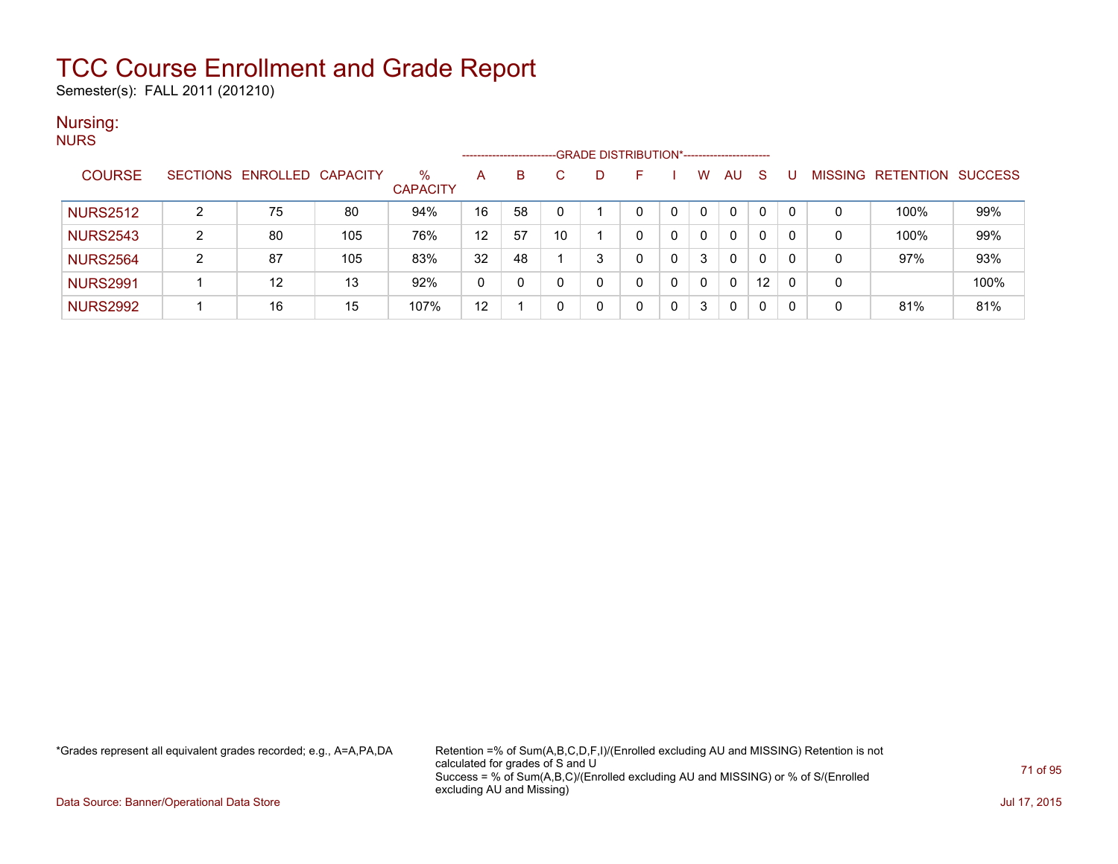Semester(s): FALL 2011 (201210)

#### Nursing: **NURS**

| .               |                 | -GRADE DISTRIBUTION*-----------------------<br>--------------------- |     |                         |    |    |    |   |   |  |          |              |              |  |                |                  |                |
|-----------------|-----------------|----------------------------------------------------------------------|-----|-------------------------|----|----|----|---|---|--|----------|--------------|--------------|--|----------------|------------------|----------------|
| <b>COURSE</b>   | <b>SECTIONS</b> | ENROLLED CAPACITY                                                    |     | $\%$<br><b>CAPACITY</b> | A  | B. | C. | D |   |  | w        | <b>AU</b>    | <sub>S</sub> |  | <b>MISSING</b> | <b>RETENTION</b> | <b>SUCCESS</b> |
| <b>NURS2512</b> | C               | 75                                                                   | 80  | 94%                     | 16 | 58 |    |   |   |  | $\Omega$ | $\mathbf{0}$ | 0            |  | 0              | 100%             | 99%            |
| <b>NURS2543</b> | າ               | 80                                                                   | 105 | 76%                     | 12 | 57 | 10 |   | 0 |  | 0        | 0            | 0            |  | 0              | 100%             | 99%            |
| <b>NURS2564</b> | ົ               | 87                                                                   | 105 | 83%                     | 32 | 48 |    | 3 | 0 |  | 3        | $\mathbf{0}$ | 0            |  | 0              | 97%              | 93%            |
| <b>NURS2991</b> |                 | 12                                                                   | 13  | 92%                     | 0  |    |    | 0 |   |  | $\Omega$ | 0            | 12           |  | 0              |                  | 100%           |
| <b>NURS2992</b> |                 | 16                                                                   | 15  | 107%                    | 12 |    |    | 0 |   |  | 3        | 0            | 0            |  | 0              | 81%              | 81%            |

\*Grades represent all equivalent grades recorded; e.g., A=A,PA,DA Retention =% of Sum(A,B,C,D,F,I)/(Enrolled excluding AU and MISSING) Retention is not calculated for grades of S and U Success = % of Sum(A,B,C)/(Enrolled excluding AU and MISSING) or % of S/(Enrolled excluding AU and Missing)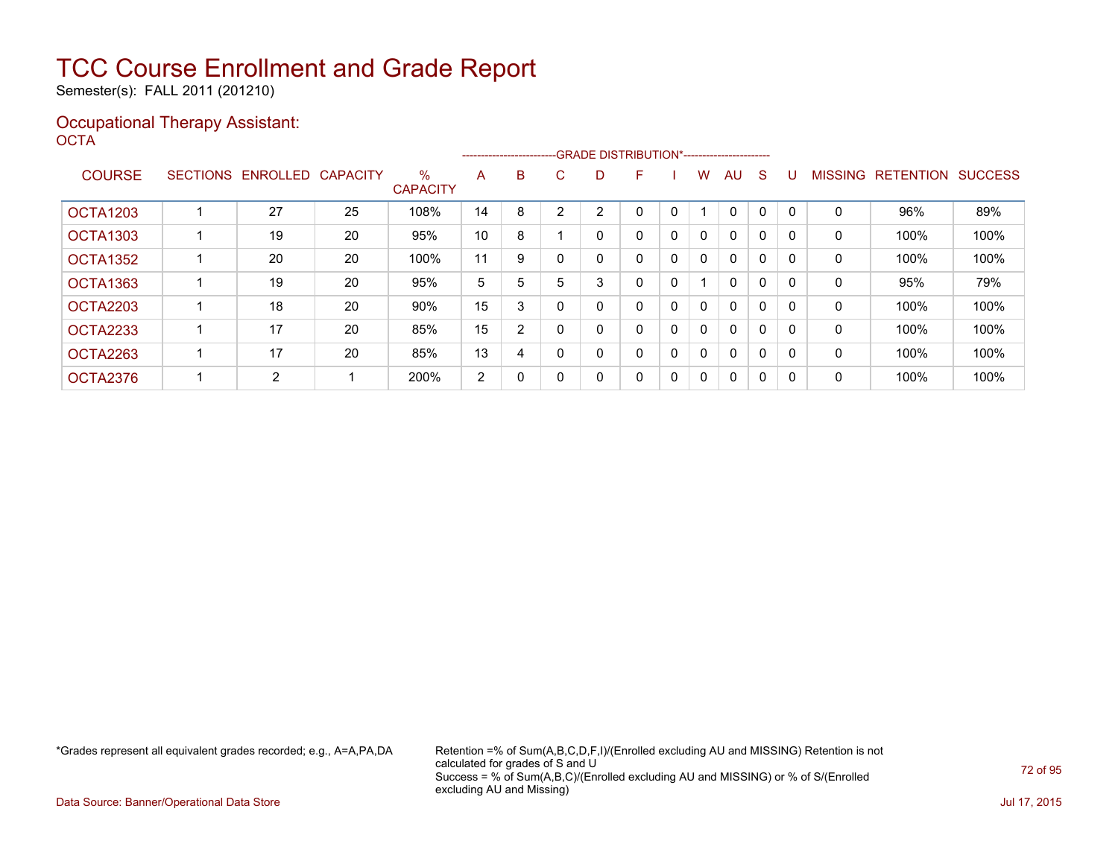Semester(s): FALL 2011 (201210)

### Occupational Therapy Assistant: OCTA<sup>'</sup>

|                 |                   |                 |                         | --------------------------GRADE DISTRIBUTION*----------------------- |   |   |   |   |   |              |              |              |              |                |                  |                |
|-----------------|-------------------|-----------------|-------------------------|----------------------------------------------------------------------|---|---|---|---|---|--------------|--------------|--------------|--------------|----------------|------------------|----------------|
| <b>COURSE</b>   | SECTIONS ENROLLED | <b>CAPACITY</b> | $\%$<br><b>CAPACITY</b> | A                                                                    | B | C | D | F |   | W            | AU           | <sub>S</sub> |              | <b>MISSING</b> | <b>RETENTION</b> | <b>SUCCESS</b> |
| <b>OCTA1203</b> | 27                | 25              | 108%                    | 14                                                                   | 8 | ົ | 2 | 0 | 0 |              | 0            | $\Omega$     | $\Omega$     | 0              | 96%              | 89%            |
| <b>OCTA1303</b> | 19                | 20              | 95%                     | 10                                                                   | 8 |   | 0 | 0 | 0 | $\mathbf{0}$ | $\mathbf{0}$ | 0            | <sup>0</sup> | 0              | 100%             | 100%           |
| OCTA1352        | 20                | 20              | 100%                    | 11                                                                   | 9 |   | 0 | 0 | 0 | $\Omega$     | 0            | $\mathbf{0}$ | O            | 0              | 100%             | 100%           |
| OCTA1363        | 19                | 20              | 95%                     | 5                                                                    | 5 | 5 | 3 | 0 | 0 |              | 0            | 0            | 0            | 0              | 95%              | 79%            |
| <b>OCTA2203</b> | 18                | 20              | 90%                     | 15                                                                   | 3 | 0 | 0 | 0 | 0 | $\mathbf{0}$ | $\mathbf{0}$ | 0            | <sup>0</sup> | 0              | 100%             | 100%           |
| <b>OCTA2233</b> | 17                | 20              | 85%                     | 15                                                                   | 2 |   | 0 | 0 | 0 | $\Omega$     | $\mathbf{0}$ | 0            | $\Omega$     | 0              | 100%             | 100%           |
| OCTA2263        | 17                | 20              | 85%                     | 13                                                                   | 4 |   | 0 | 0 | 0 | $\mathbf{0}$ | $\mathbf{0}$ | 0            |              | 0              | 100%             | 100%           |
| OCTA2376        | 2                 |                 | 200%                    | 2                                                                    | 0 | 0 | 0 | 0 | 0 | $\Omega$     | 0            | 0            | <sup>0</sup> | 0              | 100%             | 100%           |

\*Grades represent all equivalent grades recorded; e.g., A=A,PA,DA Retention =% of Sum(A,B,C,D,F,I)/(Enrolled excluding AU and MISSING) Retention is not calculated for grades of S and U Success = % of Sum(A,B,C)/(Enrolled excluding AU and MISSING) or % of S/(Enrolled excluding AU and Missing)

Data Source: Banner/Operational Data Store Jul 17, 2015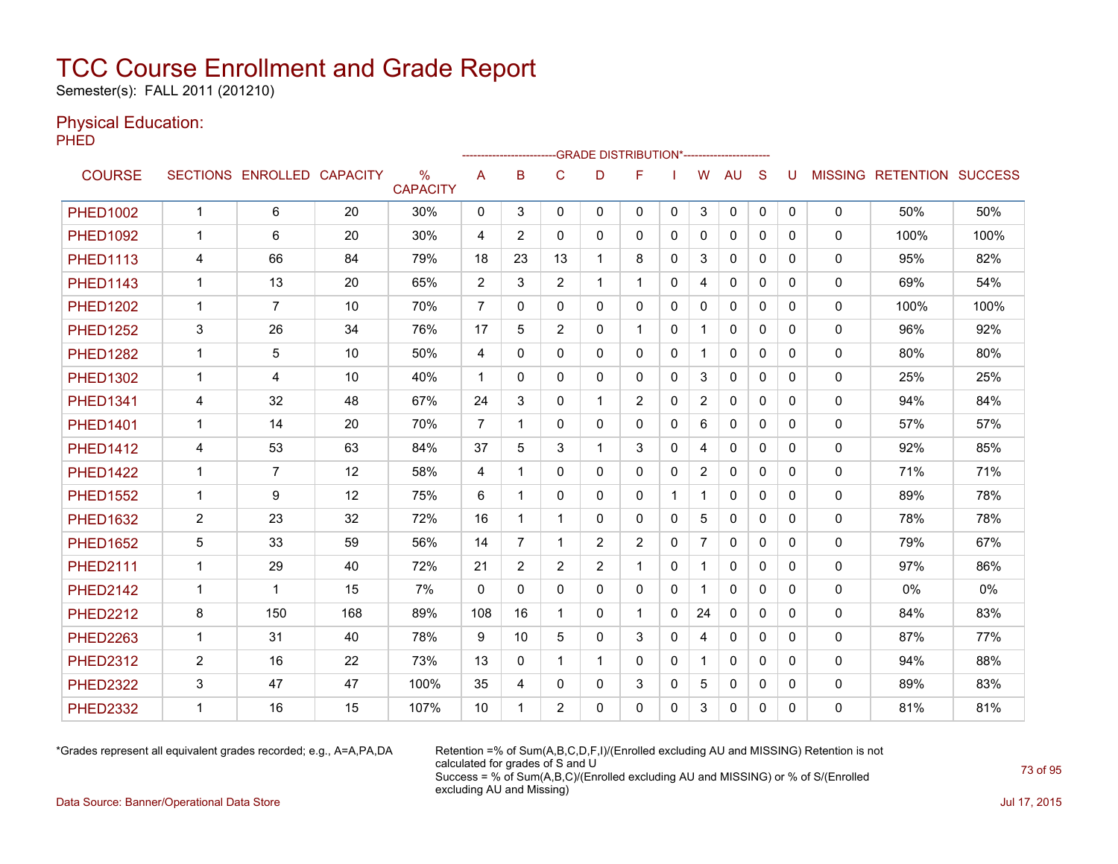Semester(s): FALL 2011 (201210)

#### Physical Education:

PHED

|                 |              |                   |                 |                         |                | ------------------------ |                |                | -GRADE DISTRIBUTION*---------------------- |              |                |              |              |          |              |                                  |      |
|-----------------|--------------|-------------------|-----------------|-------------------------|----------------|--------------------------|----------------|----------------|--------------------------------------------|--------------|----------------|--------------|--------------|----------|--------------|----------------------------------|------|
| <b>COURSE</b>   |              | SECTIONS ENROLLED | <b>CAPACITY</b> | $\%$<br><b>CAPACITY</b> | A              | B                        | C              | D              | F                                          |              | W              | AU           | S            | U        |              | <b>MISSING RETENTION SUCCESS</b> |      |
| <b>PHFD1002</b> | $\mathbf{1}$ | 6                 | 20              | 30%                     | 0              | 3                        | 0              | 0              | $\mathbf{0}$                               | $\mathbf{0}$ | 3              | 0            | $\mathbf 0$  | 0        | 0            | 50%                              | 50%  |
| <b>PHED1092</b> | $\mathbf 1$  | 6                 | 20              | 30%                     | 4              | $\overline{2}$           | $\mathbf{0}$   | $\Omega$       | $\Omega$                                   | $\Omega$     | $\mathbf{0}$   | $\Omega$     | $\Omega$     | 0        | $\mathbf{0}$ | 100%                             | 100% |
| <b>PHED1113</b> | 4            | 66                | 84              | 79%                     | 18             | 23                       | 13             |                | 8                                          | 0            | 3              | $\mathbf{0}$ | $\mathbf{0}$ | 0        | 0            | 95%                              | 82%  |
| <b>PHED1143</b> | 1            | 13                | 20              | 65%                     | 2              | 3                        | $\overline{2}$ | 1.             | 1                                          | 0            | 4              | 0            | $\Omega$     | 0        | 0            | 69%                              | 54%  |
| <b>PHED1202</b> | $\mathbf{1}$ | $\overline{7}$    | 10              | 70%                     | 7              | 0                        | 0              | 0              | 0                                          | 0            | 0              | 0            | 0            | 0        | 0            | 100%                             | 100% |
| <b>PHED1252</b> | 3            | 26                | 34              | 76%                     | 17             | 5                        | $\overline{2}$ | $\mathbf{0}$   | $\mathbf{1}$                               | $\Omega$     | $\mathbf{1}$   | $\mathbf{0}$ | $\Omega$     | 0        | $\mathbf{0}$ | 96%                              | 92%  |
| <b>PHED1282</b> | $\mathbf{1}$ | 5                 | 10              | 50%                     | 4              | 0                        | 0              | $\mathbf{0}$   | $\mathbf{0}$                               | 0            | $\mathbf{1}$   | $\mathbf{0}$ | $\mathbf{0}$ | 0        | 0            | 80%                              | 80%  |
| <b>PHED1302</b> | $\mathbf{1}$ | 4                 | 10              | 40%                     | $\mathbf{1}$   | $\Omega$                 | $\mathbf{0}$   | $\mathbf{0}$   | $\mathbf{0}$                               | 0            | 3              | $\mathbf{0}$ | $\Omega$     | 0        | 0            | 25%                              | 25%  |
| <b>PHED1341</b> | 4            | 32                | 48              | 67%                     | 24             | 3                        | $\mathbf{0}$   | 1              | $\overline{2}$                             | 0            | $\overline{2}$ | $\mathbf{0}$ | $\Omega$     | 0        | 0            | 94%                              | 84%  |
| <b>PHED1401</b> | $\mathbf{1}$ | 14                | 20              | 70%                     | $\overline{7}$ | $\mathbf 1$              | $\mathbf{0}$   | $\Omega$       | 0                                          | $\Omega$     | 6              | $\mathbf{0}$ | $\Omega$     | 0        | 0            | 57%                              | 57%  |
| <b>PHED1412</b> | 4            | 53                | 63              | 84%                     | 37             | 5                        | 3              | 1              | 3                                          | 0            | 4              | 0            | $\mathbf{0}$ | 0        | 0            | 92%                              | 85%  |
| <b>PHED1422</b> | $\mathbf{1}$ | $\overline{7}$    | 12              | 58%                     | 4              | 1                        | $\mathbf{0}$   | $\mathbf{0}$   | 0                                          | 0            | $\overline{2}$ | $\mathbf{0}$ | $\mathbf{0}$ | 0        | $\mathbf{0}$ | 71%                              | 71%  |
| <b>PHED1552</b> | $\mathbf{1}$ | 9                 | 12              | 75%                     | 6              | 1                        | $\mathbf{0}$   | $\mathbf{0}$   | $\mathbf{0}$                               | -1           | 1              | $\mathbf{0}$ | $\Omega$     | $\Omega$ | 0            | 89%                              | 78%  |
| <b>PHED1632</b> | 2            | 23                | 32              | 72%                     | 16             | 1                        | 1              | 0              | $\mathbf{0}$                               | 0            | 5              | $\mathbf{0}$ | $\mathbf{0}$ | 0        | 0            | 78%                              | 78%  |
| <b>PHED1652</b> | 5            | 33                | 59              | 56%                     | 14             | $\overline{7}$           | 1              | $\overline{2}$ | $\overline{2}$                             | 0            | $\overline{7}$ | $\mathbf{0}$ | $\Omega$     | 0        | 0            | 79%                              | 67%  |
| <b>PHED2111</b> | $\mathbf{1}$ | 29                | 40              | 72%                     | 21             | $\overline{2}$           | 2              | $\overline{2}$ | 1                                          | 0            | 1              | $\mathbf{0}$ | $\Omega$     | 0        | $\mathbf{0}$ | 97%                              | 86%  |
| <b>PHED2142</b> | $\mathbf{1}$ | 1                 | 15              | 7%                      | $\mathbf{0}$   | $\Omega$                 | $\Omega$       | $\Omega$       | $\Omega$                                   | $\Omega$     | $\mathbf{1}$   | $\mathbf{0}$ | $\Omega$     | 0        | 0            | 0%                               | 0%   |
| <b>PHED2212</b> | 8            | 150               | 168             | 89%                     | 108            | 16                       | 1              | $\mathbf{0}$   | 1                                          | 0            | 24             | $\mathbf{0}$ | $\Omega$     | 0        | 0            | 84%                              | 83%  |
| <b>PHED2263</b> | $\mathbf{1}$ | 31                | 40              | 78%                     | 9              | 10                       | 5              | $\mathbf{0}$   | 3                                          | 0            | 4              | $\mathbf{0}$ | $\mathbf{0}$ | 0        | 0            | 87%                              | 77%  |
| <b>PHED2312</b> | 2            | 16                | 22              | 73%                     | 13             | $\mathbf{0}$             | 1              | 1              | $\Omega$                                   | 0            |                | $\mathbf{0}$ | $\Omega$     | 0        | 0            | 94%                              | 88%  |
| <b>PHED2322</b> | 3            | 47                | 47              | 100%                    | 35             | 4                        | 0              | 0              | 3                                          | 0            | 5              | $\mathbf{0}$ | 0            | 0        | 0            | 89%                              | 83%  |
| <b>PHED2332</b> | 1            | 16                | 15              | 107%                    | 10             | 1                        | $\overline{2}$ | 0              | 0                                          | 0            | 3              | $\mathbf{0}$ | 0            | 0        | 0            | 81%                              | 81%  |

\*Grades represent all equivalent grades recorded; e.g., A=A,PA,DA Retention =% of Sum(A,B,C,D,F,I)/(Enrolled excluding AU and MISSING) Retention is not calculated for grades of S and U Success = % of Sum(A,B,C)/(Enrolled excluding AU and MISSING) or % of S/(Enrolled excluding AU and Missing)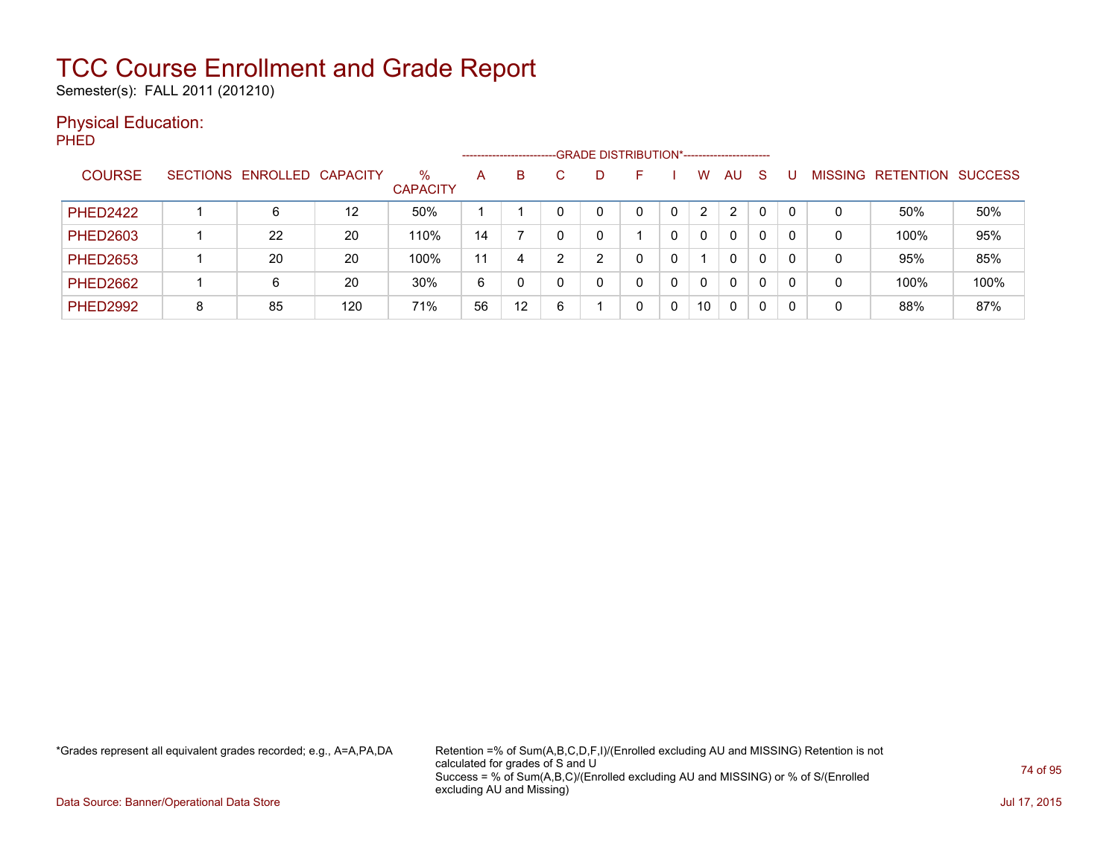Semester(s): FALL 2011 (201210)

#### Physical Education:

PHED

|                 |   |                            |     |                         | --------------------- |    |   |   | -GRADE DISTRIBUTION*----------------------- |                |                |   |                |                  |                |
|-----------------|---|----------------------------|-----|-------------------------|-----------------------|----|---|---|---------------------------------------------|----------------|----------------|---|----------------|------------------|----------------|
| <b>COURSE</b>   |   | SECTIONS ENROLLED CAPACITY |     | $\%$<br><b>CAPACITY</b> | A                     | B  |   | D |                                             | W              | AU.            | S | <b>MISSING</b> | <b>RETENTION</b> | <b>SUCCESS</b> |
| <b>PHED2422</b> |   | 6                          | 12  | 50%                     |                       |    |   |   |                                             | $\overline{2}$ | $\overline{2}$ | 0 |                | 50%              | 50%            |
| <b>PHED2603</b> |   | 22                         | 20  | 110%                    | 14                    |    |   |   |                                             | $\mathbf{0}$   | 0              | 0 | 0              | 100%             | 95%            |
| <b>PHED2653</b> |   | 20                         | 20  | 100%                    | 11                    | 4  |   | ∩ |                                             |                | 0              | 0 | 0              | 95%              | 85%            |
| <b>PHED2662</b> |   | 6                          | 20  | 30%                     | 6                     |    |   |   | 0                                           | 0              | 0              | 0 | 0              | 100%             | 100%           |
| <b>PHED2992</b> | 8 | 85                         | 120 | 71%                     | 56                    | 12 | 6 |   |                                             | 10             | 0              | 0 | 0              | 88%              | 87%            |

\*Grades represent all equivalent grades recorded; e.g., A=A,PA,DA Retention =% of Sum(A,B,C,D,F,I)/(Enrolled excluding AU and MISSING) Retention is not calculated for grades of S and U Success = % of Sum(A,B,C)/(Enrolled excluding AU and MISSING) or % of S/(Enrolled excluding AU and Missing)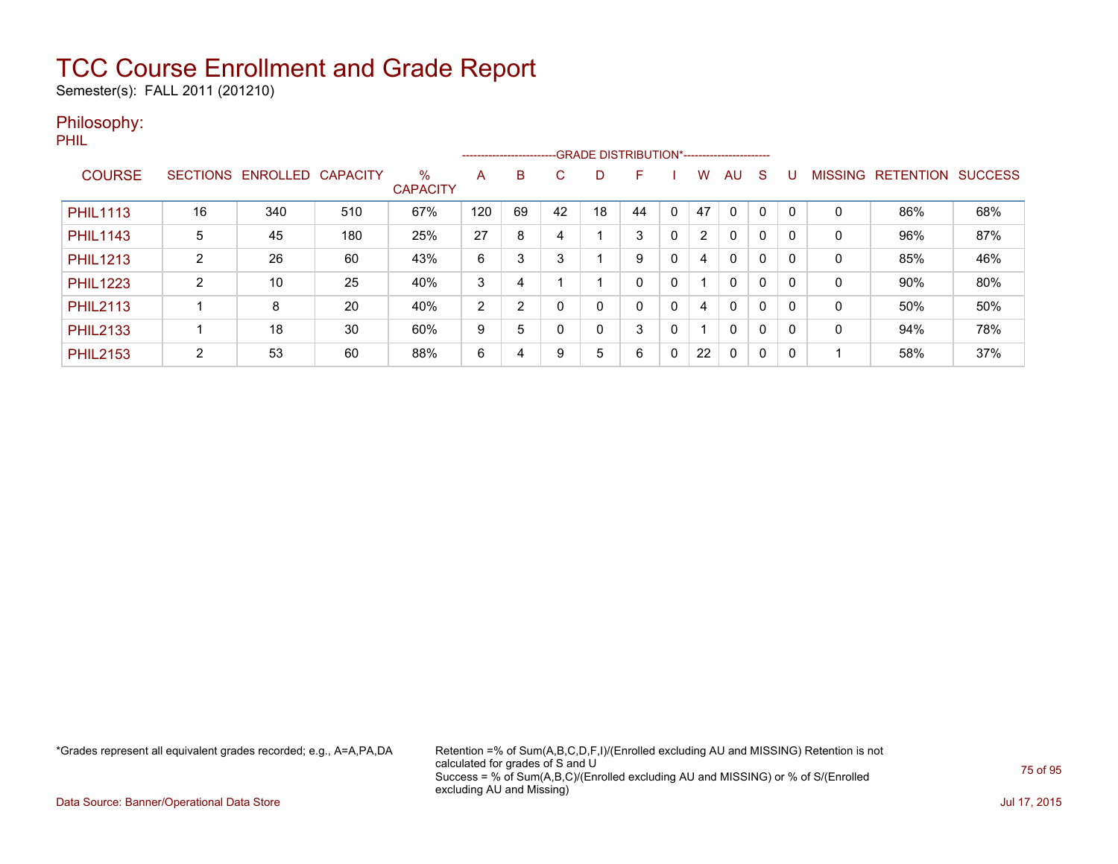Semester(s): FALL 2011 (201210)

#### Philosophy:

PHIL

|                 |                 |          |                 |                         |     |    | --------------------------GRADE DISTRIBUTION*----------------------- |    |    |              |                |              |              |          |                |                  |                |
|-----------------|-----------------|----------|-----------------|-------------------------|-----|----|----------------------------------------------------------------------|----|----|--------------|----------------|--------------|--------------|----------|----------------|------------------|----------------|
| <b>COURSE</b>   | <b>SECTIONS</b> | ENROLLED | <b>CAPACITY</b> | $\%$<br><b>CAPACITY</b> | A   | B  | С                                                                    | D  | F  |              | W.             | AU           | S            | u        | <b>MISSING</b> | <b>RETENTION</b> | <b>SUCCESS</b> |
| <b>PHIL1113</b> | 16              | 340      | 510             | 67%                     | 120 | 69 | 42                                                                   | 18 | 44 | 0            | 47             | $\Omega$     | $\Omega$     | $\Omega$ | 0              | 86%              | 68%            |
| <b>PHIL1143</b> | 5               | 45       | 180             | 25%                     | 27  | 8  | 4                                                                    |    | 3  | 0            | $\overline{2}$ | $\mathbf{0}$ | $\Omega$     |          | 0              | 96%              | 87%            |
| <b>PHIL1213</b> | 2               | 26       | 60              | 43%                     | 6   | 3  | 3                                                                    |    | 9  | 0            | 4              | $\mathbf{0}$ | $\Omega$     |          | 0              | 85%              | 46%            |
| <b>PHIL1223</b> | C               | 10       | 25              | 40%                     | 3   | 4  |                                                                      |    | 0  | $\mathbf 0$  |                | $\mathbf{0}$ | $\mathbf{0}$ | 0        | 0              | 90%              | 80%            |
| <b>PHIL2113</b> |                 | 8        | 20              | 40%                     | 2   | 2  |                                                                      | 0  | 0  | 0            | 4              | $\mathbf{0}$ | $\mathbf{0}$ | 0        | 0              | 50%              | 50%            |
| <b>PHIL2133</b> |                 | 18       | 30              | 60%                     | 9   | 5  |                                                                      | 0  | 3  | 0            |                | $\Omega$     | 0            | 0        | 0              | 94%              | 78%            |
| <b>PHIL2153</b> | 2               | 53       | 60              | 88%                     | 6   | 4  | 9                                                                    | 5  | 6  | $\mathbf{0}$ | 22             | $\Omega$     | 0            | 0        |                | 58%              | 37%            |

\*Grades represent all equivalent grades recorded; e.g., A=A,PA,DA Retention =% of Sum(A,B,C,D,F,I)/(Enrolled excluding AU and MISSING) Retention is not calculated for grades of S and U Success = % of Sum(A,B,C)/(Enrolled excluding AU and MISSING) or % of S/(Enrolled excluding AU and Missing)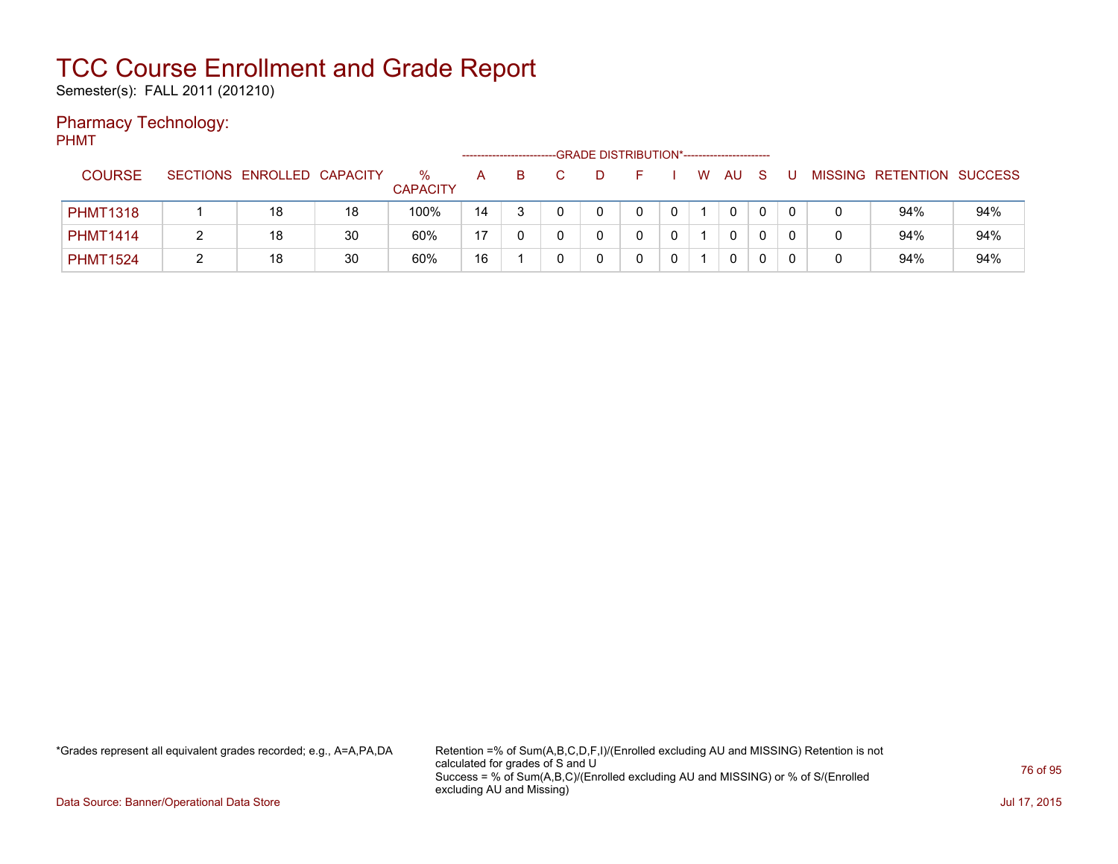Semester(s): FALL 2011 (201210)

### Pharmacy Technology:

PHMT

|                 |                            |    |                         |                |   | -GRADE DISTRIBUTION*----------------------- |              |   |   |              |   |  |                           |     |
|-----------------|----------------------------|----|-------------------------|----------------|---|---------------------------------------------|--------------|---|---|--------------|---|--|---------------------------|-----|
| <b>COURSE</b>   | SECTIONS ENROLLED CAPACITY |    | $\%$<br><b>CAPACITY</b> | A              | B |                                             |              |   | W | AU           | S |  | MISSING RETENTION SUCCESS |     |
| <b>PHMT1318</b> | 18                         | 18 | 100%                    | 14             |   |                                             | 0            |   |   | $\mathbf{0}$ |   |  | 94%                       | 94% |
| <b>PHMT1414</b> | 18                         | 30 | 60%                     | $\overline{A}$ |   |                                             | <sup>n</sup> | 0 |   | $\mathbf{0}$ |   |  | 94%                       | 94% |
| <b>PHMT1524</b> | 18                         | 30 | 60%                     | 16             |   |                                             |              |   |   | 0            |   |  | 94%                       | 94% |

\*Grades represent all equivalent grades recorded; e.g., A=A,PA,DA Retention =% of Sum(A,B,C,D,F,I)/(Enrolled excluding AU and MISSING) Retention is not calculated for grades of S and U Success = % of Sum(A,B,C)/(Enrolled excluding AU and MISSING) or % of S/(Enrolled excluding AU and Missing)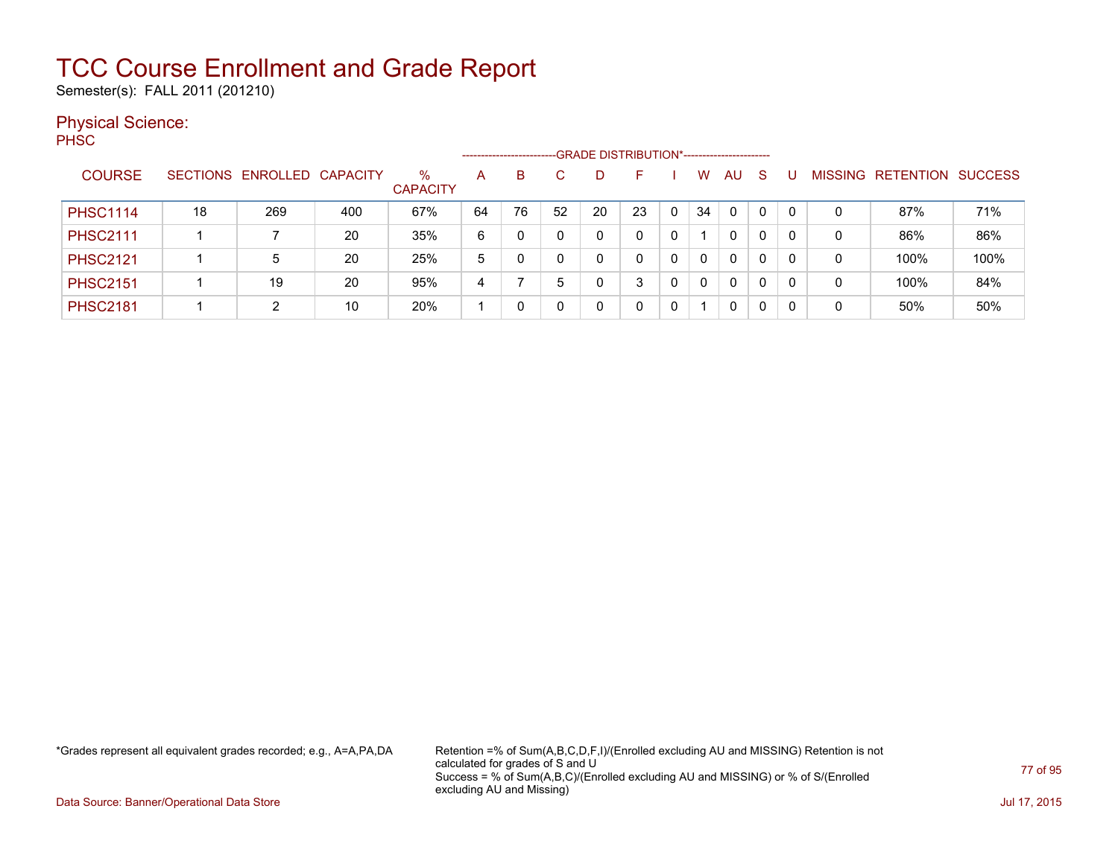Semester(s): FALL 2011 (201210)

#### Physical Science:

PH<sub>SC</sub>

|                 |    |                            |     |                         | --------------------- |    |    |    | -GRADE DISTRIBUTION*----------------------- |   |    |              |              |          |                |                  |                |
|-----------------|----|----------------------------|-----|-------------------------|-----------------------|----|----|----|---------------------------------------------|---|----|--------------|--------------|----------|----------------|------------------|----------------|
| <b>COURSE</b>   |    | SECTIONS ENROLLED CAPACITY |     | $\%$<br><b>CAPACITY</b> | A                     | B  |    | D  | F                                           |   | W. | AU           | -S           |          | <b>MISSING</b> | <b>RETENTION</b> | <b>SUCCESS</b> |
| <b>PHSC1114</b> | 18 | 269                        | 400 | 67%                     | 64                    | 76 | 52 | 20 | 23                                          | 0 | 34 | $\mathbf{0}$ | $\mathbf{0}$ |          | 0              | 87%              | 71%            |
| <b>PHSC2111</b> |    |                            | 20  | 35%                     | 6                     |    |    |    |                                             | 0 |    | 0            | 0            |          | 0              | 86%              | 86%            |
| <b>PHSC2121</b> |    | 5                          | 20  | 25%                     | 5                     |    |    |    |                                             |   | 0  | 0            | 0            | $\Omega$ | 0              | 100%             | 100%           |
| <b>PHSC2151</b> |    | 19                         | 20  | 95%                     | 4                     |    | 5  |    | 3                                           |   | 0  | 0            | 0            |          | 0              | 100%             | 84%            |
| <b>PHSC2181</b> |    | 2                          | 10  | 20%                     |                       |    |    |    |                                             |   |    | 0            | 0            |          | 0              | 50%              | 50%            |

\*Grades represent all equivalent grades recorded; e.g., A=A,PA,DA Retention =% of Sum(A,B,C,D,F,I)/(Enrolled excluding AU and MISSING) Retention is not calculated for grades of S and U Success = % of Sum(A,B,C)/(Enrolled excluding AU and MISSING) or % of S/(Enrolled excluding AU and Missing)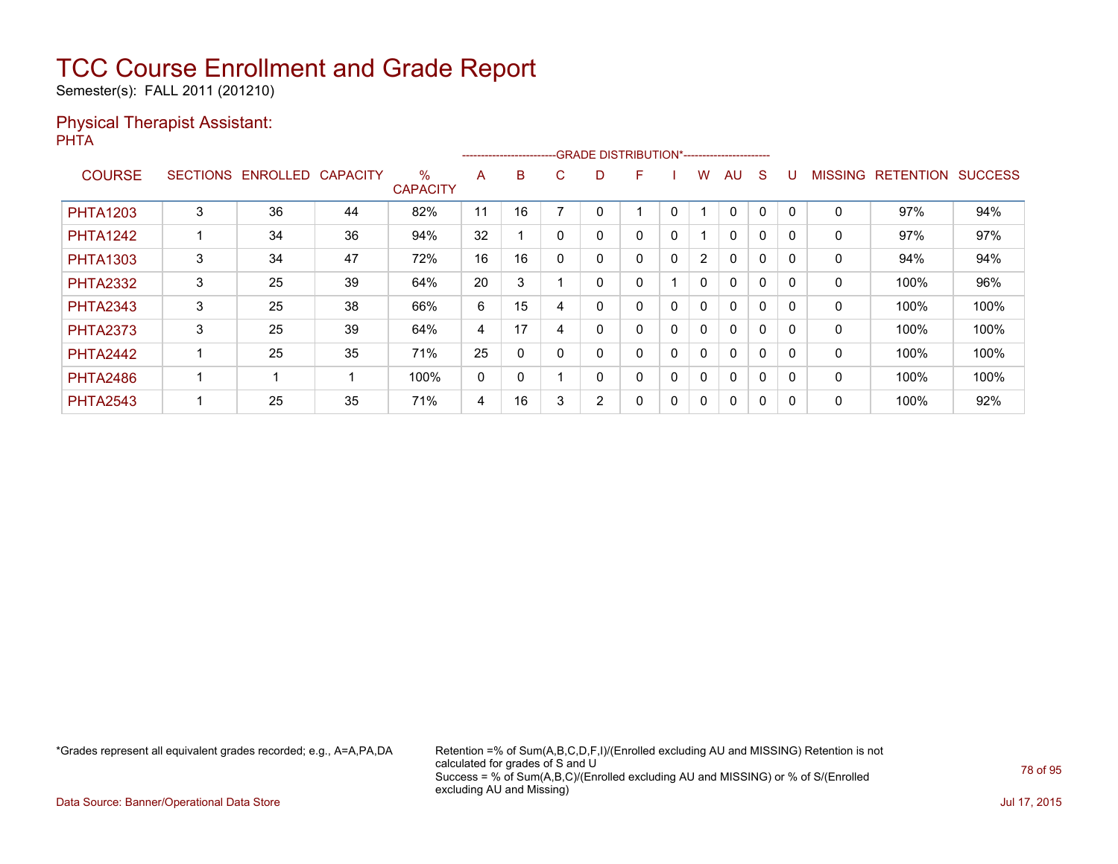Semester(s): FALL 2011 (201210)

#### Physical Therapist Assistant: PHTA

|                 |                 |                 |                 |                      |    |              |   | ------------------------GRADE DISTRIBUTION*----------------------- |              |              |                |              |          |          |                |                  |                |
|-----------------|-----------------|-----------------|-----------------|----------------------|----|--------------|---|--------------------------------------------------------------------|--------------|--------------|----------------|--------------|----------|----------|----------------|------------------|----------------|
| <b>COURSE</b>   | <b>SECTIONS</b> | <b>ENROLLED</b> | <b>CAPACITY</b> | %<br><b>CAPACITY</b> | A  | B            | C | D                                                                  | F            |              | w              | AU           | S        |          | <b>MISSING</b> | <b>RETENTION</b> | <b>SUCCESS</b> |
| <b>PHTA1203</b> | 3               | 36              | 44              | 82%                  | 11 | 16           |   |                                                                    |              | 0            |                | 0            | 0        | $\Omega$ | 0              | 97%              | 94%            |
| <b>PHTA1242</b> |                 | 34              | 36              | 94%                  | 32 |              |   | 0                                                                  | 0            | 0            |                | $\mathbf{0}$ | $\Omega$ |          | 0              | 97%              | 97%            |
| <b>PHTA1303</b> | 3               | 34              | 47              | 72%                  | 16 | 16           |   | 0                                                                  | 0            | $\mathbf{0}$ | $\overline{2}$ | $\mathbf{0}$ | $\Omega$ |          | 0              | 94%              | 94%            |
| <b>PHTA2332</b> | 3               | 25              | 39              | 64%                  | 20 | 3            |   | 0                                                                  | 0            |              | $\mathbf{0}$   | $\mathbf{0}$ | $\Omega$ | $\Omega$ | 0              | 100%             | 96%            |
| <b>PHTA2343</b> | 3               | 25              | 38              | 66%                  | 6  | 15           | 4 | 0                                                                  | 0            | 0            | $\mathbf{0}$   | $\mathbf{0}$ | $\Omega$ |          | $\Omega$       | 100%             | 100%           |
| <b>PHTA2373</b> | 3               | 25              | 39              | 64%                  | 4  | 17           | 4 | 0                                                                  | 0            | 0            | 0              | $\mathbf{0}$ | 0        |          | 0              | 100%             | 100%           |
| <b>PHTA2442</b> |                 | 25              | 35              | 71%                  | 25 | $\Omega$     |   | 0                                                                  | 0            | $\mathbf{0}$ | $\mathbf{0}$   | $\mathbf{0}$ | $\Omega$ | $\Omega$ | 0              | 100%             | 100%           |
| <b>PHTA2486</b> |                 |                 |                 | 100%                 | 0  | $\mathbf{0}$ |   | 0                                                                  | $\mathbf{0}$ | $\mathbf{0}$ | $\mathbf{0}$   | $\mathbf{0}$ | $\Omega$ |          | 0              | 100%             | 100%           |
| <b>PHTA2543</b> |                 | 25              | 35              | 71%                  | 4  | 16           |   | 2                                                                  | 0            | 0            | 0              | 0            | 0        |          | 0              | 100%             | 92%            |

\*Grades represent all equivalent grades recorded; e.g., A=A,PA,DA Retention =% of Sum(A,B,C,D,F,I)/(Enrolled excluding AU and MISSING) Retention is not calculated for grades of S and U Success = % of Sum(A,B,C)/(Enrolled excluding AU and MISSING) or % of S/(Enrolled excluding AU and Missing)

Data Source: Banner/Operational Data Store Jul 17, 2015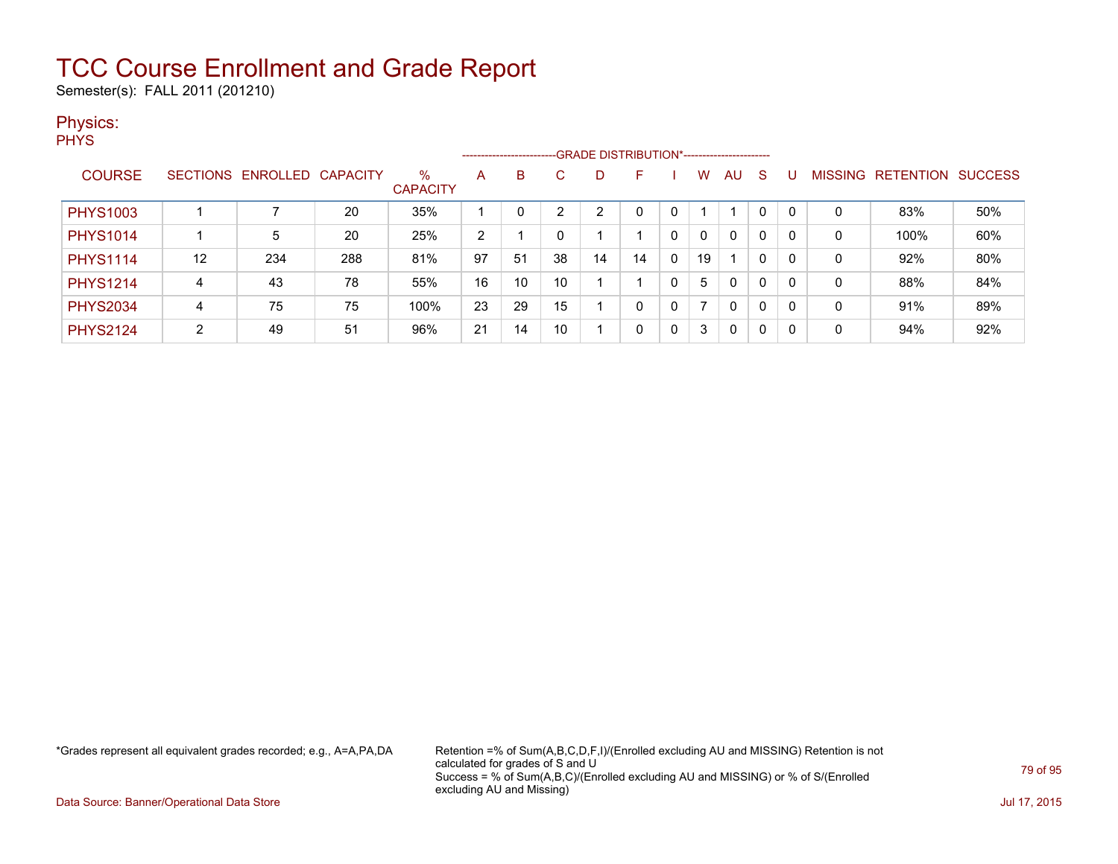Semester(s): FALL 2011 (201210)

#### Physics:

**PHYS** 

|                 |    |                            |     |                         |                |    |    |    | ------------------------GRADE DISTRIBUTION*----------------------- |   |    |              |   |   |   |                   |                |
|-----------------|----|----------------------------|-----|-------------------------|----------------|----|----|----|--------------------------------------------------------------------|---|----|--------------|---|---|---|-------------------|----------------|
| <b>COURSE</b>   |    | SECTIONS ENROLLED CAPACITY |     | $\%$<br><b>CAPACITY</b> | A              | B  |    |    | F                                                                  |   | w  | AU           | S |   |   | MISSING RETENTION | <b>SUCCESS</b> |
| <b>PHYS1003</b> |    |                            | 20  | 35%                     |                |    |    | ◠  |                                                                    |   |    |              | 0 |   | 0 | 83%               | 50%            |
| <b>PHYS1014</b> |    | 5                          | 20  | 25%                     | $\overline{2}$ |    |    |    |                                                                    | 0 |    | 0            | 0 | 0 | 0 | 100%              | 60%            |
| <b>PHYS1114</b> | 12 | 234                        | 288 | 81%                     | 97             | 51 | 38 | 14 | 14                                                                 | 0 | 19 |              | 0 | 0 | 0 | 92%               | 80%            |
| <b>PHYS1214</b> | 4  | 43                         | 78  | 55%                     | 16             | 10 | 10 |    |                                                                    | 0 | 5  | 0            | 0 | 0 | 0 | 88%               | 84%            |
| <b>PHYS2034</b> | 4  | 75                         | 75  | 100%                    | 23             | 29 | 15 |    | 0                                                                  | 0 |    | $\mathbf{0}$ | 0 | 0 | 0 | 91%               | 89%            |
| <b>PHYS2124</b> | C. | 49                         | 51  | 96%                     | 21             | 14 | 10 |    | 0                                                                  | 0 | 3  | 0            | 0 |   | 0 | 94%               | 92%            |

\*Grades represent all equivalent grades recorded; e.g., A=A,PA,DA Retention =% of Sum(A,B,C,D,F,I)/(Enrolled excluding AU and MISSING) Retention is not calculated for grades of S and U Success = % of Sum(A,B,C)/(Enrolled excluding AU and MISSING) or % of S/(Enrolled excluding AU and Missing)

Data Source: Banner/Operational Data Store Jul 17, 2015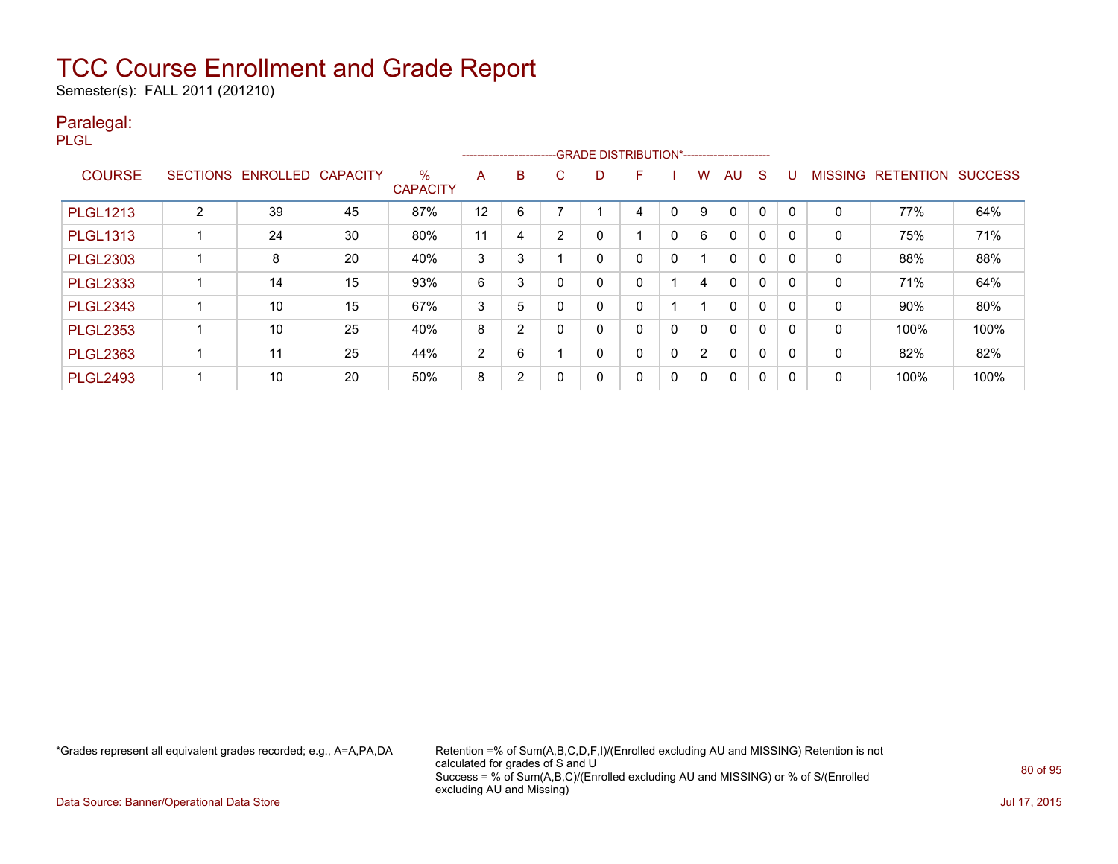Semester(s): FALL 2011 (201210)

#### Paralegal:

PLGL

|                 |                 |          |                 |                         |                |   |    | ------------------------GRADE DISTRIBUTION*----------------------- |   |          |                |              |             |          |                |                  |                |
|-----------------|-----------------|----------|-----------------|-------------------------|----------------|---|----|--------------------------------------------------------------------|---|----------|----------------|--------------|-------------|----------|----------------|------------------|----------------|
| <b>COURSE</b>   | <b>SECTIONS</b> | ENROLLED | <b>CAPACITY</b> | $\%$<br><b>CAPACITY</b> | A              | B | C. | D                                                                  | F |          | w              | AU           | S           |          | <b>MISSING</b> | <b>RETENTION</b> | <b>SUCCESS</b> |
| <b>PLGL1213</b> | າ               | 39       | 45              | 87%                     | 12             | 6 |    |                                                                    | 4 | C        | 9              | 0            | 0           |          | 0              | 77%              | 64%            |
| <b>PLGL1313</b> |                 | 24       | 30              | 80%                     | 11             | 4 | 2  | 0                                                                  |   | 0        | 6              | $\mathbf{0}$ | $\mathbf 0$ | $\Omega$ | 0              | 75%              | 71%            |
| <b>PLGL2303</b> |                 | 8        | 20              | 40%                     | 3              | 3 |    | 0                                                                  | 0 | 0        |                | 0            | $\mathbf 0$ |          | $\mathbf{0}$   | 88%              | 88%            |
| <b>PLGL2333</b> |                 | 14       | 15              | 93%                     | 6              | 3 |    | 0                                                                  | 0 |          | 4              | 0            | 0           |          | 0              | 71%              | 64%            |
| <b>PLGL2343</b> |                 | 10       | 15              | 67%                     | 3              | 5 |    | 0                                                                  | 0 |          |                | $\mathbf{0}$ | $\Omega$    | $\Omega$ | 0              | 90%              | 80%            |
| <b>PLGL2353</b> |                 | 10       | 25              | 40%                     | 8              | 2 |    | 0                                                                  | 0 | 0        | 0              | 0            | $\mathbf 0$ | $\Omega$ | 0              | 100%             | 100%           |
| <b>PLGL2363</b> |                 | 11       | 25              | 44%                     | $\overline{2}$ | 6 |    | 0                                                                  | 0 | $\Omega$ | $\overline{2}$ | $\mathbf{0}$ | 0           | -0       | 0              | 82%              | 82%            |
| <b>PLGL2493</b> |                 | 10       | 20              | 50%                     | 8              | 2 |    | 0                                                                  | 0 | 0        | 0              | $\mathbf{0}$ | 0           | റ        | 0              | 100%             | 100%           |

\*Grades represent all equivalent grades recorded; e.g., A=A,PA,DA Retention =% of Sum(A,B,C,D,F,I)/(Enrolled excluding AU and MISSING) Retention is not calculated for grades of S and U Success = % of Sum(A,B,C)/(Enrolled excluding AU and MISSING) or % of S/(Enrolled excluding AU and Missing)

Data Source: Banner/Operational Data Store Jul 17, 2015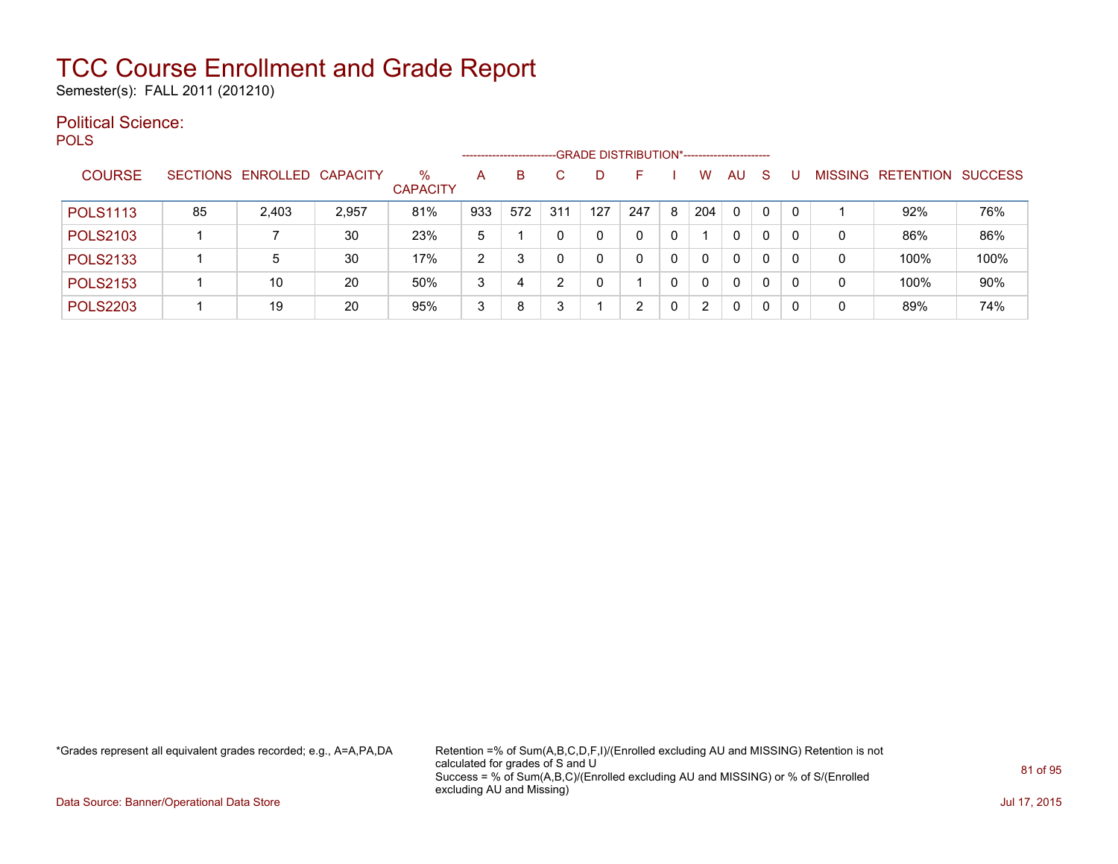Semester(s): FALL 2011 (201210)

#### Political Science: **POLS**

| $- -$           |    |                            |       |                         | --------------------- |     |               | -GRADE DISTRIBUTION*----------------------- |     |   |                      |    |          |          |                |           |                |
|-----------------|----|----------------------------|-------|-------------------------|-----------------------|-----|---------------|---------------------------------------------|-----|---|----------------------|----|----------|----------|----------------|-----------|----------------|
| <b>COURSE</b>   |    | SECTIONS ENROLLED CAPACITY |       | $\%$<br><b>CAPACITY</b> | A                     | B   | C.            |                                             |     |   | w                    | AU | <b>S</b> |          | <b>MISSING</b> | RETENTION | <b>SUCCESS</b> |
| <b>POLS1113</b> | 85 | 2,403                      | 2,957 | 81%                     | 933                   | 572 | 311           | 127                                         | 247 | 8 | 204                  | 0  | $\Omega$ | $\Omega$ |                | 92%       | 76%            |
| <b>POLS2103</b> |    |                            | 30    | 23%                     | 5                     |     | 0             | 0                                           |     | 0 |                      | 0  | $\Omega$ | $\Omega$ | 0              | 86%       | 86%            |
| <b>POLS2133</b> |    | 5                          | 30    | 17%                     | 2                     | 3   | 0             | 0                                           |     | 0 | 0                    | 0  | $\Omega$ | $\Omega$ | 0              | 100%      | 100%           |
| <b>POLS2153</b> |    | 10                         | 20    | 50%                     | 3                     |     | $\mathcal{P}$ | 0                                           |     | 0 |                      | 0  | $\Omega$ | $\Omega$ | 0              | 100%      | 90%            |
| <b>POLS2203</b> |    | 19                         | 20    | 95%                     | 3                     | 8   | 3             |                                             |     | 0 | $\mathbf{2}^{\circ}$ | 0  | $\Omega$ | $\Omega$ | 0              | 89%       | 74%            |

\*Grades represent all equivalent grades recorded; e.g., A=A,PA,DA Retention =% of Sum(A,B,C,D,F,I)/(Enrolled excluding AU and MISSING) Retention is not calculated for grades of S and U Success = % of Sum(A,B,C)/(Enrolled excluding AU and MISSING) or % of S/(Enrolled excluding AU and Missing)

Data Source: Banner/Operational Data Store Jul 17, 2015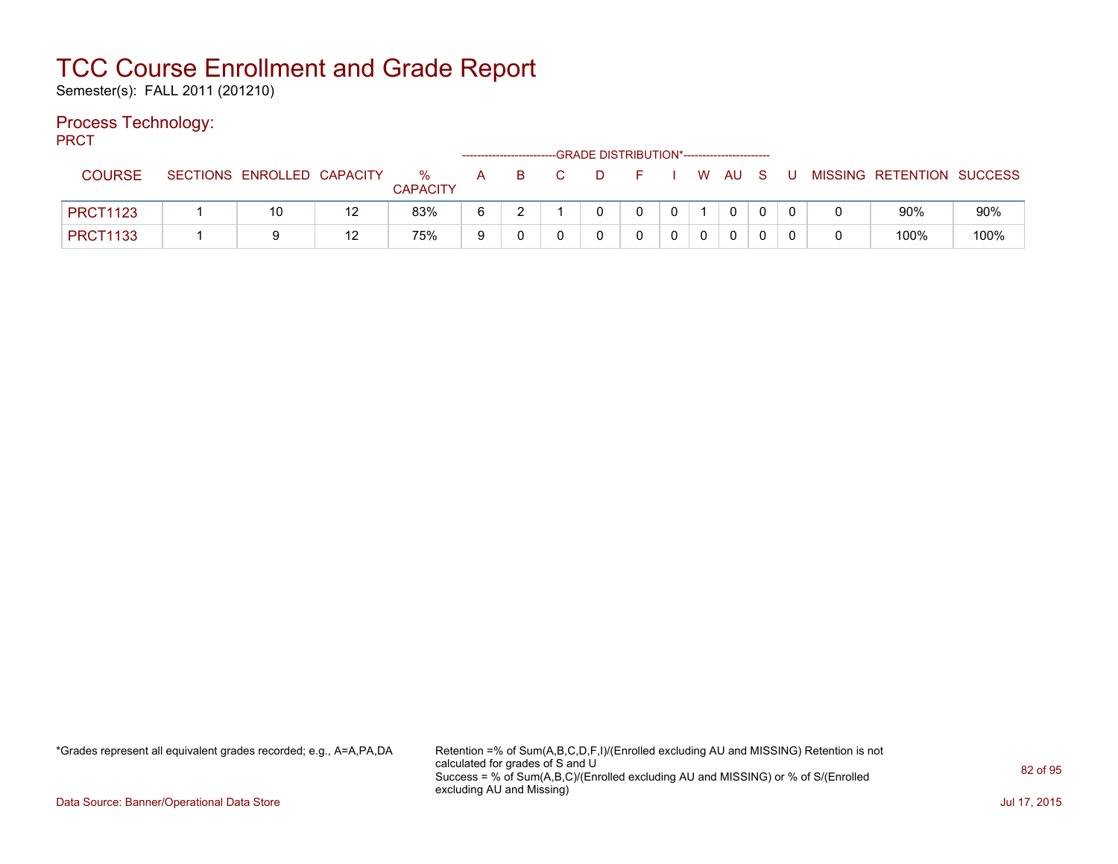Semester(s): FALL 2011 (201210)

#### Process Technology:

PRCT

|                 |                 |                   |    |                      |   | ------------------------- |   | -GRADE DISTRIBUTION*----------------------- |              |              |             |   |   |                           |      |
|-----------------|-----------------|-------------------|----|----------------------|---|---------------------------|---|---------------------------------------------|--------------|--------------|-------------|---|---|---------------------------|------|
| <b>COURSE</b>   | <b>SECTIONS</b> | ENROLLED CAPACITY |    | %<br><b>CAPACITY</b> | A | - B                       | D | and the state of the state of the           |              | W AU S       |             | U |   | MISSING RETENTION SUCCESS |      |
| <b>PRCT1123</b> |                 | 10                | 12 | 83%                  | 6 | ◠                         |   |                                             | $\mathbf{0}$ | $\mathbf{0}$ | 0           |   |   | 90%                       | 90%  |
| <b>PRCT1133</b> |                 |                   | 12 | 75%                  | 9 |                           |   |                                             | 0            |              | $\mathbf 0$ |   | 0 | 100%                      | 100% |

\*Grades represent all equivalent grades recorded; e.g., A=A,PA,DA Retention =% of Sum(A,B,C,D,F,I)/(Enrolled excluding AU and MISSING) Retention is not calculated for grades of S and U Success = % of Sum(A,B,C)/(Enrolled excluding AU and MISSING) or % of S/(Enrolled excluding AU and Missing)

Data Source: Banner/Operational Data Store Jul 17, 2015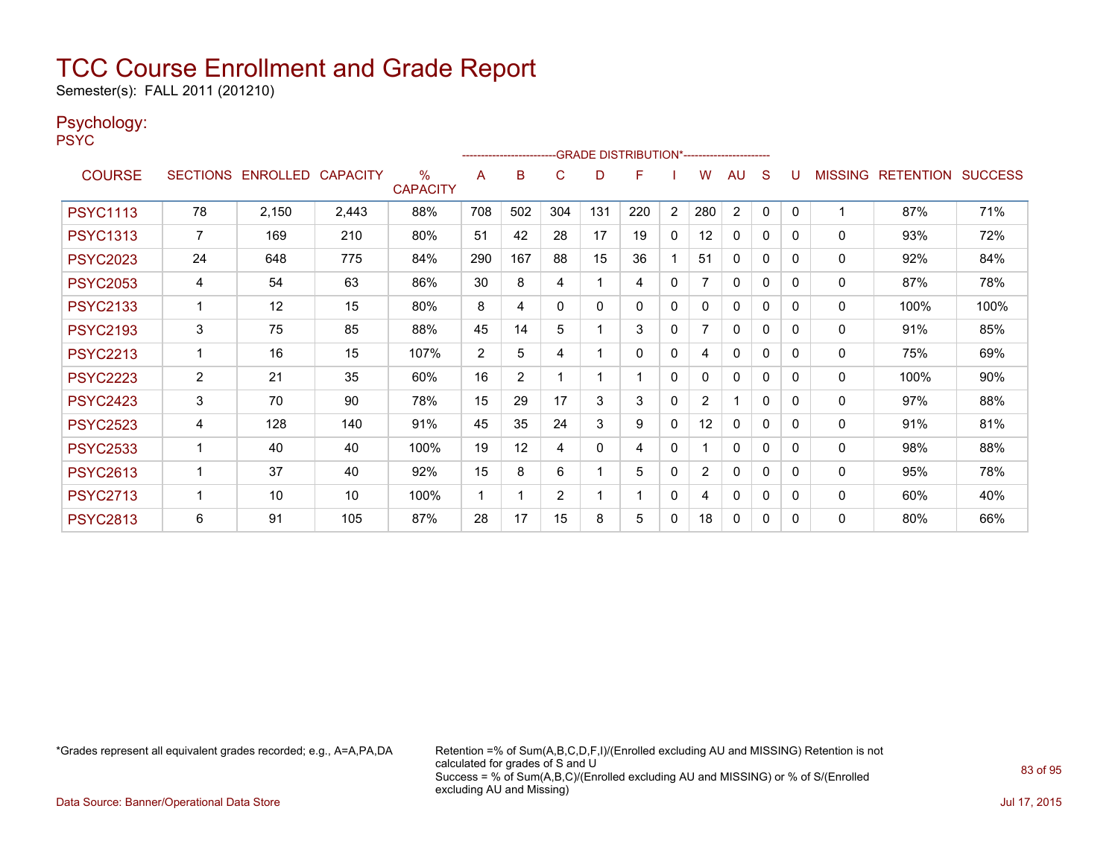Semester(s): FALL 2011 (201210)

#### Psychology:

PSYC

|                 |                |                            |       |                      |     |                |          |          | -GRADE DISTRIBUTION*----------------------- |              |                |                |          |          |                |                  |                |
|-----------------|----------------|----------------------------|-------|----------------------|-----|----------------|----------|----------|---------------------------------------------|--------------|----------------|----------------|----------|----------|----------------|------------------|----------------|
| <b>COURSE</b>   |                | SECTIONS ENROLLED CAPACITY |       | %<br><b>CAPACITY</b> | A   | B              | C        | D        | F                                           |              | w              | AU             | S        |          | <b>MISSING</b> | <b>RETENTION</b> | <b>SUCCESS</b> |
| <b>PSYC1113</b> | 78             | 2,150                      | 2,443 | 88%                  | 708 | 502            | 304      | 131      | 220                                         | 2            | 280            | $\overline{2}$ | $\Omega$ | $\Omega$ |                | 87%              | 71%            |
| <b>PSYC1313</b> | 7              | 169                        | 210   | 80%                  | 51  | 42             | 28       | 17       | 19                                          | 0            | 12             | $\mathbf{0}$   | 0        | $\Omega$ | $\mathbf{0}$   | 93%              | 72%            |
| <b>PSYC2023</b> | 24             | 648                        | 775   | 84%                  | 290 | 167            | 88       | 15       | 36                                          |              | 51             | $\mathbf{0}$   | 0        | $\Omega$ | $\mathbf 0$    | 92%              | 84%            |
| <b>PSYC2053</b> | 4              | 54                         | 63    | 86%                  | 30  | 8              | 4        |          | 4                                           | $\mathbf{0}$ |                | $\mathbf{0}$   | $\Omega$ | $\Omega$ | $\mathbf 0$    | 87%              | 78%            |
| <b>PSYC2133</b> |                | 12                         | 15    | 80%                  | 8   | 4              | $\Omega$ | 0        | 0                                           | 0            | 0              | 0              | $\Omega$ | $\Omega$ | 0              | 100%             | 100%           |
| <b>PSYC2193</b> | 3              | 75                         | 85    | 88%                  | 45  | 14             | 5        |          | 3                                           | $\mathbf{0}$ |                | $\mathbf{0}$   | $\Omega$ | $\Omega$ | 0              | 91%              | 85%            |
| <b>PSYC2213</b> | 1              | 16                         | 15    | 107%                 | 2   | 5              | 4        |          | $\Omega$                                    | $\mathbf{0}$ | 4              | $\mathbf{0}$   | $\Omega$ | $\Omega$ | 0              | 75%              | 69%            |
| <b>PSYC2223</b> | $\overline{2}$ | 21                         | 35    | 60%                  | 16  | $\overline{2}$ |          |          |                                             | 0            | 0              | $\mathbf{0}$   | 0        | $\Omega$ | 0              | 100%             | 90%            |
| <b>PSYC2423</b> | 3              | 70                         | 90    | 78%                  | 15  | 29             | 17       | 3        | 3                                           | $\mathbf{0}$ | $\overline{2}$ | 1              | $\Omega$ | $\Omega$ | 0              | 97%              | 88%            |
| <b>PSYC2523</b> | 4              | 128                        | 140   | 91%                  | 45  | 35             | 24       | 3        | 9                                           | $\mathbf{0}$ | 12             | $\mathbf{0}$   | $\Omega$ | $\Omega$ | 0              | 91%              | 81%            |
| <b>PSYC2533</b> |                | 40                         | 40    | 100%                 | 19  | 12             | 4        | $\Omega$ | 4                                           | $\mathbf{0}$ |                | $\Omega$       | 0        | $\Omega$ | 0              | 98%              | 88%            |
| <b>PSYC2613</b> |                | 37                         | 40    | 92%                  | 15  | 8              | 6        |          | 5                                           | $\mathbf{0}$ | $\overline{2}$ | $\mathbf{0}$   | 0        | $\Omega$ | 0              | 95%              | 78%            |
| <b>PSYC2713</b> | $\mathbf{1}$   | 10                         | 10    | 100%                 | 1   |                | 2        |          |                                             | $\mathbf{0}$ | 4              | $\mathbf{0}$   | 0        | $\Omega$ | $\mathbf{0}$   | 60%              | 40%            |
| <b>PSYC2813</b> | 6              | 91                         | 105   | 87%                  | 28  | 17             | 15       | 8        | 5                                           | 0            | 18             | $\Omega$       | 0        | 0        | 0              | 80%              | 66%            |

\*Grades represent all equivalent grades recorded; e.g., A=A,PA,DA Retention =% of Sum(A,B,C,D,F,I)/(Enrolled excluding AU and MISSING) Retention is not calculated for grades of S and U Success = % of Sum(A,B,C)/(Enrolled excluding AU and MISSING) or % of S/(Enrolled excluding AU and Missing)

Data Source: Banner/Operational Data Store Jul 17, 2015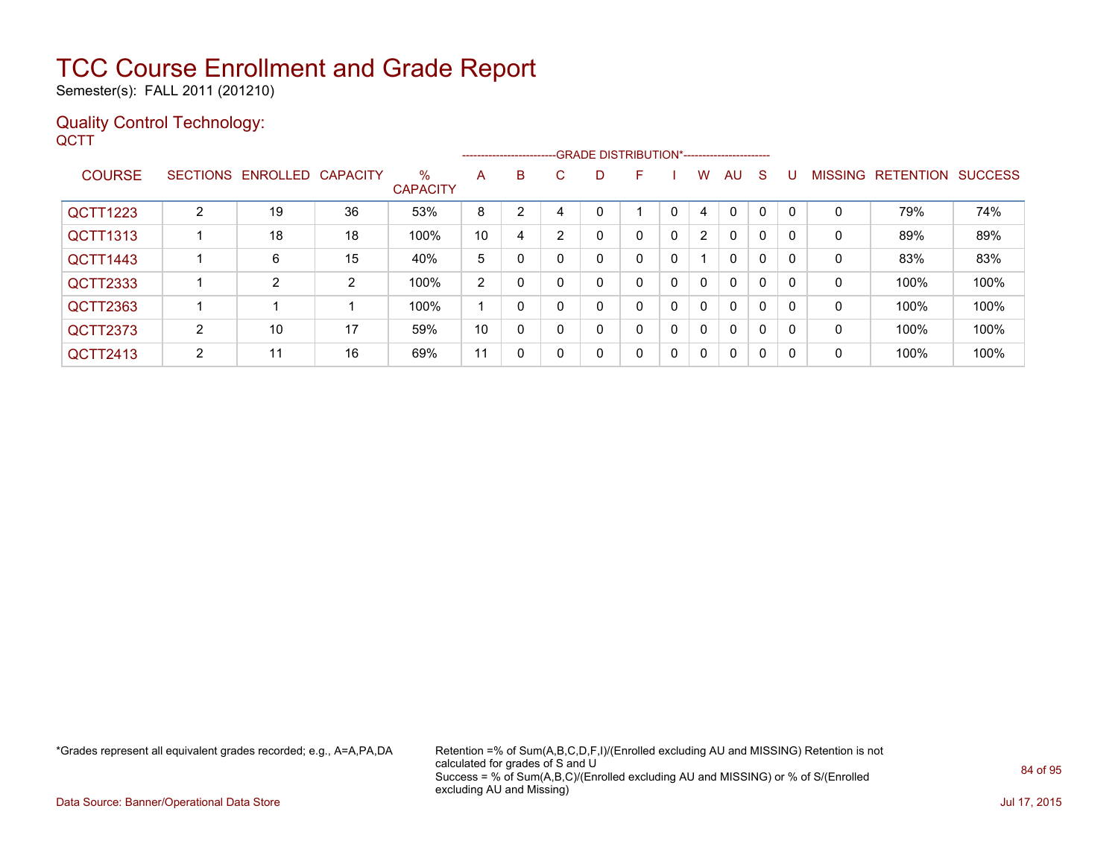Semester(s): FALL 2011 (201210)

#### Quality Control Technology: **QCTT**

|                 |   |                            |    |                         |    |   |          |   | --------------------------GRADE DISTRIBUTION*----------------------- |   |                |              |              |          |                |                  |                |
|-----------------|---|----------------------------|----|-------------------------|----|---|----------|---|----------------------------------------------------------------------|---|----------------|--------------|--------------|----------|----------------|------------------|----------------|
| <b>COURSE</b>   |   | SECTIONS ENROLLED CAPACITY |    | $\%$<br><b>CAPACITY</b> | A  | B | C.       | D | F                                                                    |   | w              | AU           | S            |          | <b>MISSING</b> | <b>RETENTION</b> | <b>SUCCESS</b> |
| <b>QCTT1223</b> | 2 | 19                         | 36 | 53%                     | 8  | 2 | 4        |   |                                                                      | 0 | 4              | $\Omega$     | 0            |          | 0              | 79%              | 74%            |
| <b>QCTT1313</b> |   | 18                         | 18 | 100%                    | 10 | 4 | 2        |   | 0                                                                    | 0 | $\overline{2}$ | $\mathbf{0}$ | $\mathbf{0}$ |          | 0              | 89%              | 89%            |
| QCTT1443        |   | 6                          | 15 | 40%                     | 5  | 0 |          | 0 | 0                                                                    | 0 |                | $\mathbf{0}$ | $\mathbf{0}$ |          | 0              | 83%              | 83%            |
| <b>QCTT2333</b> |   | 2                          | 2  | 100%                    | 2  | 0 |          | 0 | 0                                                                    | 0 | $\mathbf{0}$   | $\mathbf{0}$ | $\mathbf{0}$ |          | 0              | 100%             | 100%           |
| QCTT2363        |   |                            |    | 100%                    |    | 0 |          | 0 | 0                                                                    | 0 | $\mathbf{0}$   | $\mathbf{0}$ | $\mathbf{0}$ |          | 0              | 100%             | 100%           |
| <b>QCTT2373</b> | 2 | 10                         | 17 | 59%                     | 10 | 0 | $\Omega$ | 0 | 0                                                                    | 0 | $\mathbf{0}$   | $\mathbf{0}$ | $\mathbf{0}$ |          | $\mathbf 0$    | 100%             | 100%           |
| QCTT2413        | 2 | 11                         | 16 | 69%                     | 11 | 0 | $\Omega$ | 0 | 0                                                                    | 0 | $\mathbf{0}$   | 0            | $\mathbf{0}$ | $\Omega$ | 0              | 100%             | 100%           |

\*Grades represent all equivalent grades recorded; e.g., A=A,PA,DA Retention =% of Sum(A,B,C,D,F,I)/(Enrolled excluding AU and MISSING) Retention is not calculated for grades of S and U Success = % of Sum(A,B,C)/(Enrolled excluding AU and MISSING) or % of S/(Enrolled excluding AU and Missing)

Data Source: Banner/Operational Data Store Jul 17, 2015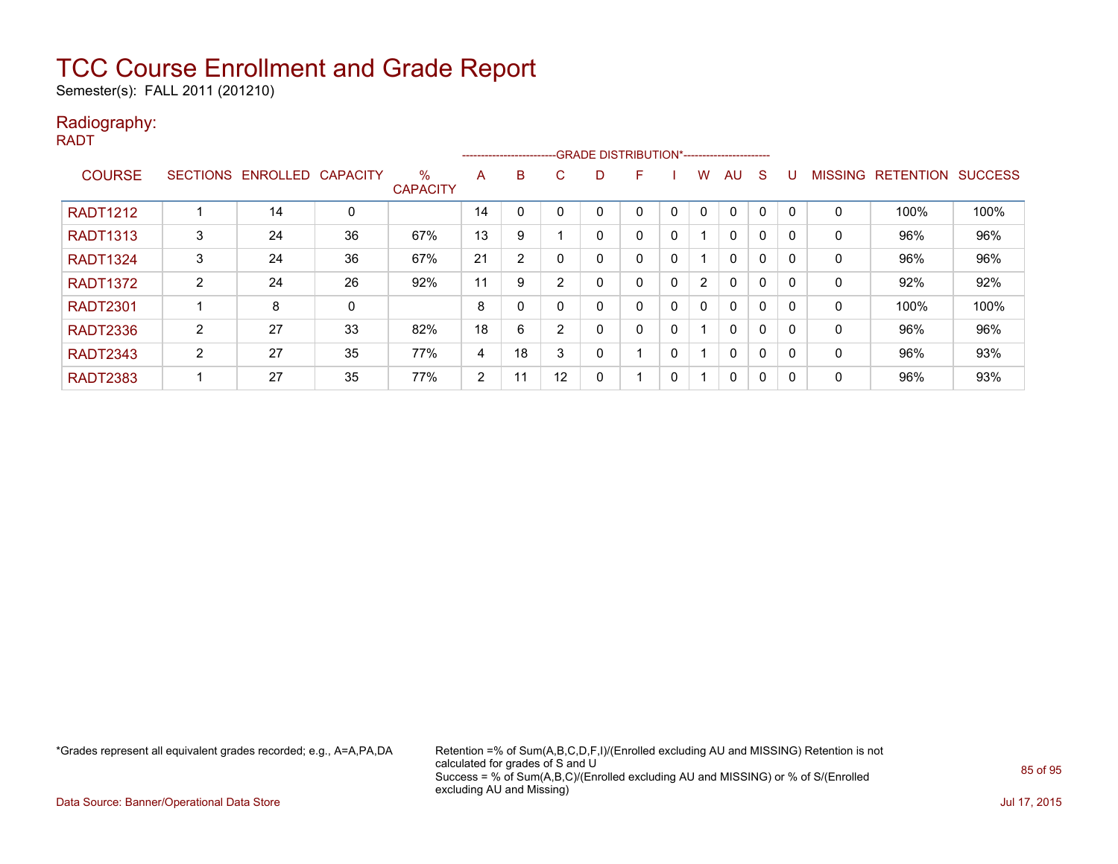Semester(s): FALL 2011 (201210)

#### Radiography:

RADT

|                 |                 |          |                 |                         |                | ------------------------- |              | -GRADE DISTRIBUTION*----------------------- |   |              |                      |              |   |              |                |                  |                |
|-----------------|-----------------|----------|-----------------|-------------------------|----------------|---------------------------|--------------|---------------------------------------------|---|--------------|----------------------|--------------|---|--------------|----------------|------------------|----------------|
| <b>COURSE</b>   | <b>SECTIONS</b> | ENROLLED | <b>CAPACITY</b> | $\%$<br><b>CAPACITY</b> | A              | B                         | C            | D                                           | F |              | w                    | AU           | S |              | <b>MISSING</b> | <b>RETENTION</b> | <b>SUCCESS</b> |
| <b>RADT1212</b> |                 | 14       | 0               |                         | 14             |                           |              |                                             | 0 |              | 0                    | 0            | 0 |              | 0              | 100%             | 100%           |
| <b>RADT1313</b> | 3               | 24       | 36              | 67%                     | 13             | 9                         |              | 0                                           | 0 | 0            |                      | $\mathbf{0}$ | 0 |              | 0              | 96%              | 96%            |
| <b>RADT1324</b> | 3               | 24       | 36              | 67%                     | 21             | 2                         |              | 0                                           | 0 | 0            |                      | $\mathbf{0}$ | 0 | $\Omega$     | 0              | 96%              | 96%            |
| <b>RADT1372</b> | 2               | 24       | 26              | 92%                     | 11             | 9                         | <sup>o</sup> | 0                                           | 0 | $\Omega$     | $\mathbf{2}^{\circ}$ | $\mathbf{0}$ | 0 |              | 0              | 92%              | 92%            |
| <b>RADT2301</b> |                 | 8        | 0               |                         | 8              | 0                         | 0            | 0                                           | 0 | 0            | $\mathbf{0}$         | $\mathbf{0}$ | 0 |              | $\mathbf{0}$   | 100%             | 100%           |
| <b>RADT2336</b> | 2               | 27       | 33              | 82%                     | 18             | 6                         | <sup>o</sup> | 0                                           | 0 | $\mathbf{0}$ |                      | $\mathbf{0}$ | 0 | $\Omega$     | 0              | 96%              | 96%            |
| <b>RADT2343</b> | $\overline{2}$  | 27       | 35              | 77%                     | $\overline{4}$ | 18                        | 3            | 0                                           |   | 0            |                      | 0            | 0 |              | 0              | 96%              | 93%            |
| <b>RADT2383</b> |                 | 27       | 35              | 77%                     | 2              | 11                        | 12           | 0                                           |   | 0            |                      | 0            | 0 | $\mathsf{C}$ | 0              | 96%              | 93%            |

\*Grades represent all equivalent grades recorded; e.g., A=A,PA,DA Retention =% of Sum(A,B,C,D,F,I)/(Enrolled excluding AU and MISSING) Retention is not calculated for grades of S and U Success = % of Sum(A,B,C)/(Enrolled excluding AU and MISSING) or % of S/(Enrolled excluding AU and Missing)

Data Source: Banner/Operational Data Store Jul 17, 2015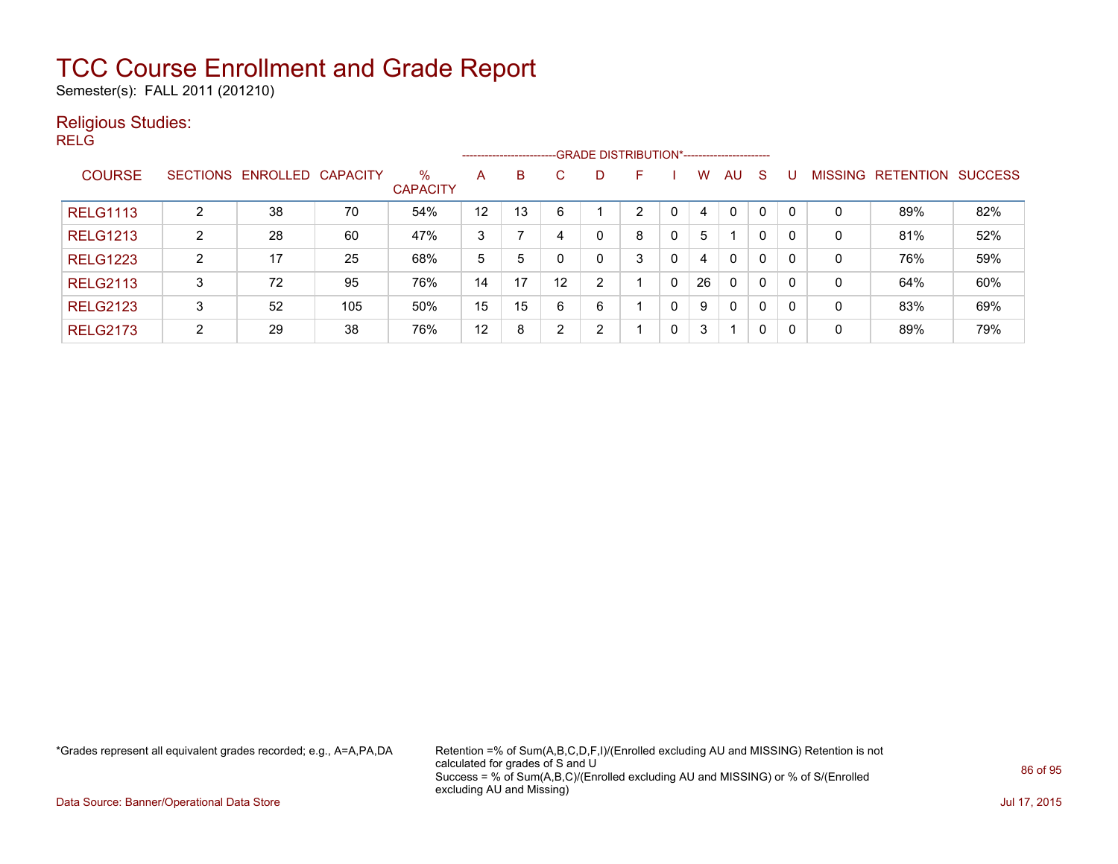Semester(s): FALL 2011 (201210)

#### Religious Studies:

RELG

|                 |                 |                   |     |                         |    | ------------------------- |    |                | -GRADE DISTRIBUTION*----------------------- |   |    |              |    |    |                |                  |                |
|-----------------|-----------------|-------------------|-----|-------------------------|----|---------------------------|----|----------------|---------------------------------------------|---|----|--------------|----|----|----------------|------------------|----------------|
| <b>COURSE</b>   | <b>SECTIONS</b> | ENROLLED CAPACITY |     | $\%$<br><b>CAPACITY</b> | A  | B                         | С  | D              | F                                           |   | W  | AU           | -S |    | <b>MISSING</b> | <b>RETENTION</b> | <b>SUCCESS</b> |
| <b>RELG1113</b> | 2               | 38                | 70  | 54%                     | 12 | 13                        | 6  |                | ົ                                           |   | 4  | $\mathbf{0}$ | 0  |    | 0              | 89%              | 82%            |
| <b>RELG1213</b> | 2               | 28                | 60  | 47%                     | 3  |                           | 4  | 0              | 8                                           | 0 | 5  |              | 0  |    | 0              | 81%              | 52%            |
| <b>RELG1223</b> | $\overline{2}$  | 17                | 25  | 68%                     | 5  | 5                         |    | 0              | 3                                           | 0 | 4  | $\mathbf{0}$ | 0  | -0 | 0              | 76%              | 59%            |
| <b>RELG2113</b> | 3               | 72                | 95  | 76%                     | 14 | 17                        | 12 | $\overline{2}$ |                                             | 0 | 26 | 0            | 0  | 0  | 0              | 64%              | 60%            |
| <b>RELG2123</b> | 3               | 52                | 105 | 50%                     | 15 | 15                        | 6  | 6              |                                             |   | 9  | 0            | 0  |    | 0              | 83%              | 69%            |
| <b>RELG2173</b> | C.              | 29                | 38  | 76%                     | 12 | 8                         | ົ  | $\mathcal{P}$  |                                             | 0 | 3  | 1            | 0  | -0 | 0              | 89%              | 79%            |

\*Grades represent all equivalent grades recorded; e.g., A=A,PA,DA Retention =% of Sum(A,B,C,D,F,I)/(Enrolled excluding AU and MISSING) Retention is not calculated for grades of S and U Success = % of Sum(A,B,C)/(Enrolled excluding AU and MISSING) or % of S/(Enrolled excluding AU and Missing)

Data Source: Banner/Operational Data Store Jul 17, 2015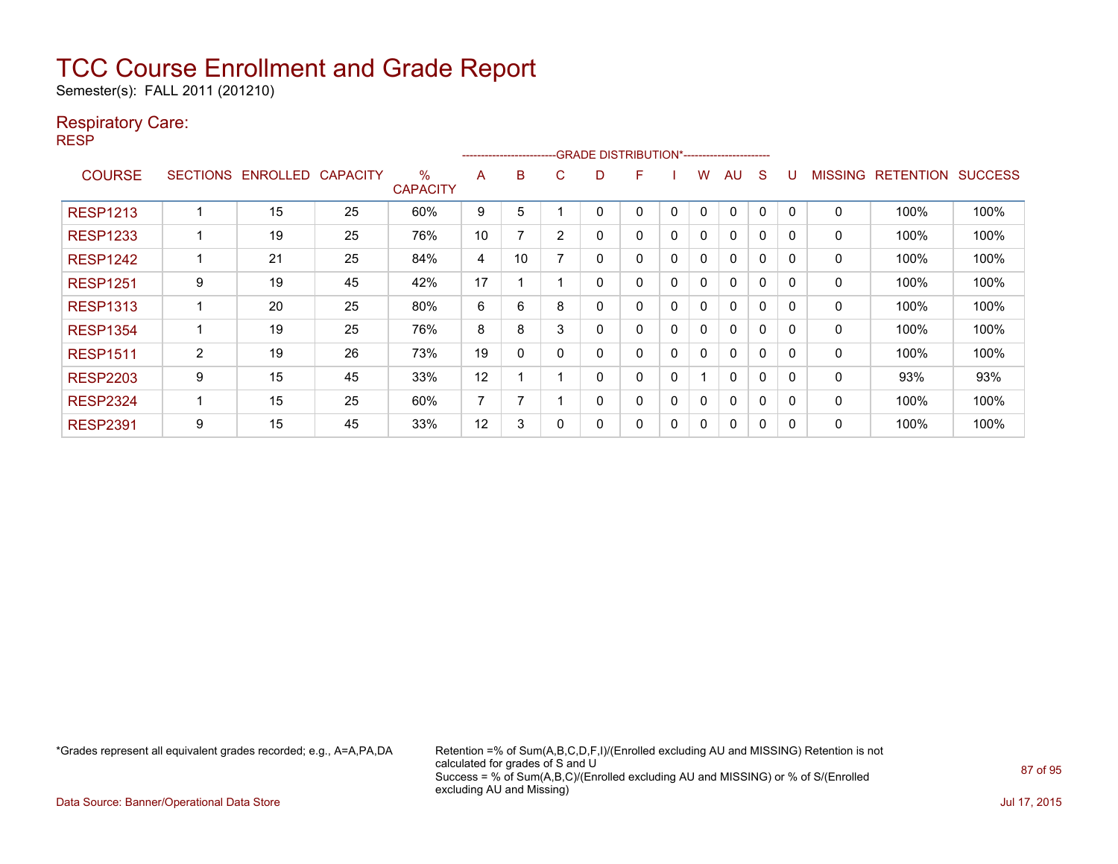Semester(s): FALL 2011 (201210)

#### Respiratory Care:

RESP

|                 |                 |                 |                 |                         |    | ------------------------- |   | -GRADE DISTRIBUTION*----------------------- |   |              |              |          |              |              |                |                  |                |
|-----------------|-----------------|-----------------|-----------------|-------------------------|----|---------------------------|---|---------------------------------------------|---|--------------|--------------|----------|--------------|--------------|----------------|------------------|----------------|
| <b>COURSE</b>   | <b>SECTIONS</b> | <b>ENROLLED</b> | <b>CAPACITY</b> | $\%$<br><b>CAPACITY</b> | A  | B                         | C | D                                           | F |              | w            | AU       | <sub>S</sub> |              | <b>MISSING</b> | <b>RETENTION</b> | <b>SUCCESS</b> |
| <b>RESP1213</b> |                 | 15              | 25              | 60%                     | 9  | 5                         |   |                                             | 0 | $\mathbf{0}$ | 0            | 0        | $\Omega$     |              | $\mathbf{0}$   | 100%             | 100%           |
| <b>RESP1233</b> |                 | 19              | 25              | 76%                     | 10 | 7                         | 2 | 0                                           | 0 | 0            | $\mathbf{0}$ | 0        | $\mathbf 0$  | $\Omega$     | 0              | 100%             | 100%           |
| <b>RESP1242</b> |                 | 21              | 25              | 84%                     | 4  | 10                        |   | 0                                           | 0 | $\mathbf{0}$ | $\mathbf{0}$ | $\Omega$ | $\Omega$     | <sup>n</sup> | 0              | 100%             | 100%           |
| <b>RESP1251</b> | 9               | 19              | 45              | 42%                     | 17 |                           |   | 0                                           | 0 | 0            | 0            | 0        | $\Omega$     | <sup>0</sup> | 0              | 100%             | 100%           |
| <b>RESP1313</b> |                 | 20              | 25              | 80%                     | 6  | 6                         | 8 | 0                                           | 0 | $\Omega$     | 0            | 0        | 0            | <sup>0</sup> | 0              | 100%             | 100%           |
| <b>RESP1354</b> |                 | 19              | 25              | 76%                     | 8  | 8                         | 3 | 0                                           | 0 | $\Omega$     | 0            | 0        | $\Omega$     | ∩            | 0              | 100%             | 100%           |
| <b>RESP1511</b> | $\overline{2}$  | 19              | 26              | 73%                     | 19 | 0                         |   | 0                                           | 0 | 0            | 0            | 0        | $\mathbf 0$  | O            | 0              | 100%             | 100%           |
| <b>RESP2203</b> | 9               | 15              | 45              | 33%                     | 12 |                           |   | 0                                           | 0 | 0            |              | 0        | $\Omega$     | O            | 0              | 93%              | 93%            |
| <b>RESP2324</b> |                 | 15              | 25              | 60%                     | 7  |                           |   | 0                                           | 0 | 0            | 0            | 0        | 0            | $\mathsf{C}$ | 0              | 100%             | 100%           |
| <b>RESP2391</b> | 9               | 15              | 45              | 33%                     | 12 | 3                         |   | 0                                           | 0 | 0            | 0            | 0        | 0            |              | 0              | 100%             | 100%           |

\*Grades represent all equivalent grades recorded; e.g., A=A,PA,DA Retention =% of Sum(A,B,C,D,F,I)/(Enrolled excluding AU and MISSING) Retention is not calculated for grades of S and U Success = % of Sum(A,B,C)/(Enrolled excluding AU and MISSING) or % of S/(Enrolled excluding AU and Missing)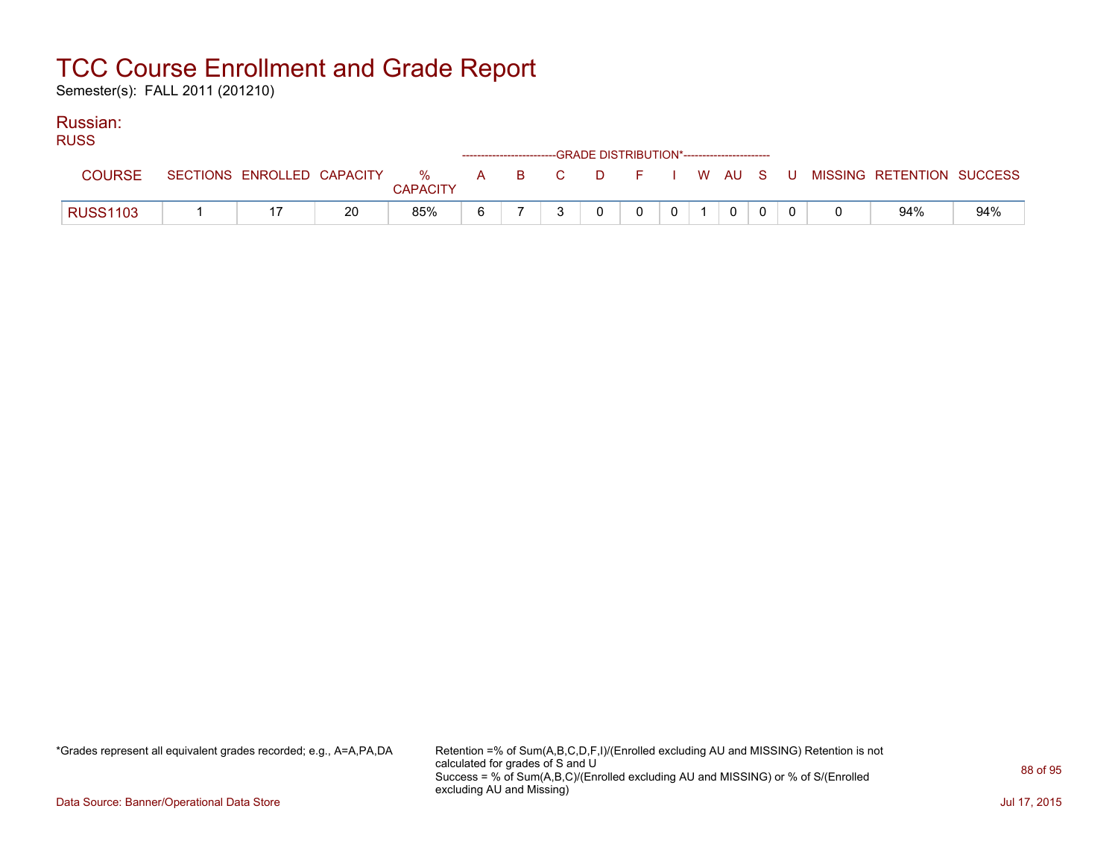Semester(s): FALL 2011 (201210)

#### Russian:

| <b>RUSS</b>     |  |    |                 |    |  | ------------------------GRADE DISTRIBUTION*----------------------- |                |                 |          |  |                                                                             |     |
|-----------------|--|----|-----------------|----|--|--------------------------------------------------------------------|----------------|-----------------|----------|--|-----------------------------------------------------------------------------|-----|
| <b>COURSE</b>   |  |    | <b>CAPACITY</b> |    |  |                                                                    |                |                 |          |  | SECTIONS ENROLLED CAPACITY % A B C D F I W AU S U MISSING RETENTION SUCCESS |     |
| <b>RUSS1103</b> |  | 20 | 85%             | 6. |  | $\Omega$                                                           | $\overline{0}$ | $0 \mid 1 \mid$ | $\Omega$ |  | 94%                                                                         | 94% |

\*Grades represent all equivalent grades recorded; e.g., A=A,PA,DA Retention =% of Sum(A,B,C,D,F,I)/(Enrolled excluding AU and MISSING) Retention is not calculated for grades of S and U Success = % of Sum(A,B,C)/(Enrolled excluding AU and MISSING) or % of S/(Enrolled excluding AU and Missing)

Data Source: Banner/Operational Data Store Jul 17, 2015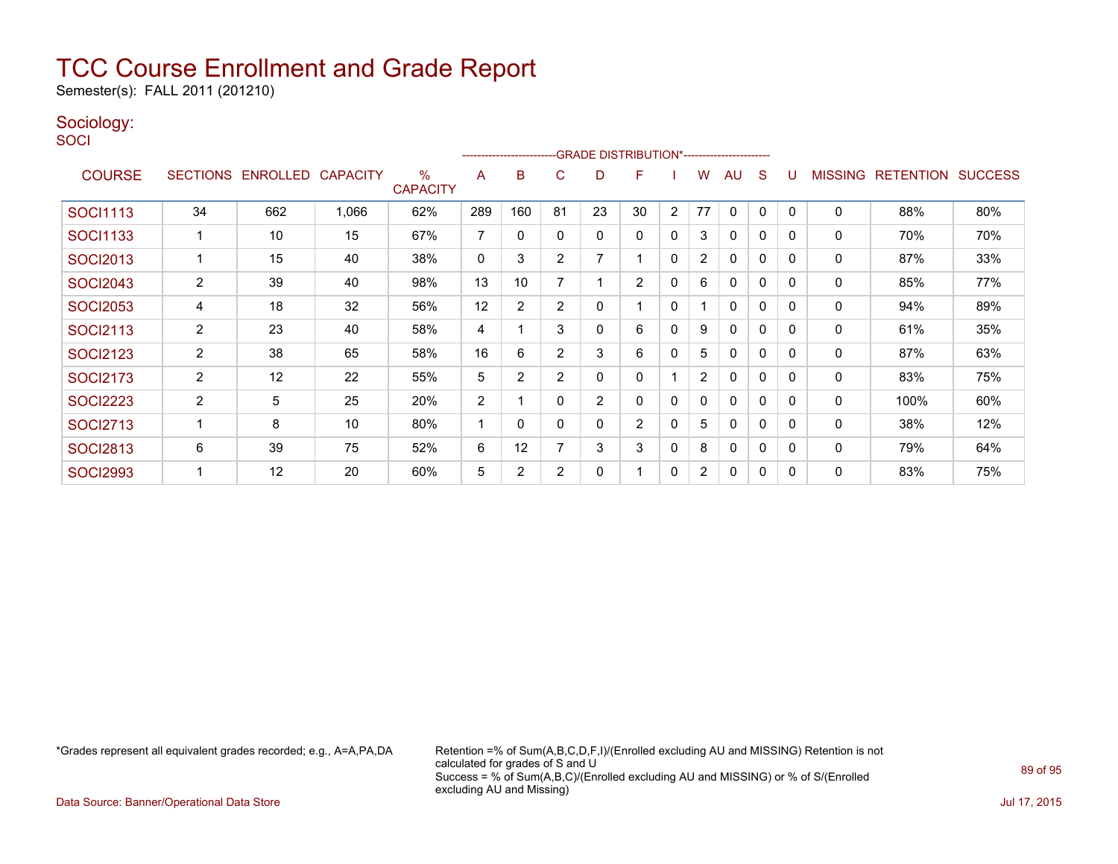Semester(s): FALL 2011 (201210)

### Sociology:

**SOCI** 

|                 |                |                   |                 |                         |     | ------------------------ |                | -GRADE DISTRIBUTION*----------------------- |                |                |                |              |              |          |                |                  |                |
|-----------------|----------------|-------------------|-----------------|-------------------------|-----|--------------------------|----------------|---------------------------------------------|----------------|----------------|----------------|--------------|--------------|----------|----------------|------------------|----------------|
| <b>COURSE</b>   |                | SECTIONS ENROLLED | <b>CAPACITY</b> | $\%$<br><b>CAPACITY</b> | A   | B                        | C              | D                                           | F              |                | W              | AU           | S            |          | <b>MISSING</b> | <b>RETENTION</b> | <b>SUCCESS</b> |
| <b>SOCI1113</b> | 34             | 662               | 1,066           | 62%                     | 289 | 160                      | 81             | 23                                          | 30             | $\overline{2}$ | 77             | 0            | 0            | $\Omega$ | $\mathbf 0$    | 88%              | 80%            |
| SOCI1133        |                | 10                | 15              | 67%                     | 7   | 0                        | 0              | 0                                           | 0              | 0              | 3              | $\mathbf{0}$ | 0            | 0        | 0              | 70%              | 70%            |
| <b>SOCI2013</b> |                | 15                | 40              | 38%                     | 0   | 3                        | $\overline{2}$ | 7                                           |                | 0              | $\overline{2}$ | 0            | 0            | $\Omega$ | 0              | 87%              | 33%            |
| <b>SOCI2043</b> | 2              | 39                | 40              | 98%                     | 13  | 10                       |                |                                             | $\overline{2}$ | 0              | 6              | $\mathbf{0}$ | 0            | $\Omega$ | 0              | 85%              | 77%            |
| <b>SOCI2053</b> | 4              | 18                | 32              | 56%                     | 12  | 2                        | 2              | 0                                           |                | 0              |                | 0            | 0            | 0        | 0              | 94%              | 89%            |
| <b>SOCI2113</b> | $\overline{2}$ | 23                | 40              | 58%                     | 4   |                          | 3              | 0                                           | 6              | 0              | 9              | 0            | 0            | $\Omega$ | 0              | 61%              | 35%            |
| <b>SOCI2123</b> | $\overline{2}$ | 38                | 65              | 58%                     | 16  | 6                        | $\overline{2}$ | 3                                           | 6              | $\Omega$       | 5              | $\mathbf{0}$ | $\mathbf{0}$ | $\Omega$ | $\mathbf 0$    | 87%              | 63%            |
| <b>SOCI2173</b> | $\overline{2}$ | 12                | 22              | 55%                     | 5   | $\overline{2}$           | $\overline{2}$ | 0                                           | 0              |                | 2              | 0            | 0            | $\Omega$ | 0              | 83%              | 75%            |
| <b>SOCI2223</b> | 2              | 5                 | 25              | 20%                     | 2   |                          |                | 2                                           | 0              | 0              | 0              | $\mathbf{0}$ | 0            | $\Omega$ | 0              | 100%             | 60%            |
| <b>SOCI2713</b> |                | 8                 | 10              | 80%                     |     | $\Omega$                 | 0              | 0                                           | $\overline{2}$ | $\Omega$       | 5              | $\mathbf{0}$ | $\mathbf{0}$ | $\Omega$ | $\mathbf 0$    | 38%              | 12%            |
| <b>SOCI2813</b> | 6              | 39                | 75              | 52%                     | 6   | 12                       |                | 3                                           | 3              | 0              | 8              | 0            | 0            | $\Omega$ | 0              | 79%              | 64%            |
| <b>SOCI2993</b> |                | 12                | 20              | 60%                     | 5   | $\overline{2}$           | $\overline{2}$ | 0                                           |                | 0              | $\overline{2}$ | 0            | 0            | 0        | 0              | 83%              | 75%            |

\*Grades represent all equivalent grades recorded; e.g., A=A,PA,DA Retention =% of Sum(A,B,C,D,F,I)/(Enrolled excluding AU and MISSING) Retention is not calculated for grades of S and U Success = % of Sum(A,B,C)/(Enrolled excluding AU and MISSING) or % of S/(Enrolled excluding AU and Missing)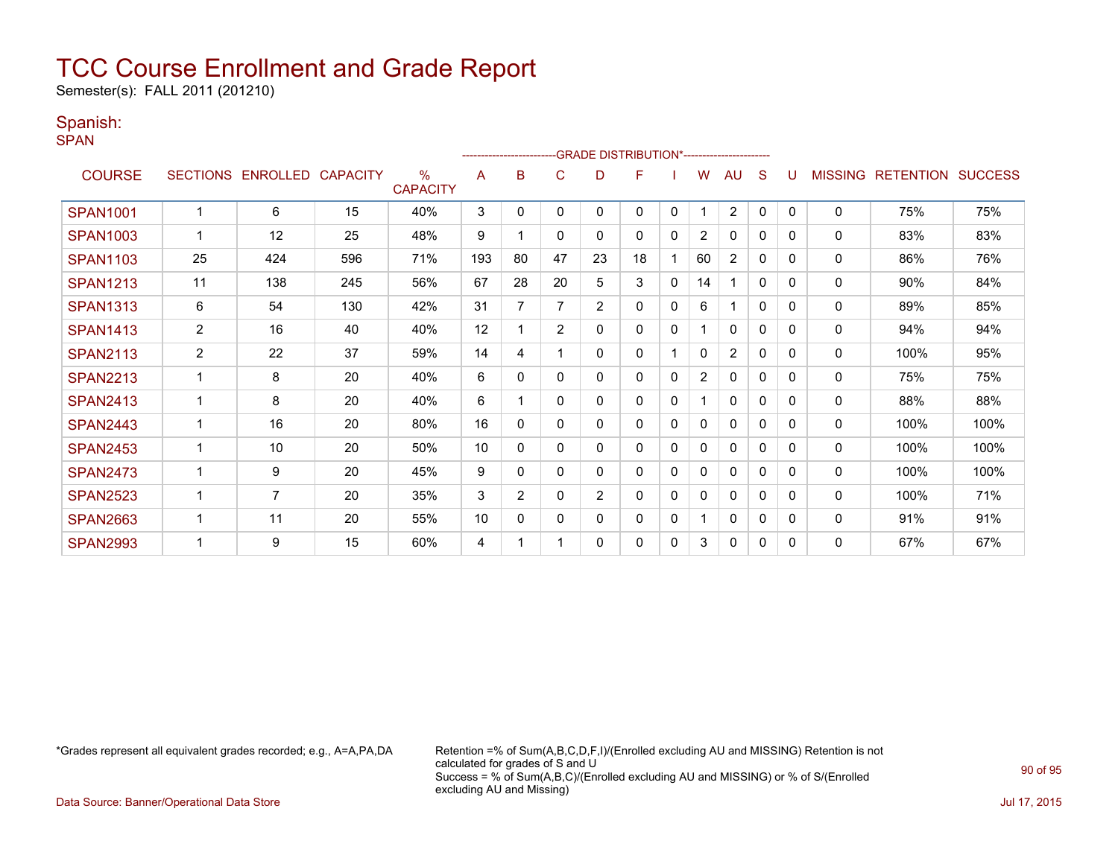Semester(s): FALL 2011 (201210)

#### Spanish:

SPAN

|                 |                 |                   |     |                                  |     | ---------------------- |                | -GRADE DISTRIBUTION*---------------------- |    |              |                |                |              |              |                |                  |                |
|-----------------|-----------------|-------------------|-----|----------------------------------|-----|------------------------|----------------|--------------------------------------------|----|--------------|----------------|----------------|--------------|--------------|----------------|------------------|----------------|
| <b>COURSE</b>   | <b>SECTIONS</b> | ENROLLED CAPACITY |     | $\frac{0}{0}$<br><b>CAPACITY</b> | A   | B                      | C              | D                                          | F  |              | W              | AU             | S            |              | <b>MISSING</b> | <b>RETENTION</b> | <b>SUCCESS</b> |
| <b>SPAN1001</b> |                 | 6                 | 15  | 40%                              | 3   | $\Omega$               | $\Omega$       | 0                                          | 0  | $\mathbf{0}$ |                | $\overline{2}$ | $\mathbf{0}$ | $\Omega$     | 0              | 75%              | 75%            |
| <b>SPAN1003</b> |                 | 12                | 25  | 48%                              | 9   |                        | 0              | 0                                          | 0  | 0            | $\overline{2}$ | $\Omega$       | 0            | $\Omega$     | 0              | 83%              | 83%            |
| <b>SPAN1103</b> | 25              | 424               | 596 | 71%                              | 193 | 80                     | 47             | 23                                         | 18 |              | 60             | 2              | 0            | 0            | 0              | 86%              | 76%            |
| <b>SPAN1213</b> | 11              | 138               | 245 | 56%                              | 67  | 28                     | 20             | 5                                          | 3  | 0            | 14             |                | 0            | 0            | $\Omega$       | 90%              | 84%            |
| <b>SPAN1313</b> | 6               | 54                | 130 | 42%                              | 31  |                        | 7              | $\overline{2}$                             | 0  | 0            | 6              |                | 0            | $\Omega$     | 0              | 89%              | 85%            |
| <b>SPAN1413</b> | $\overline{2}$  | 16                | 40  | 40%                              | 12  |                        | $\overline{2}$ | 0                                          | 0  | $\mathbf{0}$ |                | 0              | 0            | $\mathbf{0}$ | 0              | 94%              | 94%            |
| <b>SPAN2113</b> | $\overline{2}$  | 22                | 37  | 59%                              | 14  | 4                      |                | 0                                          | 0  |              | 0              | 2              | 0            | 0            | 0              | 100%             | 95%            |
| <b>SPAN2213</b> |                 | 8                 | 20  | 40%                              | 6   | $\Omega$               | $\Omega$       | 0                                          | 0  | 0            | $\overline{2}$ | $\mathbf{0}$   | 0            | $\Omega$     | 0              | 75%              | 75%            |
| <b>SPAN2413</b> | 1               | 8                 | 20  | 40%                              | 6   |                        | 0              | 0                                          | 0  | 0            |                | $\mathbf{0}$   | 0            | 0            | 0              | 88%              | 88%            |
| <b>SPAN2443</b> |                 | 16                | 20  | 80%                              | 16  | $\Omega$               | $\Omega$       | 0                                          | 0  | $\mathbf 0$  | $\Omega$       | $\mathbf{0}$   | $\Omega$     | 0            | 0              | 100%             | 100%           |
| <b>SPAN2453</b> |                 | 10                | 20  | 50%                              | 10  | 0                      | $\Omega$       | 0                                          | 0  | $\mathbf 0$  | $\mathbf{0}$   | $\Omega$       | 0            | $\Omega$     | 0              | 100%             | 100%           |
| <b>SPAN2473</b> | 1               | 9                 | 20  | 45%                              | 9   | 0                      | $\mathbf{0}$   | 0                                          | 0  | 0            | 0              | $\mathbf{0}$   | 0            | 0            | 0              | 100%             | 100%           |
| <b>SPAN2523</b> |                 | 7                 | 20  | 35%                              | 3   | $\overline{2}$         | $\Omega$       | $\overline{2}$                             | 0  | 0            | 0              | $\Omega$       | 0            | 0            | $\Omega$       | 100%             | 71%            |
| <b>SPAN2663</b> |                 | 11                | 20  | 55%                              | 10  | 0                      | 0              | 0                                          | 0  | 0            |                | $\Omega$       | 0            | 0            | 0              | 91%              | 91%            |
| <b>SPAN2993</b> |                 | 9                 | 15  | 60%                              | 4   |                        |                | 0                                          | 0  | 0            | 3              | $\mathbf{0}$   | 0            | 0            | 0              | 67%              | 67%            |

\*Grades represent all equivalent grades recorded; e.g., A=A,PA,DA Retention =% of Sum(A,B,C,D,F,I)/(Enrolled excluding AU and MISSING) Retention is not calculated for grades of S and U Success = % of Sum(A,B,C)/(Enrolled excluding AU and MISSING) or % of S/(Enrolled excluding AU and Missing)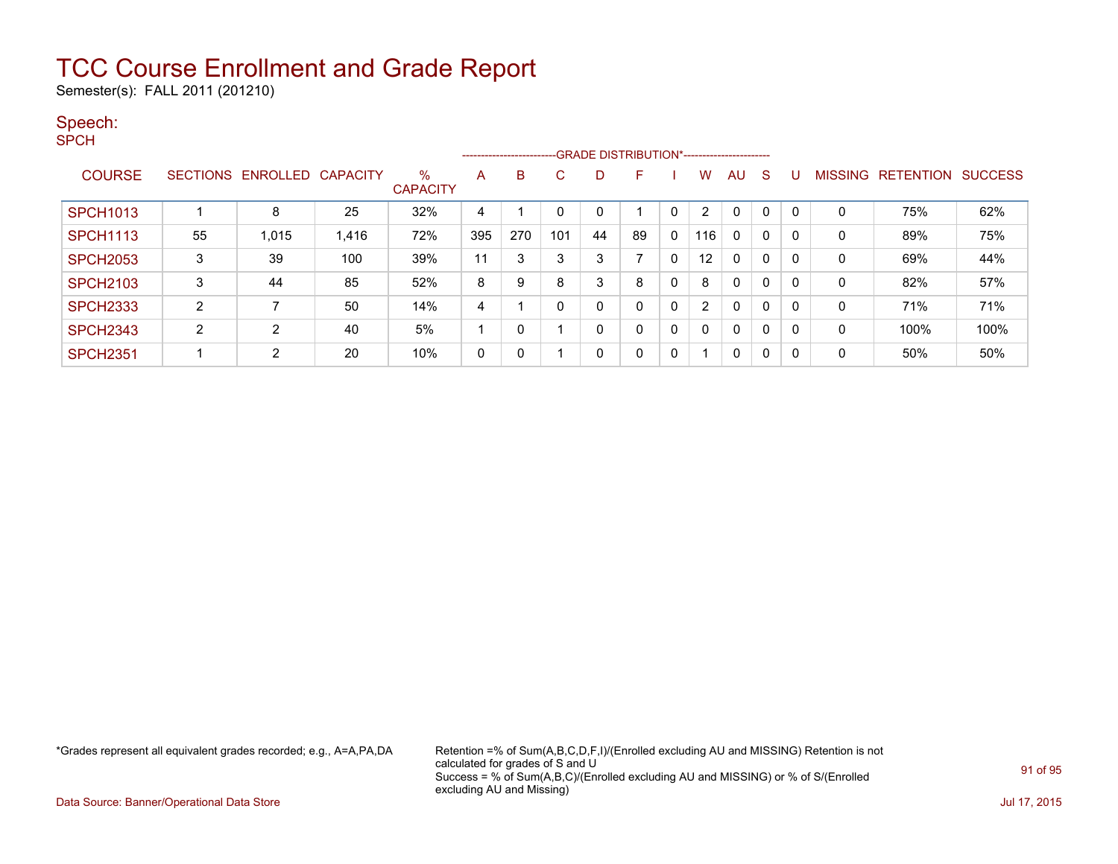Semester(s): FALL 2011 (201210)

#### Speech:

SPCH

|                 |    |                            |       |                      |     | -------------------------GRADE DISTRIBUTION*----------------------- |     |              |    |              |                   |              |   |   |   |                   |                |
|-----------------|----|----------------------------|-------|----------------------|-----|---------------------------------------------------------------------|-----|--------------|----|--------------|-------------------|--------------|---|---|---|-------------------|----------------|
| <b>COURSE</b>   |    | SECTIONS ENROLLED CAPACITY |       | ℅<br><b>CAPACITY</b> | A   | B                                                                   | C   | D            | F. |              | W                 | AU.          | S |   |   | MISSING RETENTION | <b>SUCCESS</b> |
| <b>SPCH1013</b> |    | 8                          | 25    | 32%                  | 4   |                                                                     | 0   | 0            |    | 0            |                   | $\mathbf{0}$ | 0 |   |   | 75%               | 62%            |
| <b>SPCH1113</b> | 55 | 1,015                      | 1,416 | 72%                  | 395 | 270                                                                 | 101 | 44           | 89 | 0            | 116               | $\mathbf{0}$ | 0 |   | 0 | 89%               | 75%            |
| <b>SPCH2053</b> | 3  | 39                         | 100   | 39%                  | 11  | 3                                                                   | 3   | 3            |    | 0            | $12 \overline{ }$ | $\mathbf{0}$ | 0 |   | 0 | 69%               | 44%            |
| <b>SPCH2103</b> | 3  | 44                         | 85    | 52%                  | 8   | 9                                                                   | 8   | 3            | 8  | 0            | 8                 | $\mathbf{0}$ | 0 |   | 0 | 82%               | 57%            |
| <b>SPCH2333</b> | 2  |                            | 50    | 14%                  | 4   |                                                                     | 0   | 0            | 0  | $\mathbf{0}$ | 2                 | $\mathbf{0}$ | 0 |   | 0 | 71%               | 71%            |
| <b>SPCH2343</b> | 2  | 2                          | 40    | 5%                   |     |                                                                     |     | 0            | 0  | $\mathbf{0}$ | $\Omega$          | $\mathbf{0}$ | 0 |   | 0 | 100%              | 100%           |
| <b>SPCH2351</b> |    | 2                          | 20    | 10%                  | 0   |                                                                     |     | $\mathbf{0}$ | 0  | 0            |                   | 0            | 0 | 0 | 0 | 50%               | 50%            |

\*Grades represent all equivalent grades recorded; e.g., A=A,PA,DA Retention =% of Sum(A,B,C,D,F,I)/(Enrolled excluding AU and MISSING) Retention is not calculated for grades of S and U Success = % of Sum(A,B,C)/(Enrolled excluding AU and MISSING) or % of S/(Enrolled excluding AU and Missing)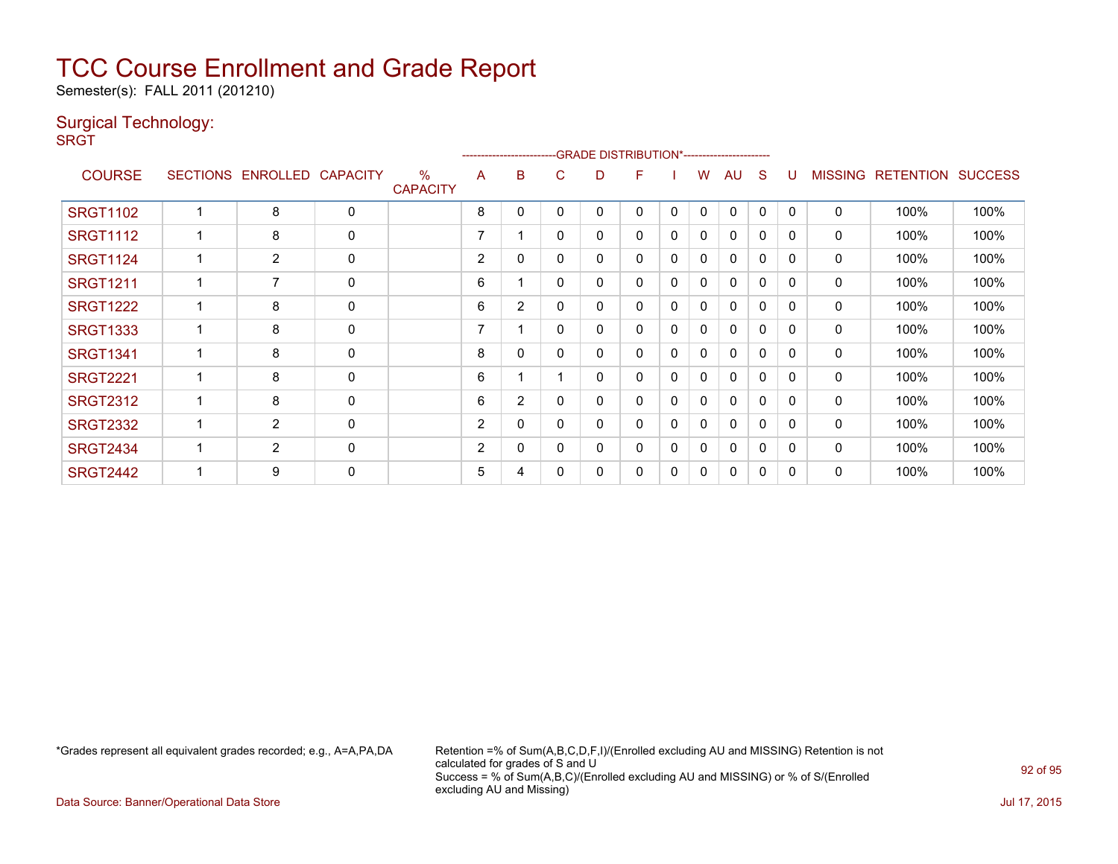Semester(s): FALL 2011 (201210)

### Surgical Technology:

**SRGT** 

|                 |                   |                 |                         |                |                |   | -------------------------GRADE                DISTRIBUTION*--------------------- |   |   |              |              |              |          |                |                  |                |
|-----------------|-------------------|-----------------|-------------------------|----------------|----------------|---|----------------------------------------------------------------------------------|---|---|--------------|--------------|--------------|----------|----------------|------------------|----------------|
| <b>COURSE</b>   | SECTIONS ENROLLED | <b>CAPACITY</b> | $\%$<br><b>CAPACITY</b> | A              | B              | C | D                                                                                | F |   | w            | AU           | S            | U        | <b>MISSING</b> | <b>RETENTION</b> | <b>SUCCESS</b> |
| <b>SRGT1102</b> | 8                 | $\mathbf 0$     |                         | 8              | 0              | 0 | 0                                                                                | 0 | 0 | $\mathbf{0}$ | $\mathbf{0}$ | 0            | 0        | 0              | 100%             | 100%           |
| <b>SRGT1112</b> | 8                 | $\mathbf 0$     |                         | 7              |                | 0 | 0                                                                                | 0 | 0 | 0            | $\mathbf{0}$ | 0            | 0        | 0              | 100%             | 100%           |
| <b>SRGT1124</b> | $\overline{2}$    | $\mathbf 0$     |                         | $\overline{2}$ | 0              | 0 | 0                                                                                | 0 | 0 | $\mathbf{0}$ | 0            | $\Omega$     | 0        | 0              | 100%             | 100%           |
| <b>SRGT1211</b> | 7                 | 0               |                         | 6              |                | 0 | 0                                                                                | 0 | 0 | 0            | 0            | 0            | 0        | 0              | 100%             | 100%           |
| <b>SRGT1222</b> | 8                 | $\mathbf 0$     |                         | 6              | $\overline{2}$ | 0 | 0                                                                                | 0 | 0 | 0            | $\mathbf{0}$ | $\Omega$     | 0        | 0              | 100%             | 100%           |
| <b>SRGT1333</b> | 8                 | $\mathbf 0$     |                         | 7              |                | 0 | 0                                                                                | 0 | 0 | $\mathbf{0}$ | $\mathbf{0}$ | $\mathbf{0}$ | $\Omega$ | $\mathbf 0$    | 100%             | 100%           |
| <b>SRGT1341</b> | 8                 | 0               |                         | 8              | 0              | 0 | 0                                                                                | 0 | 0 | 0            | 0            | 0            | $\Omega$ | 0              | 100%             | 100%           |
| <b>SRGT2221</b> | 8                 | $\mathbf 0$     |                         | 6              |                |   | 0                                                                                | 0 | 0 | $\mathbf{0}$ | 0            | 0            | 0        | $\mathbf 0$    | 100%             | 100%           |
| <b>SRGT2312</b> | 8                 | 0               |                         | 6              | $\overline{2}$ | 0 | 0                                                                                | 0 | 0 | $\Omega$     | $\mathbf{0}$ | $\mathbf 0$  | $\Omega$ | 0              | 100%             | 100%           |
| <b>SRGT2332</b> | $\overline{2}$    | 0               |                         | $\overline{2}$ | 0              | 0 | 0                                                                                | 0 | 0 | 0            | 0            | 0            | $\Omega$ | 0              | 100%             | 100%           |
| <b>SRGT2434</b> | $\overline{2}$    | $\mathbf 0$     |                         | 2              | $\Omega$       | 0 | 0                                                                                | 0 | 0 | $\mathbf{0}$ | $\Omega$     | $\Omega$     | 0        | 0              | 100%             | 100%           |
| <b>SRGT2442</b> | 9                 | $\mathbf 0$     |                         | 5              | 4              | 0 | 0                                                                                | 0 | 0 | 0            | 0            | 0            | $\Omega$ | 0              | 100%             | 100%           |

\*Grades represent all equivalent grades recorded; e.g., A=A,PA,DA Retention =% of Sum(A,B,C,D,F,I)/(Enrolled excluding AU and MISSING) Retention is not calculated for grades of S and U Success = % of Sum(A,B,C)/(Enrolled excluding AU and MISSING) or % of S/(Enrolled excluding AU and Missing)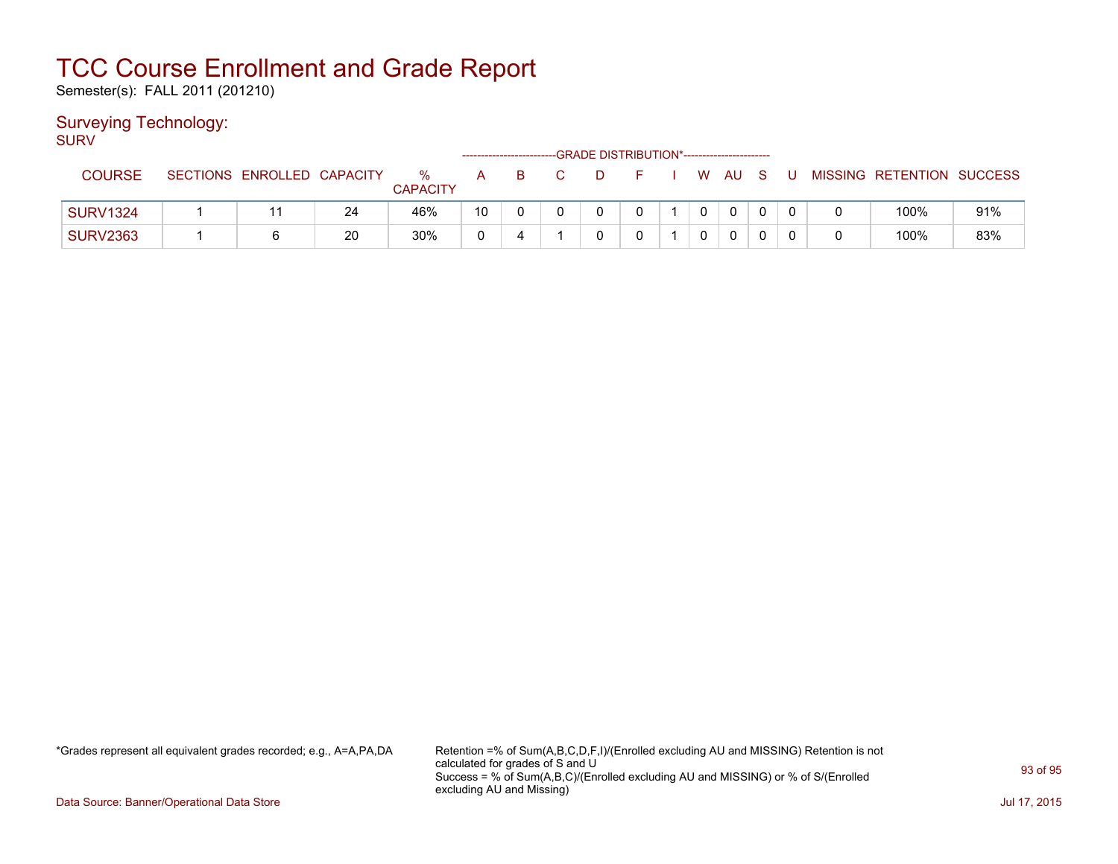Semester(s): FALL 2011 (201210)

### Surveying Technology:

SURV

|                 |                            |    |                      |    | -------------------------- | -GRADE DISTRIBUTION*----------------------- |  |          |      |     |   |   |                           |     |
|-----------------|----------------------------|----|----------------------|----|----------------------------|---------------------------------------------|--|----------|------|-----|---|---|---------------------------|-----|
| <b>COURSE</b>   | SECTIONS ENROLLED CAPACITY |    | %<br><b>CAPACITY</b> | А  | в                          |                                             |  |          | W AU | - S | U |   | MISSING RETENTION SUCCESS |     |
| <b>SURV1324</b> |                            | 24 | 46%                  | 10 |                            |                                             |  | $\Omega$ |      |     |   | 0 | 100%                      | 91% |
| <b>SURV2363</b> |                            | 20 | 30%                  | r  |                            |                                             |  | 0        |      |     |   | 0 | 100%                      | 83% |

\*Grades represent all equivalent grades recorded; e.g., A=A,PA,DA Retention =% of Sum(A,B,C,D,F,I)/(Enrolled excluding AU and MISSING) Retention is not calculated for grades of S and U Success = % of Sum(A,B,C)/(Enrolled excluding AU and MISSING) or % of S/(Enrolled excluding AU and Missing)

Data Source: Banner/Operational Data Store Jul 17, 2015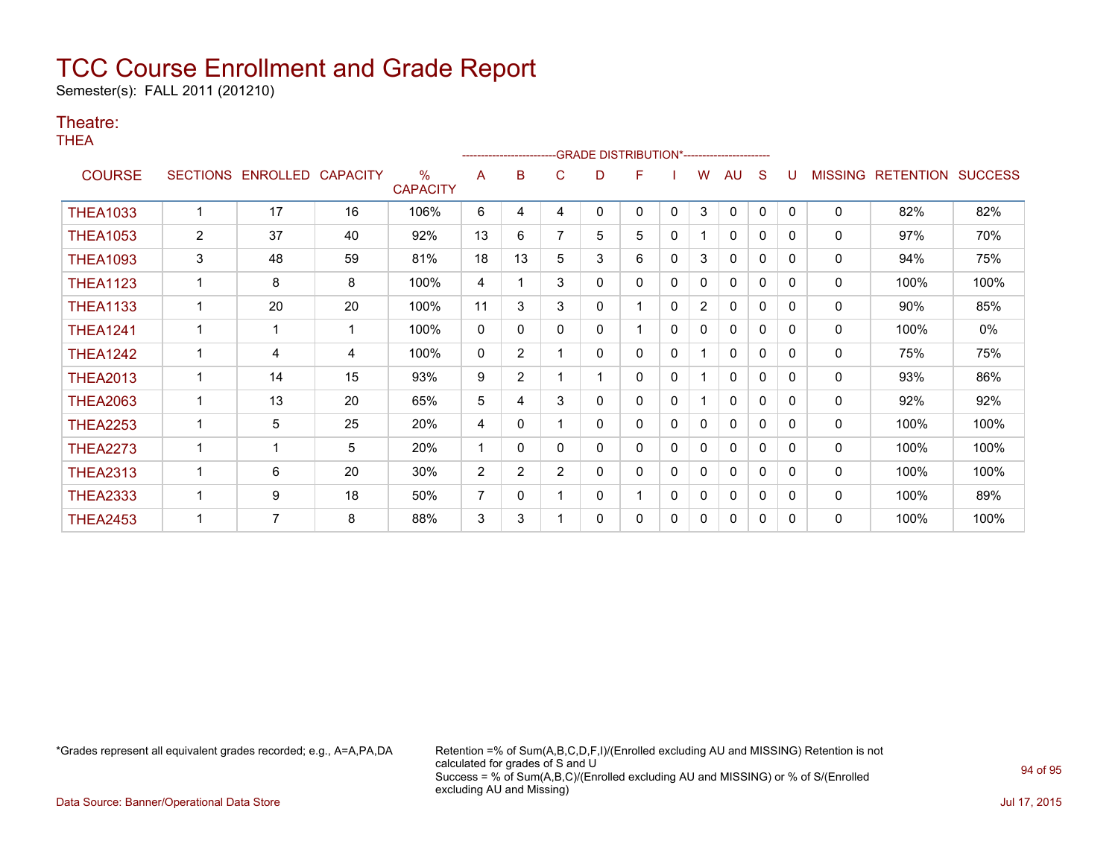Semester(s): FALL 2011 (201210)

#### Theatre:

THEA

|                 |                |                   |                 |                                  |    |                |                | -------------------------GRADE                DISTRIBUTION*--------------------- |   |              |                |              |              |          |                |                   |      |
|-----------------|----------------|-------------------|-----------------|----------------------------------|----|----------------|----------------|----------------------------------------------------------------------------------|---|--------------|----------------|--------------|--------------|----------|----------------|-------------------|------|
| <b>COURSE</b>   |                | SECTIONS ENROLLED | <b>CAPACITY</b> | $\frac{0}{0}$<br><b>CAPACITY</b> | A  | B              | C              | D                                                                                | F |              | W              | <b>AU</b>    | S            | U        | <b>MISSING</b> | RETENTION SUCCESS |      |
| <b>THEA1033</b> |                | 17                | 16              | 106%                             | 6  | 4              | 4              | 0                                                                                | 0 | $\mathbf{0}$ | 3              | 0            | 0            | $\Omega$ | $\mathbf 0$    | 82%               | 82%  |
| <b>THEA1053</b> | $\overline{2}$ | 37                | 40              | 92%                              | 13 | 6              |                | 5                                                                                | 5 | 0            |                | 0            | 0            | $\Omega$ | 0              | 97%               | 70%  |
| <b>THEA1093</b> | 3              | 48                | 59              | 81%                              | 18 | 13             | 5              | 3                                                                                | 6 | $\Omega$     | 3              | $\mathbf{0}$ | $\Omega$     | $\Omega$ | 0              | 94%               | 75%  |
| <b>THEA1123</b> |                | 8                 | 8               | 100%                             | 4  |                | 3              | 0                                                                                | 0 | 0            | 0              | $\Omega$     | $\mathbf{0}$ | 0        | 0              | 100%              | 100% |
| <b>THEA1133</b> |                | 20                | 20              | 100%                             | 11 | 3              | 3              | 0                                                                                |   | $\Omega$     | $\overline{2}$ | 0            | 0            | $\Omega$ | 0              | 90%               | 85%  |
| <b>THEA1241</b> | 1              |                   | -1              | 100%                             | 0  | 0              | 0              | 0                                                                                | 1 | $\mathbf{0}$ | 0              | 0            | 0            | $\Omega$ | 0              | 100%              | 0%   |
| <b>THEA1242</b> | $\mathbf 1$    | 4                 | 4               | 100%                             | 0  | $\overline{2}$ |                | 0                                                                                | 0 | $\mathbf{0}$ |                | $\Omega$     | $\mathbf 0$  | $\Omega$ | 0              | 75%               | 75%  |
| <b>THEA2013</b> |                | 14                | 15              | 93%                              | 9  | $\overline{2}$ |                |                                                                                  | 0 | $\mathbf{0}$ |                | $\mathbf{0}$ | 0            | 0        | 0              | 93%               | 86%  |
| <b>THEA2063</b> |                | 13                | 20              | 65%                              | 5  | 4              | 3              | 0                                                                                | 0 | $\mathbf{0}$ |                | $\Omega$     | $\Omega$     | $\Omega$ | 0              | 92%               | 92%  |
| <b>THEA2253</b> | 1              | 5                 | 25              | 20%                              | 4  | 0              |                | 0                                                                                | 0 | 0            | 0              | $\mathbf{0}$ | $\mathbf{0}$ | $\Omega$ | 0              | 100%              | 100% |
| <b>THEA2273</b> |                |                   | 5               | 20%                              |    | 0              | 0              | 0                                                                                | 0 | 0            | 0              | 0            | 0            | 0        | 0              | 100%              | 100% |
| <b>THEA2313</b> | 1              | 6                 | 20              | 30%                              | 2  | $\overline{2}$ | $\overline{2}$ | 0                                                                                | 0 | $\mathbf{0}$ | $\Omega$       | 0            | 0            | $\Omega$ | 0              | 100%              | 100% |
| <b>THEA2333</b> | 1              | 9                 | 18              | 50%                              | 7  | 0              |                | 0                                                                                | 1 | $\mathbf{0}$ | $\Omega$       | $\mathbf{0}$ | $\mathbf{0}$ | 0        | 0              | 100%              | 89%  |
| <b>THEA2453</b> |                | 7                 | 8               | 88%                              | 3  | 3              |                | 0                                                                                | 0 | 0            | 0              | 0            | 0            | $\Omega$ | 0              | 100%              | 100% |

\*Grades represent all equivalent grades recorded; e.g., A=A,PA,DA Retention =% of Sum(A,B,C,D,F,I)/(Enrolled excluding AU and MISSING) Retention is not calculated for grades of S and U Success = % of Sum(A,B,C)/(Enrolled excluding AU and MISSING) or % of S/(Enrolled excluding AU and Missing)

Data Source: Banner/Operational Data Store Jul 17, 2015